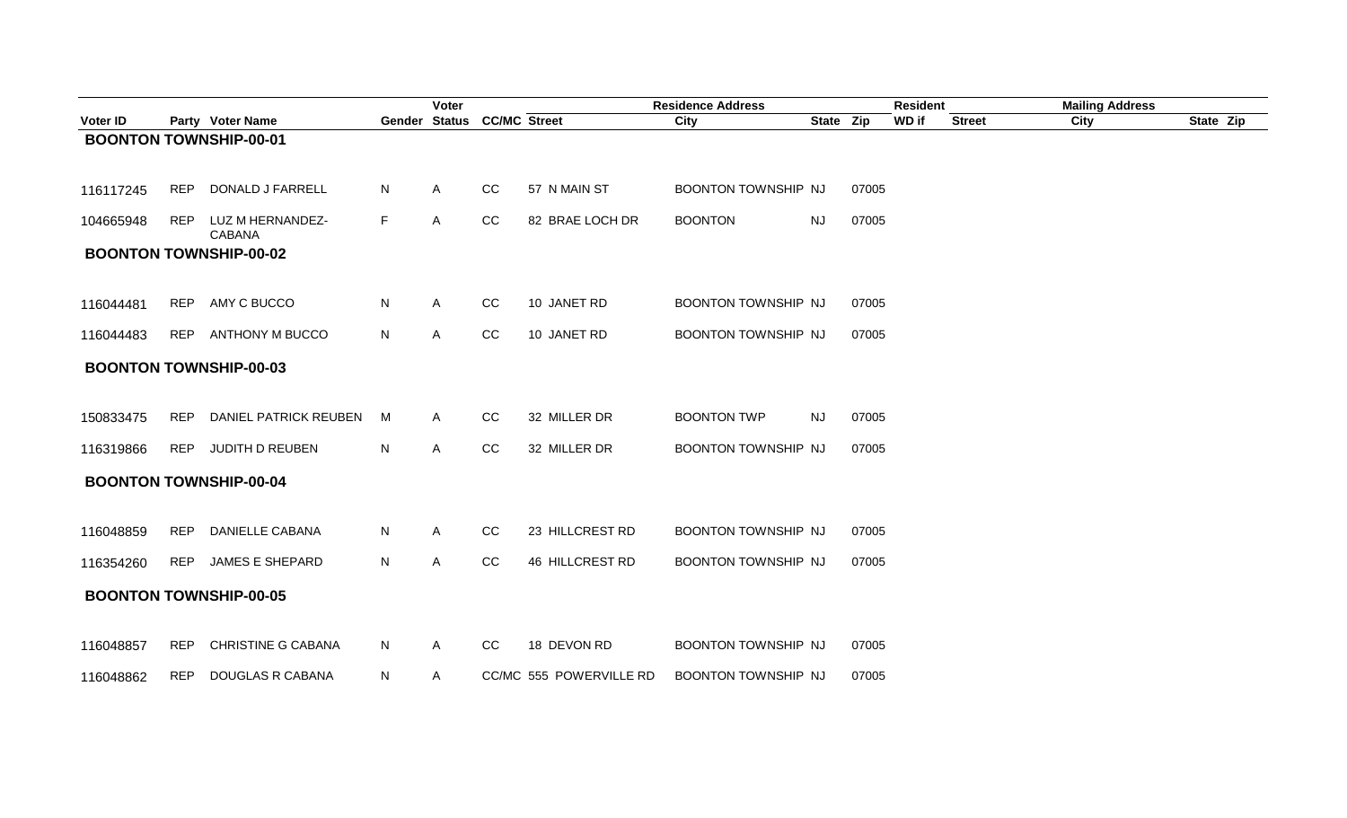|           |            |                                   |    | Voter                      |             |                         | <b>Residence Address</b>   |           |       | <b>Resident</b> |               | <b>Mailing Address</b> |           |
|-----------|------------|-----------------------------------|----|----------------------------|-------------|-------------------------|----------------------------|-----------|-------|-----------------|---------------|------------------------|-----------|
| Voter ID  |            | Party Voter Name                  |    | Gender Status CC/MC Street |             |                         | City                       | State Zip |       | WD if           | <b>Street</b> | City                   | State Zip |
|           |            | <b>BOONTON TOWNSHIP-00-01</b>     |    |                            |             |                         |                            |           |       |                 |               |                        |           |
| 116117245 | <b>REP</b> | DONALD J FARRELL                  | N. | $\mathsf{A}$               | CC          | 57 N MAIN ST            | BOONTON TOWNSHIP NJ        |           | 07005 |                 |               |                        |           |
| 104665948 | <b>REP</b> | LUZ M HERNANDEZ-<br><b>CABANA</b> | F. | A                          | CC          | 82 BRAE LOCH DR         | <b>BOONTON</b>             | <b>NJ</b> | 07005 |                 |               |                        |           |
|           |            | <b>BOONTON TOWNSHIP-00-02</b>     |    |                            |             |                         |                            |           |       |                 |               |                        |           |
| 116044481 |            | REP AMY C BUCCO                   | N. | $\mathsf{A}$               | CC          | 10 JANET RD             | BOONTON TOWNSHIP NJ        |           | 07005 |                 |               |                        |           |
| 116044483 | <b>REP</b> | <b>ANTHONY M BUCCO</b>            | N  | $\mathsf{A}$               | $_{\rm CC}$ | 10 JANET RD             | BOONTON TOWNSHIP NJ        |           | 07005 |                 |               |                        |           |
|           |            | <b>BOONTON TOWNSHIP-00-03</b>     |    |                            |             |                         |                            |           |       |                 |               |                        |           |
| 150833475 | <b>REP</b> | <b>DANIEL PATRICK REUBEN</b>      | M  | A                          | CC          | 32 MILLER DR            | <b>BOONTON TWP</b>         | <b>NJ</b> | 07005 |                 |               |                        |           |
| 116319866 | <b>REP</b> | JUDITH D REUBEN                   | N  | $\mathsf{A}$               | $_{\rm CC}$ | 32 MILLER DR            | BOONTON TOWNSHIP NJ        |           | 07005 |                 |               |                        |           |
|           |            | <b>BOONTON TOWNSHIP-00-04</b>     |    |                            |             |                         |                            |           |       |                 |               |                        |           |
| 116048859 | <b>REP</b> | <b>DANIELLE CABANA</b>            | N. | A                          | CC          | 23 HILLCREST RD         | BOONTON TOWNSHIP NJ        |           | 07005 |                 |               |                        |           |
| 116354260 | <b>REP</b> | <b>JAMES E SHEPARD</b>            | N. | A                          | CC          | 46 HILLCREST RD         | BOONTON TOWNSHIP NJ        |           | 07005 |                 |               |                        |           |
|           |            | <b>BOONTON TOWNSHIP-00-05</b>     |    |                            |             |                         |                            |           |       |                 |               |                        |           |
| 116048857 | <b>REP</b> | <b>CHRISTINE G CABANA</b>         | N  | A                          | CC          | 18 DEVON RD             | <b>BOONTON TOWNSHIP NJ</b> |           | 07005 |                 |               |                        |           |
| 116048862 | <b>REP</b> | DOUGLAS R CABANA                  | N. | A                          |             | CC/MC 555 POWERVILLE RD | <b>BOONTON TOWNSHIP NJ</b> |           | 07005 |                 |               |                        |           |
|           |            |                                   |    |                            |             |                         |                            |           |       |                 |               |                        |           |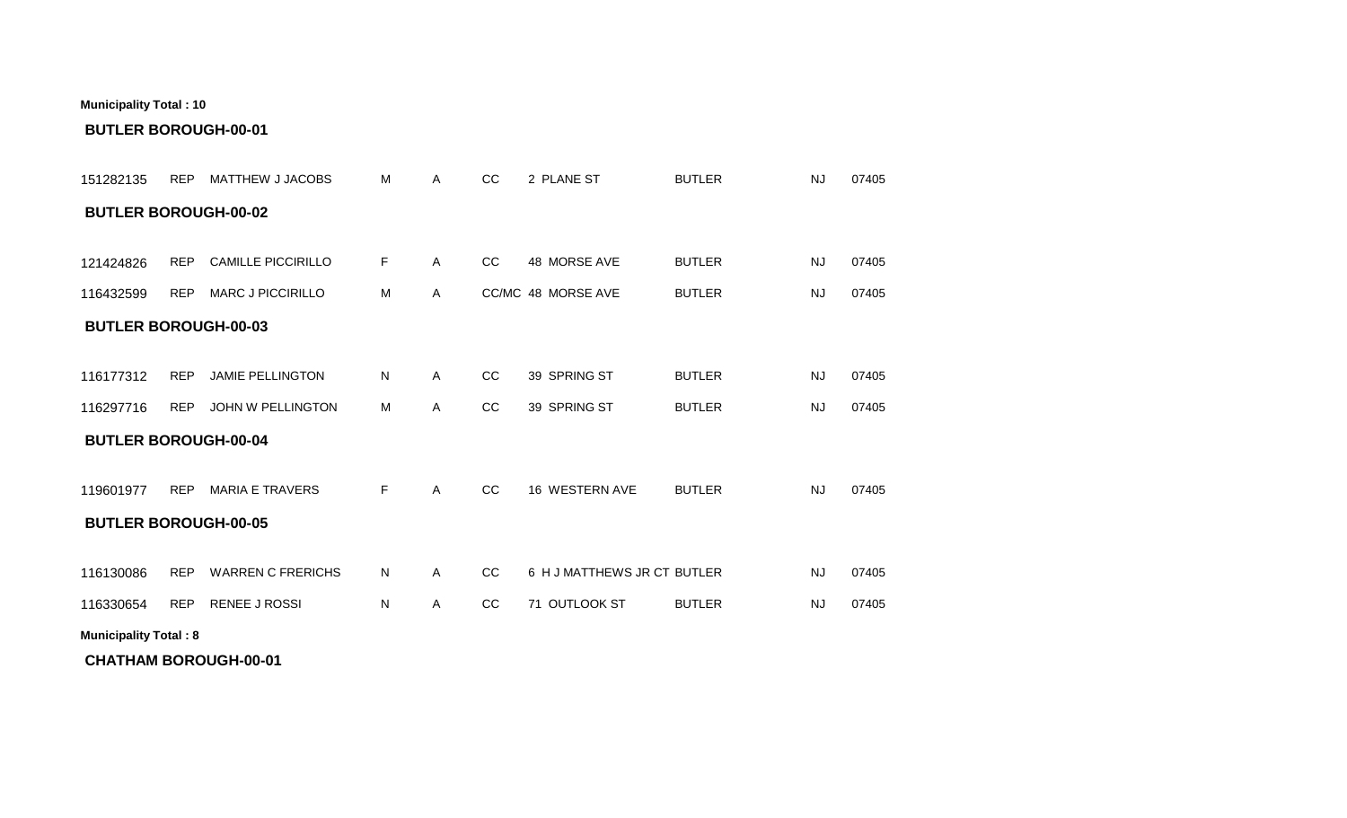| 151282135                    | <b>REP</b> | MATTHEW J JACOBS          | м  | Α            | cc | 2 PLANE ST                  | <b>BUTLER</b> | <b>NJ</b> | 07405 |
|------------------------------|------------|---------------------------|----|--------------|----|-----------------------------|---------------|-----------|-------|
| <b>BUTLER BOROUGH-00-02</b>  |            |                           |    |              |    |                             |               |           |       |
|                              |            |                           |    |              |    |                             |               |           |       |
| 121424826                    | <b>REP</b> | <b>CAMILLE PICCIRILLO</b> | F. | $\mathsf{A}$ | CC | 48 MORSE AVE                | <b>BUTLER</b> | <b>NJ</b> | 07405 |
| 116432599                    | <b>REP</b> | <b>MARC J PICCIRILLO</b>  | м  | $\mathsf{A}$ |    | CC/MC 48 MORSE AVE          | <b>BUTLER</b> | <b>NJ</b> | 07405 |
| <b>BUTLER BOROUGH-00-03</b>  |            |                           |    |              |    |                             |               |           |       |
|                              |            |                           |    |              |    |                             |               |           |       |
| 116177312                    | <b>REP</b> | <b>JAMIE PELLINGTON</b>   | N  | A            | CC | 39 SPRING ST                | <b>BUTLER</b> | <b>NJ</b> | 07405 |
| 116297716                    | REP        | JOHN W PELLINGTON         | M  | $\mathsf{A}$ | cc | 39 SPRING ST                | <b>BUTLER</b> | <b>NJ</b> | 07405 |
| <b>BUTLER BOROUGH-00-04</b>  |            |                           |    |              |    |                             |               |           |       |
|                              |            |                           |    |              |    |                             |               |           |       |
| 119601977                    | <b>REP</b> | <b>MARIA E TRAVERS</b>    | F. | $\mathsf{A}$ | CC | 16 WESTERN AVE              | <b>BUTLER</b> | <b>NJ</b> | 07405 |
| <b>BUTLER BOROUGH-00-05</b>  |            |                           |    |              |    |                             |               |           |       |
|                              |            |                           |    |              |    |                             |               |           |       |
| 116130086                    | <b>REP</b> | <b>WARREN C FRERICHS</b>  | N  | $\mathsf{A}$ | CC | 6 H J MATTHEWS JR CT BUTLER |               | <b>NJ</b> | 07405 |
| 116330654                    | <b>REP</b> | <b>RENEE J ROSSI</b>      | N  | $\mathsf{A}$ | cc | 71 OUTLOOK ST               | <b>BUTLER</b> | <b>NJ</b> | 07405 |
| <b>Municipality Total: 8</b> |            |                           |    |              |    |                             |               |           |       |

**BUTLER BOROUGH-00-01**

**CHATHAM BOROUGH-00-01**

**Municipality Total : 10**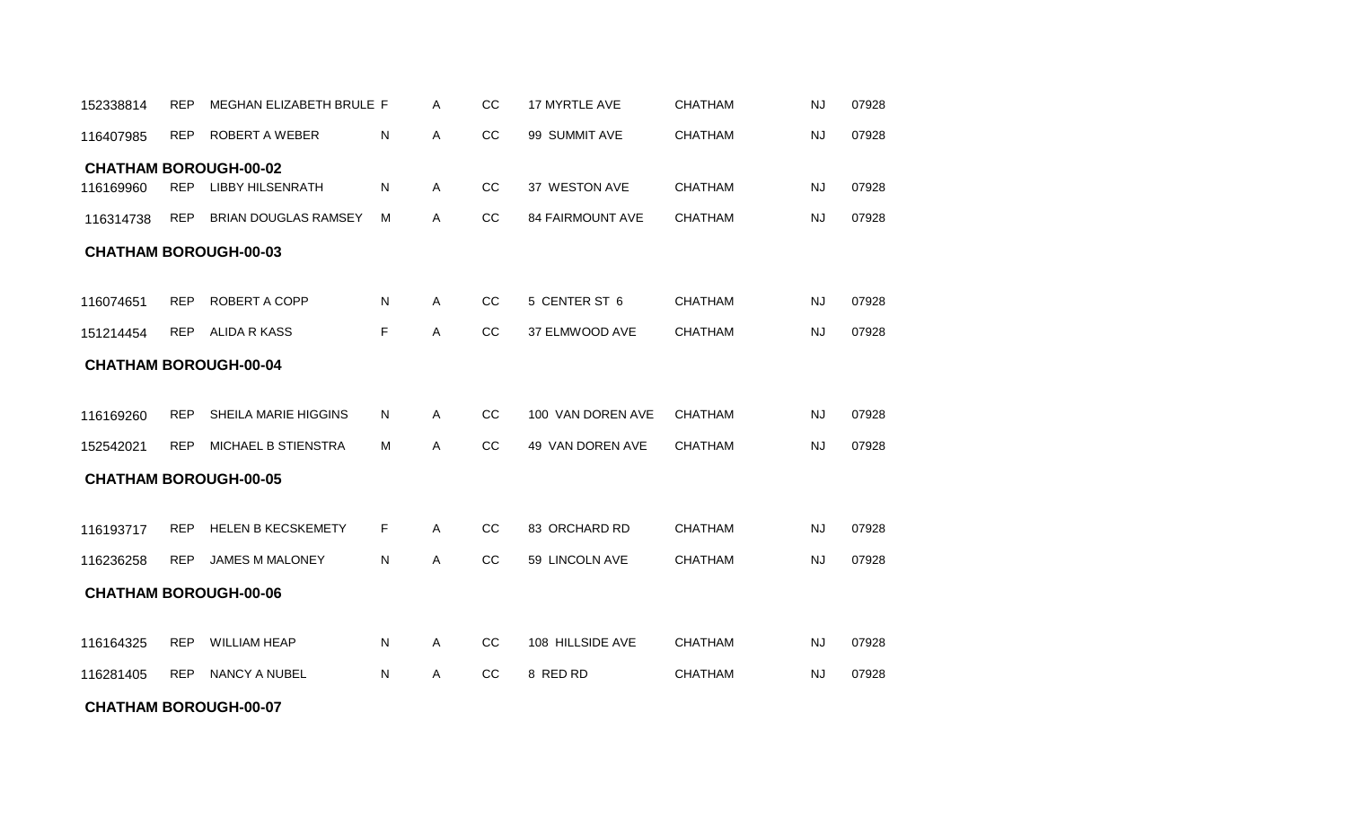#### **CHATHAM BOROUGH-00-07**

| 116407985 | <b>REP</b> | ROBERT A WEBER               | N            | A            | CC | 99 SUMMIT AVE           | <b>CHATHAM</b> | <b>NJ</b> | 07928 |
|-----------|------------|------------------------------|--------------|--------------|----|-------------------------|----------------|-----------|-------|
|           |            | <b>CHATHAM BOROUGH-00-02</b> |              |              |    |                         |                |           |       |
| 116169960 | <b>REP</b> | <b>LIBBY HILSENRATH</b>      | ${\sf N}$    | $\mathsf{A}$ | cc | 37 WESTON AVE           | <b>CHATHAM</b> | <b>NJ</b> | 07928 |
| 116314738 | <b>REP</b> | <b>BRIAN DOUGLAS RAMSEY</b>  | M            | A            | CC | <b>84 FAIRMOUNT AVE</b> | <b>CHATHAM</b> | <b>NJ</b> | 07928 |
|           |            | <b>CHATHAM BOROUGH-00-03</b> |              |              |    |                         |                |           |       |
|           |            |                              |              |              |    |                         |                |           |       |
| 116074651 | <b>REP</b> | <b>ROBERT A COPP</b>         | $\mathsf{N}$ | A            | cc | 5 CENTER ST 6           | <b>CHATHAM</b> | <b>NJ</b> | 07928 |
| 151214454 | <b>REP</b> | <b>ALIDA R KASS</b>          | F            | Α            | CC | 37 ELMWOOD AVE          | <b>CHATHAM</b> | <b>NJ</b> | 07928 |
|           |            | <b>CHATHAM BOROUGH-00-04</b> |              |              |    |                         |                |           |       |
|           |            |                              |              |              |    |                         |                |           |       |
| 116169260 | <b>REP</b> | SHEILA MARIE HIGGINS         | N            | A            | CC | 100 VAN DOREN AVE       | <b>CHATHAM</b> | <b>NJ</b> | 07928 |
| 152542021 | <b>REP</b> | <b>MICHAEL B STIENSTRA</b>   | M            | A            | CC | 49 VAN DOREN AVE        | <b>CHATHAM</b> | NJ        | 07928 |
|           |            | <b>CHATHAM BOROUGH-00-05</b> |              |              |    |                         |                |           |       |
|           |            |                              |              |              |    |                         |                |           |       |
| 116193717 | <b>REP</b> | <b>HELEN B KECSKEMETY</b>    | F.           | $\mathsf{A}$ | cc | 83 ORCHARD RD           | <b>CHATHAM</b> | <b>NJ</b> | 07928 |
| 116236258 | <b>REP</b> | <b>JAMES M MALONEY</b>       | N            | A            | CC | 59 LINCOLN AVE          | <b>CHATHAM</b> | <b>NJ</b> | 07928 |
|           |            | <b>CHATHAM BOROUGH-00-06</b> |              |              |    |                         |                |           |       |
|           |            |                              |              |              |    |                         |                |           |       |
| 116164325 | <b>REP</b> | <b>WILLIAM HEAP</b>          | $\mathsf{N}$ | $\mathsf{A}$ | CC | 108 HILLSIDE AVE        | <b>CHATHAM</b> | <b>NJ</b> | 07928 |
| 116281405 | <b>REP</b> | NANCY A NUBEL                | ${\sf N}$    | A            | CC | 8 RED RD                | <b>CHATHAM</b> | <b>NJ</b> | 07928 |

REP MEGHAN ELIZABETH BRULE A CC 17 MYRTLE AVE 07928 152338814 F CHATHAM NJ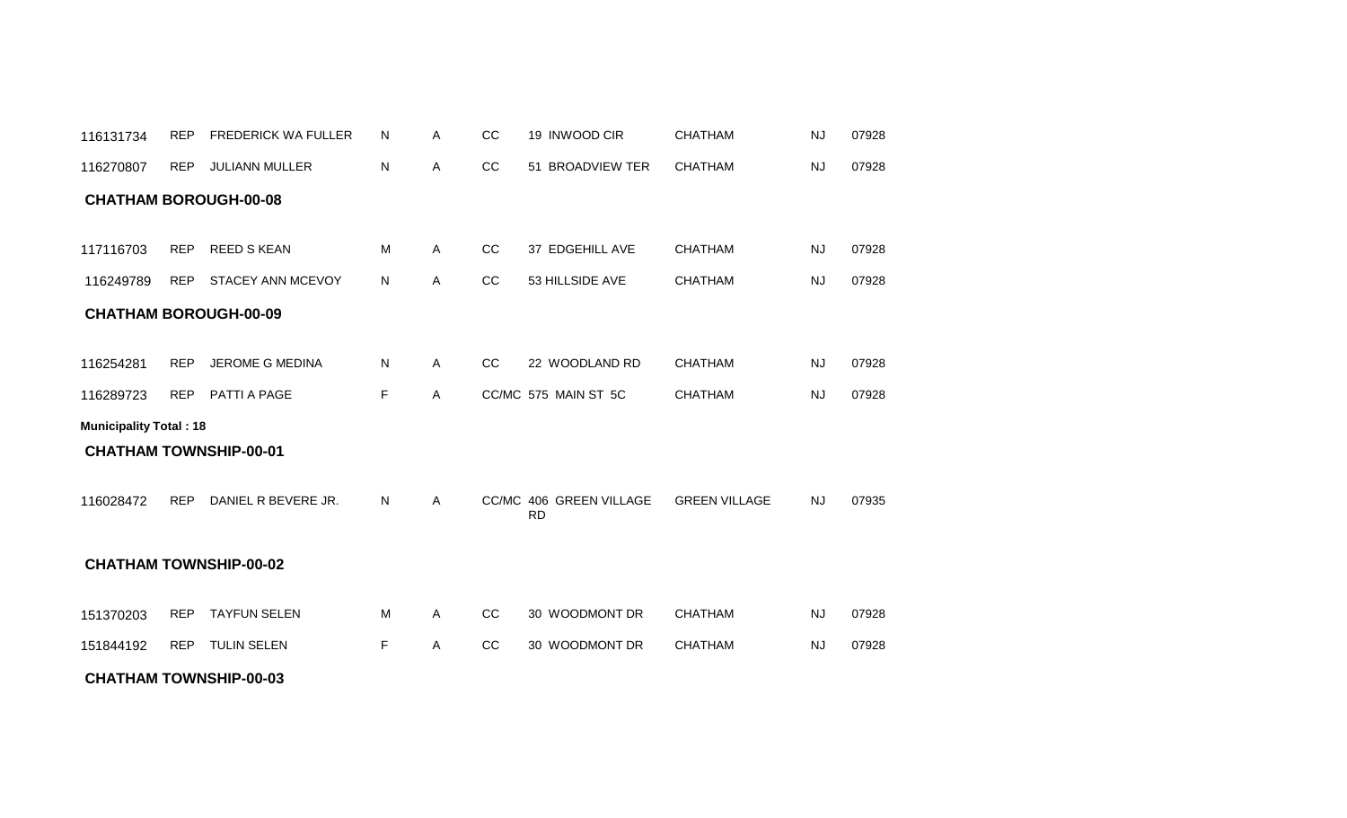| 116270807                     | <b>REP</b> | <b>JULIANN MULLER</b>         | N  | Α | CС | 51 BROADVIEW TER                     | <b>CHATHAM</b>       | <b>NJ</b> | 07928 |
|-------------------------------|------------|-------------------------------|----|---|----|--------------------------------------|----------------------|-----------|-------|
| <b>CHATHAM BOROUGH-00-08</b>  |            |                               |    |   |    |                                      |                      |           |       |
| 117116703                     | <b>REP</b> | <b>REED S KEAN</b>            | м  | Α | CC | 37 EDGEHILL AVE                      | <b>CHATHAM</b>       | NJ        | 07928 |
| 116249789                     | <b>REP</b> | STACEY ANN MCEVOY             | N  | Α | CC | 53 HILLSIDE AVE                      | <b>CHATHAM</b>       | <b>NJ</b> | 07928 |
| <b>CHATHAM BOROUGH-00-09</b>  |            |                               |    |   |    |                                      |                      |           |       |
|                               |            |                               |    |   |    |                                      |                      |           |       |
| 116254281                     | <b>REP</b> | <b>JEROME G MEDINA</b>        | N  | Α | CC | 22 WOODLAND RD                       | <b>CHATHAM</b>       | <b>NJ</b> | 07928 |
| 116289723                     | <b>REP</b> | PATTI A PAGE                  | F  | Α |    | CC/MC 575 MAIN ST 5C                 | <b>CHATHAM</b>       | <b>NJ</b> | 07928 |
| <b>Municipality Total: 18</b> |            |                               |    |   |    |                                      |                      |           |       |
| <b>CHATHAM TOWNSHIP-00-01</b> |            |                               |    |   |    |                                      |                      |           |       |
| 116028472                     | <b>REP</b> | DANIEL R BEVERE JR.           | N. | A |    | CC/MC 406 GREEN VILLAGE<br><b>RD</b> | <b>GREEN VILLAGE</b> | <b>NJ</b> | 07935 |
|                               |            | <b>CHATHAM TOWNSHIP-00-02</b> |    |   |    |                                      |                      |           |       |
| 151370203                     | <b>REP</b> | <b>TAYFUN SELEN</b>           | м  | Α | CC | 30 WOODMONT DR                       | <b>CHATHAM</b>       | <b>NJ</b> | 07928 |
| 151844192                     | <b>REP</b> | TULIN SELEN                   | F  | A | CC | 30 WOODMONT DR                       | <b>CHATHAM</b>       | NJ        | 07928 |
|                               |            | <b>CHATHAM TOWNSHIP-00-03</b> |    |   |    |                                      |                      |           |       |

REP FREDERICK WA FULLER A CC 19 INWOOD CIR 07928 116131734 N CHATHAM NJ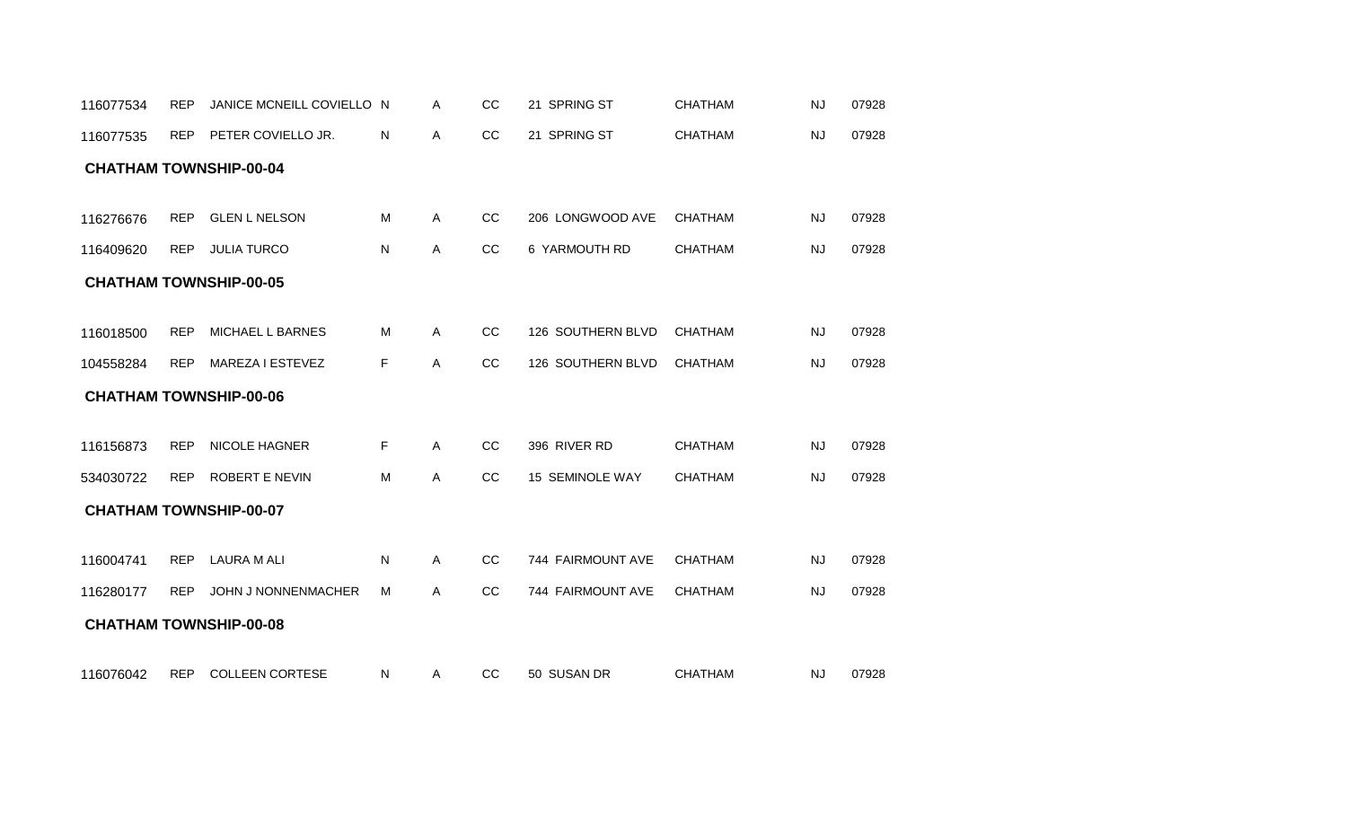| 116077535 | <b>REP</b> | PETER COVIELLO JR.            | N         | Α            | cc | 21 SPRING ST      | <b>CHATHAM</b> | <b>NJ</b> | 07928 |
|-----------|------------|-------------------------------|-----------|--------------|----|-------------------|----------------|-----------|-------|
|           |            | <b>CHATHAM TOWNSHIP-00-04</b> |           |              |    |                   |                |           |       |
|           |            |                               |           |              |    |                   |                |           |       |
| 116276676 | <b>REP</b> | <b>GLEN L NELSON</b>          | M         | $\mathsf{A}$ | CC | 206 LONGWOOD AVE  | <b>CHATHAM</b> | NJ        | 07928 |
| 116409620 | <b>REP</b> | <b>JULIA TURCO</b>            | ${\sf N}$ | A            | cc | 6 YARMOUTH RD     | CHATHAM        | <b>NJ</b> | 07928 |
|           |            | <b>CHATHAM TOWNSHIP-00-05</b> |           |              |    |                   |                |           |       |
|           |            |                               |           |              |    |                   |                |           |       |
| 116018500 | <b>REP</b> | MICHAEL L BARNES              | M         | Α            | cc | 126 SOUTHERN BLVD | <b>CHATHAM</b> | <b>NJ</b> | 07928 |
| 104558284 | <b>REP</b> | MAREZA I ESTEVEZ              | F.        | Α            | CC | 126 SOUTHERN BLVD | <b>CHATHAM</b> | <b>NJ</b> | 07928 |
|           |            | <b>CHATHAM TOWNSHIP-00-06</b> |           |              |    |                   |                |           |       |
|           |            |                               |           |              |    |                   |                |           |       |
| 116156873 | <b>REP</b> | NICOLE HAGNER                 | F.        | A            | CC | 396 RIVER RD      | <b>CHATHAM</b> | <b>NJ</b> | 07928 |
| 534030722 | <b>REP</b> | ROBERT E NEVIN                | M         | Α            | CC | 15 SEMINOLE WAY   | <b>CHATHAM</b> | <b>NJ</b> | 07928 |
|           |            | <b>CHATHAM TOWNSHIP-00-07</b> |           |              |    |                   |                |           |       |
|           |            |                               |           |              |    |                   |                |           |       |
| 116004741 | <b>REP</b> | <b>LAURA M ALI</b>            | N         | A            | CC | 744 FAIRMOUNT AVE | <b>CHATHAM</b> | <b>NJ</b> | 07928 |
| 116280177 | <b>REP</b> | <b>JOHN J NONNENMACHER</b>    | м         | A            | CC | 744 FAIRMOUNT AVE | <b>CHATHAM</b> | <b>NJ</b> | 07928 |
|           |            | <b>CHATHAM TOWNSHIP-00-08</b> |           |              |    |                   |                |           |       |
|           |            |                               |           |              |    |                   |                |           |       |
| 116076042 | <b>REP</b> | <b>COLLEEN CORTESE</b>        | N         | Α            | CC | 50 SUSAN DR       | <b>CHATHAM</b> | <b>NJ</b> | 07928 |

116077534 REP JANICE MCNEILL COVIELLO N A CC 21 SPRING ST CHATHAM NJ 07928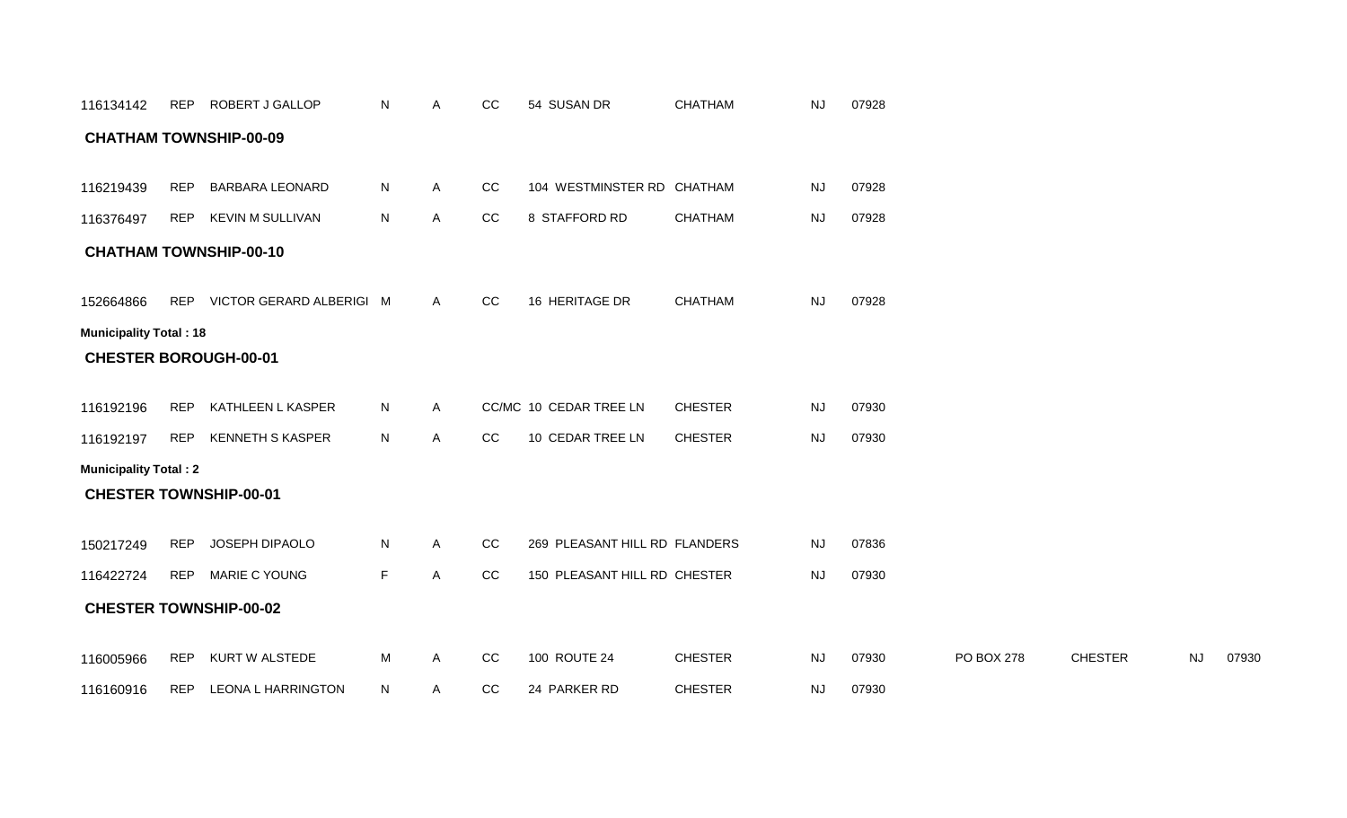| 116134142                     | REP        | ROBERT J GALLOP               | N. | Α | CC          | 54 SUSAN DR                   | <b>CHATHAM</b> | <b>NJ</b> | 07928 |            |                |    |       |
|-------------------------------|------------|-------------------------------|----|---|-------------|-------------------------------|----------------|-----------|-------|------------|----------------|----|-------|
|                               |            | <b>CHATHAM TOWNSHIP-00-09</b> |    |   |             |                               |                |           |       |            |                |    |       |
|                               |            |                               |    |   |             |                               |                |           |       |            |                |    |       |
| 116219439                     | <b>REP</b> | <b>BARBARA LEONARD</b>        | N  | A | CC          | 104 WESTMINSTER RD CHATHAM    |                | <b>NJ</b> | 07928 |            |                |    |       |
| 116376497                     | <b>REP</b> | <b>KEVIN M SULLIVAN</b>       | N. | A | $_{\rm CC}$ | 8 STAFFORD RD                 | <b>CHATHAM</b> | <b>NJ</b> | 07928 |            |                |    |       |
|                               |            | <b>CHATHAM TOWNSHIP-00-10</b> |    |   |             |                               |                |           |       |            |                |    |       |
|                               |            |                               |    |   |             |                               |                |           |       |            |                |    |       |
| 152664866                     |            | REP VICTOR GERARD ALBERIGI M  |    | A | cc          | 16 HERITAGE DR                | CHATHAM        | <b>NJ</b> | 07928 |            |                |    |       |
| <b>Municipality Total: 18</b> |            |                               |    |   |             |                               |                |           |       |            |                |    |       |
| <b>CHESTER BOROUGH-00-01</b>  |            |                               |    |   |             |                               |                |           |       |            |                |    |       |
|                               |            |                               |    |   |             |                               |                |           |       |            |                |    |       |
| 116192196                     | <b>REP</b> | KATHLEEN L KASPER             | N  | Α |             | CC/MC 10 CEDAR TREE LN        | <b>CHESTER</b> | <b>NJ</b> | 07930 |            |                |    |       |
| 116192197                     | <b>REP</b> | <b>KENNETH S KASPER</b>       | N  | A | cc          | 10 CEDAR TREE LN              | <b>CHESTER</b> | <b>NJ</b> | 07930 |            |                |    |       |
| <b>Municipality Total: 2</b>  |            |                               |    |   |             |                               |                |           |       |            |                |    |       |
| <b>CHESTER TOWNSHIP-00-01</b> |            |                               |    |   |             |                               |                |           |       |            |                |    |       |
| 150217249                     | <b>REP</b> | JOSEPH DIPAOLO                | N  | Α | cc          | 269 PLEASANT HILL RD FLANDERS |                | <b>NJ</b> | 07836 |            |                |    |       |
| 116422724                     |            | REP MARIE C YOUNG             | F  | A | cc          | 150 PLEASANT HILL RD CHESTER  |                | <b>NJ</b> | 07930 |            |                |    |       |
|                               |            |                               |    |   |             |                               |                |           |       |            |                |    |       |
|                               |            | <b>CHESTER TOWNSHIP-00-02</b> |    |   |             |                               |                |           |       |            |                |    |       |
| 116005966                     | <b>REP</b> | KURT W ALSTEDE                | М  | Α | $_{\rm CC}$ | 100 ROUTE 24                  | <b>CHESTER</b> | <b>NJ</b> | 07930 | PO BOX 278 | <b>CHESTER</b> | NJ | 07930 |
| 116160916                     | <b>REP</b> | <b>LEONA L HARRINGTON</b>     | N  | Α | CC          | 24 PARKER RD                  | <b>CHESTER</b> | NJ        | 07930 |            |                |    |       |
|                               |            |                               |    |   |             |                               |                |           |       |            |                |    |       |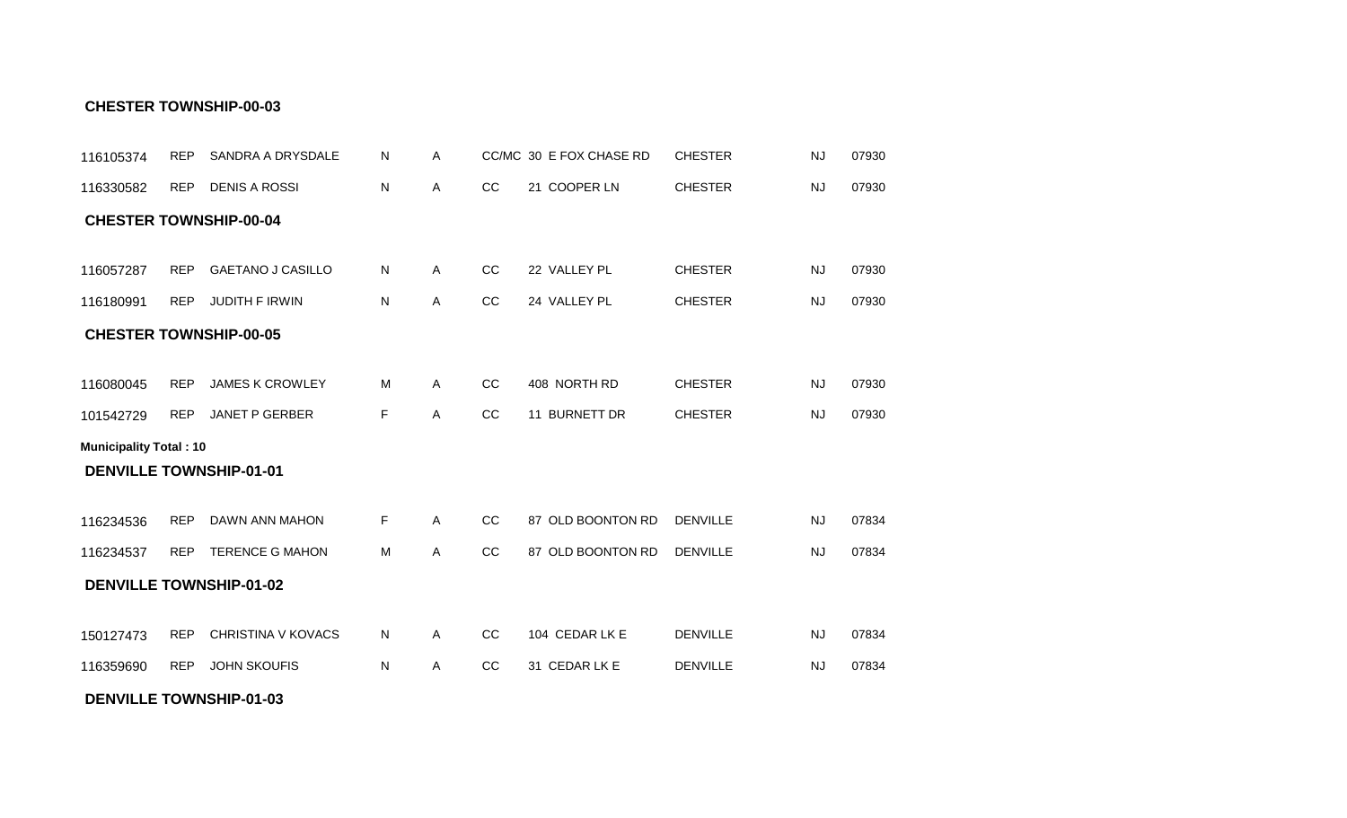#### **DENVILLE TOWNSHIP-01-03**

| <b>CHESTER TOWNSHIP-00-04</b>  |            |                                |    |              |               |                   |                 |           |       |
|--------------------------------|------------|--------------------------------|----|--------------|---------------|-------------------|-----------------|-----------|-------|
| 116057287                      | <b>REP</b> | <b>GAETANO J CASILLO</b>       | N  | $\mathsf{A}$ | CC            | 22 VALLEY PL      | <b>CHESTER</b>  | <b>NJ</b> | 07930 |
| 116180991                      | <b>REP</b> | <b>JUDITH F IRWIN</b>          | N  | A            | CC            | 24 VALLEY PL      | <b>CHESTER</b>  | <b>NJ</b> | 07930 |
| <b>CHESTER TOWNSHIP-00-05</b>  |            |                                |    |              |               |                   |                 |           |       |
|                                |            |                                |    |              |               |                   |                 |           |       |
| 116080045                      | <b>REP</b> | <b>JAMES K CROWLEY</b>         | M  | $\mathsf{A}$ | CC            | 408 NORTH RD      | <b>CHESTER</b>  | NJ        | 07930 |
| 101542729                      | <b>REP</b> | <b>JANET P GERBER</b>          | F  | A            | CC            | 11 BURNETT DR     | <b>CHESTER</b>  | <b>NJ</b> | 07930 |
| <b>Municipality Total: 10</b>  |            |                                |    |              |               |                   |                 |           |       |
| <b>DENVILLE TOWNSHIP-01-01</b> |            |                                |    |              |               |                   |                 |           |       |
| 116234536                      | <b>REP</b> | DAWN ANN MAHON                 | F  | $\mathsf{A}$ | CC            | 87 OLD BOONTON RD | <b>DENVILLE</b> | <b>NJ</b> | 07834 |
| 116234537                      | <b>REP</b> | <b>TERENCE G MAHON</b>         | M  | $\mathsf{A}$ | CC            | 87 OLD BOONTON RD | <b>DENVILLE</b> | <b>NJ</b> | 07834 |
|                                |            | <b>DENVILLE TOWNSHIP-01-02</b> |    |              |               |                   |                 |           |       |
|                                |            |                                |    |              |               |                   |                 |           |       |
| 150127473                      | <b>REP</b> | <b>CHRISTINA V KOVACS</b>      | N. | A            | <sub>CC</sub> | 104 CEDAR LK E    | <b>DENVILLE</b> | <b>NJ</b> | 07834 |
| 116359690                      | <b>REP</b> | <b>JOHN SKOUFIS</b>            | N  | A            | CC            | 31 CEDAR LK E     | <b>DENVILLE</b> | NJ        | 07834 |

N A CC/MC 30 E FOX CHASE RD CHESTER NJ 07930

N A CC 21 COOPER LN CHESTER NJ 07930

#### **CHESTER TOWNSHIP-00-03**

116330582 REP DENIS A ROSSI

116105374 REP SANDRA A DRYSDALE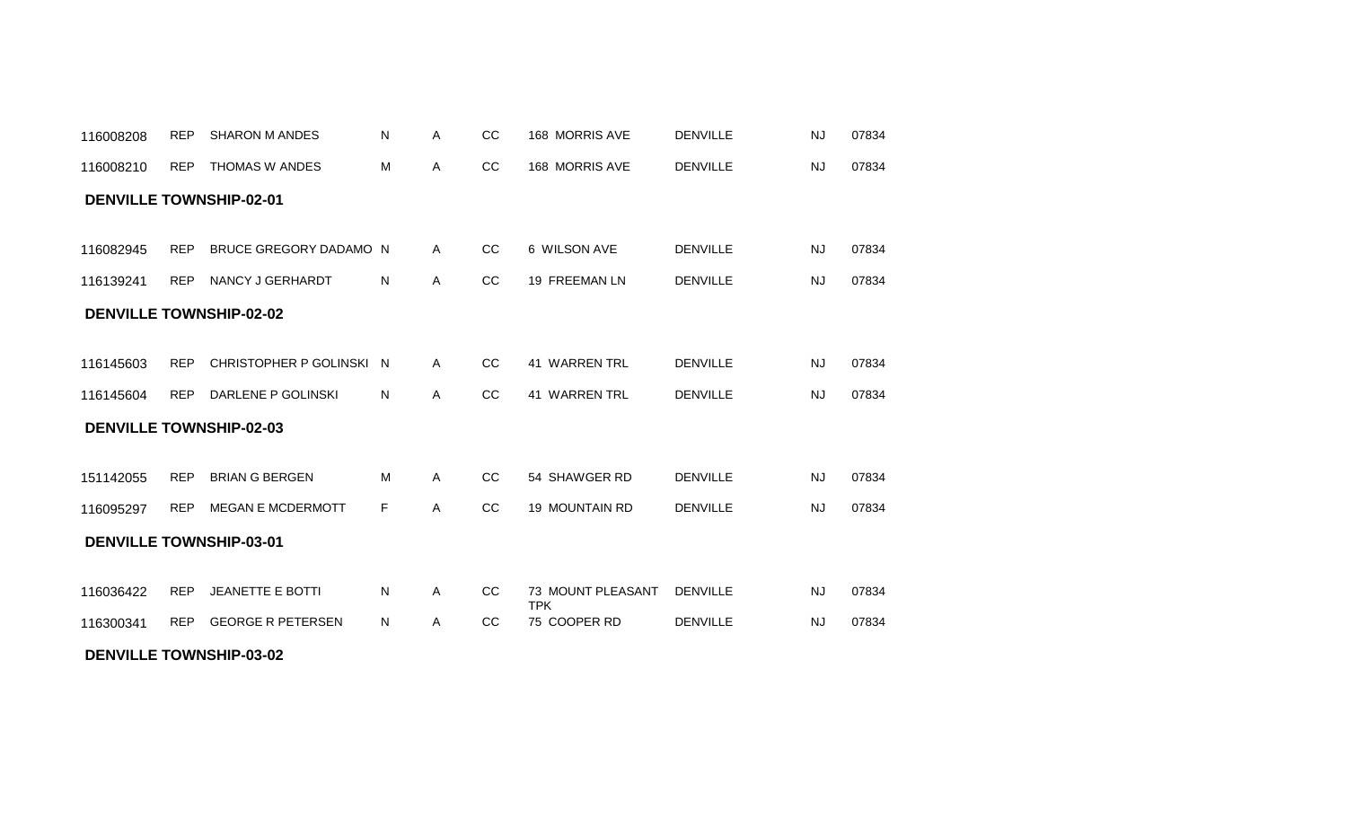#### **DENVILLE TOWNSHIP-03-02**

| <b>DENVILLE TOWNSHIP-02-01</b> |            |                          |    |              |               |                                 |                 |           |       |  |  |  |
|--------------------------------|------------|--------------------------|----|--------------|---------------|---------------------------------|-----------------|-----------|-------|--|--|--|
| 116082945                      | <b>REP</b> | BRUCE GREGORY DADAMO N   |    | $\mathsf{A}$ | <b>CC</b>     | 6 WILSON AVE                    | <b>DENVILLE</b> | <b>NJ</b> | 07834 |  |  |  |
| 116139241                      | <b>REP</b> | NANCY J GERHARDT         | N. | $\mathsf{A}$ | <sub>CC</sub> | 19 FREEMAN LN                   | <b>DENVILLE</b> | <b>NJ</b> | 07834 |  |  |  |
| <b>DENVILLE TOWNSHIP-02-02</b> |            |                          |    |              |               |                                 |                 |           |       |  |  |  |
| 116145603                      | <b>REP</b> | CHRISTOPHER P GOLINSKI N |    | $\mathsf{A}$ | <sub>CC</sub> | <b>41 WARREN TRL</b>            | <b>DENVILLE</b> | <b>NJ</b> | 07834 |  |  |  |
| 116145604                      | <b>REP</b> | DARLENE P GOLINSKI       | N. | $\mathsf{A}$ | CC            | <b>41 WARREN TRL</b>            | <b>DENVILLE</b> | <b>NJ</b> | 07834 |  |  |  |
| <b>DENVILLE TOWNSHIP-02-03</b> |            |                          |    |              |               |                                 |                 |           |       |  |  |  |
| 151142055                      | <b>REP</b> | <b>BRIAN G BERGEN</b>    | м  | $\mathsf{A}$ | <b>CC</b>     | 54 SHAWGER RD                   | <b>DENVILLE</b> | <b>NJ</b> | 07834 |  |  |  |
| 116095297                      | <b>REP</b> | <b>MEGAN E MCDERMOTT</b> | F. | Α            | CC            | 19 MOUNTAIN RD                  | <b>DENVILLE</b> | <b>NJ</b> | 07834 |  |  |  |
| <b>DENVILLE TOWNSHIP-03-01</b> |            |                          |    |              |               |                                 |                 |           |       |  |  |  |
|                                |            |                          |    |              |               |                                 |                 |           |       |  |  |  |
| 116036422                      | <b>REP</b> | <b>JEANETTE E BOTTI</b>  | N  | Α            | <sub>CC</sub> | 73 MOUNT PLEASANT<br><b>TPK</b> | <b>DENVILLE</b> | <b>NJ</b> | 07834 |  |  |  |
| 116300341                      | <b>REP</b> | <b>GEORGE R PETERSEN</b> | N  | Α            | cc            | 75 COOPER RD                    | <b>DENVILLE</b> | <b>NJ</b> | 07834 |  |  |  |

REP SHARON M ANDES A CC 168 MORRIS AVE 07834 116008208 N DENVILLE NJ

REP THOMAS W ANDES A CC 168 MORRIS AVE 07834 116008210 M DENVILLE NJ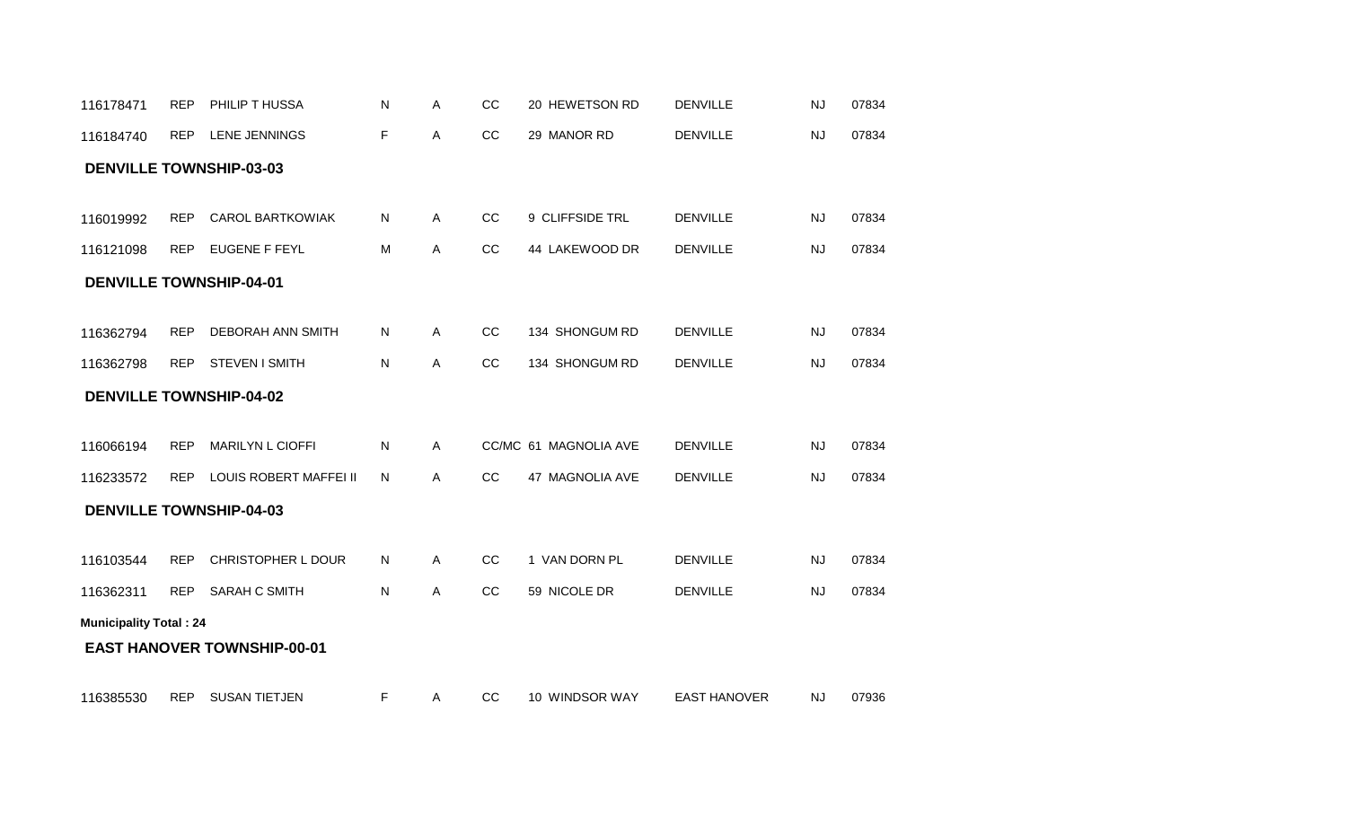| 116178471                      | <b>REP</b> | PHILIP T HUSSA                     | N | Α | CC | 20 HEWETSON RD        | <b>DENVILLE</b> | <b>NJ</b> | 07834 |
|--------------------------------|------------|------------------------------------|---|---|----|-----------------------|-----------------|-----------|-------|
| 116184740                      | <b>REP</b> | LENE JENNINGS                      | F | Α | CC | 29 MANOR RD           | <b>DENVILLE</b> | <b>NJ</b> | 07834 |
| <b>DENVILLE TOWNSHIP-03-03</b> |            |                                    |   |   |    |                       |                 |           |       |
|                                |            |                                    |   |   |    |                       |                 |           |       |
| 116019992                      | <b>REP</b> | <b>CAROL BARTKOWIAK</b>            | N | Α | CC | 9 CLIFFSIDE TRL       | <b>DENVILLE</b> | <b>NJ</b> | 07834 |
| 116121098                      | <b>REP</b> | <b>EUGENE F FEYL</b>               | M | Α | CC | 44 LAKEWOOD DR        | <b>DENVILLE</b> | <b>NJ</b> | 07834 |
| <b>DENVILLE TOWNSHIP-04-01</b> |            |                                    |   |   |    |                       |                 |           |       |
|                                |            |                                    |   |   |    |                       |                 |           |       |
| 116362794                      | <b>REP</b> | <b>DEBORAH ANN SMITH</b>           | N | Α | CC | 134 SHONGUM RD        | <b>DENVILLE</b> | <b>NJ</b> | 07834 |
| 116362798                      | <b>REP</b> | <b>STEVEN I SMITH</b>              | N | Α | CC | 134 SHONGUM RD        | <b>DENVILLE</b> | <b>NJ</b> | 07834 |
| <b>DENVILLE TOWNSHIP-04-02</b> |            |                                    |   |   |    |                       |                 |           |       |
|                                |            |                                    |   |   |    |                       |                 |           |       |
| 116066194                      | <b>REP</b> | <b>MARILYN L CIOFFI</b>            | N | Α |    | CC/MC 61 MAGNOLIA AVE | <b>DENVILLE</b> | NJ        | 07834 |
| 116233572                      | <b>REP</b> | LOUIS ROBERT MAFFEI II             | N | Α | CC | 47 MAGNOLIA AVE       | <b>DENVILLE</b> | <b>NJ</b> | 07834 |
| <b>DENVILLE TOWNSHIP-04-03</b> |            |                                    |   |   |    |                       |                 |           |       |
|                                |            |                                    |   |   |    |                       |                 |           |       |
| 116103544                      | <b>REP</b> | CHRISTOPHER L DOUR                 | N | Α | CC | 1 VAN DORN PL         | <b>DENVILLE</b> | <b>NJ</b> | 07834 |
| 116362311                      | <b>REP</b> | SARAH C SMITH                      | N | А | CC | 59 NICOLE DR          | <b>DENVILLE</b> | <b>NJ</b> | 07834 |
| <b>Municipality Total: 24</b>  |            |                                    |   |   |    |                       |                 |           |       |
|                                |            | <b>EAST HANOVER TOWNSHIP-00-01</b> |   |   |    |                       |                 |           |       |
|                                |            |                                    |   |   |    |                       |                 |           |       |
|                                |            |                                    |   |   |    |                       |                 |           |       |

116385530 REP SUSAN TIETJEN F A CC 10 WINDSOR WAY EAST HANOVER NJ 07936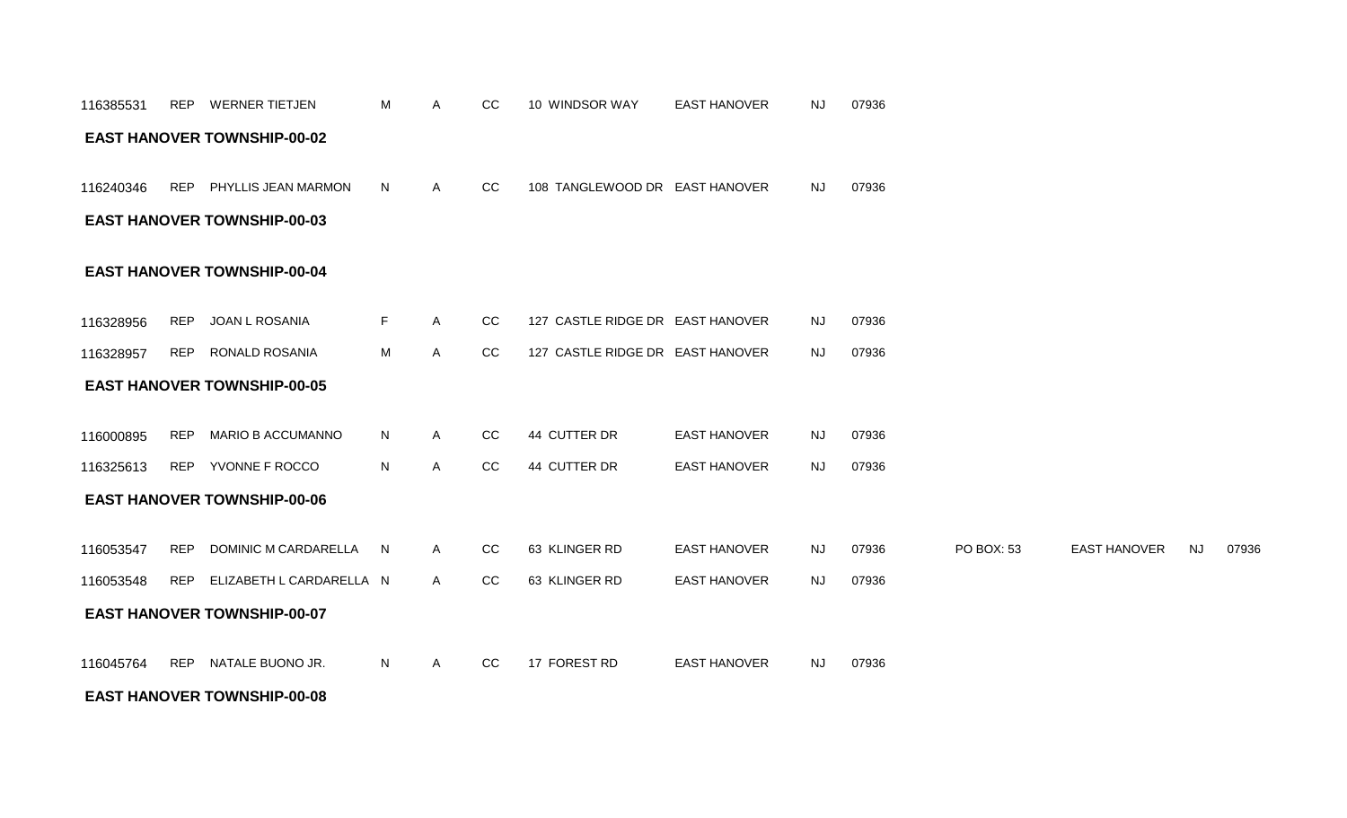#### **EAST HANOVER TOWNSHIP-00-08**

| 116240346 | <b>REP</b> | PHYLLIS JEAN MARMON                | N  | Α            | CC | 108 TANGLEWOOD DR EAST HANOVER   |                     | <b>NJ</b> | 07936 |            |                     |           |       |
|-----------|------------|------------------------------------|----|--------------|----|----------------------------------|---------------------|-----------|-------|------------|---------------------|-----------|-------|
|           |            | <b>EAST HANOVER TOWNSHIP-00-03</b> |    |              |    |                                  |                     |           |       |            |                     |           |       |
|           |            | <b>EAST HANOVER TOWNSHIP-00-04</b> |    |              |    |                                  |                     |           |       |            |                     |           |       |
| 116328956 | <b>REP</b> | JOAN L ROSANIA                     | F. | A            | CC | 127 CASTLE RIDGE DR EAST HANOVER |                     | <b>NJ</b> | 07936 |            |                     |           |       |
| 116328957 | <b>REP</b> | <b>RONALD ROSANIA</b>              | M  | A            | CC | 127 CASTLE RIDGE DR EAST HANOVER |                     | <b>NJ</b> | 07936 |            |                     |           |       |
|           |            | <b>EAST HANOVER TOWNSHIP-00-05</b> |    |              |    |                                  |                     |           |       |            |                     |           |       |
| 116000895 | <b>REP</b> | <b>MARIO B ACCUMANNO</b>           | N  | A            | CC | 44 CUTTER DR                     | <b>EAST HANOVER</b> | <b>NJ</b> | 07936 |            |                     |           |       |
| 116325613 |            | REP YVONNE F ROCCO                 | N  | A            | CC | 44 CUTTER DR                     | <b>EAST HANOVER</b> | NJ.       | 07936 |            |                     |           |       |
|           |            | <b>EAST HANOVER TOWNSHIP-00-06</b> |    |              |    |                                  |                     |           |       |            |                     |           |       |
| 116053547 | <b>REP</b> | DOMINIC M CARDARELLA               | N. | A            | CC | 63 KLINGER RD                    | <b>EAST HANOVER</b> | <b>NJ</b> | 07936 | PO BOX: 53 | <b>EAST HANOVER</b> | <b>NJ</b> | 07936 |
| 116053548 | <b>REP</b> | ELIZABETH L CARDARELLA N           |    | $\mathsf{A}$ | CC | 63 KLINGER RD                    | <b>EAST HANOVER</b> | <b>NJ</b> | 07936 |            |                     |           |       |
|           |            | <b>EAST HANOVER TOWNSHIP-00-07</b> |    |              |    |                                  |                     |           |       |            |                     |           |       |
| 116045764 | <b>REP</b> | NATALE BUONO JR.                   | N  | A            | CC | 17 FOREST RD                     | <b>EAST HANOVER</b> | <b>NJ</b> | 07936 |            |                     |           |       |

#### **EAST HANOVER TOWNSHIP-00-02**

116385531 REP WERNER TIETJEN M A CC 10 WINDSOR WAY EAST HANOVER NJ 07936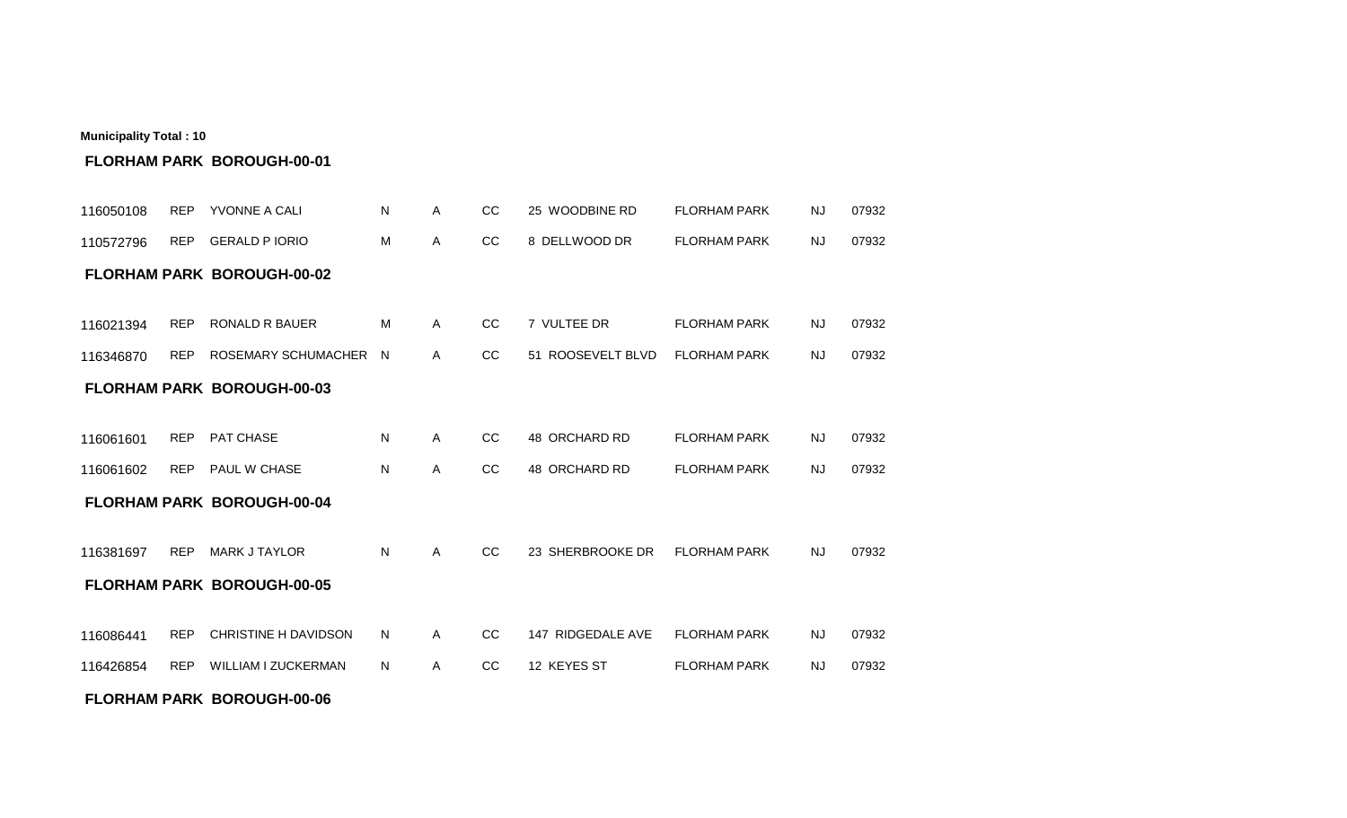| 116050108 | <b>REP</b> | YVONNE A CALI                     | N  | Α | CC | 25 WOODBINE RD    | <b>FLORHAM PARK</b> | <b>NJ</b> | 07932 |
|-----------|------------|-----------------------------------|----|---|----|-------------------|---------------------|-----------|-------|
| 110572796 | REP        | <b>GERALD P IORIO</b>             | M  | A | CC | 8 DELLWOOD DR     | <b>FLORHAM PARK</b> | NJ.       | 07932 |
|           |            | <b>FLORHAM PARK BOROUGH-00-02</b> |    |   |    |                   |                     |           |       |
|           |            |                                   |    |   |    |                   |                     |           |       |
| 116021394 | <b>REP</b> | <b>RONALD R BAUER</b>             | M  | A | CC | 7 VULTEE DR       | <b>FLORHAM PARK</b> | <b>NJ</b> | 07932 |
| 116346870 | <b>REP</b> | ROSEMARY SCHUMACHER N             |    | A | CC | 51 ROOSEVELT BLVD | <b>FLORHAM PARK</b> | <b>NJ</b> | 07932 |
|           |            | <b>FLORHAM PARK BOROUGH-00-03</b> |    |   |    |                   |                     |           |       |
|           |            |                                   |    |   |    |                   |                     |           |       |
| 116061601 | <b>REP</b> | PAT CHASE                         | N  | Α | CC | 48 ORCHARD RD     | <b>FLORHAM PARK</b> | <b>NJ</b> | 07932 |
| 116061602 |            | REP PAUL W CHASE                  | N  | Α | CC | 48 ORCHARD RD     | <b>FLORHAM PARK</b> | <b>NJ</b> | 07932 |
|           |            | <b>FLORHAM PARK BOROUGH-00-04</b> |    |   |    |                   |                     |           |       |
|           |            |                                   |    |   |    |                   |                     |           |       |
| 116381697 | <b>REP</b> | <b>MARK J TAYLOR</b>              | N  | Α | CC | 23 SHERBROOKE DR  | <b>FLORHAM PARK</b> | <b>NJ</b> | 07932 |
|           |            | <b>FLORHAM PARK BOROUGH-00-05</b> |    |   |    |                   |                     |           |       |
|           |            |                                   |    |   |    |                   |                     |           |       |
| 116086441 | <b>REP</b> | <b>CHRISTINE H DAVIDSON</b>       | N. | A | CC | 147 RIDGEDALE AVE | <b>FLORHAM PARK</b> | <b>NJ</b> | 07932 |
| 116426854 | <b>REP</b> | WILLIAM I ZUCKERMAN               | N  | A | CC | 12 KEYES ST       | <b>FLORHAM PARK</b> | <b>NJ</b> | 07932 |
|           |            | <b>FLORHAM PARK BOROUGH-00-06</b> |    |   |    |                   |                     |           |       |

## **FLORHAM PARK BOROUGH-00-01**

**Municipality Total : 10**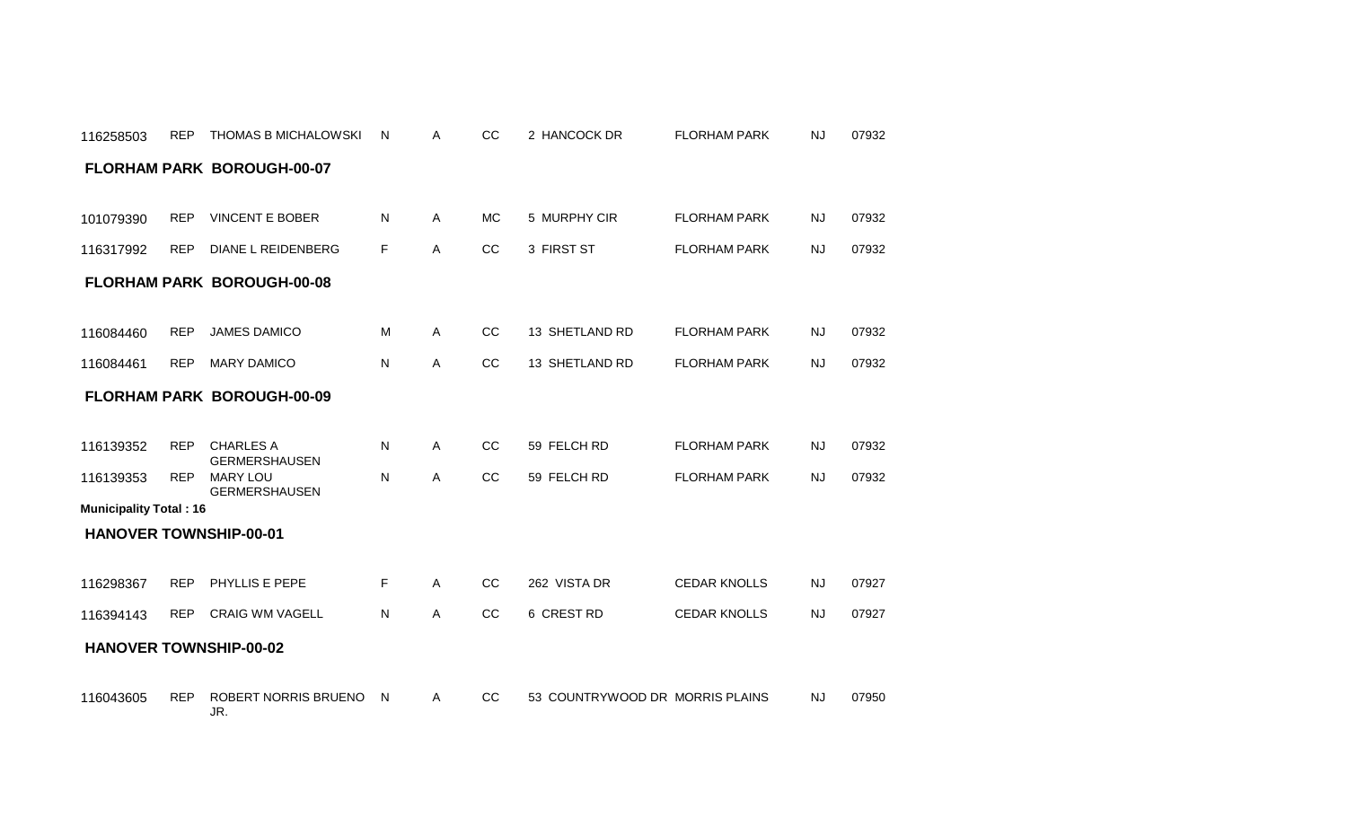| 116258503                     | <b>REP</b> | <b>THOMAS B MICHALOWSKI</b>              | N  | A            | CC            | 2 HANCOCK DR                    | <b>FLORHAM PARK</b> | NJ        | 07932 |
|-------------------------------|------------|------------------------------------------|----|--------------|---------------|---------------------------------|---------------------|-----------|-------|
|                               |            | <b>FLORHAM PARK BOROUGH-00-07</b>        |    |              |               |                                 |                     |           |       |
|                               |            |                                          |    |              |               |                                 |                     |           |       |
| 101079390                     | <b>REP</b> | <b>VINCENT E BOBER</b>                   | N  | A            | <b>MC</b>     | 5 MURPHY CIR                    | <b>FLORHAM PARK</b> | <b>NJ</b> | 07932 |
| 116317992                     | <b>REP</b> | <b>DIANE L REIDENBERG</b>                | F  | A            | CC            | 3 FIRST ST                      | <b>FLORHAM PARK</b> | <b>NJ</b> | 07932 |
|                               |            | <b>FLORHAM PARK BOROUGH-00-08</b>        |    |              |               |                                 |                     |           |       |
|                               |            |                                          |    |              |               |                                 |                     |           |       |
| 116084460                     | <b>REP</b> | <b>JAMES DAMICO</b>                      | M  | A            | <sub>CC</sub> | 13 SHETLAND RD                  | <b>FLORHAM PARK</b> | <b>NJ</b> | 07932 |
| 116084461                     | <b>REP</b> | <b>MARY DAMICO</b>                       | N  | Α            | CC            | 13 SHETLAND RD                  | <b>FLORHAM PARK</b> | <b>NJ</b> | 07932 |
|                               |            | <b>FLORHAM PARK BOROUGH-00-09</b>        |    |              |               |                                 |                     |           |       |
|                               |            |                                          |    |              |               |                                 |                     |           |       |
| 116139352                     | <b>REP</b> | <b>CHARLES A</b><br><b>GERMERSHAUSEN</b> | N  | A            | cc            | 59 FELCH RD                     | <b>FLORHAM PARK</b> | <b>NJ</b> | 07932 |
| 116139353                     | <b>REP</b> | <b>MARY LOU</b><br><b>GERMERSHAUSEN</b>  | N  | A            | CC            | 59 FELCH RD                     | <b>FLORHAM PARK</b> | <b>NJ</b> | 07932 |
| <b>Municipality Total: 16</b> |            |                                          |    |              |               |                                 |                     |           |       |
| <b>HANOVER TOWNSHIP-00-01</b> |            |                                          |    |              |               |                                 |                     |           |       |
|                               |            |                                          |    |              |               |                                 |                     |           |       |
| 116298367                     | <b>REP</b> | PHYLLIS E PEPE                           | F. | A            | <sub>CC</sub> | 262 VISTA DR                    | <b>CEDAR KNOLLS</b> | <b>NJ</b> | 07927 |
| 116394143                     | <b>REP</b> | <b>CRAIG WM VAGELL</b>                   | N  | $\mathsf{A}$ | CC            | 6 CREST RD                      | <b>CEDAR KNOLLS</b> | <b>NJ</b> | 07927 |
|                               |            | <b>HANOVER TOWNSHIP-00-02</b>            |    |              |               |                                 |                     |           |       |
|                               |            |                                          |    |              |               |                                 |                     |           |       |
| 116043605                     | <b>REP</b> | ROBERT NORRIS BRUENO<br>JR.              | N  | A            | cc            | 53 COUNTRYWOOD DR MORRIS PLAINS |                     | <b>NJ</b> | 07950 |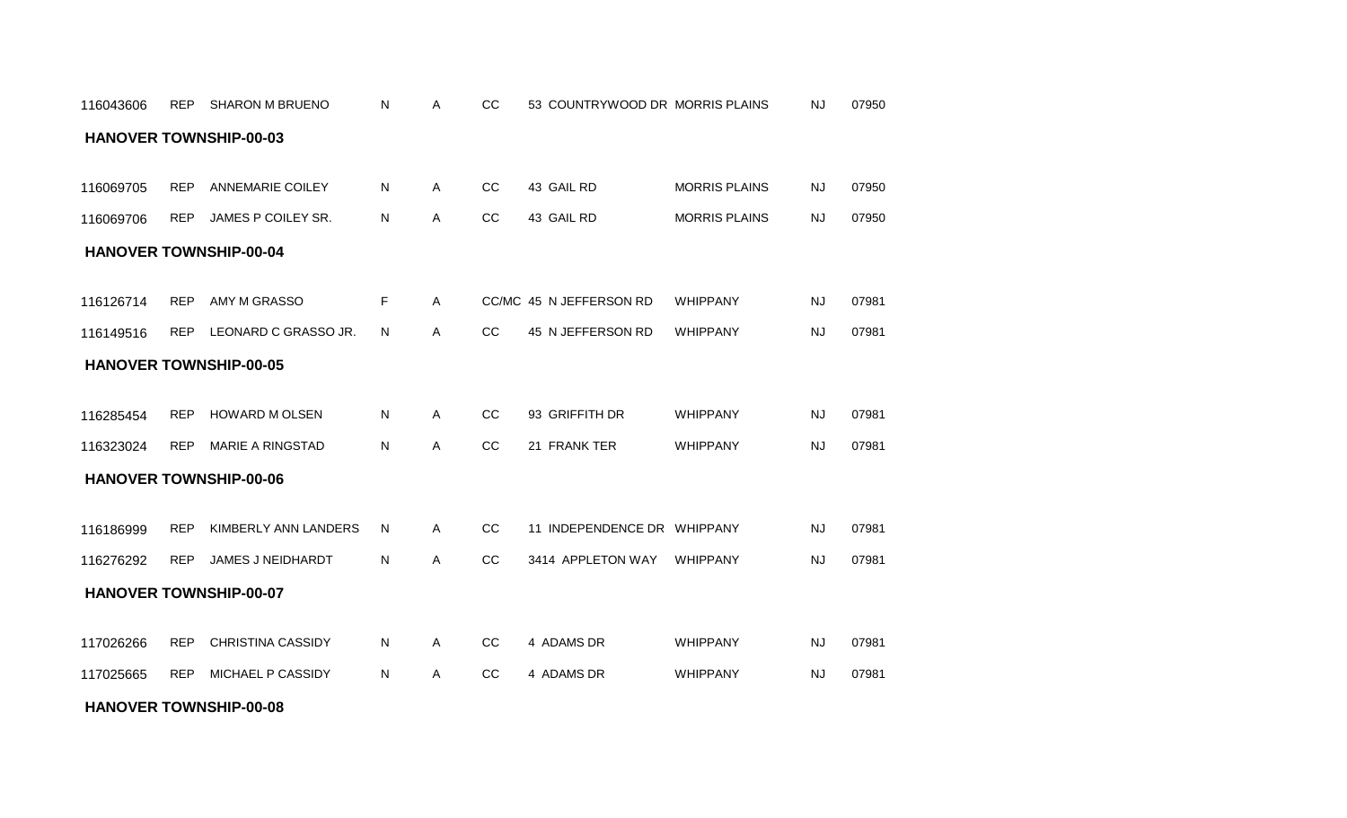#### **HANOVER TOWNSHIP-00-08**

| 116126714 | <b>REP</b> | AMY M GRASSO                  | F | $\mathsf{A}$ |               | CC/MC 45 N JEFFERSON RD | <b>WHIPPANY</b> | <b>NJ</b> | 07981 |
|-----------|------------|-------------------------------|---|--------------|---------------|-------------------------|-----------------|-----------|-------|
| 116149516 | <b>REP</b> | LEONARD C GRASSO JR.          | N | A            | <sub>CC</sub> | 45 N JEFFERSON RD       | WHIPPANY        | <b>NJ</b> | 07981 |
|           |            | <b>HANOVER TOWNSHIP-00-05</b> |   |              |               |                         |                 |           |       |
|           |            |                               |   |              |               |                         |                 |           |       |
| 116285454 | <b>REP</b> | <b>HOWARD M OLSEN</b>         | N | A            | CC            | 93 GRIFFITH DR          | <b>WHIPPANY</b> | <b>NJ</b> | 07981 |
| 116323024 | <b>REP</b> | <b>MARIE A RINGSTAD</b>       | N | A            | <sub>CC</sub> | 21 FRANK TER            | WHIPPANY        | <b>NJ</b> | 07981 |
|           |            | <b>HANOVER TOWNSHIP-00-06</b> |   |              |               |                         |                 |           |       |
|           |            |                               |   |              |               |                         |                 |           |       |
| 116186999 | <b>REP</b> | KIMBERLY ANN LANDERS          | N | A            | <sub>CC</sub> | 11 INDEPENDENCE DR      | WHIPPANY        | <b>NJ</b> | 07981 |
| 116276292 | <b>REP</b> | <b>JAMES J NEIDHARDT</b>      | N | A            | <sub>CC</sub> | 3414 APPLETON WAY       | <b>WHIPPANY</b> | <b>NJ</b> | 07981 |
|           |            | <b>HANOVER TOWNSHIP-00-07</b> |   |              |               |                         |                 |           |       |
|           |            |                               |   |              |               |                         |                 |           |       |
| 117026266 | <b>REP</b> | <b>CHRISTINA CASSIDY</b>      | N | $\mathsf{A}$ | CC            | 4 ADAMS DR              | <b>WHIPPANY</b> | <b>NJ</b> | 07981 |
| 117025665 | <b>REP</b> | <b>MICHAEL P CASSIDY</b>      | N | A            | CC            | 4 ADAMS DR              | <b>WHIPPANY</b> | <b>NJ</b> | 07981 |

#### **HANOVER TOWNSHIP-00-04**

| 116069705 | <b>REP</b> | ANNEMARIE COILEY   | N. | CC. | 43 GAIL RD | <b>MORRIS PLAINS</b> | NJ. | 07950 |
|-----------|------------|--------------------|----|-----|------------|----------------------|-----|-------|
| 116069706 | <b>REP</b> | JAMES P COILEY SR. | N. | CC  | 43 GAIL RD | <b>MORRIS PLAINS</b> | NJ. | 07950 |

#### **HANOVER TOWNSHIP-00-03**

REP SHARON M BRUENO A CC 53 COUNTRYWOOD DR 07950 116043606 N MORRIS PLAINS NJ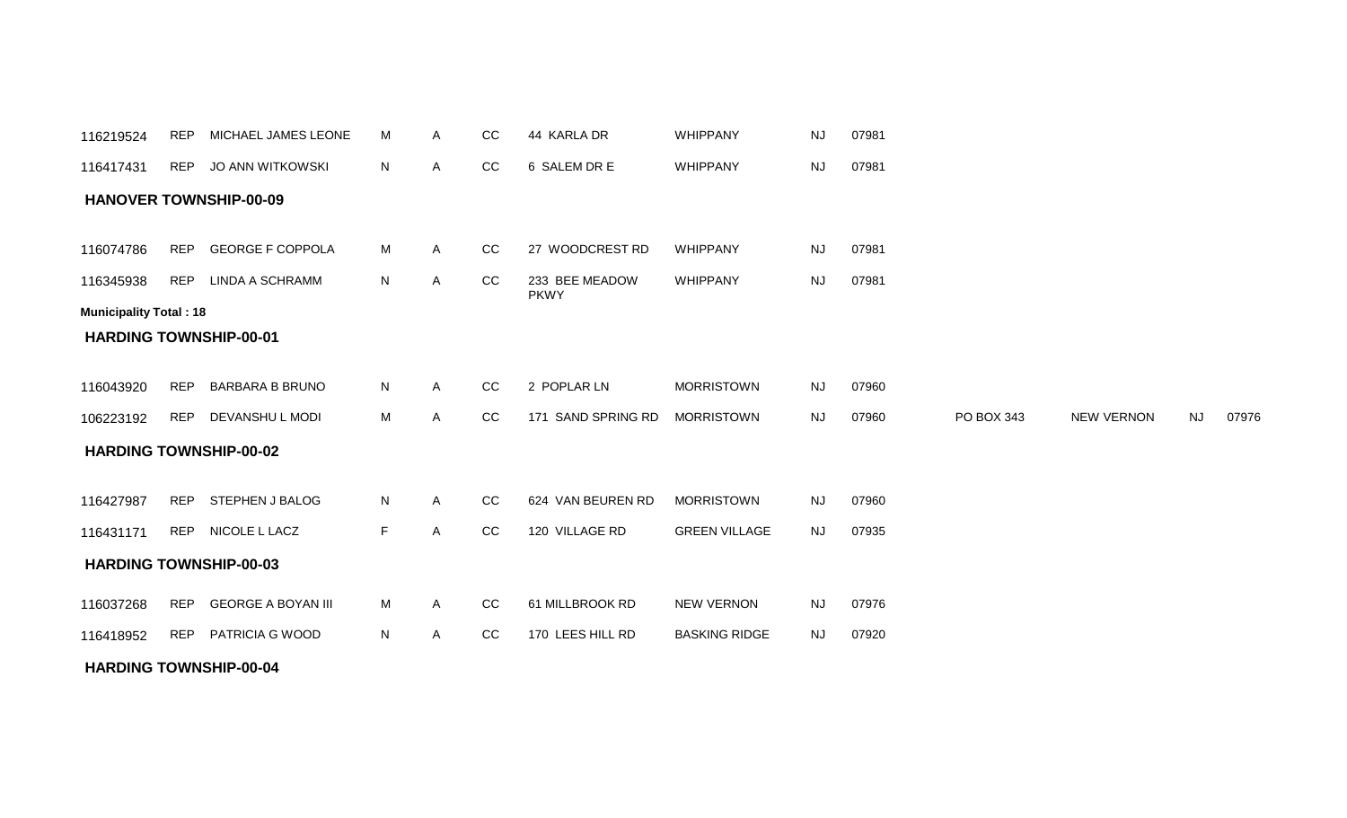| 116219524                     | REP        | MICHAEL JAMES LEONE           | М  | Α | CC | 44 KARLA DR                   | <b>WHIPPANY</b>      | NJ        | 07981 |            |                   |           |       |
|-------------------------------|------------|-------------------------------|----|---|----|-------------------------------|----------------------|-----------|-------|------------|-------------------|-----------|-------|
| 116417431                     | <b>REP</b> | JO ANN WITKOWSKI              | N  | Α | CC | 6 SALEM DR E                  | WHIPPANY             | NJ        | 07981 |            |                   |           |       |
|                               |            | <b>HANOVER TOWNSHIP-00-09</b> |    |   |    |                               |                      |           |       |            |                   |           |       |
|                               |            |                               |    |   |    |                               |                      |           |       |            |                   |           |       |
| 116074786                     | <b>REP</b> | <b>GEORGE F COPPOLA</b>       | M  | Α | CC | 27 WOODCREST RD               | WHIPPANY             | <b>NJ</b> | 07981 |            |                   |           |       |
| 116345938                     | <b>REP</b> | LINDA A SCHRAMM               | N  | A | CC | 233 BEE MEADOW<br><b>PKWY</b> | WHIPPANY             | <b>NJ</b> | 07981 |            |                   |           |       |
| <b>Municipality Total: 18</b> |            |                               |    |   |    |                               |                      |           |       |            |                   |           |       |
|                               |            | <b>HARDING TOWNSHIP-00-01</b> |    |   |    |                               |                      |           |       |            |                   |           |       |
|                               |            |                               |    |   |    |                               |                      |           |       |            |                   |           |       |
| 116043920                     | <b>REP</b> | <b>BARBARA B BRUNO</b>        | N  | Α | CC | 2 POPLAR LN                   | <b>MORRISTOWN</b>    | <b>NJ</b> | 07960 |            |                   |           |       |
| 106223192                     |            | REP DEVANSHUL MODI            | M  | Α | CC | 171 SAND SPRING RD            | <b>MORRISTOWN</b>    | <b>NJ</b> | 07960 | PO BOX 343 | <b>NEW VERNON</b> | <b>NJ</b> | 07976 |
|                               |            | <b>HARDING TOWNSHIP-00-02</b> |    |   |    |                               |                      |           |       |            |                   |           |       |
|                               |            |                               |    |   |    |                               |                      |           |       |            |                   |           |       |
| 116427987                     | <b>REP</b> | STEPHEN J BALOG               | N  | Α | CC | 624 VAN BEUREN RD             | <b>MORRISTOWN</b>    | <b>NJ</b> | 07960 |            |                   |           |       |
| 116431171                     |            | REP NICOLE L LACZ             | F. | A | CC | 120 VILLAGE RD                | <b>GREEN VILLAGE</b> | <b>NJ</b> | 07935 |            |                   |           |       |
|                               |            | <b>HARDING TOWNSHIP-00-03</b> |    |   |    |                               |                      |           |       |            |                   |           |       |
| 116037268                     | <b>REP</b> | <b>GEORGE A BOYAN III</b>     | M  | A | CC | 61 MILLBROOK RD               | <b>NEW VERNON</b>    | <b>NJ</b> | 07976 |            |                   |           |       |
| 116418952                     |            | REP PATRICIA G WOOD           | N  | Α | CC | 170 LEES HILL RD              | <b>BASKING RIDGE</b> | <b>NJ</b> | 07920 |            |                   |           |       |
|                               |            | <b>HARDING TOWNSHIP-00-04</b> |    |   |    |                               |                      |           |       |            |                   |           |       |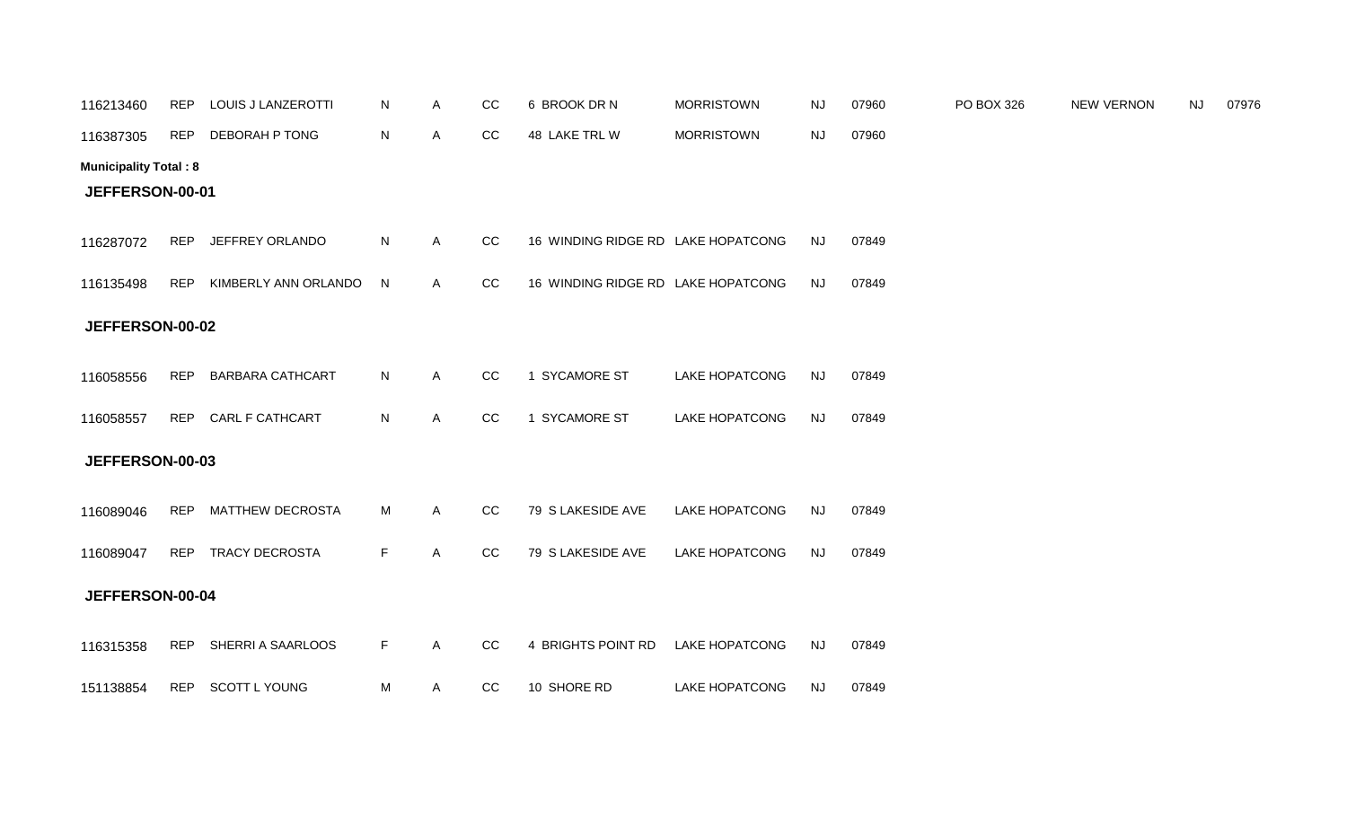| 116213460                    | REP        | LOUIS J LANZEROTTI      | N           | Α | CC | 6 BROOK DR N                       | <b>MORRISTOWN</b>     | <b>NJ</b> | 07960 | PO BOX 326 | <b>NEW VERNON</b> | <b>NJ</b> | 07976 |
|------------------------------|------------|-------------------------|-------------|---|----|------------------------------------|-----------------------|-----------|-------|------------|-------------------|-----------|-------|
| 116387305                    | <b>REP</b> | DEBORAH P TONG          | N           | A | CC | 48 LAKE TRL W                      | <b>MORRISTOWN</b>     | <b>NJ</b> | 07960 |            |                   |           |       |
| <b>Municipality Total: 8</b> |            |                         |             |   |    |                                    |                       |           |       |            |                   |           |       |
| JEFFERSON-00-01              |            |                         |             |   |    |                                    |                       |           |       |            |                   |           |       |
| 116287072                    | REP        | JEFFREY ORLANDO         | N           | A | cc | 16 WINDING RIDGE RD LAKE HOPATCONG |                       | <b>NJ</b> | 07849 |            |                   |           |       |
| 116135498                    | REP        | KIMBERLY ANN ORLANDO    | N           | A | CC | 16 WINDING RIDGE RD LAKE HOPATCONG |                       | <b>NJ</b> | 07849 |            |                   |           |       |
| JEFFERSON-00-02              |            |                         |             |   |    |                                    |                       |           |       |            |                   |           |       |
| 116058556                    | <b>REP</b> | <b>BARBARA CATHCART</b> | N           | Α | CC | 1 SYCAMORE ST                      | <b>LAKE HOPATCONG</b> | <b>NJ</b> | 07849 |            |                   |           |       |
| 116058557                    |            | REP CARL F CATHCART     | N           | Α | cc | 1 SYCAMORE ST                      | <b>LAKE HOPATCONG</b> | <b>NJ</b> | 07849 |            |                   |           |       |
| JEFFERSON-00-03              |            |                         |             |   |    |                                    |                       |           |       |            |                   |           |       |
| 116089046                    |            | REP MATTHEW DECROSTA    | M           | Α | CC | 79 S LAKESIDE AVE                  | <b>LAKE HOPATCONG</b> | <b>NJ</b> | 07849 |            |                   |           |       |
| 116089047                    | <b>REP</b> | <b>TRACY DECROSTA</b>   | $\mathsf F$ | A | cc | 79 S LAKESIDE AVE                  | <b>LAKE HOPATCONG</b> | <b>NJ</b> | 07849 |            |                   |           |       |
| JEFFERSON-00-04              |            |                         |             |   |    |                                    |                       |           |       |            |                   |           |       |
| 116315358                    | REP        | SHERRI A SAARLOOS       | F           | A | CC | 4 BRIGHTS POINT RD                 | <b>LAKE HOPATCONG</b> | <b>NJ</b> | 07849 |            |                   |           |       |
| 151138854                    | REP        | <b>SCOTT L YOUNG</b>    | M           | A | CC | 10 SHORE RD                        | <b>LAKE HOPATCONG</b> | <b>NJ</b> | 07849 |            |                   |           |       |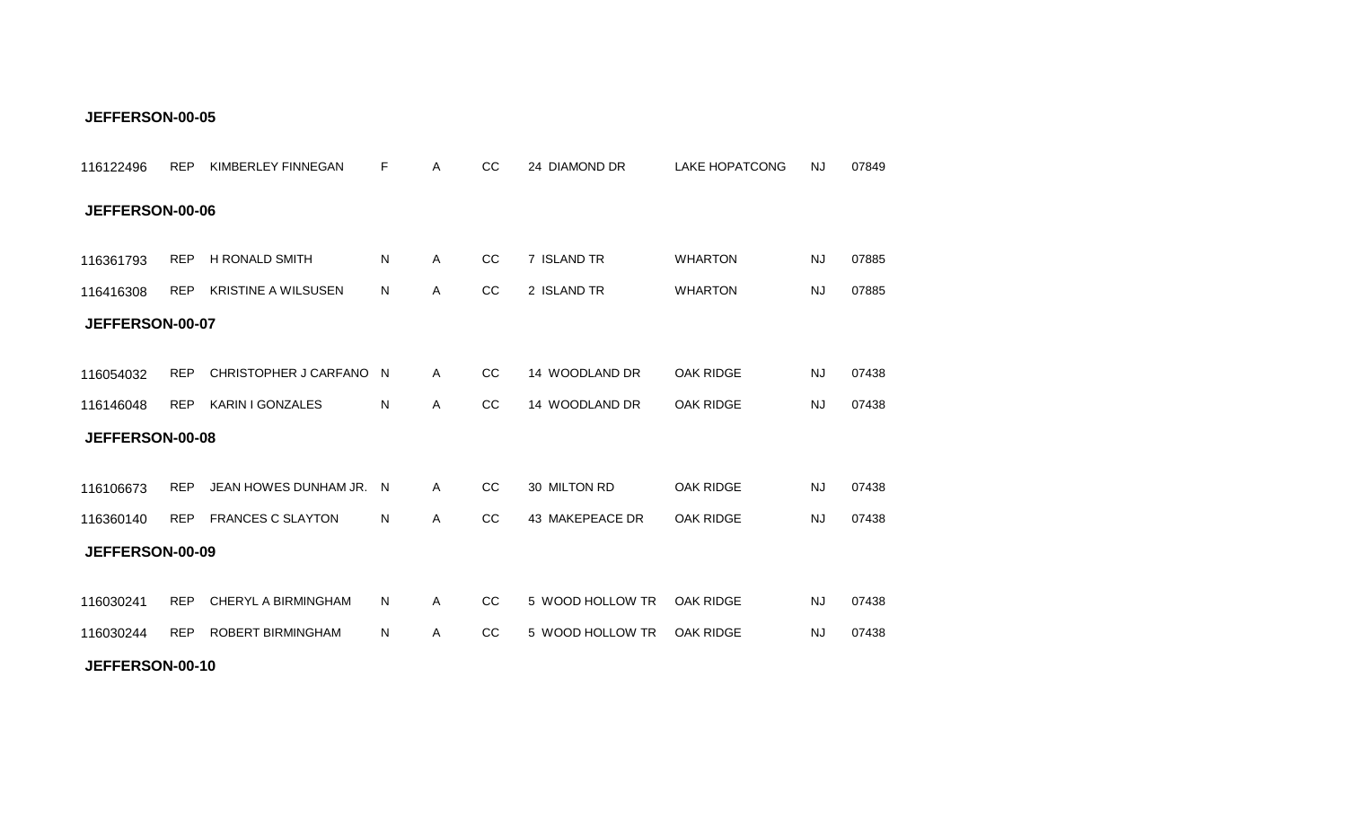| 116122496       | <b>REP</b> | KIMBERLEY FINNEGAN         | F | Α            | CC            | 24 DIAMOND DR    | <b>LAKE HOPATCONG</b> | <b>NJ</b> | 07849 |
|-----------------|------------|----------------------------|---|--------------|---------------|------------------|-----------------------|-----------|-------|
| JEFFERSON-00-06 |            |                            |   |              |               |                  |                       |           |       |
| 116361793       | <b>REP</b> | H RONALD SMITH             | N | A            | CC            | 7 ISLAND TR      | <b>WHARTON</b>        | <b>NJ</b> | 07885 |
| 116416308       | <b>REP</b> | <b>KRISTINE A WILSUSEN</b> | N | Α            | CC            | 2 ISLAND TR      | <b>WHARTON</b>        | <b>NJ</b> | 07885 |
| JEFFERSON-00-07 |            |                            |   |              |               |                  |                       |           |       |
| 116054032       | <b>REP</b> | CHRISTOPHER J CARFANO N    |   | A            | <sub>CC</sub> | 14 WOODLAND DR   | <b>OAK RIDGE</b>      | <b>NJ</b> | 07438 |
| 116146048       |            | REP KARIN I GONZALES       | N | Α            | CC            | 14 WOODLAND DR   | OAK RIDGE             | <b>NJ</b> | 07438 |
| JEFFERSON-00-08 |            |                            |   |              |               |                  |                       |           |       |
|                 |            |                            |   |              |               |                  |                       |           |       |
| 116106673       | <b>REP</b> | JEAN HOWES DUNHAM JR. N    |   | $\mathsf{A}$ | <sub>CC</sub> | 30 MILTON RD     | <b>OAK RIDGE</b>      | <b>NJ</b> | 07438 |
| 116360140       | <b>REP</b> | <b>FRANCES C SLAYTON</b>   | N | Α            | <sub>CC</sub> | 43 MAKEPEACE DR  | <b>OAK RIDGE</b>      | <b>NJ</b> | 07438 |
| JEFFERSON-00-09 |            |                            |   |              |               |                  |                       |           |       |
|                 |            | CHERYL A BIRMINGHAM        |   |              | CC            | 5 WOOD HOLLOW TR |                       |           |       |
| 116030241       | <b>REP</b> |                            | N | A            |               |                  | OAK RIDGE             | <b>NJ</b> | 07438 |
| 116030244       |            | REP ROBERT BIRMINGHAM      | N | Α            | CC            | 5 WOOD HOLLOW TR | <b>OAK RIDGE</b>      | <b>NJ</b> | 07438 |
| JEFFERSON-00-10 |            |                            |   |              |               |                  |                       |           |       |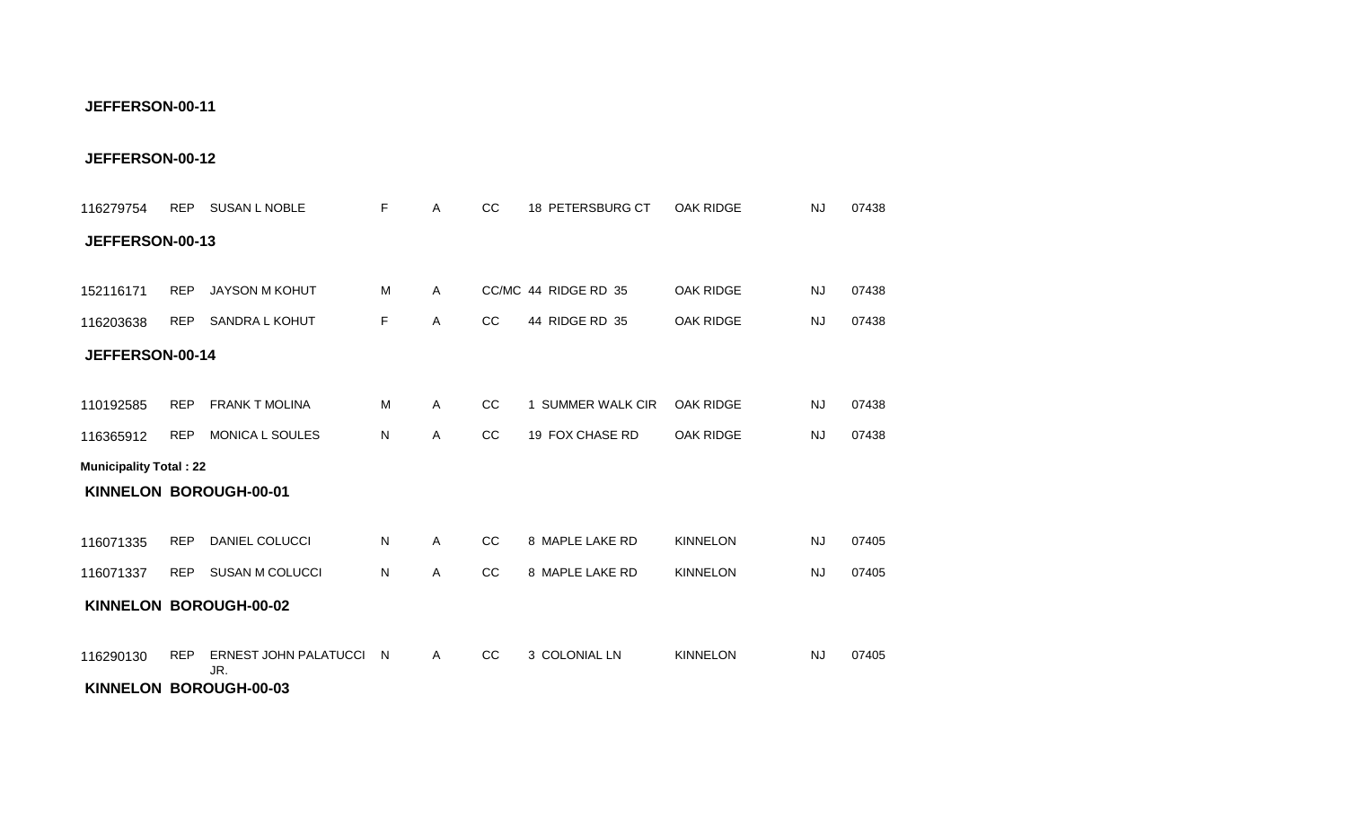#### **KINNELON BOROUGH-00-03**

| JEFFERSON-00-13               |            |                                     |              |              |               |                      |                  |           |       |
|-------------------------------|------------|-------------------------------------|--------------|--------------|---------------|----------------------|------------------|-----------|-------|
| 152116171                     | <b>REP</b> | <b>JAYSON M KOHUT</b>               | M            | A            |               | CC/MC 44 RIDGE RD 35 | <b>OAK RIDGE</b> | <b>NJ</b> | 07438 |
| 116203638                     | <b>REP</b> | SANDRA L KOHUT                      | F.           | $\mathsf{A}$ | cc            | 44 RIDGE RD 35       | <b>OAK RIDGE</b> | <b>NJ</b> | 07438 |
| JEFFERSON-00-14               |            |                                     |              |              |               |                      |                  |           |       |
| 110192585                     | <b>REP</b> | <b>FRANK T MOLINA</b>               | M            | A            | <sub>CC</sub> | 1 SUMMER WALK CIR    | <b>OAK RIDGE</b> | <b>NJ</b> | 07438 |
| 116365912                     | <b>REP</b> | MONICA L SOULES                     | N            | A            | CC            | 19 FOX CHASE RD      | <b>OAK RIDGE</b> | <b>NJ</b> | 07438 |
| <b>Municipality Total: 22</b> |            |                                     |              |              |               |                      |                  |           |       |
|                               |            | KINNELON BOROUGH-00-01              |              |              |               |                      |                  |           |       |
| 116071335                     | <b>REP</b> | DANIEL COLUCCI                      | N.           | $\mathsf{A}$ | CC            | 8 MAPLE LAKE RD      | <b>KINNELON</b>  | NJ        | 07405 |
| 116071337                     | <b>REP</b> | SUSAN M COLUCCI                     | N            | $\mathsf{A}$ | cc            | 8 MAPLE LAKE RD      | <b>KINNELON</b>  | NJ        | 07405 |
|                               |            | KINNELON BOROUGH-00-02              |              |              |               |                      |                  |           |       |
| 116290130                     | <b>REP</b> | <b>ERNEST JOHN PALATUCCI</b><br>JR. | <sup>N</sup> | $\mathsf{A}$ | <sub>CC</sub> | 3 COLONIAL LN        | <b>KINNELON</b>  | NJ.       | 07405 |

REP SUSAN L NOBLE A CC 18 PETERSBURG CT 07438 116279754 F OAK RIDGE NJ

**JEFFERSON-00-12**

**JEFFERSON-00-11**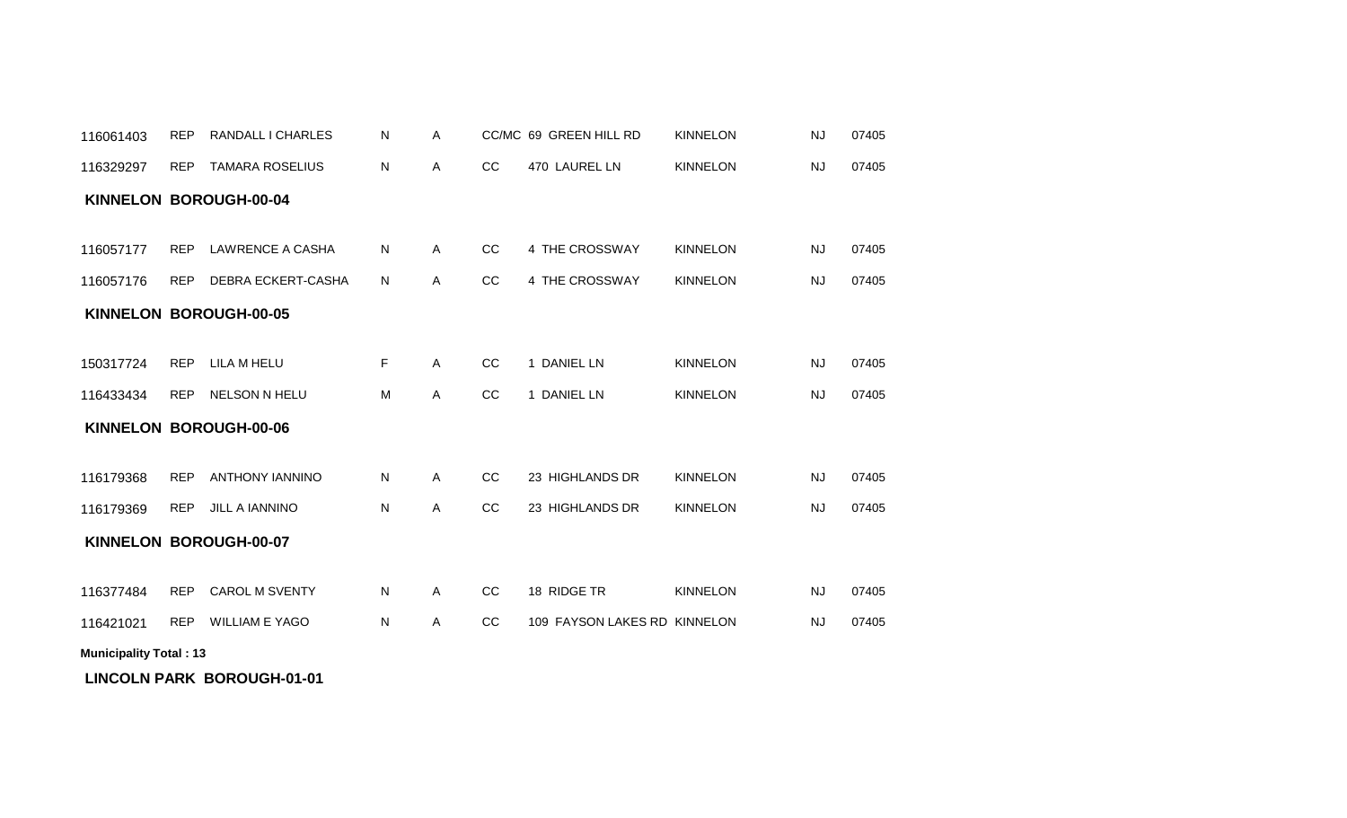| 116061403                     | <b>REP</b> | RANDALL I CHARLES       | N         | A            |    | CC/MC 69 GREEN HILL RD       | <b>KINNELON</b> | <b>NJ</b> | 07405 |
|-------------------------------|------------|-------------------------|-----------|--------------|----|------------------------------|-----------------|-----------|-------|
| 116329297                     | <b>REP</b> | <b>TAMARA ROSELIUS</b>  | N         | A            | CC | 470 LAUREL LN                | <b>KINNELON</b> | <b>NJ</b> | 07405 |
|                               |            | KINNELON BOROUGH-00-04  |           |              |    |                              |                 |           |       |
|                               |            |                         |           |              |    |                              |                 |           |       |
| 116057177                     | <b>REP</b> | <b>LAWRENCE A CASHA</b> | ${\sf N}$ | A            | CC | 4 THE CROSSWAY               | <b>KINNELON</b> | <b>NJ</b> | 07405 |
| 116057176                     | <b>REP</b> | DEBRA ECKERT-CASHA      | N         | A            | CC | 4 THE CROSSWAY               | <b>KINNELON</b> | <b>NJ</b> | 07405 |
|                               |            | KINNELON BOROUGH-00-05  |           |              |    |                              |                 |           |       |
|                               |            |                         |           |              |    |                              |                 |           |       |
| 150317724                     | <b>REP</b> | LILA M HELU             | F         | $\mathsf{A}$ | CC | 1 DANIEL LN                  | <b>KINNELON</b> | <b>NJ</b> | 07405 |
| 116433434                     | <b>REP</b> | NELSON N HELU           | M         | A            | CC | 1 DANIEL LN                  | <b>KINNELON</b> | <b>NJ</b> | 07405 |
|                               |            | KINNELON BOROUGH-00-06  |           |              |    |                              |                 |           |       |
|                               |            |                         |           |              |    |                              |                 |           |       |
| 116179368                     | <b>REP</b> | <b>ANTHONY IANNINO</b>  | N         | A            | cc | 23 HIGHLANDS DR              | <b>KINNELON</b> | <b>NJ</b> | 07405 |
| 116179369                     | <b>REP</b> | <b>JILL A IANNINO</b>   | N         | A            | cc | 23 HIGHLANDS DR              | <b>KINNELON</b> | <b>NJ</b> | 07405 |
|                               |            | KINNELON BOROUGH-00-07  |           |              |    |                              |                 |           |       |
|                               |            |                         |           |              |    |                              |                 |           |       |
| 116377484                     | <b>REP</b> | <b>CAROL M SVENTY</b>   | ${\sf N}$ | A            | CC | 18 RIDGE TR                  | <b>KINNELON</b> | <b>NJ</b> | 07405 |
| 116421021                     | <b>REP</b> | <b>WILLIAM E YAGO</b>   | N         | Α            | CC | 109 FAYSON LAKES RD KINNELON |                 | <b>NJ</b> | 07405 |
| <b>Municipality Total: 13</b> |            |                         |           |              |    |                              |                 |           |       |

**LINCOLN PARK BOROUGH-01-01**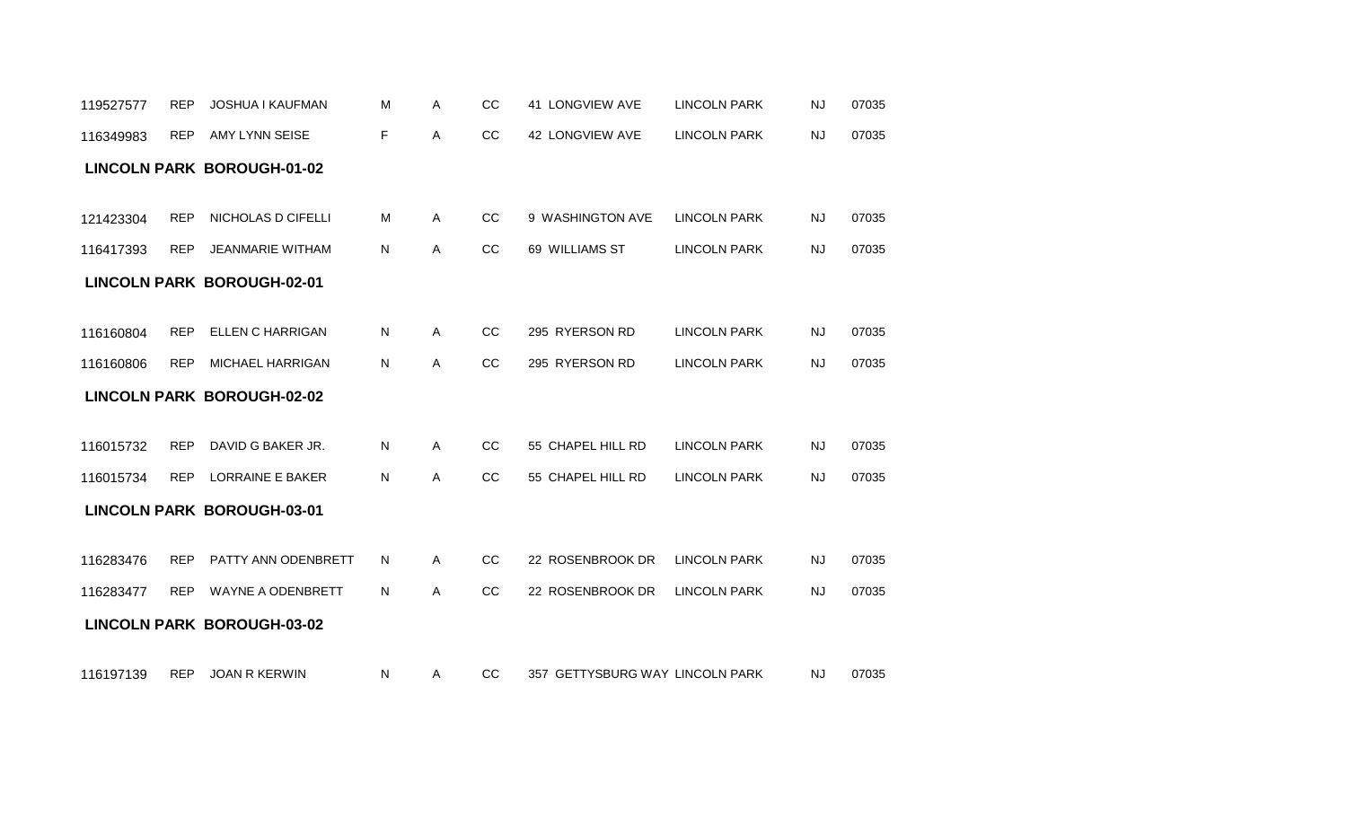|           | <b>REP</b> | <b>JOSHUA I KAUFMAN</b>           | M | Α | CC | 41 LONGVIEW AVE   | <b>LINCOLN PARK</b> | <b>NJ</b> | 07035 |
|-----------|------------|-----------------------------------|---|---|----|-------------------|---------------------|-----------|-------|
| 116349983 | <b>REP</b> | AMY LYNN SEISE                    | F | Α | CC | 42 LONGVIEW AVE   | <b>LINCOLN PARK</b> | <b>NJ</b> | 07035 |
|           |            | <b>LINCOLN PARK BOROUGH-01-02</b> |   |   |    |                   |                     |           |       |
|           |            |                                   |   |   |    |                   |                     |           |       |
| 121423304 | <b>REP</b> | NICHOLAS D CIFELLI                | м | A | cc | 9 WASHINGTON AVE  | <b>LINCOLN PARK</b> | <b>NJ</b> | 07035 |
| 116417393 | <b>REP</b> | <b>JEANMARIE WITHAM</b>           | N | Α | CC | 69 WILLIAMS ST    | <b>LINCOLN PARK</b> | NJ        | 07035 |
|           |            | <b>LINCOLN PARK BOROUGH-02-01</b> |   |   |    |                   |                     |           |       |
|           |            |                                   |   |   |    |                   |                     |           |       |
| 116160804 | <b>REP</b> | <b>ELLEN C HARRIGAN</b>           | Ν | Α | CC | 295 RYERSON RD    | <b>LINCOLN PARK</b> | <b>NJ</b> | 07035 |
| 116160806 | <b>REP</b> | <b>MICHAEL HARRIGAN</b>           | Ν | Α | CC | 295 RYERSON RD    | <b>LINCOLN PARK</b> | <b>NJ</b> | 07035 |
|           |            |                                   |   |   |    |                   |                     |           |       |
|           |            | <b>LINCOLN PARK BOROUGH-02-02</b> |   |   |    |                   |                     |           |       |
|           |            |                                   |   |   |    |                   |                     |           |       |
| 116015732 | <b>REP</b> | DAVID G BAKER JR.                 | N | Α | CC | 55 CHAPEL HILL RD | <b>LINCOLN PARK</b> | <b>NJ</b> | 07035 |
| 116015734 | <b>REP</b> | <b>LORRAINE E BAKER</b>           | N | Α | CC | 55 CHAPEL HILL RD | <b>LINCOLN PARK</b> | <b>NJ</b> | 07035 |
|           |            | <b>LINCOLN PARK BOROUGH-03-01</b> |   |   |    |                   |                     |           |       |
|           |            |                                   |   |   |    |                   |                     |           |       |
| 116283476 | <b>REP</b> | PATTY ANN ODENBRETT               | N | A | CC | 22 ROSENBROOK DR  | <b>LINCOLN PARK</b> | <b>NJ</b> | 07035 |
| 116283477 | <b>REP</b> | <b>WAYNE A ODENBRETT</b>          | N | A | CC | 22 ROSENBROOK DR  | <b>LINCOLN PARK</b> | <b>NJ</b> | 07035 |
|           |            | <b>LINCOLN PARK BOROUGH-03-02</b> |   |   |    |                   |                     |           |       |

REP JOAN R KERWIN A CC 357 GETTYSBURG WAY 07035 116197139 N LINCOLN PARK NJ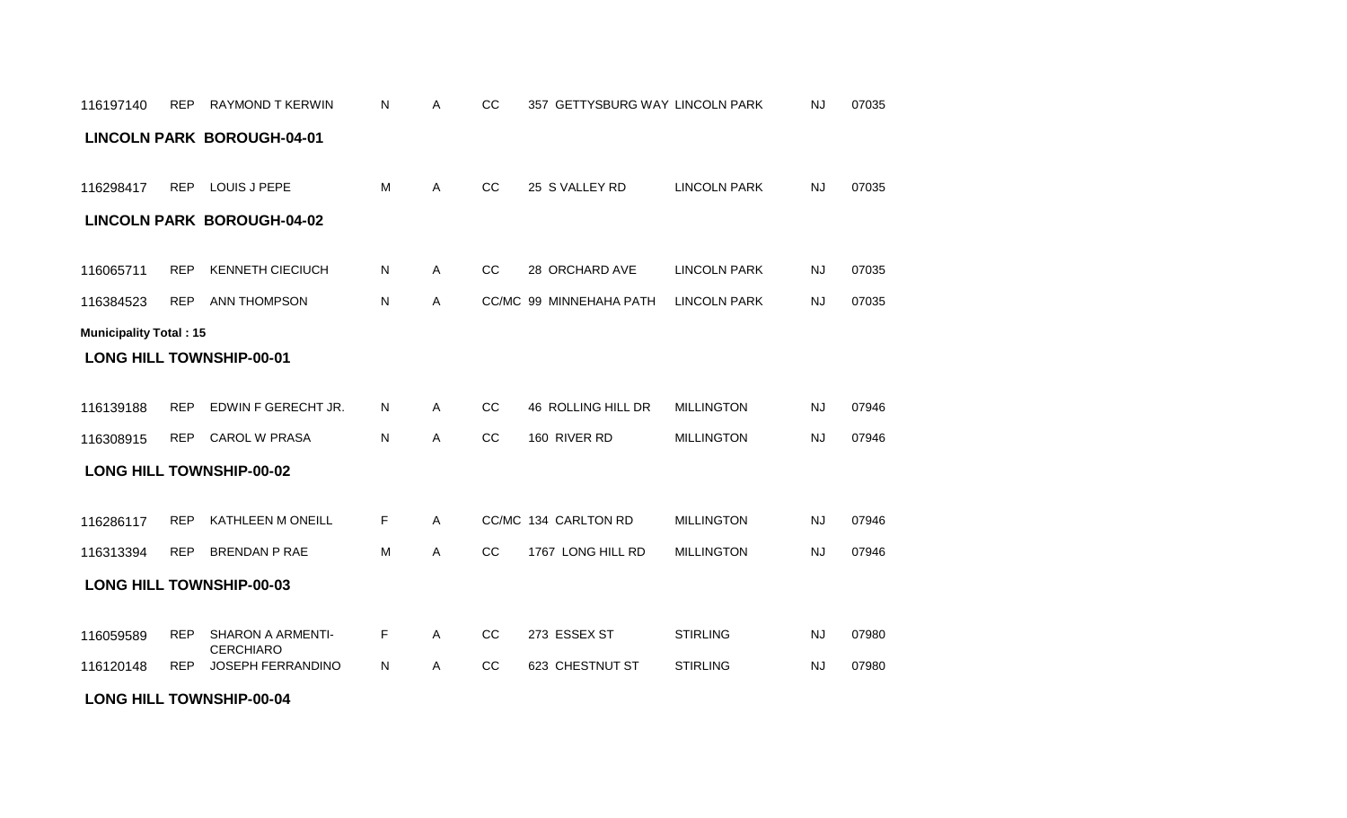#### **LONG HILL TOWNSHIP-00-04**

|                               |            | <b>LINCOLN PARK BOROUGH-04-01</b>            |    |              |               |                         |                     |           |       |
|-------------------------------|------------|----------------------------------------------|----|--------------|---------------|-------------------------|---------------------|-----------|-------|
| 116298417                     | REP        | LOUIS J PEPE                                 | М  | A            | CC            | 25 S VALLEY RD          | <b>LINCOLN PARK</b> | NJ        | 07035 |
|                               |            | <b>LINCOLN PARK BOROUGH-04-02</b>            |    |              |               |                         |                     |           |       |
| 116065711                     | <b>REP</b> | <b>KENNETH CIECIUCH</b>                      | N  | $\mathsf{A}$ | cc            | 28 ORCHARD AVE          | <b>LINCOLN PARK</b> | <b>NJ</b> | 07035 |
| 116384523                     | <b>REP</b> | <b>ANN THOMPSON</b>                          | N  | A            |               | CC/MC 99 MINNEHAHA PATH | <b>LINCOLN PARK</b> | <b>NJ</b> | 07035 |
| <b>Municipality Total: 15</b> |            |                                              |    |              |               |                         |                     |           |       |
|                               |            | <b>LONG HILL TOWNSHIP-00-01</b>              |    |              |               |                         |                     |           |       |
|                               |            |                                              |    |              |               |                         |                     |           |       |
| 116139188                     | <b>REP</b> | EDWIN F GERECHT JR.                          | N  | A            | CC            | 46 ROLLING HILL DR      | <b>MILLINGTON</b>   | NJ        | 07946 |
| 116308915                     | <b>REP</b> | <b>CAROL W PRASA</b>                         | N  | A            | CC            | 160 RIVER RD            | <b>MILLINGTON</b>   | <b>NJ</b> | 07946 |
|                               |            | <b>LONG HILL TOWNSHIP-00-02</b>              |    |              |               |                         |                     |           |       |
|                               |            |                                              |    |              |               |                         |                     |           |       |
| 116286117                     | <b>REP</b> | KATHLEEN M ONEILL                            | F. | $\mathsf{A}$ |               | CC/MC 134 CARLTON RD    | <b>MILLINGTON</b>   | <b>NJ</b> | 07946 |
| 116313394                     | <b>REP</b> | <b>BRENDAN P RAE</b>                         | M  | $\mathsf{A}$ | CC            | 1767 LONG HILL RD       | <b>MILLINGTON</b>   | <b>NJ</b> | 07946 |
|                               |            | <b>LONG HILL TOWNSHIP-00-03</b>              |    |              |               |                         |                     |           |       |
|                               |            |                                              |    |              |               |                         |                     |           |       |
| 116059589                     | <b>REP</b> | <b>SHARON A ARMENTI-</b><br><b>CERCHIARO</b> | F. | A            | CC            | 273 ESSEX ST            | <b>STIRLING</b>     | <b>NJ</b> | 07980 |
| 116120148                     | <b>REP</b> | <b>JOSEPH FERRANDINO</b>                     | N. | $\mathsf{A}$ | <sub>CC</sub> | 623 CHESTNUT ST         | <b>STIRLING</b>     | <b>NJ</b> | 07980 |

REP RAYMOND T KERWIN A CC 357 GETTYSBURG WAY 07035 116197140 N LINCOLN PARK NJ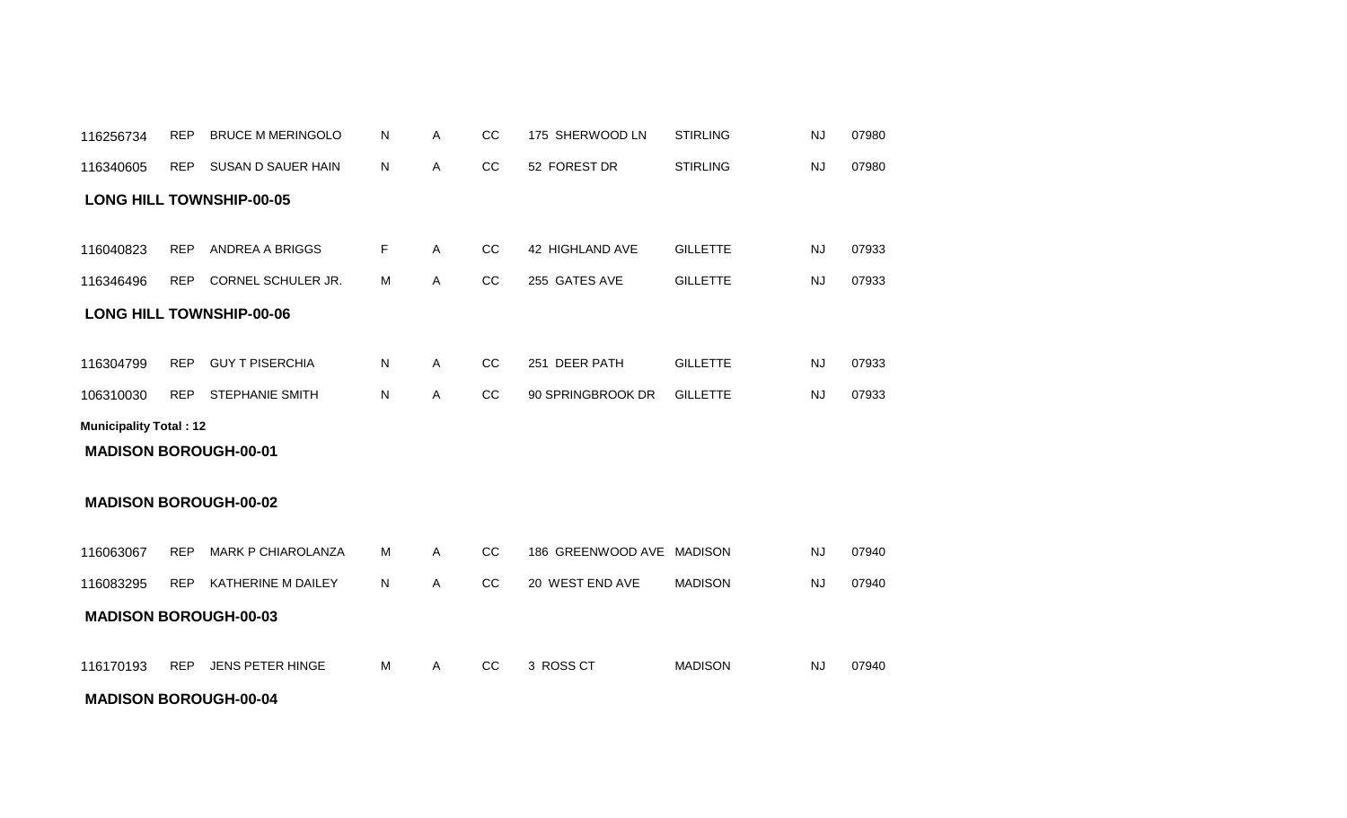#### **MADISON BOROUGH-00-04**

| <b>MADISON BOROUGH-00-02</b> |            |                           |   |   |               |                           |                |           |       |  |  |  |  |
|------------------------------|------------|---------------------------|---|---|---------------|---------------------------|----------------|-----------|-------|--|--|--|--|
| 116063067                    | <b>REP</b> | <b>MARK P CHIAROLANZA</b> | м | A | CC.           | 186 GREENWOOD AVE MADISON |                | <b>NJ</b> | 07940 |  |  |  |  |
| 116083295                    | <b>REP</b> | KATHERINE M DAILEY        | N | A | <sub>CC</sub> | 20 WEST END AVE           | <b>MADISON</b> | <b>NJ</b> | 07940 |  |  |  |  |
| <b>MADISON BOROUGH-00-03</b> |            |                           |   |   |               |                           |                |           |       |  |  |  |  |
| 116170193                    | <b>REP</b> | <b>JENS PETER HINGE</b>   | M | A | CC            | 3 ROSS CT                 | <b>MADISON</b> | <b>NJ</b> | 07940 |  |  |  |  |

#### **MADISON BOROUGH-00-01**

#### **Municipality Total : 12**

| 116304799 | REP GUYTPISERCHIA   | N. | CC | 251 DEER PATH              | <b>GILLETTE</b> | NJ. | 07933 |
|-----------|---------------------|----|----|----------------------------|-----------------|-----|-------|
| 106310030 | REP STEPHANIE SMITH | N  | CC | 90 SPRINGBROOK DR GILLETTE |                 | NJ  | 07933 |

#### **LONG HILL TOWNSHIP-00-06**

| 116346496 | <b>REP</b> | CORNEL SCHULER JR. | Μ | $\sim$<br>◡◡ | 255 GATES AVE | <b>GILLETTE</b> | NJ | 07933 |
|-----------|------------|--------------------|---|--------------|---------------|-----------------|----|-------|

REP ANDREA A BRIGGS A CC 42 HIGHLAND AVE 07933 116040823 F GILLETTE NJ

#### **LONG HILL TOWNSHIP-00-05**

| 116256734 | REP BRUCE M MERINGOLO N |     | CC | 175 SHERWOOD LN | <b>STIRLING</b> | NJ | 07980 |
|-----------|-------------------------|-----|----|-----------------|-----------------|----|-------|
| 116340605 | REP SUSAN D SAUER HAIN  | N N | CC | 52 FOREST DR    | <b>STIRLING</b> | NJ | 07980 |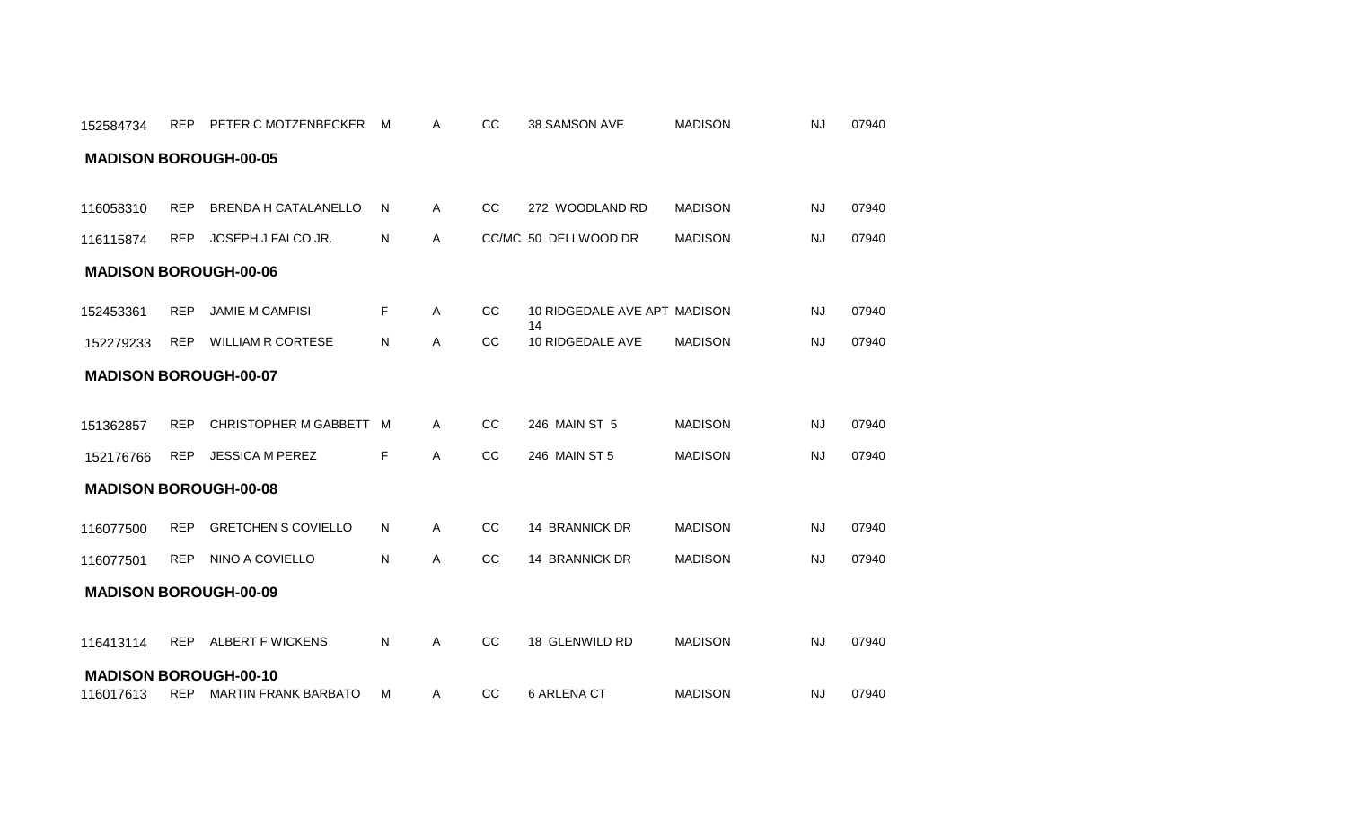|                              | <b>MADISON BOROUGH-00-05</b> |                             |    |              |               |                                    |                |           |       |  |  |  |  |  |
|------------------------------|------------------------------|-----------------------------|----|--------------|---------------|------------------------------------|----------------|-----------|-------|--|--|--|--|--|
| 116058310                    | <b>REP</b>                   | <b>BRENDA H CATALANELLO</b> | N  | A            | CC            | 272 WOODLAND RD                    | <b>MADISON</b> | NJ        | 07940 |  |  |  |  |  |
| 116115874                    | <b>REP</b>                   | JOSEPH J FALCO JR.          | N. | $\mathsf{A}$ |               | CC/MC 50 DELLWOOD DR               | <b>MADISON</b> | <b>NJ</b> | 07940 |  |  |  |  |  |
| <b>MADISON BOROUGH-00-06</b> |                              |                             |    |              |               |                                    |                |           |       |  |  |  |  |  |
| 152453361                    | <b>REP</b>                   | <b>JAMIE M CAMPISI</b>      | F  | $\mathsf{A}$ | cc            | 10 RIDGEDALE AVE APT MADISON<br>14 |                | <b>NJ</b> | 07940 |  |  |  |  |  |
| 152279233                    | <b>REP</b>                   | <b>WILLIAM R CORTESE</b>    | N  | Α            | cc            | 10 RIDGEDALE AVE                   | <b>MADISON</b> | <b>NJ</b> | 07940 |  |  |  |  |  |
| <b>MADISON BOROUGH-00-07</b> |                              |                             |    |              |               |                                    |                |           |       |  |  |  |  |  |
|                              |                              |                             |    |              |               |                                    |                |           |       |  |  |  |  |  |
| 151362857                    | <b>REP</b>                   | CHRISTOPHER M GABBETT M     |    | A            | cc            | 246 MAIN ST 5                      | <b>MADISON</b> | NJ        | 07940 |  |  |  |  |  |
| 152176766                    | <b>REP</b>                   | <b>JESSICA M PEREZ</b>      | F. | A            | CC            | 246 MAIN ST 5                      | <b>MADISON</b> | <b>NJ</b> | 07940 |  |  |  |  |  |
| <b>MADISON BOROUGH-00-08</b> |                              |                             |    |              |               |                                    |                |           |       |  |  |  |  |  |
| 116077500                    | <b>REP</b>                   | <b>GRETCHEN S COVIELLO</b>  | N  | A            | cc            | 14 BRANNICK DR                     | <b>MADISON</b> | NJ        | 07940 |  |  |  |  |  |
| 116077501                    | <b>REP</b>                   | NINO A COVIELLO             | N  | A            | CC            | 14 BRANNICK DR                     | <b>MADISON</b> | <b>NJ</b> | 07940 |  |  |  |  |  |
| <b>MADISON BOROUGH-00-09</b> |                              |                             |    |              |               |                                    |                |           |       |  |  |  |  |  |
| 116413114                    |                              | REP ALBERT F WICKENS        | N  | Α            | <sub>CC</sub> | 18 GLENWILD RD                     | <b>MADISON</b> | <b>NJ</b> | 07940 |  |  |  |  |  |
| <b>MADISON BOROUGH-00-10</b> |                              |                             |    |              |               |                                    |                |           |       |  |  |  |  |  |
| 116017613                    |                              | REP MARTIN FRANK BARBATO    | м  | $\mathsf{A}$ | CC            | 6 ARLENA CT                        | <b>MADISON</b> | NJ        | 07940 |  |  |  |  |  |

152584734 REP PETER C MOTZENBECKER M A CC 38 SAMSON AVE MADISON NJ 07940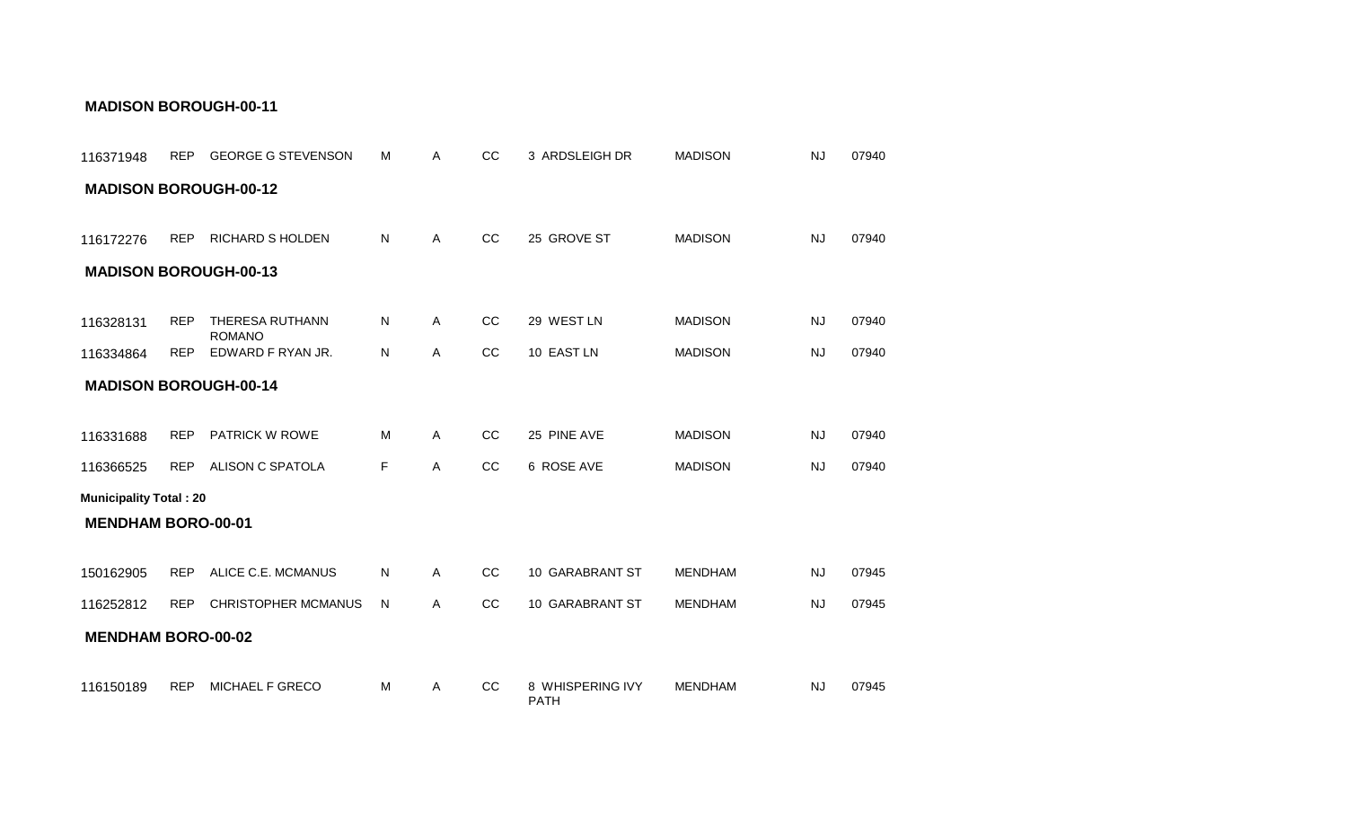| 116371948                     | <b>REP</b> | <b>GEORGE G STEVENSON</b>        | м | Α            | CC | 3 ARDSLEIGH DR                  | <b>MADISON</b> | <b>NJ</b> | 07940 |
|-------------------------------|------------|----------------------------------|---|--------------|----|---------------------------------|----------------|-----------|-------|
| <b>MADISON BOROUGH-00-12</b>  |            |                                  |   |              |    |                                 |                |           |       |
| 116172276                     | <b>REP</b> | <b>RICHARD S HOLDEN</b>          | N | Α            | cc | 25 GROVE ST                     | <b>MADISON</b> | <b>NJ</b> | 07940 |
| <b>MADISON BOROUGH-00-13</b>  |            |                                  |   |              |    |                                 |                |           |       |
|                               |            |                                  |   |              |    |                                 |                |           |       |
| 116328131                     | <b>REP</b> | THERESA RUTHANN<br><b>ROMANO</b> | N | $\mathsf{A}$ | CC | 29 WEST LN                      | <b>MADISON</b> | <b>NJ</b> | 07940 |
| 116334864                     | <b>REP</b> | EDWARD F RYAN JR.                | N | Α            | CC | 10 EAST LN                      | <b>MADISON</b> | <b>NJ</b> | 07940 |
| <b>MADISON BOROUGH-00-14</b>  |            |                                  |   |              |    |                                 |                |           |       |
|                               |            |                                  |   |              |    |                                 |                |           |       |
| 116331688                     | <b>REP</b> | PATRICK W ROWE                   | м | A            | CC | 25 PINE AVE                     | <b>MADISON</b> | NJ        | 07940 |
| 116366525                     | <b>REP</b> | ALISON C SPATOLA                 | F | A            | CC | 6 ROSE AVE                      | <b>MADISON</b> | <b>NJ</b> | 07940 |
| <b>Municipality Total: 20</b> |            |                                  |   |              |    |                                 |                |           |       |
| <b>MENDHAM BORO-00-01</b>     |            |                                  |   |              |    |                                 |                |           |       |
|                               |            |                                  |   |              |    |                                 |                |           |       |
| 150162905                     | <b>REP</b> | ALICE C.E. MCMANUS               | N | A            | CC | 10 GARABRANT ST                 | <b>MENDHAM</b> | NJ        | 07945 |
| 116252812                     | <b>REP</b> | <b>CHRISTOPHER MCMANUS</b>       | N | A            | CC | 10 GARABRANT ST                 | <b>MENDHAM</b> | NJ        | 07945 |
| <b>MENDHAM BORO-00-02</b>     |            |                                  |   |              |    |                                 |                |           |       |
| 116150189                     | <b>REP</b> | MICHAEL F GRECO                  | M | A            | CC | 8 WHISPERING IVY<br><b>PATH</b> | <b>MENDHAM</b> | <b>NJ</b> | 07945 |

#### **MADISON BOROUGH-00-11**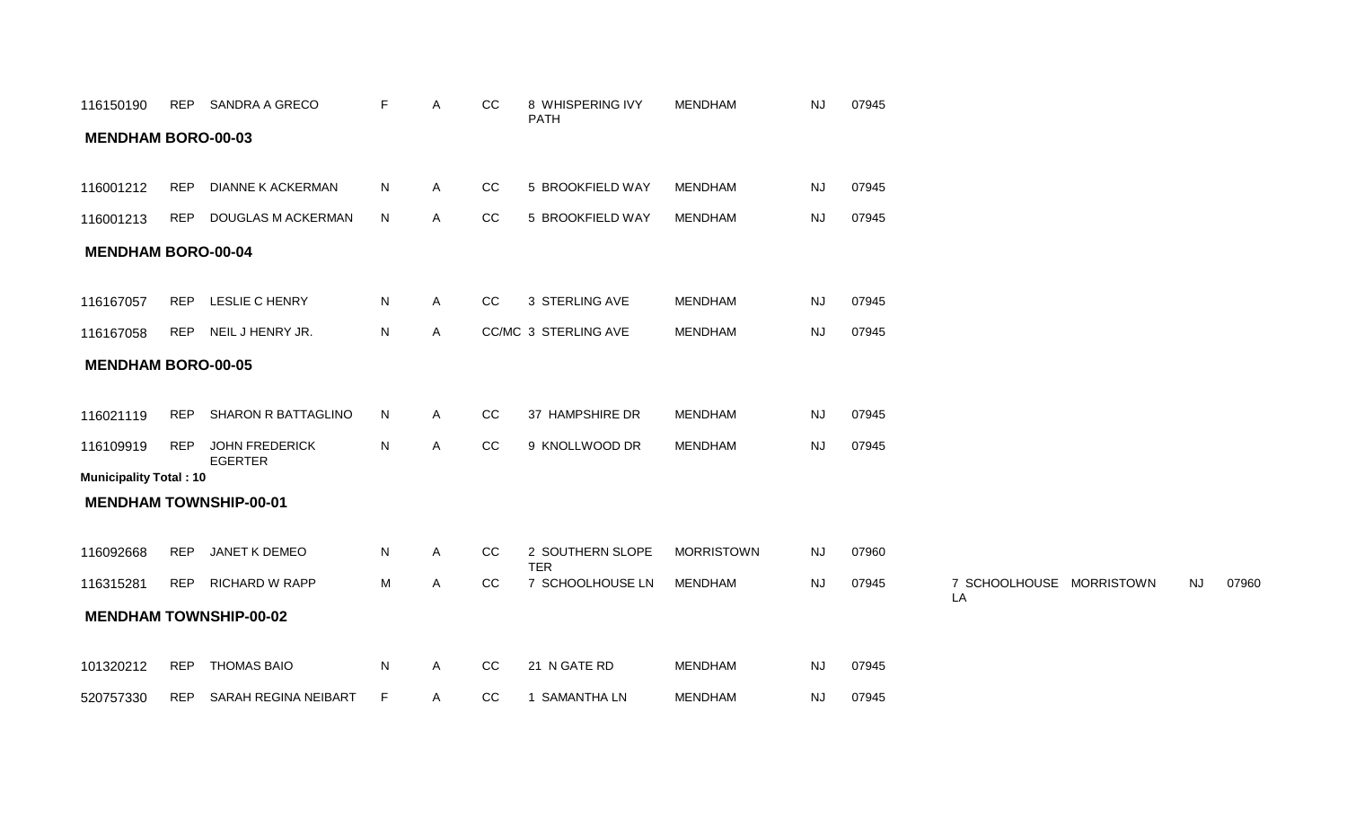| 116150190                     | REP        | SANDRA A GRECO                          | F.           | A            | CC | 8 WHISPERING IVY<br><b>PATH</b> | <b>MENDHAM</b>    | <b>NJ</b> | 07945 |                                |           |       |
|-------------------------------|------------|-----------------------------------------|--------------|--------------|----|---------------------------------|-------------------|-----------|-------|--------------------------------|-----------|-------|
| <b>MENDHAM BORO-00-03</b>     |            |                                         |              |              |    |                                 |                   |           |       |                                |           |       |
|                               |            |                                         |              |              |    |                                 |                   |           |       |                                |           |       |
| 116001212                     | <b>REP</b> | <b>DIANNE K ACKERMAN</b>                | N            | $\mathsf{A}$ | CC | 5 BROOKFIELD WAY                | <b>MENDHAM</b>    | <b>NJ</b> | 07945 |                                |           |       |
| 116001213                     | <b>REP</b> | DOUGLAS M ACKERMAN                      | N            | A            | CC | 5 BROOKFIELD WAY                | <b>MENDHAM</b>    | NJ        | 07945 |                                |           |       |
| <b>MENDHAM BORO-00-04</b>     |            |                                         |              |              |    |                                 |                   |           |       |                                |           |       |
|                               |            |                                         |              |              |    |                                 |                   |           |       |                                |           |       |
| 116167057                     | <b>REP</b> | LESLIE C HENRY                          | N            | $\mathsf{A}$ | CC | 3 STERLING AVE                  | <b>MENDHAM</b>    | <b>NJ</b> | 07945 |                                |           |       |
| 116167058                     | <b>REP</b> | NEIL J HENRY JR.                        | ${\sf N}$    | $\mathsf{A}$ |    | CC/MC 3 STERLING AVE            | <b>MENDHAM</b>    | <b>NJ</b> | 07945 |                                |           |       |
| <b>MENDHAM BORO-00-05</b>     |            |                                         |              |              |    |                                 |                   |           |       |                                |           |       |
|                               |            |                                         |              |              |    |                                 |                   |           |       |                                |           |       |
| 116021119                     | REP        | SHARON R BATTAGLINO                     | N            | A            | CC | 37 HAMPSHIRE DR                 | <b>MENDHAM</b>    | <b>NJ</b> | 07945 |                                |           |       |
| 116109919                     | REP        | <b>JOHN FREDERICK</b><br><b>EGERTER</b> | N            | $\mathsf{A}$ | CC | 9 KNOLLWOOD DR                  | <b>MENDHAM</b>    | <b>NJ</b> | 07945 |                                |           |       |
| <b>Municipality Total: 10</b> |            |                                         |              |              |    |                                 |                   |           |       |                                |           |       |
|                               |            | <b>MENDHAM TOWNSHIP-00-01</b>           |              |              |    |                                 |                   |           |       |                                |           |       |
|                               |            |                                         |              |              |    |                                 |                   |           |       |                                |           |       |
| 116092668                     | REP        | JANET K DEMEO                           | $\mathsf{N}$ | $\mathsf{A}$ | CC | 2 SOUTHERN SLOPE<br><b>TER</b>  | <b>MORRISTOWN</b> | <b>NJ</b> | 07960 |                                |           |       |
| 116315281                     | <b>REP</b> | <b>RICHARD W RAPP</b>                   | M            | A            | cc | 7 SCHOOLHOUSE LN                | <b>MENDHAM</b>    | NJ        | 07945 | 7 SCHOOLHOUSE MORRISTOWN<br>LA | <b>NJ</b> | 07960 |
|                               |            | <b>MENDHAM TOWNSHIP-00-02</b>           |              |              |    |                                 |                   |           |       |                                |           |       |
|                               |            |                                         |              |              |    |                                 |                   |           |       |                                |           |       |
| 101320212                     | <b>REP</b> | <b>THOMAS BAIO</b>                      | ${\sf N}$    | A            | CC | 21 N GATE RD                    | MENDHAM           | <b>NJ</b> | 07945 |                                |           |       |
| 520757330                     |            | REP SARAH REGINA NEIBART                | F.           | $\mathsf{A}$ | CC | 1 SAMANTHA LN                   | <b>MENDHAM</b>    | <b>NJ</b> | 07945 |                                |           |       |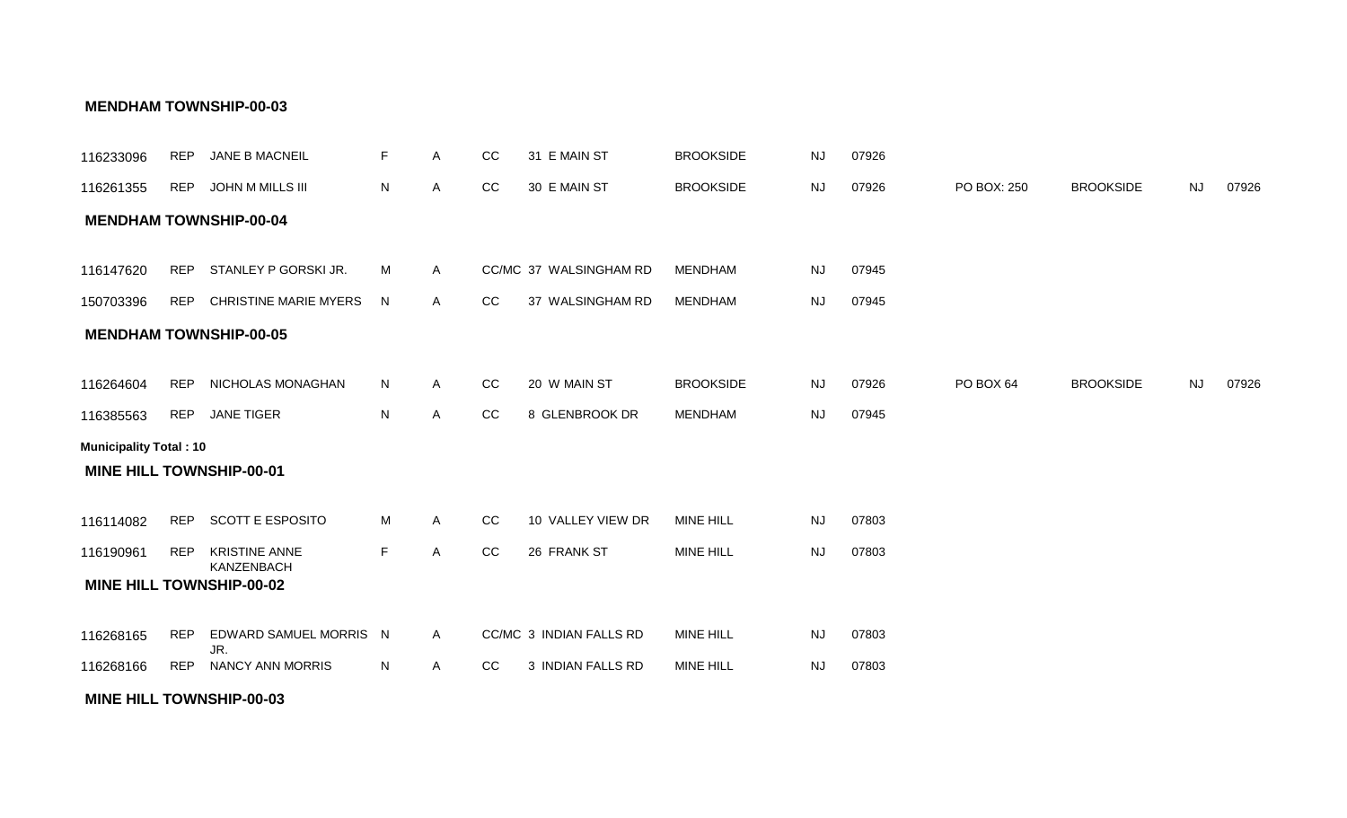#### **MINE HILL TOWNSHIP-00-03**

| 116233096                     | <b>REP</b> | JANE B MACNEIL                     | F           | A              | CC | 31 E MAIN ST            | <b>BROOKSIDE</b> | <b>NJ</b> | 07926 |             |                  |           |       |
|-------------------------------|------------|------------------------------------|-------------|----------------|----|-------------------------|------------------|-----------|-------|-------------|------------------|-----------|-------|
| 116261355                     | <b>REP</b> | JOHN M MILLS III                   | N           | Α              | CC | 30 E MAIN ST            | <b>BROOKSIDE</b> | <b>NJ</b> | 07926 | PO BOX: 250 | <b>BROOKSIDE</b> | <b>NJ</b> | 07926 |
|                               |            | <b>MENDHAM TOWNSHIP-00-04</b>      |             |                |    |                         |                  |           |       |             |                  |           |       |
|                               |            |                                    |             |                |    |                         |                  |           |       |             |                  |           |       |
| 116147620                     | <b>REP</b> | STANLEY P GORSKI JR.               | M           | $\overline{A}$ |    | CC/MC 37 WALSINGHAM RD  | <b>MENDHAM</b>   | <b>NJ</b> | 07945 |             |                  |           |       |
| 150703396                     | REP        | <b>CHRISTINE MARIE MYERS</b>       | N.          | $\mathsf{A}$   | CC | 37 WALSINGHAM RD        | <b>MENDHAM</b>   | <b>NJ</b> | 07945 |             |                  |           |       |
|                               |            | <b>MENDHAM TOWNSHIP-00-05</b>      |             |                |    |                         |                  |           |       |             |                  |           |       |
|                               |            |                                    |             |                |    |                         |                  |           |       |             |                  |           |       |
| 116264604                     | <b>REP</b> | NICHOLAS MONAGHAN                  | N           | $\overline{A}$ | CC | 20 W MAIN ST            | <b>BROOKSIDE</b> | <b>NJ</b> | 07926 | PO BOX 64   | <b>BROOKSIDE</b> | <b>NJ</b> | 07926 |
| 116385563                     | <b>REP</b> | <b>JANE TIGER</b>                  | N           | $\mathsf{A}$   | CC | 8 GLENBROOK DR          | <b>MENDHAM</b>   | <b>NJ</b> | 07945 |             |                  |           |       |
| <b>Municipality Total: 10</b> |            |                                    |             |                |    |                         |                  |           |       |             |                  |           |       |
|                               |            | <b>MINE HILL TOWNSHIP-00-01</b>    |             |                |    |                         |                  |           |       |             |                  |           |       |
|                               |            |                                    |             |                |    |                         |                  |           |       |             |                  |           |       |
| 116114082                     | <b>REP</b> | <b>SCOTT E ESPOSITO</b>            | М           | A              | CC | 10 VALLEY VIEW DR       | <b>MINE HILL</b> | <b>NJ</b> | 07803 |             |                  |           |       |
| 116190961                     | <b>REP</b> | <b>KRISTINE ANNE</b><br>KANZENBACH | $\mathsf F$ | A              | CC | 26 FRANK ST             | <b>MINE HILL</b> | <b>NJ</b> | 07803 |             |                  |           |       |
|                               |            | <b>MINE HILL TOWNSHIP-00-02</b>    |             |                |    |                         |                  |           |       |             |                  |           |       |
|                               |            |                                    |             |                |    |                         |                  |           |       |             |                  |           |       |
| 116268165                     | <b>REP</b> | EDWARD SAMUEL MORRIS N<br>JR.      |             | $\mathsf{A}$   |    | CC/MC 3 INDIAN FALLS RD | <b>MINE HILL</b> | <b>NJ</b> | 07803 |             |                  |           |       |
| 116268166                     | <b>REP</b> | <b>NANCY ANN MORRIS</b>            | N           | $\mathsf{A}$   | CC | 3 INDIAN FALLS RD       | <b>MINE HILL</b> | <b>NJ</b> | 07803 |             |                  |           |       |

#### **MENDHAM TOWNSHIP-00-03**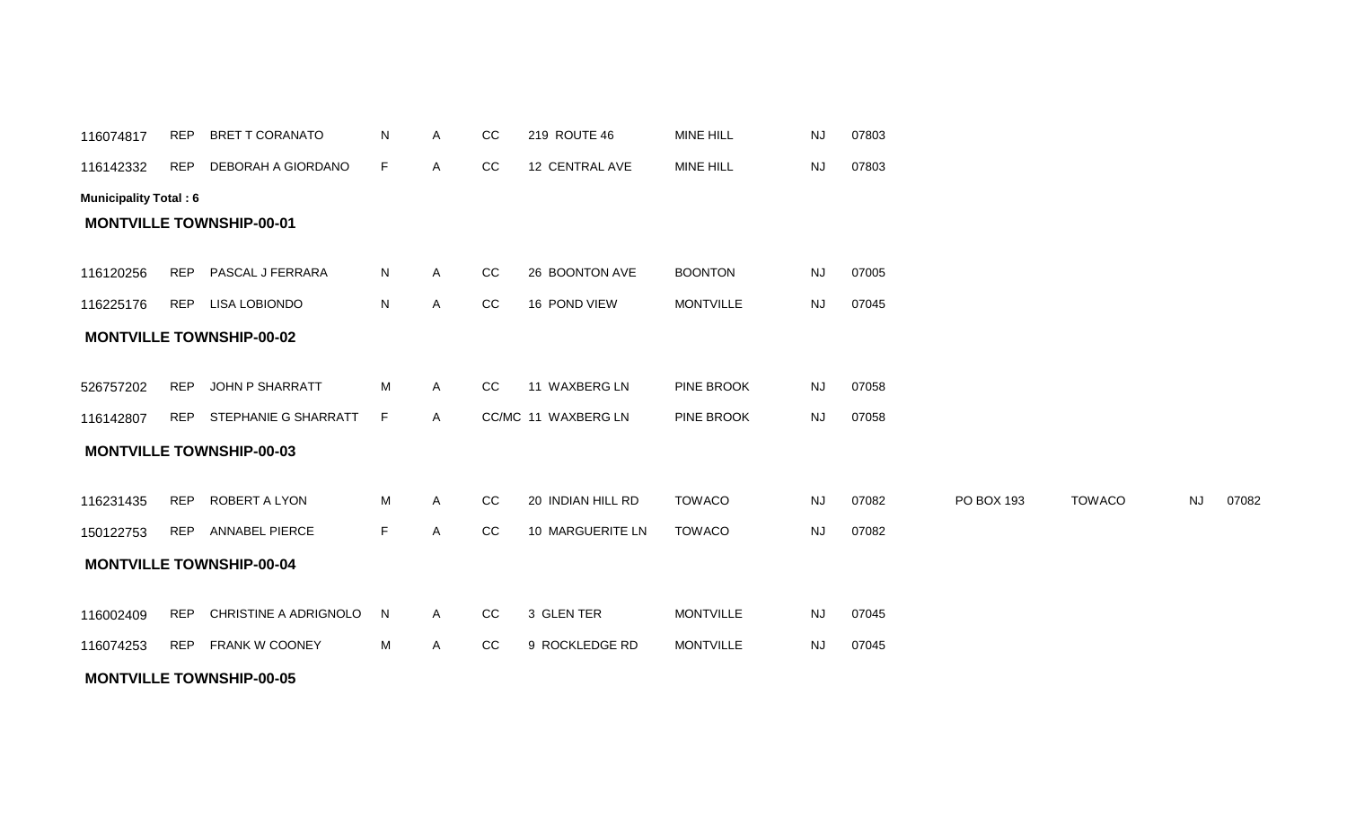| 116074817                    | <b>REP</b> | <b>BRET T CORANATO</b>          | N  | Α | CC | 219 ROUTE 46        | <b>MINE HILL</b> | NJ        | 07803 |            |               |           |       |
|------------------------------|------------|---------------------------------|----|---|----|---------------------|------------------|-----------|-------|------------|---------------|-----------|-------|
| 116142332                    | <b>REP</b> | DEBORAH A GIORDANO              | F. | Α | CC | 12 CENTRAL AVE      | MINE HILL        | <b>NJ</b> | 07803 |            |               |           |       |
| <b>Municipality Total: 6</b> |            |                                 |    |   |    |                     |                  |           |       |            |               |           |       |
|                              |            | <b>MONTVILLE TOWNSHIP-00-01</b> |    |   |    |                     |                  |           |       |            |               |           |       |
|                              |            |                                 |    |   |    |                     |                  |           |       |            |               |           |       |
| 116120256                    | <b>REP</b> | PASCAL J FERRARA                | N. | Α | CC | 26 BOONTON AVE      | <b>BOONTON</b>   | NJ        | 07005 |            |               |           |       |
| 116225176                    | <b>REP</b> | <b>LISA LOBIONDO</b>            | N  | A | CC | 16 POND VIEW        | <b>MONTVILLE</b> | <b>NJ</b> | 07045 |            |               |           |       |
|                              |            | <b>MONTVILLE TOWNSHIP-00-02</b> |    |   |    |                     |                  |           |       |            |               |           |       |
|                              |            |                                 |    |   |    |                     |                  |           |       |            |               |           |       |
| 526757202                    | <b>REP</b> | JOHN P SHARRATT                 | М  | Α | CC | 11 WAXBERG LN       | PINE BROOK       | <b>NJ</b> | 07058 |            |               |           |       |
| 116142807                    | <b>REP</b> | STEPHANIE G SHARRATT            | F  | A |    | CC/MC 11 WAXBERG LN | PINE BROOK       | NJ        | 07058 |            |               |           |       |
|                              |            | <b>MONTVILLE TOWNSHIP-00-03</b> |    |   |    |                     |                  |           |       |            |               |           |       |
|                              |            |                                 |    |   |    |                     |                  |           |       |            |               |           |       |
| 116231435                    | <b>REP</b> | ROBERT A LYON                   | M  | Α | CC | 20 INDIAN HILL RD   | <b>TOWACO</b>    | <b>NJ</b> | 07082 | PO BOX 193 | <b>TOWACO</b> | <b>NJ</b> | 07082 |
| 150122753                    | <b>REP</b> | ANNABEL PIERCE                  | F. | A | CC | 10 MARGUERITE LN    | <b>TOWACO</b>    | <b>NJ</b> | 07082 |            |               |           |       |
|                              |            | <b>MONTVILLE TOWNSHIP-00-04</b> |    |   |    |                     |                  |           |       |            |               |           |       |
|                              |            |                                 |    |   |    |                     |                  |           |       |            |               |           |       |
| 116002409                    | <b>REP</b> | CHRISTINE A ADRIGNOLO           | N  | A | CC | 3 GLEN TER          | <b>MONTVILLE</b> | <b>NJ</b> | 07045 |            |               |           |       |
| 116074253                    | <b>REP</b> | FRANK W COONEY                  | М  | Α | CC | 9 ROCKLEDGE RD      | <b>MONTVILLE</b> | <b>NJ</b> | 07045 |            |               |           |       |
|                              |            | <b>MONTVILLE TOWNSHIP-00-05</b> |    |   |    |                     |                  |           |       |            |               |           |       |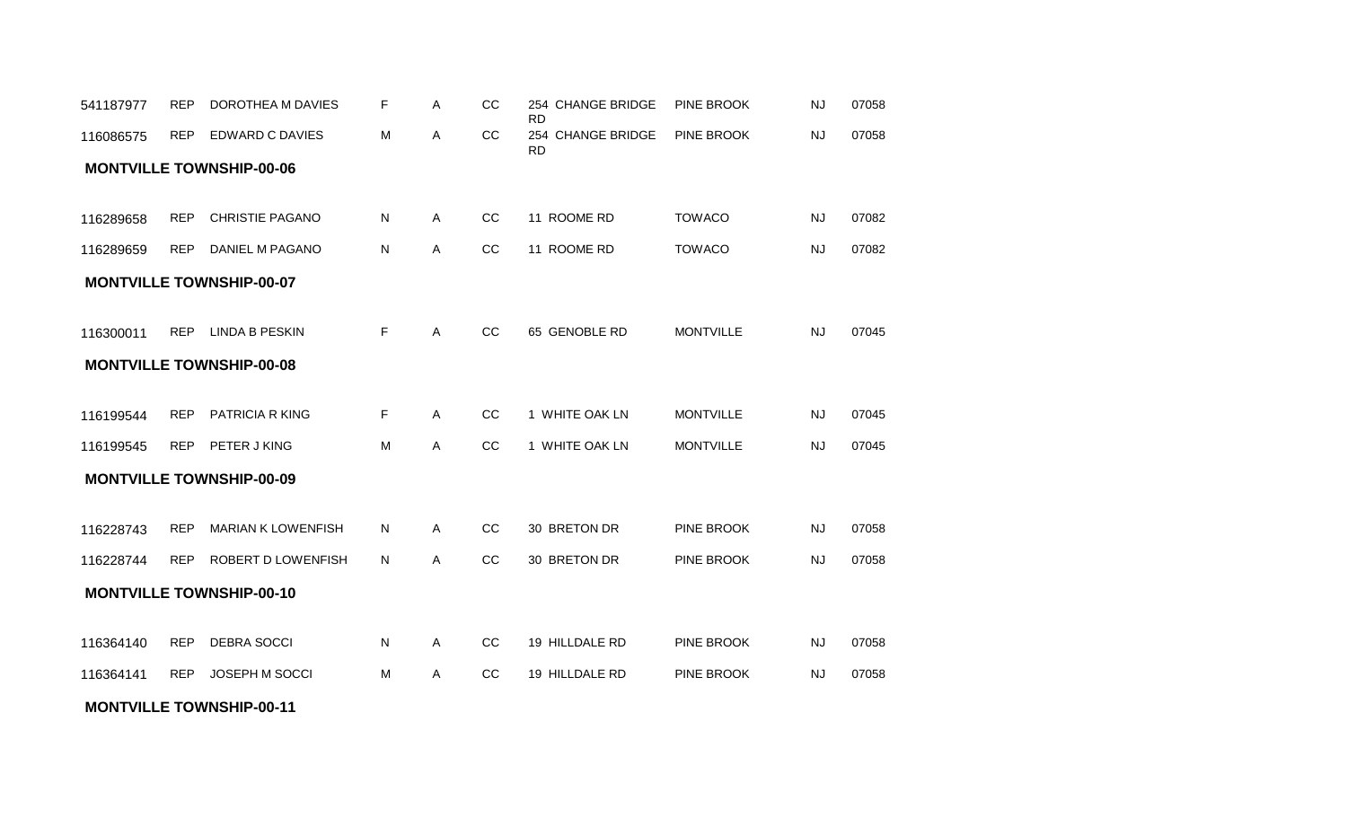#### **MONTVILLE TOWNSHIP-00-11**

|           |            |                                 |              |              |    | <b>RD</b>                      |                  |           |       |
|-----------|------------|---------------------------------|--------------|--------------|----|--------------------------------|------------------|-----------|-------|
| 116086575 |            | REP EDWARD C DAVIES             | M            | A            | CC | 254 CHANGE BRIDGE<br><b>RD</b> | PINE BROOK       | <b>NJ</b> | 07058 |
|           |            | <b>MONTVILLE TOWNSHIP-00-06</b> |              |              |    |                                |                  |           |       |
|           |            |                                 |              |              |    |                                |                  |           |       |
| 116289658 | REP        | <b>CHRISTIE PAGANO</b>          | N            | A            | cc | 11 ROOME RD                    | <b>TOWACO</b>    | <b>NJ</b> | 07082 |
| 116289659 | <b>REP</b> | DANIEL M PAGANO                 | N            | A            | CC | 11 ROOME RD                    | <b>TOWACO</b>    | <b>NJ</b> | 07082 |
|           |            | <b>MONTVILLE TOWNSHIP-00-07</b> |              |              |    |                                |                  |           |       |
| 116300011 |            | REP LINDA B PESKIN              | E            | $\mathsf{A}$ | cc | 65 GENOBLE RD                  | <b>MONTVILLE</b> | <b>NJ</b> | 07045 |
|           |            | <b>MONTVILLE TOWNSHIP-00-08</b> |              |              |    |                                |                  |           |       |
| 116199544 | <b>REP</b> | PATRICIA R KING                 | F.           | A            | cc | 1 WHITE OAK LN                 | <b>MONTVILLE</b> | <b>NJ</b> | 07045 |
| 116199545 |            | REP PETER J KING                | M            | $\mathsf{A}$ | CC | 1 WHITE OAK LN                 | <b>MONTVILLE</b> | <b>NJ</b> | 07045 |
|           |            | <b>MONTVILLE TOWNSHIP-00-09</b> |              |              |    |                                |                  |           |       |
| 116228743 | <b>REP</b> | <b>MARIAN K LOWENFISH</b>       | N.           | $\mathsf{A}$ | CC | 30 BRETON DR                   | PINE BROOK       | <b>NJ</b> | 07058 |
| 116228744 | <b>REP</b> | ROBERT D LOWENFISH              | N.           | A            | CC | 30 BRETON DR                   | PINE BROOK       | <b>NJ</b> | 07058 |
|           |            | <b>MONTVILLE TOWNSHIP-00-10</b> |              |              |    |                                |                  |           |       |
| 116364140 | REP        | <b>DEBRA SOCCI</b>              | $\mathsf{N}$ | $\mathsf{A}$ | CC | 19 HILLDALE RD                 | PINE BROOK       | <b>NJ</b> | 07058 |
| 116364141 | <b>REP</b> | JOSEPH M SOCCI                  | M            | A            | CC | 19 HILLDALE RD                 | PINE BROOK       | <b>NJ</b> | 07058 |
|           |            |                                 |              |              |    |                                |                  |           |       |

541187977 REP DOROTHEA M DAVIES F A CC 254 CHANGE BRIDGE PINE BROOK

F A CC 254 CHANGE BRIDGE PINE BROOK

NJ 07058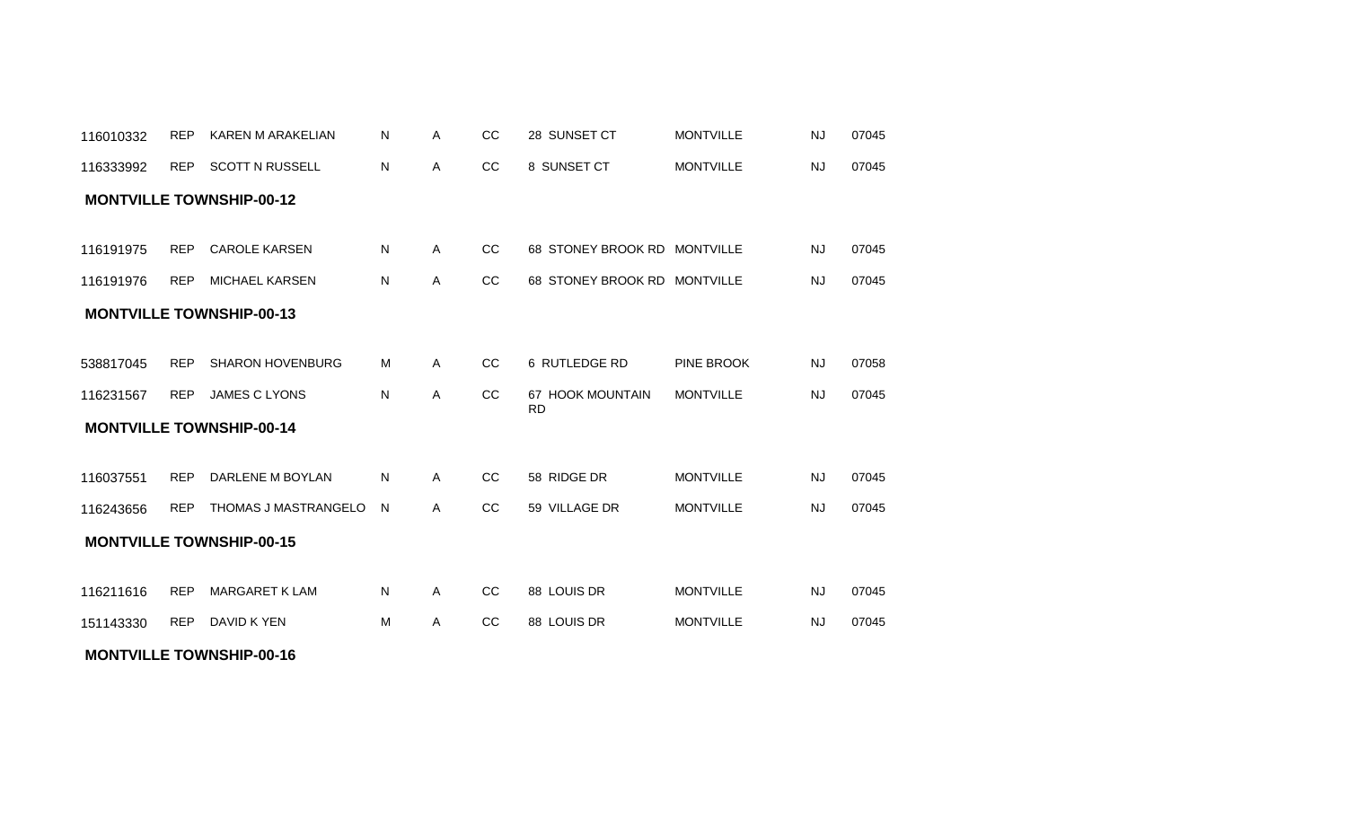| 116333992 | REP        | <b>SCOTT N RUSSELL</b>          | N | Α | CC        | 8 SUNSET CT                   | <b>MONTVILLE</b> | <b>NJ</b> | 07045 |
|-----------|------------|---------------------------------|---|---|-----------|-------------------------------|------------------|-----------|-------|
|           |            | <b>MONTVILLE TOWNSHIP-00-12</b> |   |   |           |                               |                  |           |       |
|           |            |                                 |   |   |           |                               |                  |           |       |
| 116191975 | <b>REP</b> | <b>CAROLE KARSEN</b>            | N | A | <b>CC</b> | 68 STONEY BROOK RD MONTVILLE  |                  | <b>NJ</b> | 07045 |
| 116191976 | <b>REP</b> | MICHAEL KARSEN                  | N | A | CC        | 68 STONEY BROOK RD MONTVILLE  |                  | <b>NJ</b> | 07045 |
|           |            | <b>MONTVILLE TOWNSHIP-00-13</b> |   |   |           |                               |                  |           |       |
|           |            |                                 |   |   |           |                               |                  |           |       |
| 538817045 | <b>REP</b> | <b>SHARON HOVENBURG</b>         | м | Α | <b>CC</b> | 6 RUTLEDGE RD                 | PINE BROOK       | <b>NJ</b> | 07058 |
| 116231567 | <b>REP</b> | <b>JAMES C LYONS</b>            | N | A | CC        | 67 HOOK MOUNTAIN<br><b>RD</b> | <b>MONTVILLE</b> | <b>NJ</b> | 07045 |
|           |            | <b>MONTVILLE TOWNSHIP-00-14</b> |   |   |           |                               |                  |           |       |
|           |            |                                 |   |   |           |                               |                  |           |       |
| 116037551 | <b>REP</b> | DARLENE M BOYLAN                | N | A | <b>CC</b> | 58 RIDGE DR                   | <b>MONTVILLE</b> | <b>NJ</b> | 07045 |
| 116243656 | <b>REP</b> | THOMAS J MASTRANGELO            | N | Α | CC        | 59 VILLAGE DR                 | <b>MONTVILLE</b> | <b>NJ</b> | 07045 |
|           |            | <b>MONTVILLE TOWNSHIP-00-15</b> |   |   |           |                               |                  |           |       |
|           |            |                                 |   |   |           |                               |                  |           |       |
| 116211616 | <b>REP</b> | <b>MARGARET K LAM</b>           | N | A | CC        | 88 LOUIS DR                   | <b>MONTVILLE</b> | <b>NJ</b> | 07045 |
| 151143330 | <b>REP</b> | DAVID K YEN                     | м | Α | <b>CC</b> | 88 LOUIS DR                   | <b>MONTVILLE</b> | <b>NJ</b> | 07045 |
|           |            |                                 |   |   |           |                               |                  |           |       |

**MONTVILLE TOWNSHIP-00-16**

REP KAREN M ARAKELIAN A CC 28 SUNSET CT 07045 116010332 N MONTVILLE NJ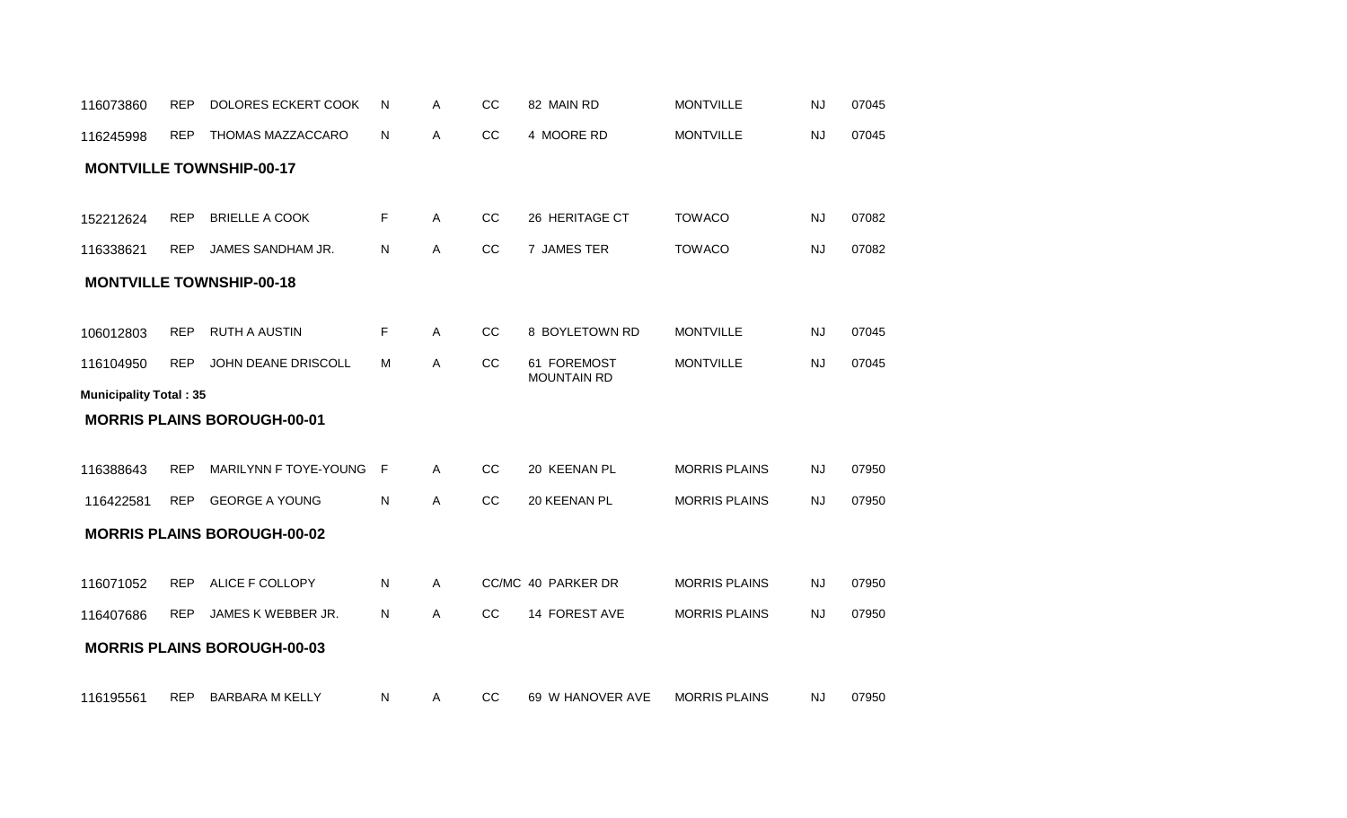| 116073860                     | <b>REP</b> | DOLORES ECKERT COOK                | N | Α            | CC | 82 MAIN RD                        | <b>MONTVILLE</b>     | <b>NJ</b> | 07045 |
|-------------------------------|------------|------------------------------------|---|--------------|----|-----------------------------------|----------------------|-----------|-------|
| 116245998                     | <b>REP</b> | THOMAS MAZZACCARO                  | N | Α            | CC | 4 MOORE RD                        | <b>MONTVILLE</b>     | <b>NJ</b> | 07045 |
|                               |            | <b>MONTVILLE TOWNSHIP-00-17</b>    |   |              |    |                                   |                      |           |       |
| 152212624                     | <b>REP</b> | <b>BRIELLE A COOK</b>              | F | $\mathsf{A}$ | CC | 26 HERITAGE CT                    | <b>TOWACO</b>        | <b>NJ</b> | 07082 |
|                               | <b>REP</b> | JAMES SANDHAM JR.                  | N | Α            | CC | 7 JAMES TER                       | <b>TOWACO</b>        | <b>NJ</b> | 07082 |
| 116338621                     |            |                                    |   |              |    |                                   |                      |           |       |
|                               |            | <b>MONTVILLE TOWNSHIP-00-18</b>    |   |              |    |                                   |                      |           |       |
| 106012803                     | <b>REP</b> | <b>RUTH A AUSTIN</b>               | F | $\mathsf{A}$ | cc | 8 BOYLETOWN RD                    | <b>MONTVILLE</b>     | <b>NJ</b> | 07045 |
| 116104950                     | <b>REP</b> | JOHN DEANE DRISCOLL                | м | $\mathsf{A}$ | CC | 61 FOREMOST<br><b>MOUNTAIN RD</b> | <b>MONTVILLE</b>     | <b>NJ</b> | 07045 |
| <b>Municipality Total: 35</b> |            |                                    |   |              |    |                                   |                      |           |       |
|                               |            | <b>MORRIS PLAINS BOROUGH-00-01</b> |   |              |    |                                   |                      |           |       |
| 116388643                     | <b>REP</b> | MARILYNN F TOYE-YOUNG              | F | A            | CC | 20 KEENAN PL                      | <b>MORRIS PLAINS</b> | <b>NJ</b> | 07950 |
| 116422581                     | <b>REP</b> | <b>GEORGE A YOUNG</b>              | N | A            | CC | 20 KEENAN PL                      | <b>MORRIS PLAINS</b> | <b>NJ</b> | 07950 |
|                               |            | <b>MORRIS PLAINS BOROUGH-00-02</b> |   |              |    |                                   |                      |           |       |
| 116071052                     | <b>REP</b> | ALICE F COLLOPY                    | N | A            |    | CC/MC 40 PARKER DR                | <b>MORRIS PLAINS</b> | <b>NJ</b> | 07950 |
| 116407686                     | <b>REP</b> | JAMES K WEBBER JR.                 | N | A            | CC | 14 FOREST AVE                     | <b>MORRIS PLAINS</b> | <b>NJ</b> | 07950 |
|                               |            |                                    |   |              |    |                                   |                      |           |       |
|                               |            | <b>MORRIS PLAINS BOROUGH-00-03</b> |   |              |    |                                   |                      |           |       |
| 116195561                     | <b>REP</b> | <b>BARBARA M KELLY</b>             | N | A            | CC | 69 W HANOVER AVE                  | <b>MORRIS PLAINS</b> | <b>NJ</b> | 07950 |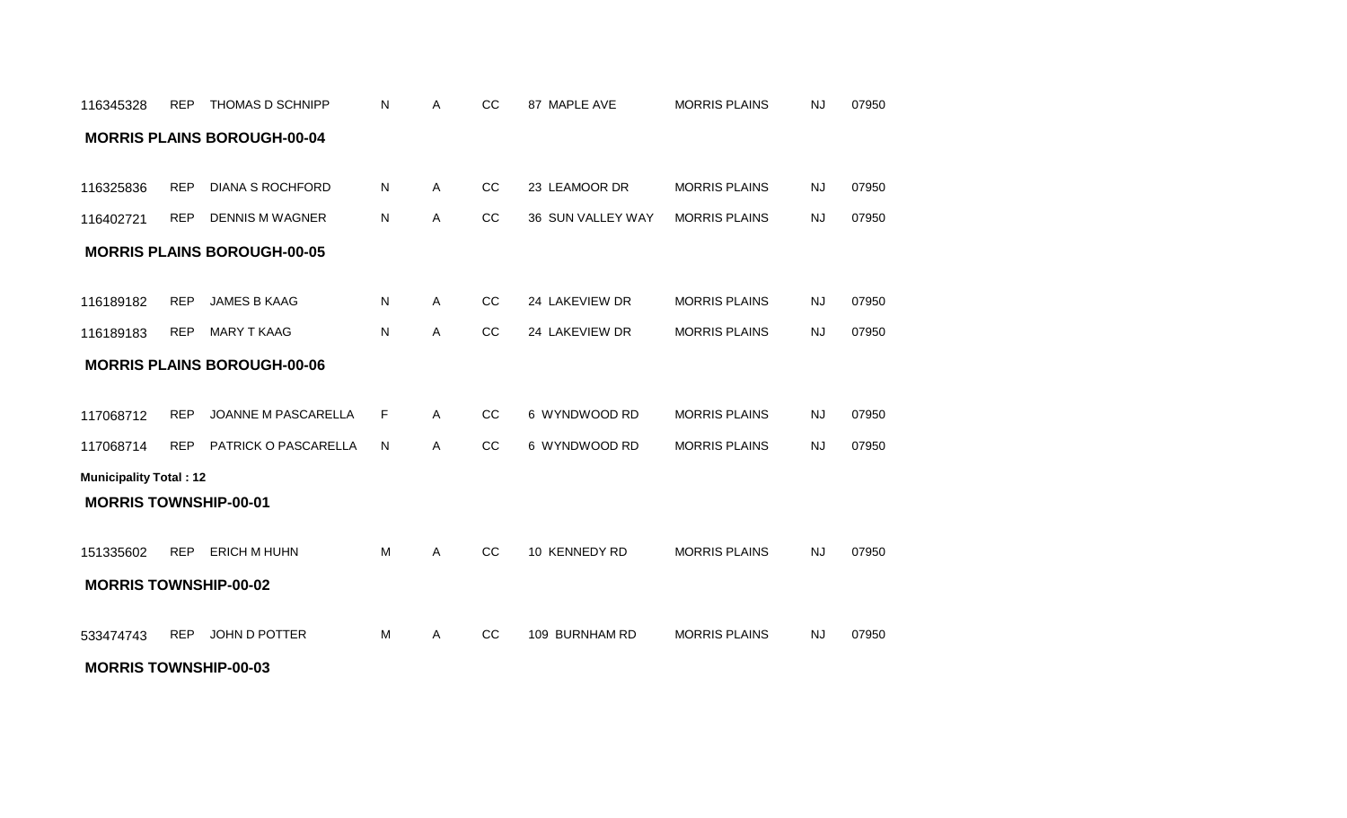| 116345328                     | <b>REP</b> | THOMAS D SCHNIPP                   | N            | A            | CC | 87 MAPLE AVE      | <b>MORRIS PLAINS</b> | <b>NJ</b> | 07950 |
|-------------------------------|------------|------------------------------------|--------------|--------------|----|-------------------|----------------------|-----------|-------|
|                               |            | <b>MORRIS PLAINS BOROUGH-00-04</b> |              |              |    |                   |                      |           |       |
|                               |            |                                    |              |              |    |                   |                      |           |       |
| 116325836                     | <b>REP</b> | <b>DIANA S ROCHFORD</b>            | $\mathsf{N}$ | A            | CC | 23 LEAMOOR DR     | <b>MORRIS PLAINS</b> | <b>NJ</b> | 07950 |
| 116402721                     | <b>REP</b> | <b>DENNIS M WAGNER</b>             | N            | $\mathsf{A}$ | CC | 36 SUN VALLEY WAY | <b>MORRIS PLAINS</b> | <b>NJ</b> | 07950 |
|                               |            | <b>MORRIS PLAINS BOROUGH-00-05</b> |              |              |    |                   |                      |           |       |
|                               |            |                                    |              |              |    |                   |                      |           |       |
| 116189182                     | <b>REP</b> | <b>JAMES B KAAG</b>                | $\mathsf{N}$ | $\mathsf{A}$ | cc | 24 LAKEVIEW DR    | <b>MORRIS PLAINS</b> | <b>NJ</b> | 07950 |
| 116189183                     | <b>REP</b> | <b>MARY T KAAG</b>                 | N            | $\mathsf{A}$ | CC | 24 LAKEVIEW DR    | <b>MORRIS PLAINS</b> | <b>NJ</b> | 07950 |
|                               |            | <b>MORRIS PLAINS BOROUGH-00-06</b> |              |              |    |                   |                      |           |       |
|                               |            |                                    |              |              |    |                   |                      |           |       |
| 117068712                     | <b>REP</b> | JOANNE M PASCARELLA                | F            | $\mathsf{A}$ | CC | 6 WYNDWOOD RD     | <b>MORRIS PLAINS</b> | <b>NJ</b> | 07950 |
| 117068714                     | <b>REP</b> | PATRICK O PASCARELLA               | $\mathsf{N}$ | $\mathsf{A}$ | CC | 6 WYNDWOOD RD     | <b>MORRIS PLAINS</b> | <b>NJ</b> | 07950 |
| <b>Municipality Total: 12</b> |            |                                    |              |              |    |                   |                      |           |       |
| <b>MORRIS TOWNSHIP-00-01</b>  |            |                                    |              |              |    |                   |                      |           |       |
|                               |            |                                    |              |              |    |                   |                      |           |       |
| 151335602                     | <b>REP</b> | ERICH M HUHN                       | M            | A            | CC | 10 KENNEDY RD     | <b>MORRIS PLAINS</b> | <b>NJ</b> | 07950 |
| <b>MORRIS TOWNSHIP-00-02</b>  |            |                                    |              |              |    |                   |                      |           |       |
|                               |            |                                    |              |              |    |                   |                      |           |       |
| 533474743                     | <b>REP</b> | JOHN D POTTER                      | M            | A            | CC | 109 BURNHAM RD    | <b>MORRIS PLAINS</b> | <b>NJ</b> | 07950 |
| <b>MORRIS TOWNSHIP-00-03</b>  |            |                                    |              |              |    |                   |                      |           |       |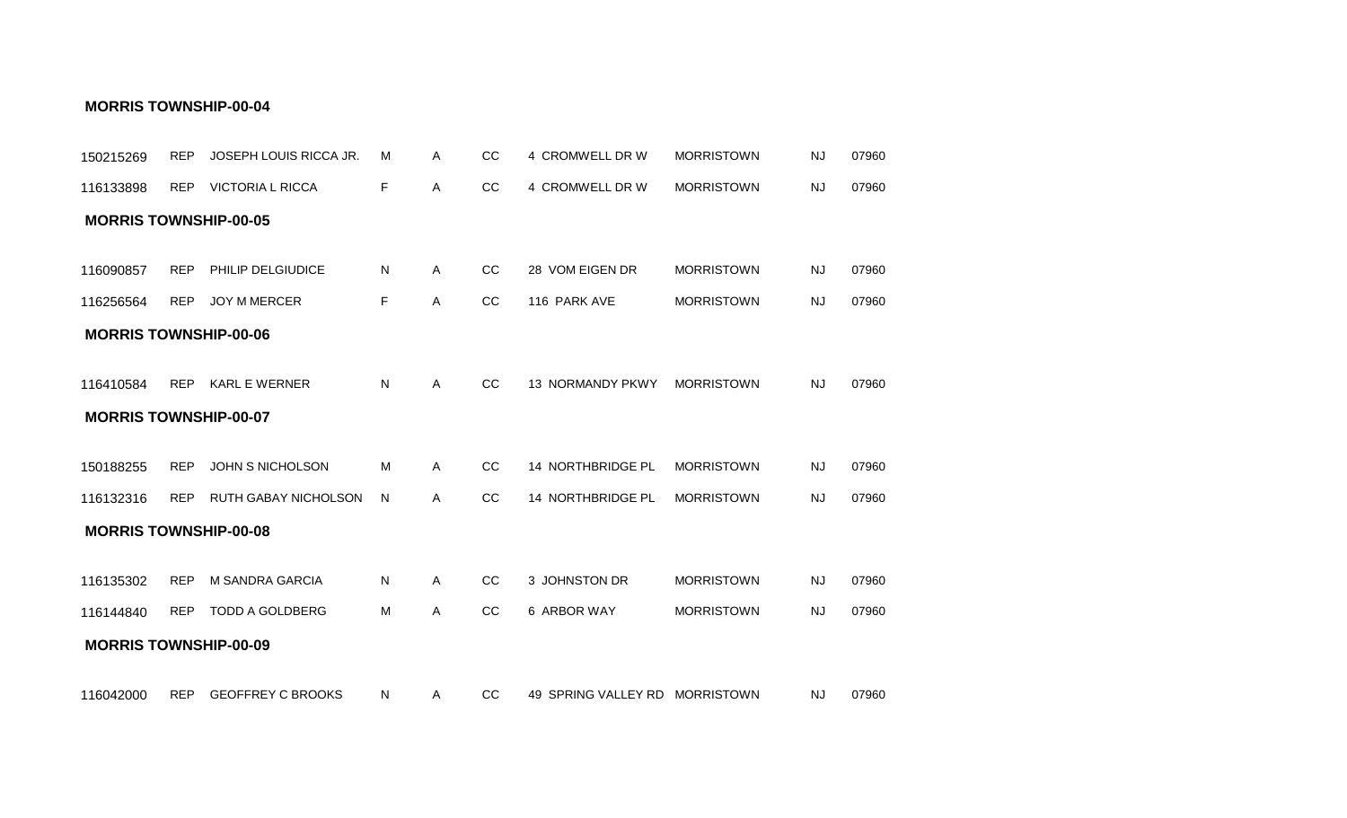| 150215269                    | <b>REP</b> | JOSEPH LOUIS RICCA JR.      | м  | Α            | CC | 4 CROMWELL DR W                | <b>MORRISTOWN</b> | <b>NJ</b> | 07960 |
|------------------------------|------------|-----------------------------|----|--------------|----|--------------------------------|-------------------|-----------|-------|
| 116133898                    | <b>REP</b> | <b>VICTORIA L RICCA</b>     | F  | A            | CC | 4 CROMWELL DR W                | <b>MORRISTOWN</b> | <b>NJ</b> | 07960 |
| <b>MORRIS TOWNSHIP-00-05</b> |            |                             |    |              |    |                                |                   |           |       |
|                              |            |                             |    |              |    |                                |                   |           |       |
| 116090857                    | <b>REP</b> | PHILIP DELGIUDICE           | N  | $\mathsf{A}$ | CC | 28 VOM EIGEN DR                | <b>MORRISTOWN</b> | <b>NJ</b> | 07960 |
| 116256564                    | <b>REP</b> | JOY M MERCER                | F. | Α            | cc | 116 PARK AVE                   | <b>MORRISTOWN</b> | <b>NJ</b> | 07960 |
| <b>MORRIS TOWNSHIP-00-06</b> |            |                             |    |              |    |                                |                   |           |       |
|                              |            |                             |    |              |    |                                |                   |           |       |
| 116410584                    | <b>REP</b> | <b>KARL E WERNER</b>        | N  | A            | CC | <b>13 NORMANDY PKWY</b>        | <b>MORRISTOWN</b> | <b>NJ</b> | 07960 |
| <b>MORRIS TOWNSHIP-00-07</b> |            |                             |    |              |    |                                |                   |           |       |
|                              |            |                             |    |              |    |                                |                   |           |       |
| 150188255                    | <b>REP</b> | <b>JOHN S NICHOLSON</b>     | M  | A            | CC | 14 NORTHBRIDGE PL              | <b>MORRISTOWN</b> | <b>NJ</b> | 07960 |
| 116132316                    | <b>REP</b> | <b>RUTH GABAY NICHOLSON</b> | N  | A            | CC | 14 NORTHBRIDGE PL              | <b>MORRISTOWN</b> | <b>NJ</b> | 07960 |
| <b>MORRIS TOWNSHIP-00-08</b> |            |                             |    |              |    |                                |                   |           |       |
|                              |            |                             |    |              |    |                                |                   |           |       |
| 116135302                    | <b>REP</b> | <b>M SANDRA GARCIA</b>      | N  | A            | CC | 3 JOHNSTON DR                  | <b>MORRISTOWN</b> | <b>NJ</b> | 07960 |
| 116144840                    | <b>REP</b> | <b>TODD A GOLDBERG</b>      | M  | A            | cc | 6 ARBOR WAY                    | <b>MORRISTOWN</b> | <b>NJ</b> | 07960 |
| <b>MORRIS TOWNSHIP-00-09</b> |            |                             |    |              |    |                                |                   |           |       |
|                              |            |                             |    |              |    |                                |                   |           |       |
| 116042000                    | REP        | <b>GEOFFREY C BROOKS</b>    | N  | $\mathsf{A}$ | CC | 49 SPRING VALLEY RD MORRISTOWN |                   | <b>NJ</b> | 07960 |

#### **MORRIS TOWNSHIP-00-04**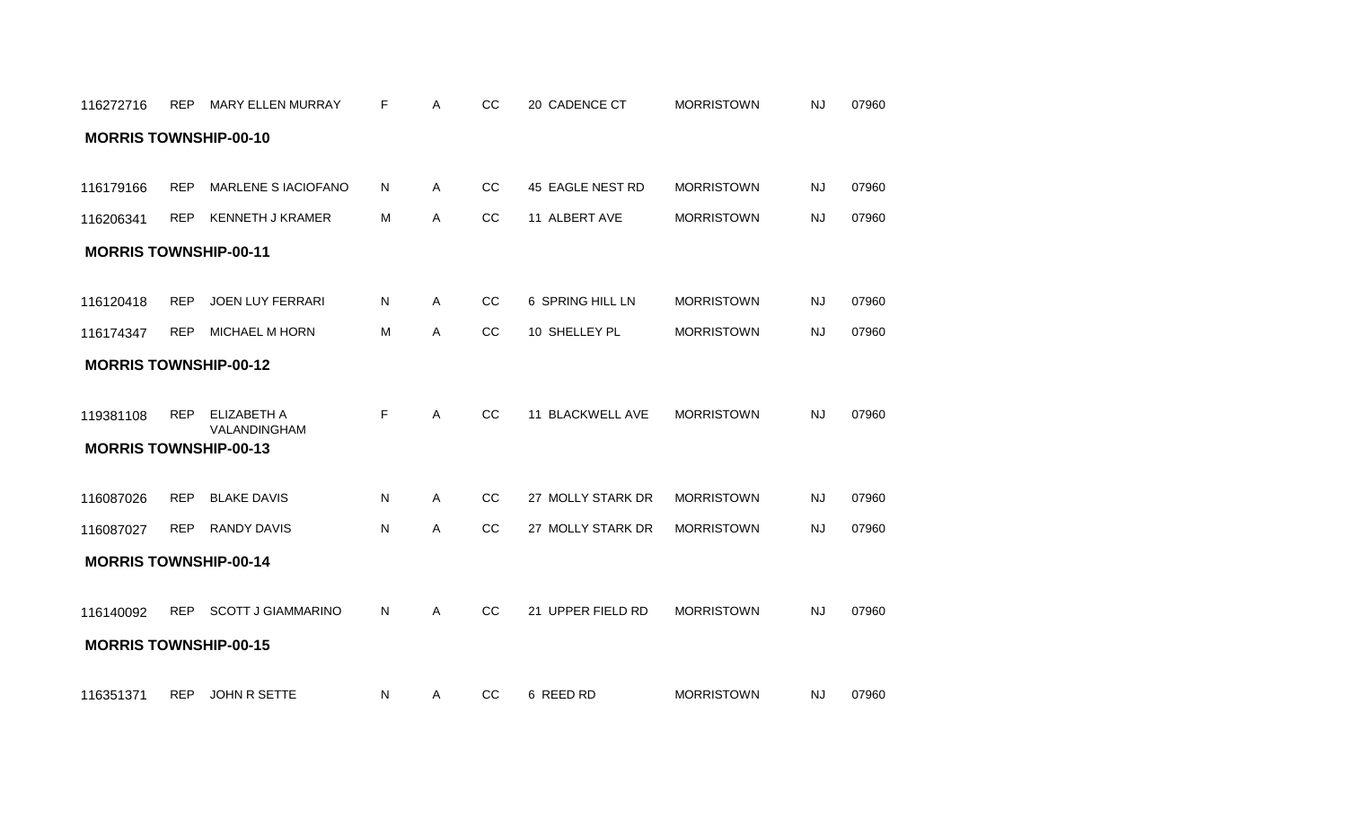| 116272716                                 | REP        | <b>MARY ELLEN MURRAY</b>           | F  | Α            | CC | 20 CADENCE CT     | <b>MORRISTOWN</b> | <b>NJ</b> | 07960 |
|-------------------------------------------|------------|------------------------------------|----|--------------|----|-------------------|-------------------|-----------|-------|
| <b>MORRIS TOWNSHIP-00-10</b>              |            |                                    |    |              |    |                   |                   |           |       |
| 116179166                                 | <b>REP</b> | MARLENE S IACIOFANO                | N  | $\mathsf{A}$ | CC | 45 EAGLE NEST RD  | <b>MORRISTOWN</b> | <b>NJ</b> | 07960 |
| 116206341                                 | <b>REP</b> | <b>KENNETH J KRAMER</b>            | M  | $\mathsf{A}$ | CC | 11 ALBERT AVE     | <b>MORRISTOWN</b> | <b>NJ</b> | 07960 |
| <b>MORRIS TOWNSHIP-00-11</b>              |            |                                    |    |              |    |                   |                   |           |       |
|                                           |            |                                    |    |              |    |                   |                   |           |       |
| 116120418                                 | <b>REP</b> | <b>JOEN LUY FERRARI</b>            | N  | A            | cc | 6 SPRING HILL LN  | <b>MORRISTOWN</b> | <b>NJ</b> | 07960 |
| 116174347                                 | <b>REP</b> | MICHAEL M HORN                     | M  | A            | cc | 10 SHELLEY PL     | <b>MORRISTOWN</b> | <b>NJ</b> | 07960 |
| <b>MORRIS TOWNSHIP-00-12</b>              |            |                                    |    |              |    |                   |                   |           |       |
| 119381108<br><b>MORRIS TOWNSHIP-00-13</b> | <b>REP</b> | <b>ELIZABETH A</b><br>VALANDINGHAM | F  | A            | cc | 11 BLACKWELL AVE  | <b>MORRISTOWN</b> | <b>NJ</b> | 07960 |
| 116087026                                 | <b>REP</b> | <b>BLAKE DAVIS</b>                 | N  | A            | cc | 27 MOLLY STARK DR | <b>MORRISTOWN</b> | <b>NJ</b> | 07960 |
| 116087027                                 | <b>REP</b> | <b>RANDY DAVIS</b>                 | N  | Α            | cc | 27 MOLLY STARK DR | <b>MORRISTOWN</b> | <b>NJ</b> | 07960 |
| <b>MORRIS TOWNSHIP-00-14</b>              |            |                                    |    |              |    |                   |                   |           |       |
| 116140092<br><b>MORRIS TOWNSHIP-00-15</b> |            | REP SCOTT J GIAMMARINO             | N. | A            | CC | 21 UPPER FIELD RD | <b>MORRISTOWN</b> | <b>NJ</b> | 07960 |
| 116351371                                 | <b>REP</b> | JOHN R SETTE                       | N. | $\mathsf{A}$ | CC | 6 REED RD         | <b>MORRISTOWN</b> | <b>NJ</b> | 07960 |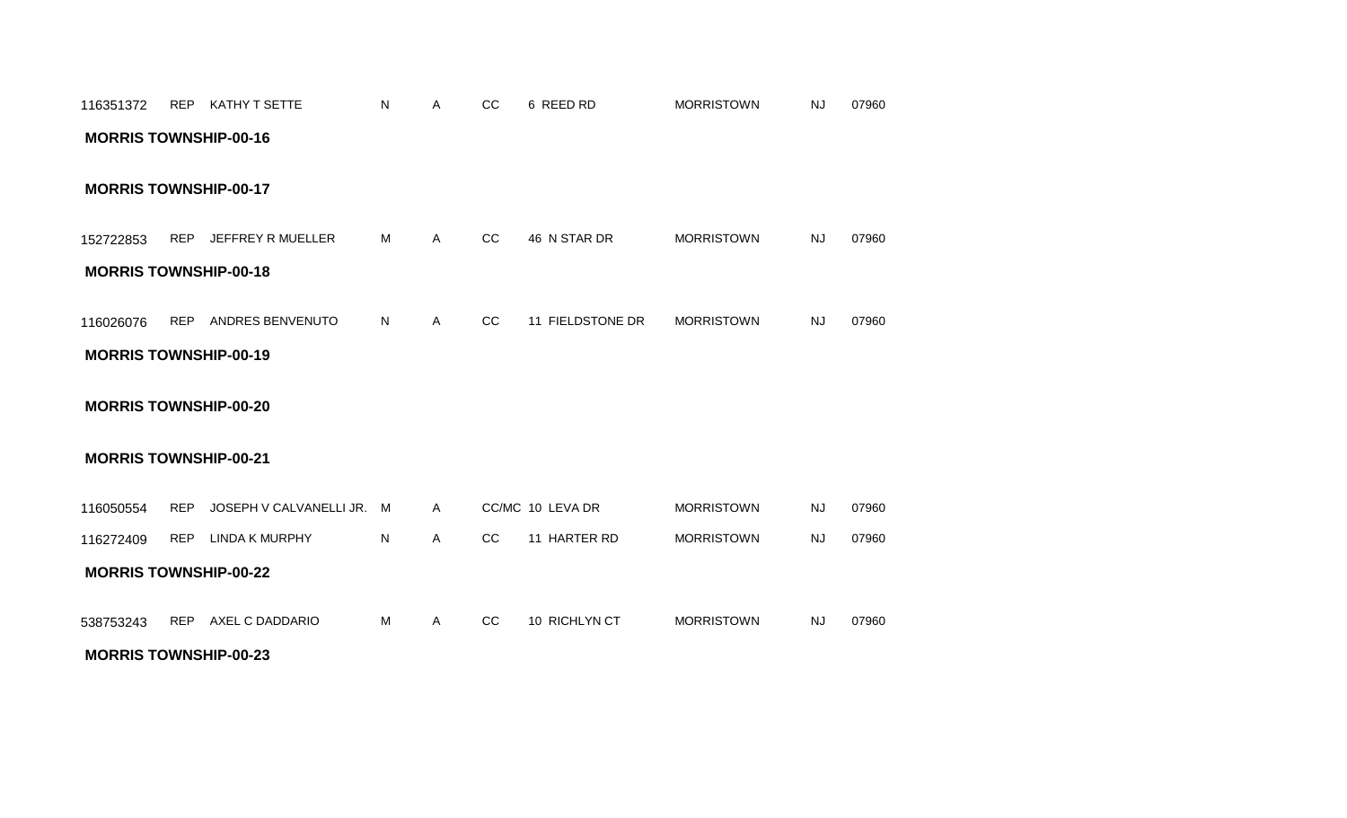| 116351372                    |            | REP KATHY T SETTE             | N | A            | CC        | 6 REED RD        | <b>MORRISTOWN</b> | <b>NJ</b> | 07960 |
|------------------------------|------------|-------------------------------|---|--------------|-----------|------------------|-------------------|-----------|-------|
| <b>MORRIS TOWNSHIP-00-16</b> |            |                               |   |              |           |                  |                   |           |       |
|                              |            |                               |   |              |           |                  |                   |           |       |
| <b>MORRIS TOWNSHIP-00-17</b> |            |                               |   |              |           |                  |                   |           |       |
|                              |            |                               |   |              |           |                  |                   |           |       |
| 152722853                    | <b>REP</b> | JEFFREY R MUELLER             | M | $\mathsf{A}$ | <b>CC</b> | 46 N STAR DR     | <b>MORRISTOWN</b> | <b>NJ</b> | 07960 |
| <b>MORRIS TOWNSHIP-00-18</b> |            |                               |   |              |           |                  |                   |           |       |
|                              |            |                               |   |              |           |                  |                   |           |       |
| 116026076                    | <b>REP</b> | ANDRES BENVENUTO              | N | A            | CC        | 11 FIELDSTONE DR | <b>MORRISTOWN</b> | <b>NJ</b> | 07960 |
| <b>MORRIS TOWNSHIP-00-19</b> |            |                               |   |              |           |                  |                   |           |       |
|                              |            |                               |   |              |           |                  |                   |           |       |
| <b>MORRIS TOWNSHIP-00-20</b> |            |                               |   |              |           |                  |                   |           |       |
|                              |            |                               |   |              |           |                  |                   |           |       |
| <b>MORRIS TOWNSHIP-00-21</b> |            |                               |   |              |           |                  |                   |           |       |
| 116050554                    |            | REP JOSEPH V CALVANELLI JR. M |   | $\mathsf{A}$ |           | CC/MC 10 LEVA DR | <b>MORRISTOWN</b> | <b>NJ</b> | 07960 |
| 116272409                    | <b>REP</b> | LINDA K MURPHY                | N | A            | <b>CC</b> | 11 HARTER RD     | <b>MORRISTOWN</b> | <b>NJ</b> | 07960 |
| <b>MORRIS TOWNSHIP-00-22</b> |            |                               |   |              |           |                  |                   |           |       |
|                              |            |                               |   |              |           |                  |                   |           |       |
|                              |            |                               |   |              |           |                  |                   |           |       |
| 538753243                    |            | REP AXEL C DADDARIO           | M | A            | CC        | 10 RICHLYN CT    | <b>MORRISTOWN</b> | <b>NJ</b> | 07960 |

**MORRIS TOWNSHIP-00-23**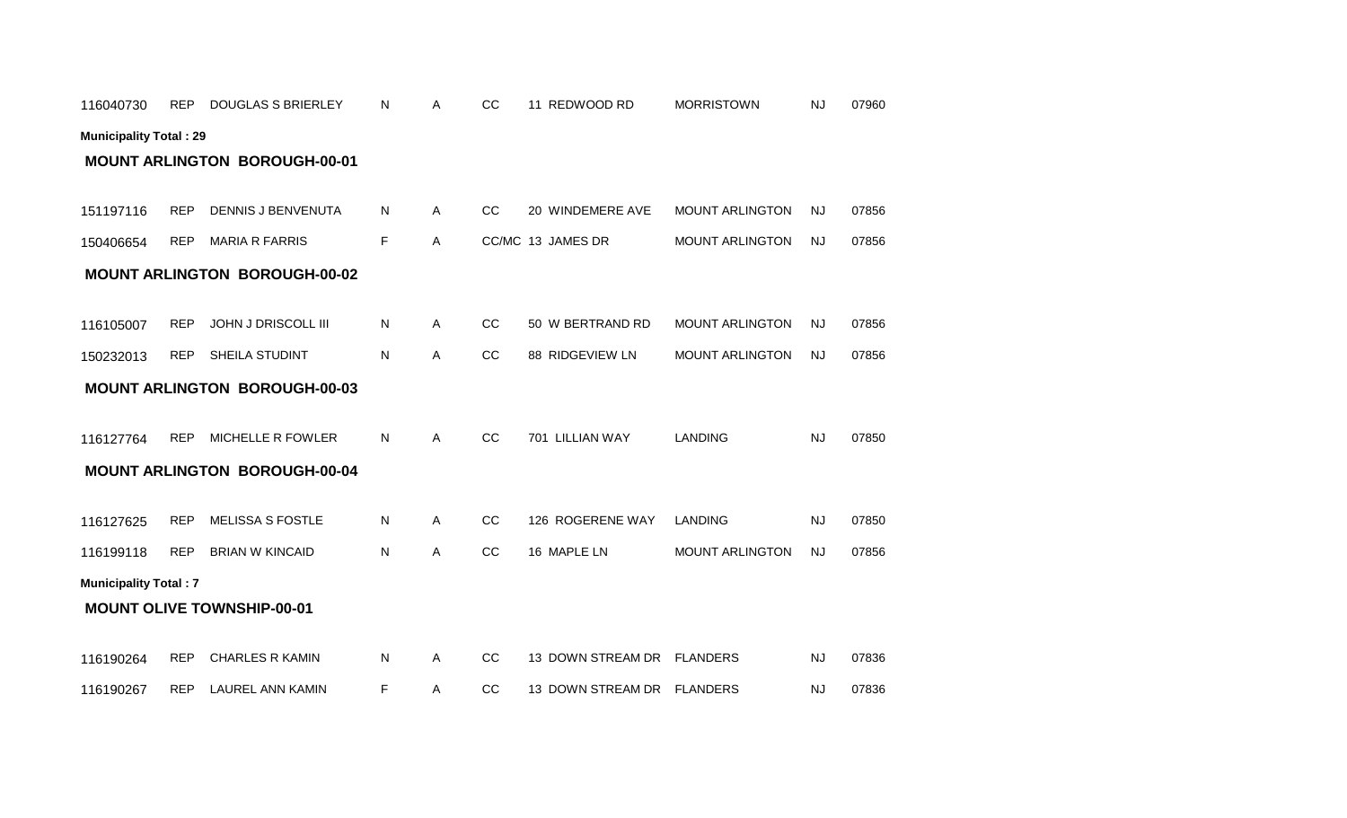|                              |            | <b>MOUNT ARLINGTON BOROUGH-00-01</b> |    |   |    |                   |                        |           |       |
|------------------------------|------------|--------------------------------------|----|---|----|-------------------|------------------------|-----------|-------|
| 151197116                    | <b>REP</b> | <b>DENNIS J BENVENUTA</b>            | N  | Α | cc | 20 WINDEMERE AVE  | <b>MOUNT ARLINGTON</b> | <b>NJ</b> | 07856 |
| 150406654                    | <b>REP</b> | <b>MARIA R FARRIS</b>                | F. | A |    | CC/MC 13 JAMES DR | <b>MOUNT ARLINGTON</b> | <b>NJ</b> | 07856 |
|                              |            | <b>MOUNT ARLINGTON BOROUGH-00-02</b> |    |   |    |                   |                        |           |       |
| 116105007                    | <b>REP</b> | JOHN J DRISCOLL III                  | Ν  | Α | CC | 50 W BERTRAND RD  | <b>MOUNT ARLINGTON</b> | <b>NJ</b> | 07856 |
| 150232013                    | <b>REP</b> | SHEILA STUDINT                       | N  | Α | CC | 88 RIDGEVIEW LN   | <b>MOUNT ARLINGTON</b> | <b>NJ</b> | 07856 |
|                              |            | <b>MOUNT ARLINGTON BOROUGH-00-03</b> |    |   |    |                   |                        |           |       |
| 116127764                    | <b>REP</b> | <b>MICHELLE R FOWLER</b>             | N  | A | cc | 701 LILLIAN WAY   | <b>LANDING</b>         | <b>NJ</b> | 07850 |
|                              |            | <b>MOUNT ARLINGTON BOROUGH-00-04</b> |    |   |    |                   |                        |           |       |
| 116127625                    | <b>REP</b> | <b>MELISSA S FOSTLE</b>              | Ν  | Α | CC | 126 ROGERENE WAY  | <b>LANDING</b>         | <b>NJ</b> | 07850 |
| 116199118                    | <b>REP</b> | <b>BRIAN W KINCAID</b>               | Ν  | A | CC | 16 MAPLE LN       | <b>MOUNT ARLINGTON</b> | <b>NJ</b> | 07856 |
| <b>Municipality Total: 7</b> |            | <b>MOUNT OLIVE TOWNSHIP-00-01</b>    |    |   |    |                   |                        |           |       |
| 116190264                    | <b>REP</b> | <b>CHARLES R KAMIN</b>               | Ν  | Α | CC | 13 DOWN STREAM DR | <b>FLANDERS</b>        | <b>NJ</b> | 07836 |
| 116190267                    | <b>REP</b> | <b>LAUREL ANN KAMIN</b>              | F  | Α | CC | 13 DOWN STREAM DR | <b>FLANDERS</b>        | <b>NJ</b> | 07836 |

**Municipality Total : 29**

116040730 REP DOUGLAS S BRIERLEY

N A CC 11 REDWOOD RD MORRISTOWN NJ 07960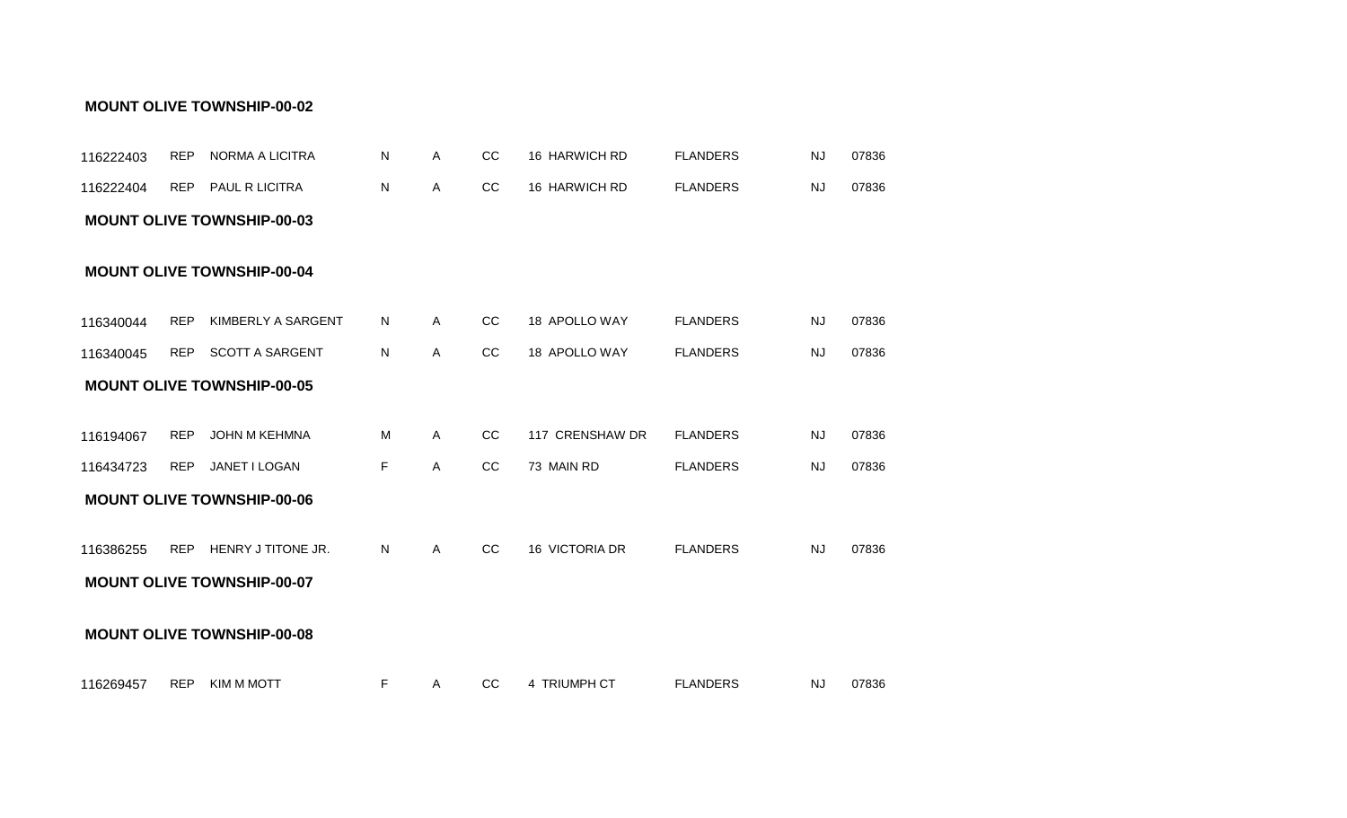| 116222403 | <b>REP</b> | NORMA A LICITRA                   | Ν  | Α | CC | 16 HARWICH RD   | <b>FLANDERS</b> | <b>NJ</b> | 07836 |
|-----------|------------|-----------------------------------|----|---|----|-----------------|-----------------|-----------|-------|
| 116222404 | <b>REP</b> | PAUL R LICITRA                    | N  | Α | cc | 16 HARWICH RD   | <b>FLANDERS</b> | <b>NJ</b> | 07836 |
|           |            | <b>MOUNT OLIVE TOWNSHIP-00-03</b> |    |   |    |                 |                 |           |       |
|           |            | <b>MOUNT OLIVE TOWNSHIP-00-04</b> |    |   |    |                 |                 |           |       |
| 116340044 | <b>REP</b> | KIMBERLY A SARGENT                | N  | A | CC | 18 APOLLO WAY   | <b>FLANDERS</b> | <b>NJ</b> | 07836 |
| 116340045 | REP        | <b>SCOTT A SARGENT</b>            | N  | A | cc | 18 APOLLO WAY   | <b>FLANDERS</b> | <b>NJ</b> | 07836 |
|           |            | <b>MOUNT OLIVE TOWNSHIP-00-05</b> |    |   |    |                 |                 |           |       |
|           |            |                                   |    |   |    |                 |                 |           |       |
| 116194067 | <b>REP</b> | JOHN M KEHMNA                     | M  | A | CC | 117 CRENSHAW DR | <b>FLANDERS</b> | <b>NJ</b> | 07836 |
| 116434723 | <b>REP</b> | JANET I LOGAN                     | F. | A | CC | 73 MAIN RD      | <b>FLANDERS</b> | <b>NJ</b> | 07836 |
|           |            | <b>MOUNT OLIVE TOWNSHIP-00-06</b> |    |   |    |                 |                 |           |       |
| 116386255 | <b>REP</b> | HENRY J TITONE JR.                | N  | A | CC | 16 VICTORIA DR  | <b>FLANDERS</b> | <b>NJ</b> | 07836 |
|           |            | <b>MOUNT OLIVE TOWNSHIP-00-07</b> |    |   |    |                 |                 |           |       |
|           |            | <b>MOUNT OLIVE TOWNSHIP-00-08</b> |    |   |    |                 |                 |           |       |
| 116269457 | <b>REP</b> | KIM M MOTT                        | F  | A | CC | 4 TRIUMPH CT    | <b>FLANDERS</b> | <b>NJ</b> | 07836 |

#### **MOUNT OLIVE TOWNSHIP-00-02**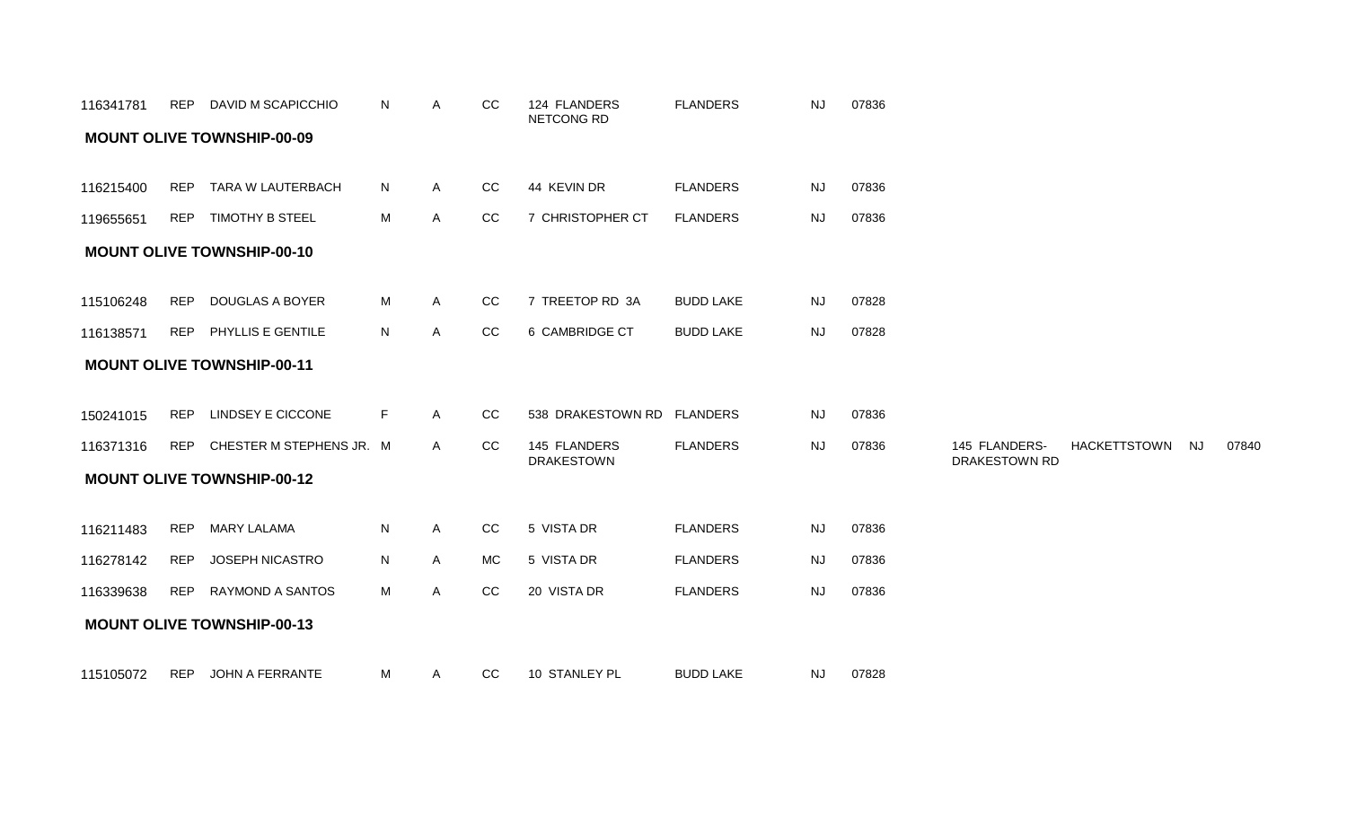| 116341781 |            | REP DAVID M SCAPICCHIO            | N  | A            | CC        | 124 FLANDERS<br>NETCONG RD        | <b>FLANDERS</b>  | <b>NJ</b> | 07836 |                                       |                     |           |       |
|-----------|------------|-----------------------------------|----|--------------|-----------|-----------------------------------|------------------|-----------|-------|---------------------------------------|---------------------|-----------|-------|
|           |            | <b>MOUNT OLIVE TOWNSHIP-00-09</b> |    |              |           |                                   |                  |           |       |                                       |                     |           |       |
| 116215400 | REP        | TARA W LAUTERBACH                 | N  | A            | CC        | 44 KEVIN DR                       | <b>FLANDERS</b>  | NJ        | 07836 |                                       |                     |           |       |
| 119655651 |            | REP TIMOTHY B STEEL               | M  | A            | CC        | 7 CHRISTOPHER CT                  | <b>FLANDERS</b>  | NJ        | 07836 |                                       |                     |           |       |
|           |            | <b>MOUNT OLIVE TOWNSHIP-00-10</b> |    |              |           |                                   |                  |           |       |                                       |                     |           |       |
| 115106248 |            | REP DOUGLAS A BOYER               | М  | A            | CC        | 7 TREETOP RD 3A                   | <b>BUDD LAKE</b> | <b>NJ</b> | 07828 |                                       |                     |           |       |
| 116138571 |            | REP PHYLLIS E GENTILE             | N  | A            | CC        | 6 CAMBRIDGE CT                    | <b>BUDD LAKE</b> | NJ        | 07828 |                                       |                     |           |       |
|           |            | <b>MOUNT OLIVE TOWNSHIP-00-11</b> |    |              |           |                                   |                  |           |       |                                       |                     |           |       |
| 150241015 | <b>REP</b> | <b>LINDSEY E CICCONE</b>          | F. | A            | CC        | 538 DRAKESTOWN RD FLANDERS        |                  | <b>NJ</b> | 07836 |                                       |                     |           |       |
| 116371316 |            | REP CHESTER M STEPHENS JR. M      |    | A            | CC        | 145 FLANDERS<br><b>DRAKESTOWN</b> | <b>FLANDERS</b>  | NJ        | 07836 | 145 FLANDERS-<br><b>DRAKESTOWN RD</b> | <b>HACKETTSTOWN</b> | <b>NJ</b> | 07840 |
|           |            | <b>MOUNT OLIVE TOWNSHIP-00-12</b> |    |              |           |                                   |                  |           |       |                                       |                     |           |       |
| 116211483 | REP        | <b>MARY LALAMA</b>                | N  | A            | CC        | 5 VISTA DR                        | <b>FLANDERS</b>  | NJ        | 07836 |                                       |                     |           |       |
| 116278142 | <b>REP</b> | JOSEPH NICASTRO                   | N  | $\mathsf{A}$ | <b>MC</b> | 5 VISTA DR                        | <b>FLANDERS</b>  | NJ        | 07836 |                                       |                     |           |       |
| 116339638 |            | REP RAYMOND A SANTOS              | М  | A            | CC        | 20 VISTA DR                       | <b>FLANDERS</b>  | NJ        | 07836 |                                       |                     |           |       |
|           |            | <b>MOUNT OLIVE TOWNSHIP-00-13</b> |    |              |           |                                   |                  |           |       |                                       |                     |           |       |
| 115105072 | REP        | JOHN A FERRANTE                   | М  | $\mathsf{A}$ | CC        | 10 STANLEY PL                     | <b>BUDD LAKE</b> | <b>NJ</b> | 07828 |                                       |                     |           |       |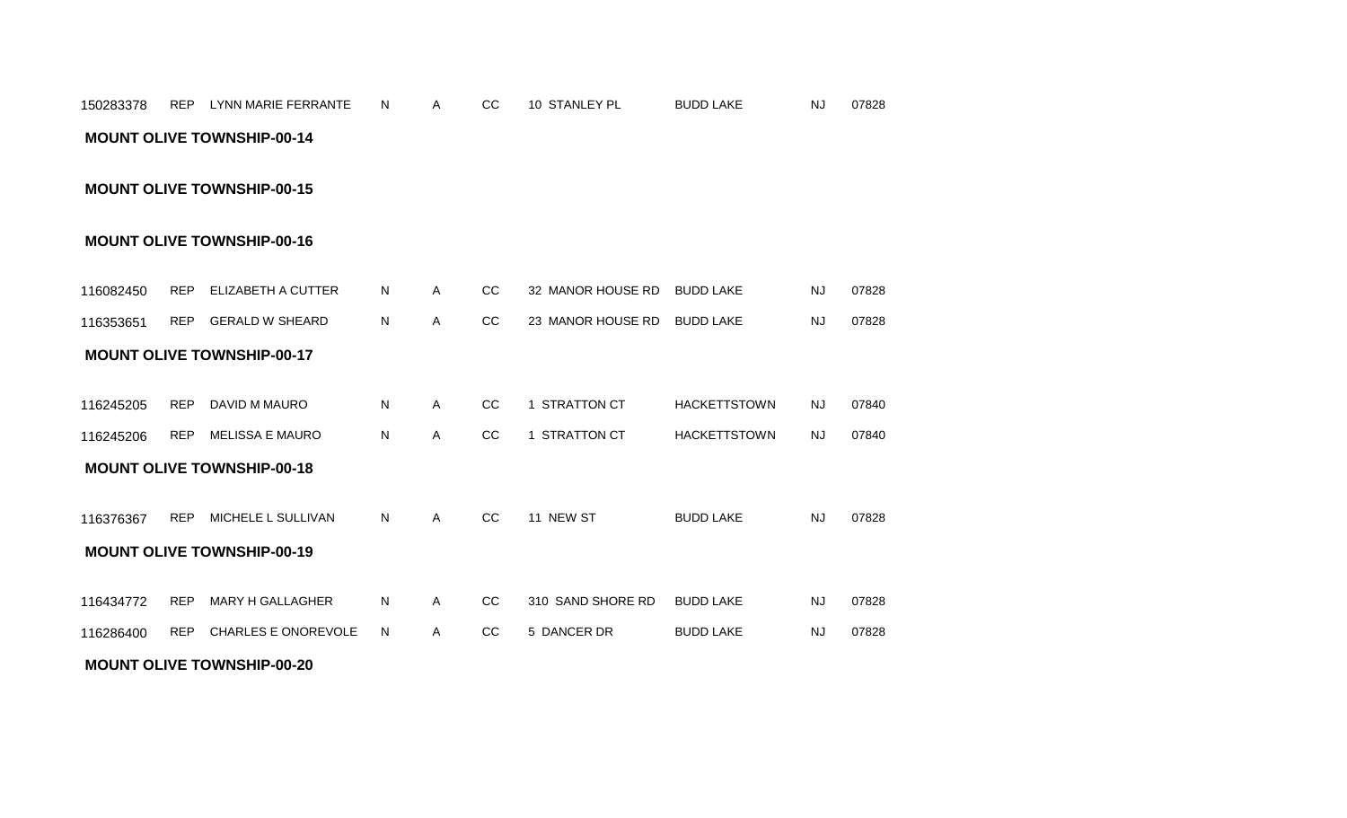# REP LYNN MARIE FERRANTE A CC 10 STANLEY PL 07828 150283378 N BUDD LAKE NJ **MOUNT OLIVE TOWNSHIP-00-14**

**MOUNT OLIVE TOWNSHIP-00-15**

## **MOUNT OLIVE TOWNSHIP-00-16**

| 116082450 | <b>REP</b> | ELIZABETH A CUTTER                | N  | A            | <sub>CC</sub> | 32 MANOR HOUSE RD | <b>BUDD LAKE</b>    | <b>NJ</b> | 07828 |
|-----------|------------|-----------------------------------|----|--------------|---------------|-------------------|---------------------|-----------|-------|
| 116353651 | <b>REP</b> | <b>GERALD W SHEARD</b>            | N  | A            | CC            | 23 MANOR HOUSE RD | <b>BUDD LAKE</b>    | <b>NJ</b> | 07828 |
|           |            | <b>MOUNT OLIVE TOWNSHIP-00-17</b> |    |              |               |                   |                     |           |       |
|           |            |                                   |    |              |               |                   |                     |           |       |
| 116245205 | <b>REP</b> | DAVID M MAURO                     | N  | $\mathsf{A}$ | CC            | 1 STRATTON CT     | <b>HACKETTSTOWN</b> | <b>NJ</b> | 07840 |
| 116245206 | <b>REP</b> | <b>MELISSA E MAURO</b>            | N  | A            | CC            | 1 STRATTON CT     | <b>HACKETTSTOWN</b> | NJ.       | 07840 |
|           |            | <b>MOUNT OLIVE TOWNSHIP-00-18</b> |    |              |               |                   |                     |           |       |
|           |            |                                   |    |              |               |                   |                     |           |       |
| 116376367 | <b>REP</b> | MICHELE L SULLIVAN                | N. | A            | CC            | 11 NEW ST         | <b>BUDD LAKE</b>    | <b>NJ</b> | 07828 |
|           |            | <b>MOUNT OLIVE TOWNSHIP-00-19</b> |    |              |               |                   |                     |           |       |
|           |            |                                   |    |              |               |                   |                     |           |       |
| 116434772 | REP        | MARY H GALLAGHER                  | N. | A            | CC            | 310 SAND SHORE RD | <b>BUDD LAKE</b>    | <b>NJ</b> | 07828 |
| 116286400 | <b>REP</b> | <b>CHARLES E ONOREVOLE</b>        | N. | A            | CC            | 5 DANCER DR       | <b>BUDD LAKE</b>    | <b>NJ</b> | 07828 |
|           |            | <b>MOUNT OLIVE TOWNSHIP-00-20</b> |    |              |               |                   |                     |           |       |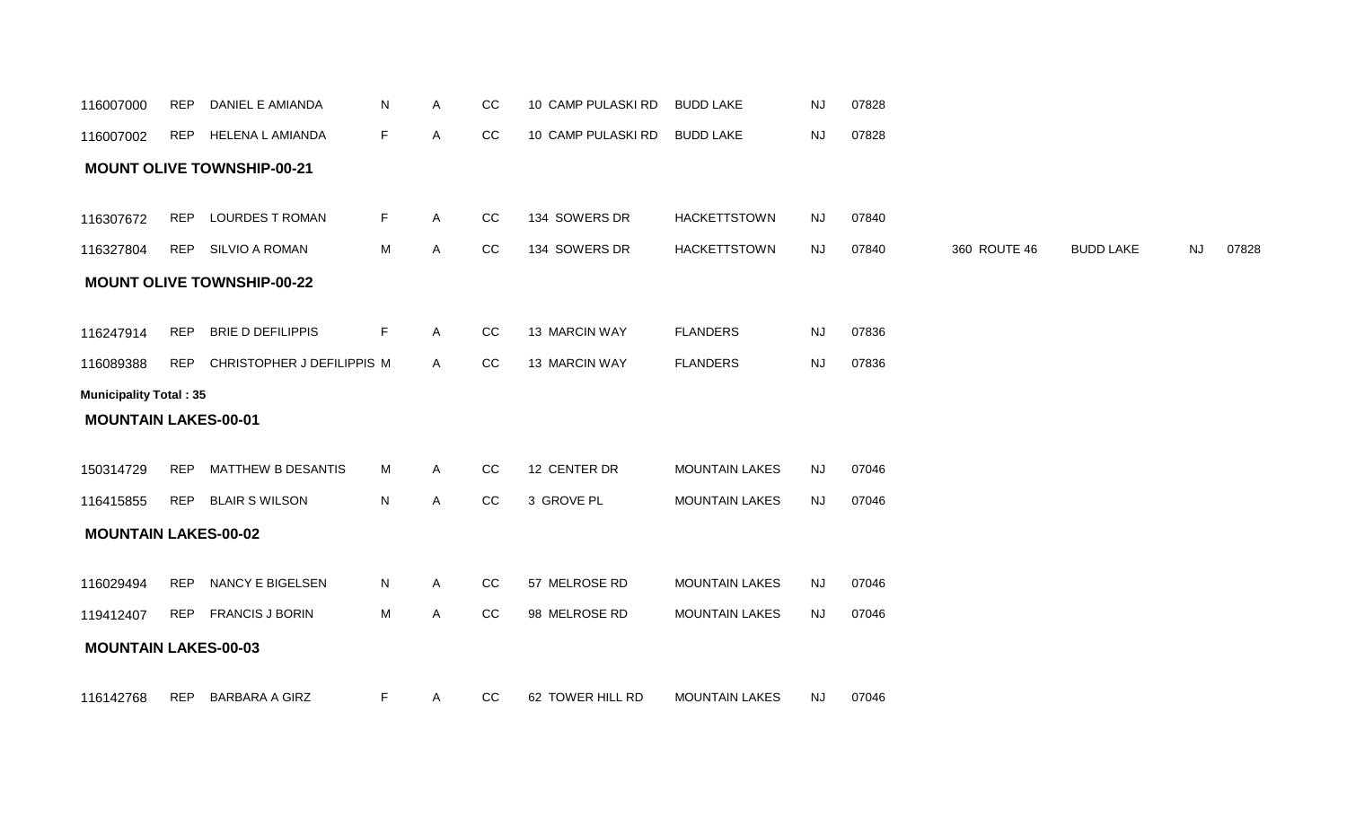| 116007000                     | <b>REP</b> | DANIEL E AMIANDA                  | N  | A            | $_{\rm CC}$ | 10 CAMP PULASKI RD | <b>BUDD LAKE</b>      | NJ        | 07828 |              |                  |           |       |
|-------------------------------|------------|-----------------------------------|----|--------------|-------------|--------------------|-----------------------|-----------|-------|--------------|------------------|-----------|-------|
| 116007002                     |            | REP HELENA L AMIANDA              | F  | A            | CC          | 10 CAMP PULASKI RD | <b>BUDD LAKE</b>      | <b>NJ</b> | 07828 |              |                  |           |       |
|                               |            | <b>MOUNT OLIVE TOWNSHIP-00-21</b> |    |              |             |                    |                       |           |       |              |                  |           |       |
| 116307672                     | REP        | <b>LOURDES T ROMAN</b>            | F. | $\mathsf{A}$ | CC          | 134 SOWERS DR      | <b>HACKETTSTOWN</b>   | <b>NJ</b> | 07840 |              |                  |           |       |
| 116327804                     |            | REP SILVIO A ROMAN                | M  | A            | CC          | 134 SOWERS DR      | <b>HACKETTSTOWN</b>   | <b>NJ</b> | 07840 | 360 ROUTE 46 | <b>BUDD LAKE</b> | <b>NJ</b> | 07828 |
|                               |            | <b>MOUNT OLIVE TOWNSHIP-00-22</b> |    |              |             |                    |                       |           |       |              |                  |           |       |
| 116247914                     | <b>REP</b> | BRIE D DEFILIPPIS                 | F. | $\mathsf{A}$ | CC          | 13 MARCIN WAY      | <b>FLANDERS</b>       | NJ        | 07836 |              |                  |           |       |
| 116089388                     |            | REP CHRISTOPHER J DEFILIPPIS M    |    | $\mathsf{A}$ | CC          | 13 MARCIN WAY      | <b>FLANDERS</b>       | <b>NJ</b> | 07836 |              |                  |           |       |
| <b>Municipality Total: 35</b> |            |                                   |    |              |             |                    |                       |           |       |              |                  |           |       |
| <b>MOUNTAIN LAKES-00-01</b>   |            |                                   |    |              |             |                    |                       |           |       |              |                  |           |       |
| 150314729                     | REP        | MATTHEW B DESANTIS                | M  | $\mathsf{A}$ | cc          | 12 CENTER DR       | <b>MOUNTAIN LAKES</b> | <b>NJ</b> | 07046 |              |                  |           |       |
| 116415855                     |            | REP BLAIR S WILSON                | N  | $\mathsf{A}$ | CC          | 3 GROVE PL         | <b>MOUNTAIN LAKES</b> | <b>NJ</b> | 07046 |              |                  |           |       |
| <b>MOUNTAIN LAKES-00-02</b>   |            |                                   |    |              |             |                    |                       |           |       |              |                  |           |       |
| 116029494                     |            | REP NANCY E BIGELSEN              | N  | $\mathsf{A}$ | cc          | 57 MELROSE RD      | <b>MOUNTAIN LAKES</b> | <b>NJ</b> | 07046 |              |                  |           |       |
| 119412407                     |            | REP FRANCIS J BORIN               | M  | A            | CC          | 98 MELROSE RD      | <b>MOUNTAIN LAKES</b> | <b>NJ</b> | 07046 |              |                  |           |       |
| <b>MOUNTAIN LAKES-00-03</b>   |            |                                   |    |              |             |                    |                       |           |       |              |                  |           |       |
| 116142768                     | <b>REP</b> | BARBARA A GIRZ                    | F  | A            | CC          | 62 TOWER HILL RD   | <b>MOUNTAIN LAKES</b> | <b>NJ</b> | 07046 |              |                  |           |       |
|                               |            |                                   |    |              |             |                    |                       |           |       |              |                  |           |       |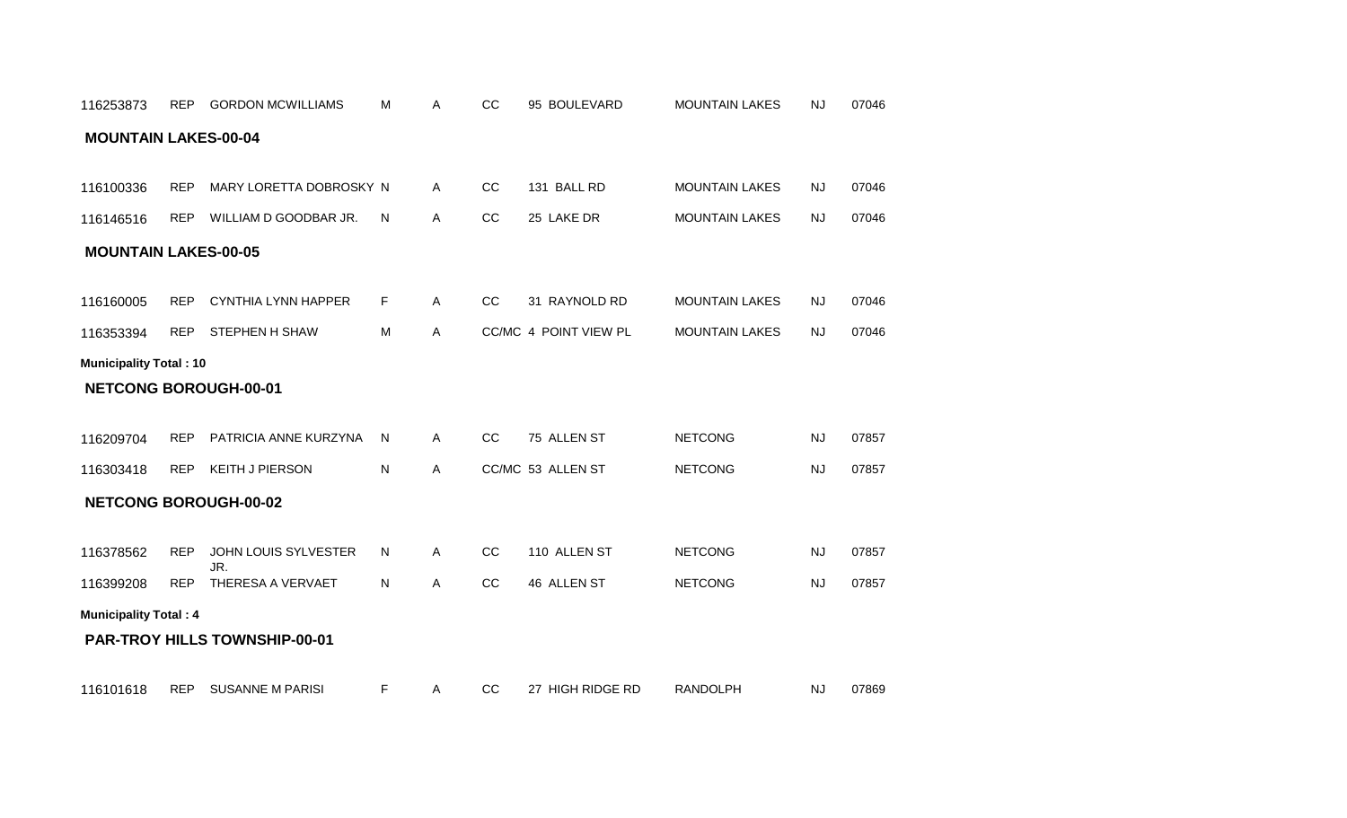| <b>MOUNTAIN LAKES-00-05</b>   |            |                                      |           |              |    |                       |                       |           |       |
|-------------------------------|------------|--------------------------------------|-----------|--------------|----|-----------------------|-----------------------|-----------|-------|
| 116160005                     | <b>REP</b> | <b>CYNTHIA LYNN HAPPER</b>           | F         | $\mathsf{A}$ | CC | 31 RAYNOLD RD         | <b>MOUNTAIN LAKES</b> | NJ        | 07046 |
| 116353394                     | <b>REP</b> | STEPHEN H SHAW                       | M         | $\mathsf{A}$ |    | CC/MC 4 POINT VIEW PL | <b>MOUNTAIN LAKES</b> | <b>NJ</b> | 07046 |
| <b>Municipality Total: 10</b> |            |                                      |           |              |    |                       |                       |           |       |
|                               |            | <b>NETCONG BOROUGH-00-01</b>         |           |              |    |                       |                       |           |       |
|                               |            |                                      |           |              |    |                       |                       |           |       |
| 116209704                     | REP        | PATRICIA ANNE KURZYNA                | N.        | $\mathsf{A}$ | CC | 75 ALLEN ST           | <b>NETCONG</b>        | NJ        | 07857 |
| 116303418                     | <b>REP</b> | <b>KEITH J PIERSON</b>               | ${\sf N}$ | $\mathsf{A}$ |    | CC/MC 53 ALLEN ST     | <b>NETCONG</b>        | <b>NJ</b> | 07857 |
|                               |            | <b>NETCONG BOROUGH-00-02</b>         |           |              |    |                       |                       |           |       |
|                               |            |                                      |           |              |    |                       |                       |           |       |
| 116378562                     | <b>REP</b> | JOHN LOUIS SYLVESTER<br>JR.          | N         | $\mathsf{A}$ | CC | 110 ALLEN ST          | <b>NETCONG</b>        | <b>NJ</b> | 07857 |
| 116399208                     | <b>REP</b> | THERESA A VERVAET                    | N         | $\mathsf{A}$ | CC | 46 ALLEN ST           | <b>NETCONG</b>        | <b>NJ</b> | 07857 |
| <b>Municipality Total: 4</b>  |            |                                      |           |              |    |                       |                       |           |       |
|                               |            | <b>PAR-TROY HILLS TOWNSHIP-00-01</b> |           |              |    |                       |                       |           |       |
|                               |            |                                      |           |              |    |                       |                       |           |       |

116101618 REP SUSANNE M PARISI F A CC 27 HIGH RIDGE RD RANDOLPH NJ 07869

# **MOUNTAIN LAKES-00-04**

REP GORDON MCWILLIAMS A CC 95 BOULEVARD 07046 116253873 M MOUNTAIN LAKES NJ

116100336 REP MARY LORETTA DOBROSKY N A CC 131 BALL RD MOUNTAIN LAKES NJ 07046

REP WILLIAM D GOODBAR JR. A CC 25 LAKE DR 07046 116146516 N MOUNTAIN LAKES NJ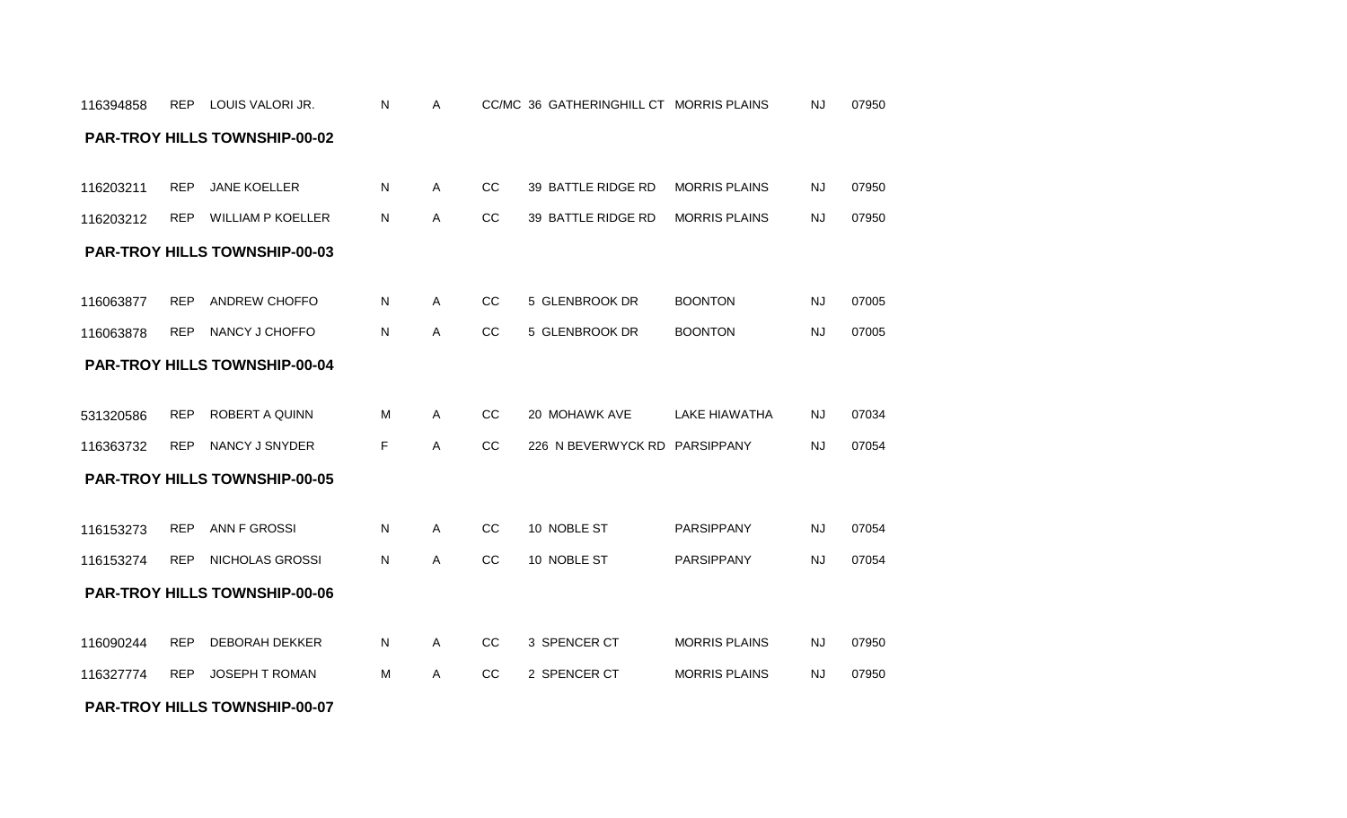#### **PAR-TROY HILLS TOWNSHIP-00-07**

|           |            | <b>PAR-TROY HILLS TOWNSHIP-00-03</b> |   |              |               |                               |                      |           |       |
|-----------|------------|--------------------------------------|---|--------------|---------------|-------------------------------|----------------------|-----------|-------|
| 116063877 | <b>REP</b> | ANDREW CHOFFO                        | N | A            | CC            | 5 GLENBROOK DR                | <b>BOONTON</b>       | <b>NJ</b> | 07005 |
| 116063878 | <b>REP</b> | NANCY J CHOFFO                       | N | A            | <sub>CC</sub> | 5 GLENBROOK DR                | <b>BOONTON</b>       | <b>NJ</b> | 07005 |
|           |            | <b>PAR-TROY HILLS TOWNSHIP-00-04</b> |   |              |               |                               |                      |           |       |
| 531320586 | <b>REP</b> | <b>ROBERT A QUINN</b>                | M | $\mathsf{A}$ | CC            | 20 MOHAWK AVE                 | <b>LAKE HIAWATHA</b> | <b>NJ</b> | 07034 |
| 116363732 | <b>REP</b> | NANCY J SNYDER                       | F | A            | <b>CC</b>     | 226 N BEVERWYCK RD PARSIPPANY |                      | <b>NJ</b> | 07054 |
|           |            | <b>PAR-TROY HILLS TOWNSHIP-00-05</b> |   |              |               |                               |                      |           |       |
| 116153273 | <b>REP</b> | ANN F GROSSI                         | N | A            | CC            | 10 NOBLE ST                   | <b>PARSIPPANY</b>    | NJ        | 07054 |
| 116153274 | <b>REP</b> | NICHOLAS GROSSI                      | N | $\mathsf{A}$ | <b>CC</b>     | 10 NOBLE ST                   | <b>PARSIPPANY</b>    | NJ        | 07054 |
|           |            | <b>PAR-TROY HILLS TOWNSHIP-00-06</b> |   |              |               |                               |                      |           |       |
| 116090244 | <b>REP</b> | <b>DEBORAH DEKKER</b>                | N | $\mathsf{A}$ | CC            | 3 SPENCER CT                  | <b>MORRIS PLAINS</b> | <b>NJ</b> | 07950 |
| 116327774 | <b>REP</b> | <b>JOSEPH T ROMAN</b>                | м | A            | <b>CC</b>     | 2 SPENCER CT                  | <b>MORRIS PLAINS</b> | <b>NJ</b> | 07950 |

#### 116203212 REP WILLIAM P KOELLER

|  | 116203211 REP JANE KOELLER      |   |  | CC 39 BATTLE RIDGE RD MORRIS PLAINS |  | 07950 |  |
|--|---------------------------------|---|--|-------------------------------------|--|-------|--|
|  | 116203212 REP WILLIAM P KOELLER | N |  | CC 39 BATTLE RIDGE RD MORRIS PLAINS |  | 07950 |  |

#### **PAR-TROY HILLS TOWNSHIP-00-02**

REP LOUIS VALORI JR. A CC/MC 36 GATHERINGHILL CT 07950 116394858 N MORRIS PLAINS NJ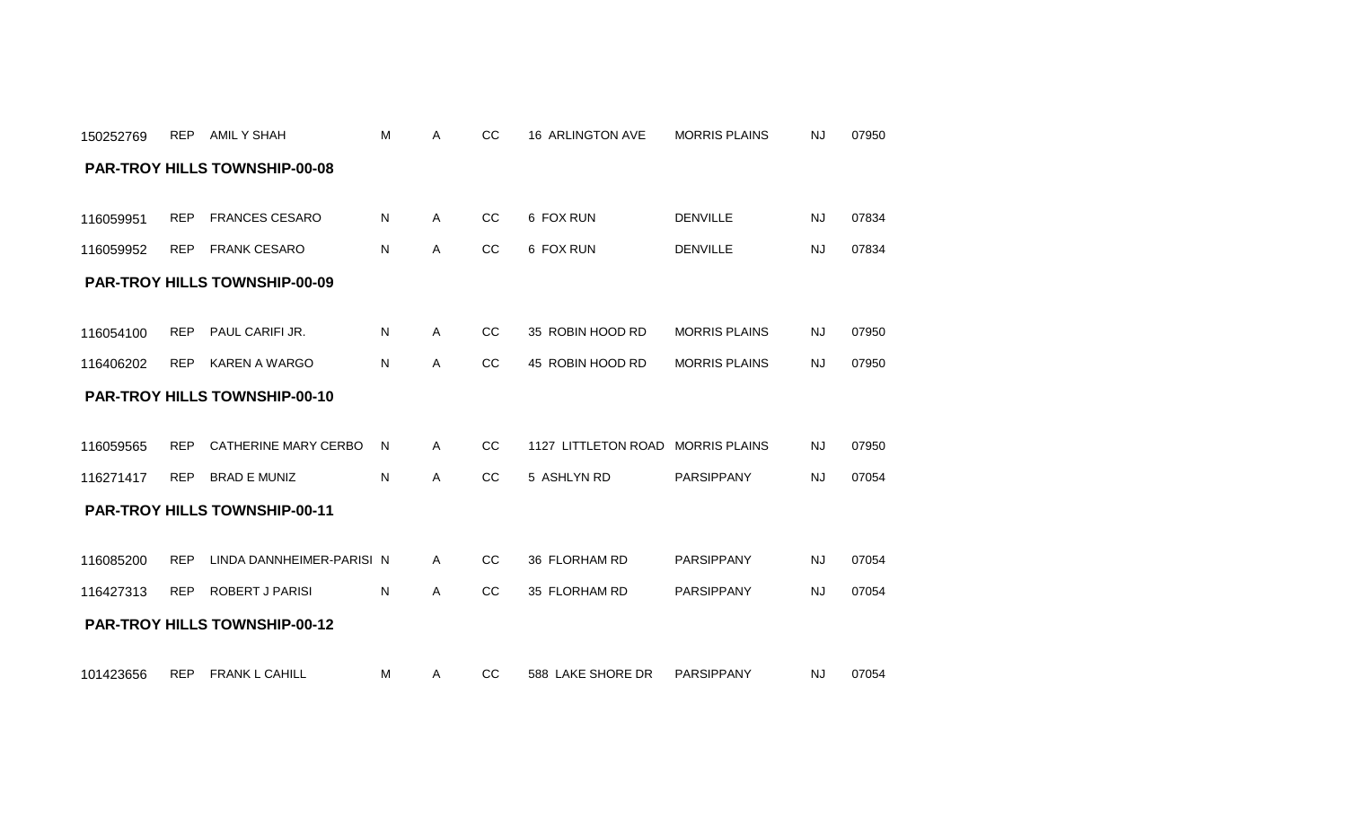| <b>PAR-TROY HILLS TOWNSHIP-00-08</b> |            |                                      |    |              |               |                                   |                      |           |       |  |  |  |  |
|--------------------------------------|------------|--------------------------------------|----|--------------|---------------|-----------------------------------|----------------------|-----------|-------|--|--|--|--|
| 116059951                            | <b>REP</b> | <b>FRANCES CESARO</b>                | N  | $\mathsf{A}$ | cc            | 6 FOX RUN                         | <b>DENVILLE</b>      | <b>NJ</b> | 07834 |  |  |  |  |
| 116059952                            | <b>REP</b> | FRANK CESARO                         | N. | A            | <sub>CC</sub> | 6 FOX RUN                         | <b>DENVILLE</b>      | <b>NJ</b> | 07834 |  |  |  |  |
|                                      |            | <b>PAR-TROY HILLS TOWNSHIP-00-09</b> |    |              |               |                                   |                      |           |       |  |  |  |  |
| 116054100                            | <b>REP</b> | PAUL CARIFI JR.                      | N  | $\mathsf{A}$ | CC            | 35 ROBIN HOOD RD                  | <b>MORRIS PLAINS</b> | NJ.       | 07950 |  |  |  |  |
| 116406202                            | <b>REP</b> | KAREN A WARGO                        | N  | $\mathsf{A}$ | cc            | 45 ROBIN HOOD RD                  | <b>MORRIS PLAINS</b> | <b>NJ</b> | 07950 |  |  |  |  |
|                                      |            | <b>PAR-TROY HILLS TOWNSHIP-00-10</b> |    |              |               |                                   |                      |           |       |  |  |  |  |
| 116059565                            | <b>REP</b> | CATHERINE MARY CERBO                 | N  | $\mathsf{A}$ | CC            | 1127 LITTLETON ROAD MORRIS PLAINS |                      | <b>NJ</b> | 07950 |  |  |  |  |
| 116271417                            |            | REP BRAD E MUNIZ                     | N  | A            | CC            | 5 ASHLYN RD                       | <b>PARSIPPANY</b>    | <b>NJ</b> | 07054 |  |  |  |  |
|                                      |            | <b>PAR-TROY HILLS TOWNSHIP-00-11</b> |    |              |               |                                   |                      |           |       |  |  |  |  |
| 116085200                            | <b>REP</b> | LINDA DANNHEIMER-PARISI N            |    | A            | cc            | 36 FLORHAM RD                     | <b>PARSIPPANY</b>    | <b>NJ</b> | 07054 |  |  |  |  |
| 116427313                            |            | REP ROBERT J PARISI                  | N  | A            | CC            | 35 FLORHAM RD                     | <b>PARSIPPANY</b>    | <b>NJ</b> | 07054 |  |  |  |  |
|                                      |            | <b>PAR-TROY HILLS TOWNSHIP-00-12</b> |    |              |               |                                   |                      |           |       |  |  |  |  |

150252769 REP AMILYSHAH M

101423656 REP FRANK L CAHILL M A CC 588 LAKE SHORE DR PARSIPPANY NJ 07054

A CC 16 ARLINGTON AVE MORRIS PLAINS NJ 07950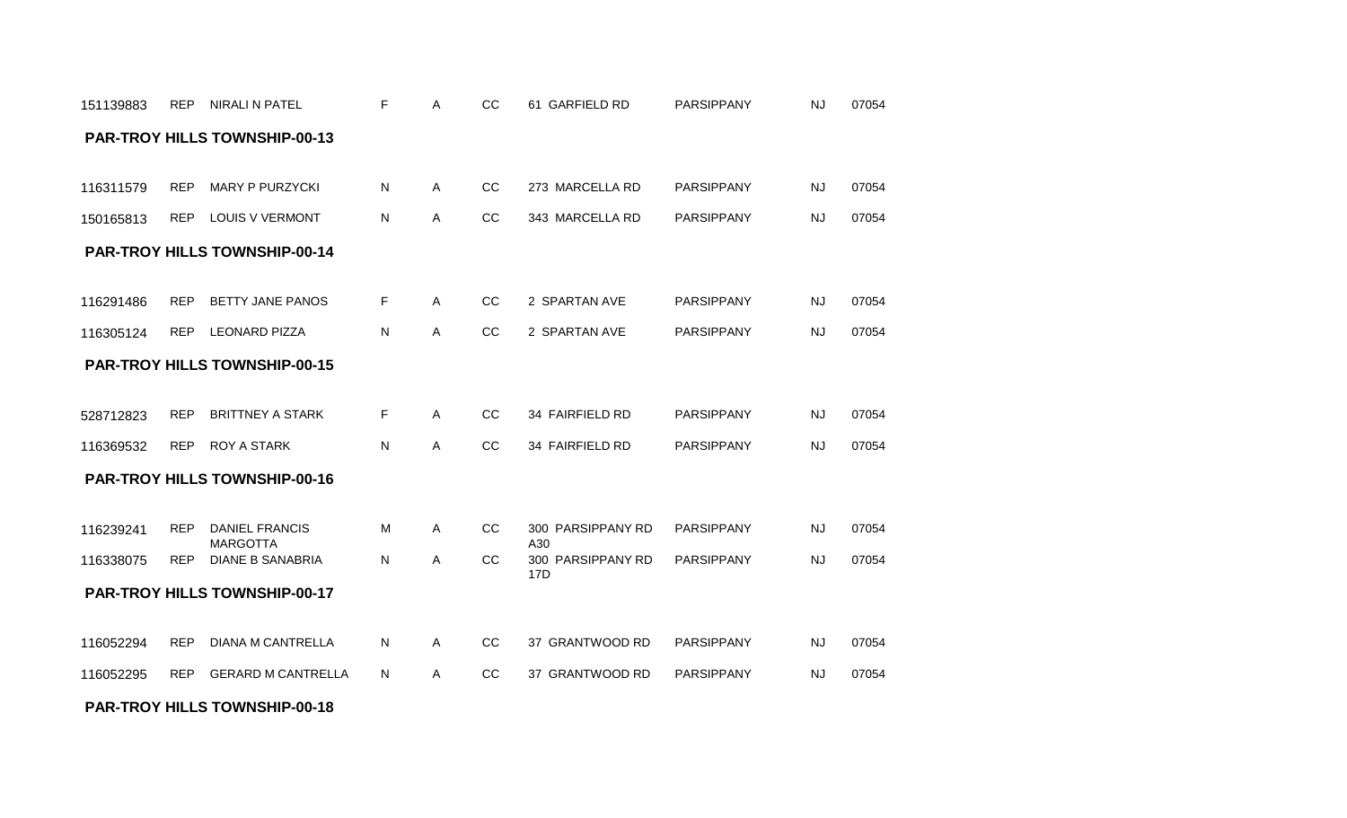#### **PAR-TROY HILLS TOWNSHIP-00-18**

| 116369532 | <b>REP</b>                           | <b>ROY A STARK</b>                       | N | A | CC. | 34 FAIRFIELD RD             | <b>PARSIPPANY</b> | <b>NJ</b> | 07054 |  |  |  |  |  |
|-----------|--------------------------------------|------------------------------------------|---|---|-----|-----------------------------|-------------------|-----------|-------|--|--|--|--|--|
|           | <b>PAR-TROY HILLS TOWNSHIP-00-16</b> |                                          |   |   |     |                             |                   |           |       |  |  |  |  |  |
|           |                                      |                                          |   |   |     |                             |                   |           |       |  |  |  |  |  |
| 116239241 | <b>REP</b>                           | <b>DANIEL FRANCIS</b><br><b>MARGOTTA</b> | M | A | CC. | 300 PARSIPPANY RD<br>A30    | <b>PARSIPPANY</b> | <b>NJ</b> | 07054 |  |  |  |  |  |
| 116338075 | <b>REP</b>                           | DIANE B SANABRIA                         | N | A | CC. | PARSIPPANY RD<br>300<br>17D | PARSIPPANY        | NJ        | 07054 |  |  |  |  |  |
|           |                                      | <b>PAR-TROY HILLS TOWNSHIP-00-17</b>     |   |   |     |                             |                   |           |       |  |  |  |  |  |
|           |                                      |                                          |   |   |     |                             |                   |           |       |  |  |  |  |  |
| 116052294 | <b>REP</b>                           | DIANA M CANTRELLA                        | N | A | CC. | 37 GRANTWOOD RD             | PARSIPPANY        | <b>NJ</b> | 07054 |  |  |  |  |  |
| 116052295 | <b>REP</b>                           | <b>GERARD M CANTRELLA</b>                | N | A | CC. | 37 GRANTWOOD RD             | PARSIPPANY        | NJ        | 07054 |  |  |  |  |  |

## **PAR-TROY HILLS TOWNSHIP-00-15**

| 116291486 | REP BETTY JANE PANOS | and <b>F</b> and a | A | CC 2 SPARTAN AVE | PARSIPPANY | NJ. | 07054 |
|-----------|----------------------|--------------------|---|------------------|------------|-----|-------|
| 116305124 | REP LEONARD PIZZA    | N.                 |   | CC 2 SPARTAN AVE | PARSIPPANY | NJ. | 07054 |

528712823 REP BRITTNEY A STARK F A CC 34 FAIRFIELD RD PARSIPPANY NJ 07054

#### **PAR-TROY HILLS TOWNSHIP-00-14**

|  | 116311579 REP MARY P PURZYCKI | N. | A | CC 273 MARCELLA RD | PARSIPPANY | NJ  | 07054 |
|--|-------------------------------|----|---|--------------------|------------|-----|-------|
|  | 150165813 REP LOUIS V VERMONT | N  | A | CC 343 MARCELLA RD | PARSIPPANY | NJ. | 07054 |

#### **PAR-TROY HILLS TOWNSHIP-00-13**

| 151139883 | <b>REP</b> | NIRALI N PATEL |  |  | <b>~~</b><br>w | GARFIELD RD<br>-61 | <b>PARSIPPANY</b> | NJ | 07054 |  |
|-----------|------------|----------------|--|--|----------------|--------------------|-------------------|----|-------|--|
|-----------|------------|----------------|--|--|----------------|--------------------|-------------------|----|-------|--|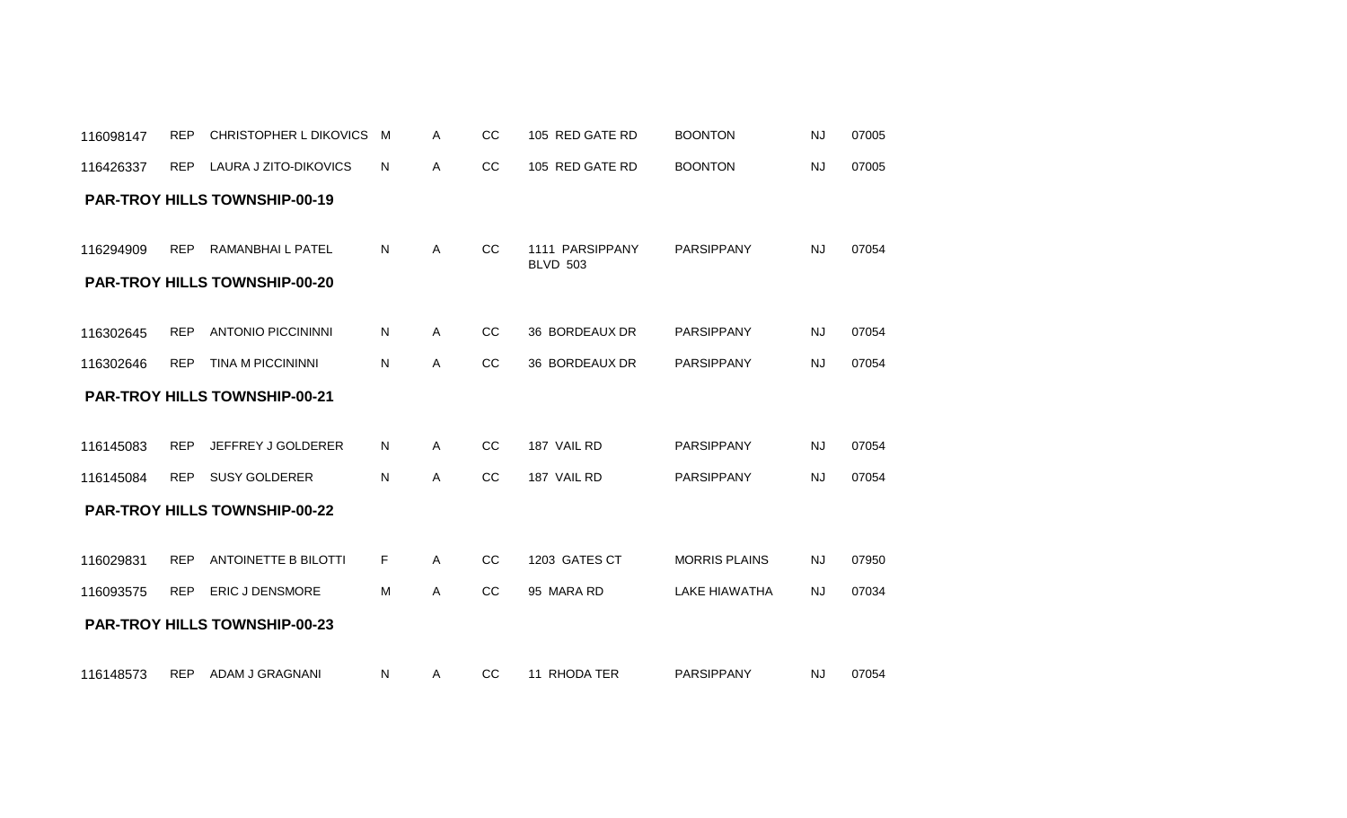| 116426337 | <b>REP</b> | LAURA J ZITO-DIKOVICS                                           | N  | A            | CC            | 105 RED GATE RD                    | <b>BOONTON</b>       | <b>NJ</b> | 07005 |
|-----------|------------|-----------------------------------------------------------------|----|--------------|---------------|------------------------------------|----------------------|-----------|-------|
|           |            | <b>PAR-TROY HILLS TOWNSHIP-00-19</b>                            |    |              |               |                                    |                      |           |       |
| 116294909 | <b>REP</b> | <b>RAMANBHAIL PATEL</b><br><b>PAR-TROY HILLS TOWNSHIP-00-20</b> | N. | $\mathsf{A}$ | <sub>CC</sub> | 1111 PARSIPPANY<br><b>BLVD 503</b> | <b>PARSIPPANY</b>    | <b>NJ</b> | 07054 |
|           | <b>REP</b> | <b>ANTONIO PICCININNI</b>                                       | N  | Α            | cc            | 36 BORDEAUX DR                     | <b>PARSIPPANY</b>    | <b>NJ</b> | 07054 |
| 116302645 |            |                                                                 |    |              |               |                                    |                      |           |       |
| 116302646 | <b>REP</b> | <b>TINA M PICCININNI</b>                                        | N  | $\mathsf{A}$ | CC            | 36 BORDEAUX DR                     | PARSIPPANY           | <b>NJ</b> | 07054 |
|           |            | <b>PAR-TROY HILLS TOWNSHIP-00-21</b>                            |    |              |               |                                    |                      |           |       |
|           | <b>REP</b> | JEFFREY J GOLDERER                                              | N  | $\mathsf{A}$ | CC            | 187 VAIL RD                        | PARSIPPANY           | <b>NJ</b> | 07054 |
| 116145083 |            |                                                                 |    |              |               |                                    |                      |           |       |
| 116145084 | <b>REP</b> | <b>SUSY GOLDERER</b>                                            | N  | $\mathsf{A}$ | CC            | 187 VAIL RD                        | <b>PARSIPPANY</b>    | <b>NJ</b> | 07054 |
|           |            | <b>PAR-TROY HILLS TOWNSHIP-00-22</b>                            |    |              |               |                                    |                      |           |       |
|           |            |                                                                 |    |              |               |                                    |                      |           |       |
| 116029831 | <b>REP</b> | <b>ANTOINETTE B BILOTTI</b>                                     | F. | A            | CC            | 1203 GATES CT                      | <b>MORRIS PLAINS</b> | <b>NJ</b> | 07950 |
| 116093575 | <b>REP</b> | <b>ERIC J DENSMORE</b>                                          | M  | Α            | CC            | 95 MARA RD                         | <b>LAKE HIAWATHA</b> | <b>NJ</b> | 07034 |
|           |            | <b>PAR-TROY HILLS TOWNSHIP-00-23</b>                            |    |              |               |                                    |                      |           |       |
| 116148573 | <b>REP</b> | ADAM J GRAGNANI                                                 | N  | A            | CC            | 11 RHODA TER                       | <b>PARSIPPANY</b>    | <b>NJ</b> | 07054 |

116098147 REP CHRISTOPHER L DIKOVICS M A CC 105 RED GATE RD BOONTON NJ 07005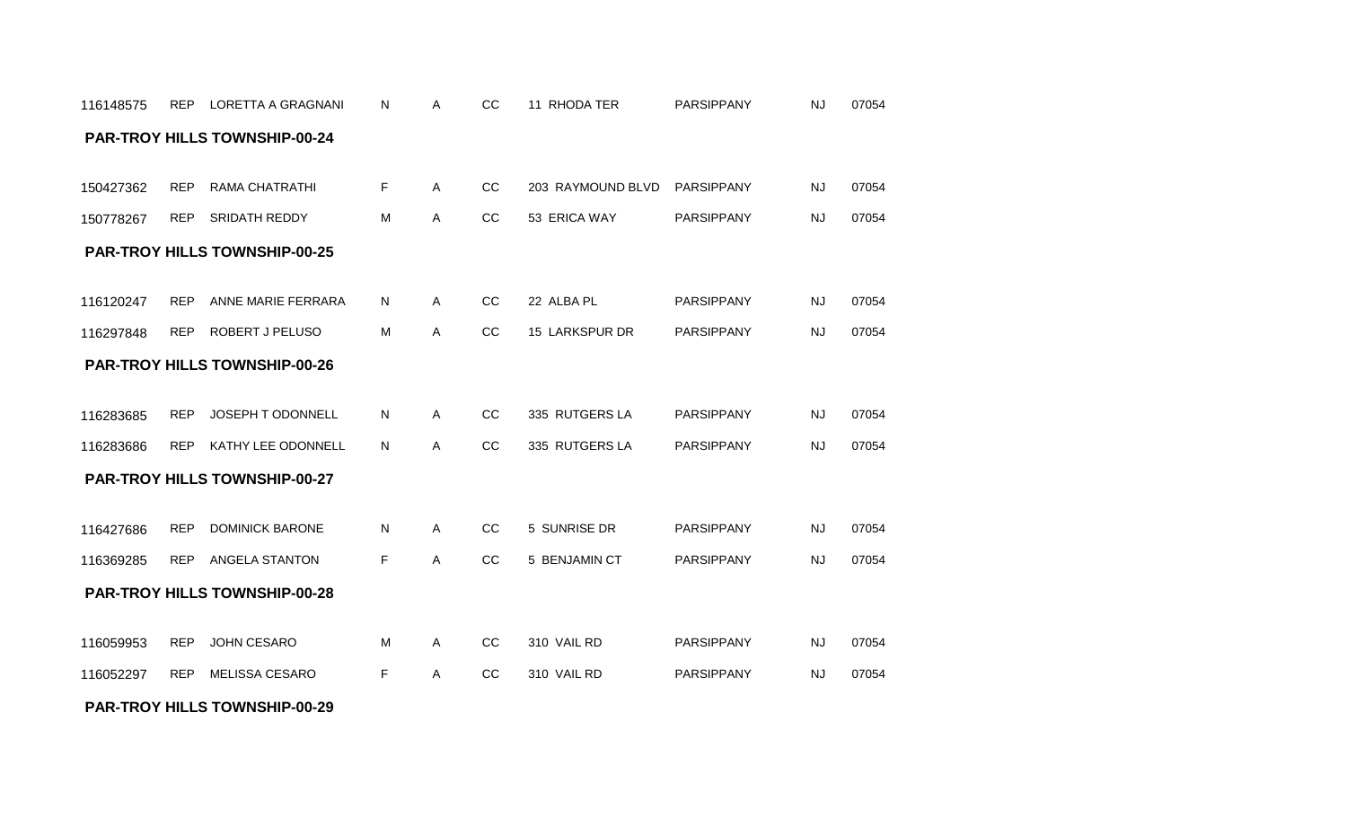#### **PAR-TROY HILLS TOWNSHIP-00-29**

| 150778267 | <b>REP</b> | <b>SRIDATH REDDY</b>                 | M  | Α            | CC            | 53 ERICA WAY   | PARSIPPANY        | <b>NJ</b> | 07054 |
|-----------|------------|--------------------------------------|----|--------------|---------------|----------------|-------------------|-----------|-------|
|           |            | <b>PAR-TROY HILLS TOWNSHIP-00-25</b> |    |              |               |                |                   |           |       |
|           |            |                                      |    |              |               |                |                   |           |       |
| 116120247 | <b>REP</b> | ANNE MARIE FERRARA                   | N. | A            | cc            | 22 ALBA PL     | PARSIPPANY        | <b>NJ</b> | 07054 |
| 116297848 | <b>REP</b> | ROBERT J PELUSO                      | м  | A            | CC            | 15 LARKSPUR DR | PARSIPPANY        | <b>NJ</b> | 07054 |
|           |            | <b>PAR-TROY HILLS TOWNSHIP-00-26</b> |    |              |               |                |                   |           |       |
|           |            |                                      |    |              |               |                |                   |           |       |
| 116283685 | <b>REP</b> | JOSEPH T ODONNELL                    | N  | $\mathsf{A}$ | CC            | 335 RUTGERS LA | PARSIPPANY        | NJ        | 07054 |
| 116283686 | <b>REP</b> | KATHY LEE ODONNELL                   | N  | Α            | CC            | 335 RUTGERS LA | <b>PARSIPPANY</b> | <b>NJ</b> | 07054 |
|           |            | <b>PAR-TROY HILLS TOWNSHIP-00-27</b> |    |              |               |                |                   |           |       |
|           |            |                                      |    |              |               |                |                   |           |       |
| 116427686 | <b>REP</b> | <b>DOMINICK BARONE</b>               | N  | $\mathsf{A}$ | CC            | 5 SUNRISE DR   | <b>PARSIPPANY</b> | <b>NJ</b> | 07054 |
| 116369285 | <b>REP</b> | ANGELA STANTON                       | F. | A            | <sub>CC</sub> | 5 BENJAMIN CT  | <b>PARSIPPANY</b> | <b>NJ</b> | 07054 |
|           |            | <b>PAR-TROY HILLS TOWNSHIP-00-28</b> |    |              |               |                |                   |           |       |
|           |            |                                      |    |              |               |                |                   |           |       |
| 116059953 | <b>REP</b> | <b>JOHN CESARO</b>                   | M  | A            | CC            | 310 VAIL RD    | PARSIPPANY        | <b>NJ</b> | 07054 |
| 116052297 | <b>REP</b> | <b>MELISSA CESARO</b>                | F  | A            | <sub>CC</sub> | 310 VAIL RD    | <b>PARSIPPANY</b> | <b>NJ</b> | 07054 |
|           |            |                                      |    |              |               |                |                   |           |       |

|           | 150427362 REP RAMA CHATRATHI |   |      | CC 203 RAYMOUND BLVD PARSIPPANY |            |      | 07054 |
|-----------|------------------------------|---|------|---------------------------------|------------|------|-------|
| 150778267 | REP SRIDATH REDDY            | M | CC C | 53 ERICA WAY                    | PARSIPPANY | NJ 1 | 07054 |

### **PAR-TROY HILLS TOWNSHIP-00-24**

116148575 REP LORETTA A GRAGNANI N A CC 11 RHODA TER PARSIPPANY NJ 07054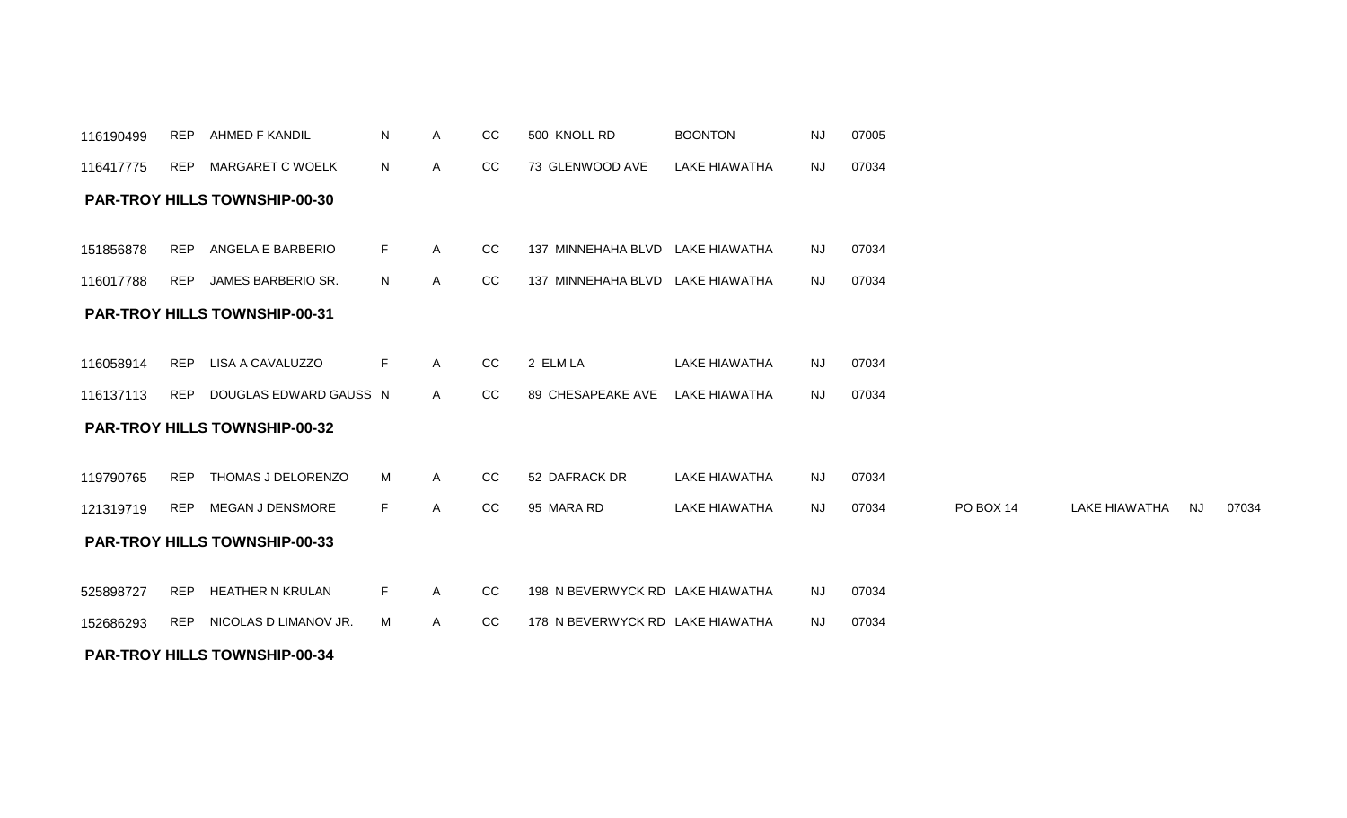| 151856878 | REP        | ANGELA E BARBERIO                    | F. | A            | <sub>CC</sub> | 137 MINNEHAHA BLVD LAKE HIAWATHA |               | <b>NJ</b> | 07034 |           |               |    |       |
|-----------|------------|--------------------------------------|----|--------------|---------------|----------------------------------|---------------|-----------|-------|-----------|---------------|----|-------|
| 116017788 | REP        | JAMES BARBERIO SR.                   | N  | $\mathsf{A}$ | CC            | 137 MINNEHAHA BLVD LAKE HIAWATHA |               | NJ        | 07034 |           |               |    |       |
|           |            | <b>PAR-TROY HILLS TOWNSHIP-00-31</b> |    |              |               |                                  |               |           |       |           |               |    |       |
| 116058914 | REP        | LISA A CAVALUZZO                     | F. | $\mathsf{A}$ | CC            | 2 ELM LA                         | LAKE HIAWATHA | NJ        | 07034 |           |               |    |       |
| 116137113 | REP        | DOUGLAS EDWARD GAUSS N               |    | A            | cc            | 89 CHESAPEAKE AVE                | LAKE HIAWATHA | NJ        | 07034 |           |               |    |       |
|           |            | <b>PAR-TROY HILLS TOWNSHIP-00-32</b> |    |              |               |                                  |               |           |       |           |               |    |       |
| 119790765 | REP        | THOMAS J DELORENZO                   | M  | $\mathsf{A}$ | CC            | 52 DAFRACK DR                    | LAKE HIAWATHA | NJ        | 07034 |           |               |    |       |
|           |            |                                      |    |              |               |                                  |               |           |       |           |               |    |       |
| 121319719 | REP        | MEGAN J DENSMORE                     | F. | A            | CC            | 95 MARA RD                       | LAKE HIAWATHA | NJ        | 07034 | PO BOX 14 | LAKE HIAWATHA | NJ | 07034 |
|           |            | <b>PAR-TROY HILLS TOWNSHIP-00-33</b> |    |              |               |                                  |               |           |       |           |               |    |       |
| 525898727 | <b>REP</b> | HEATHER N KRULAN                     | F  | $\mathsf{A}$ | CC.           | 198 N BEVERWYCK RD LAKE HIAWATHA |               | <b>NJ</b> | 07034 |           |               |    |       |
| 152686293 | REP        | NICOLAS D LIMANOV JR.                | м  | A            | CC            | 178 N BEVERWYCK RD LAKE HIAWATHA |               | NJ.       | 07034 |           |               |    |       |
|           |            |                                      |    |              |               |                                  |               |           |       |           |               |    |       |

#### **PAR-TROY HILLS TOWNSHIP-00-30**

**PAR-TROY HILLS TOWNSHIP-00-34**

| 116417775 | $5$ REP MARGARET C WOELK | N. | CC. | 73 GLENWOOD AVE | LAKE HIAWATHA | NJ | 07034 |  |
|-----------|--------------------------|----|-----|-----------------|---------------|----|-------|--|

116190499 REP AHMED F KANDIL N A CC 500 KNOLL RD BOONTON NJ 07005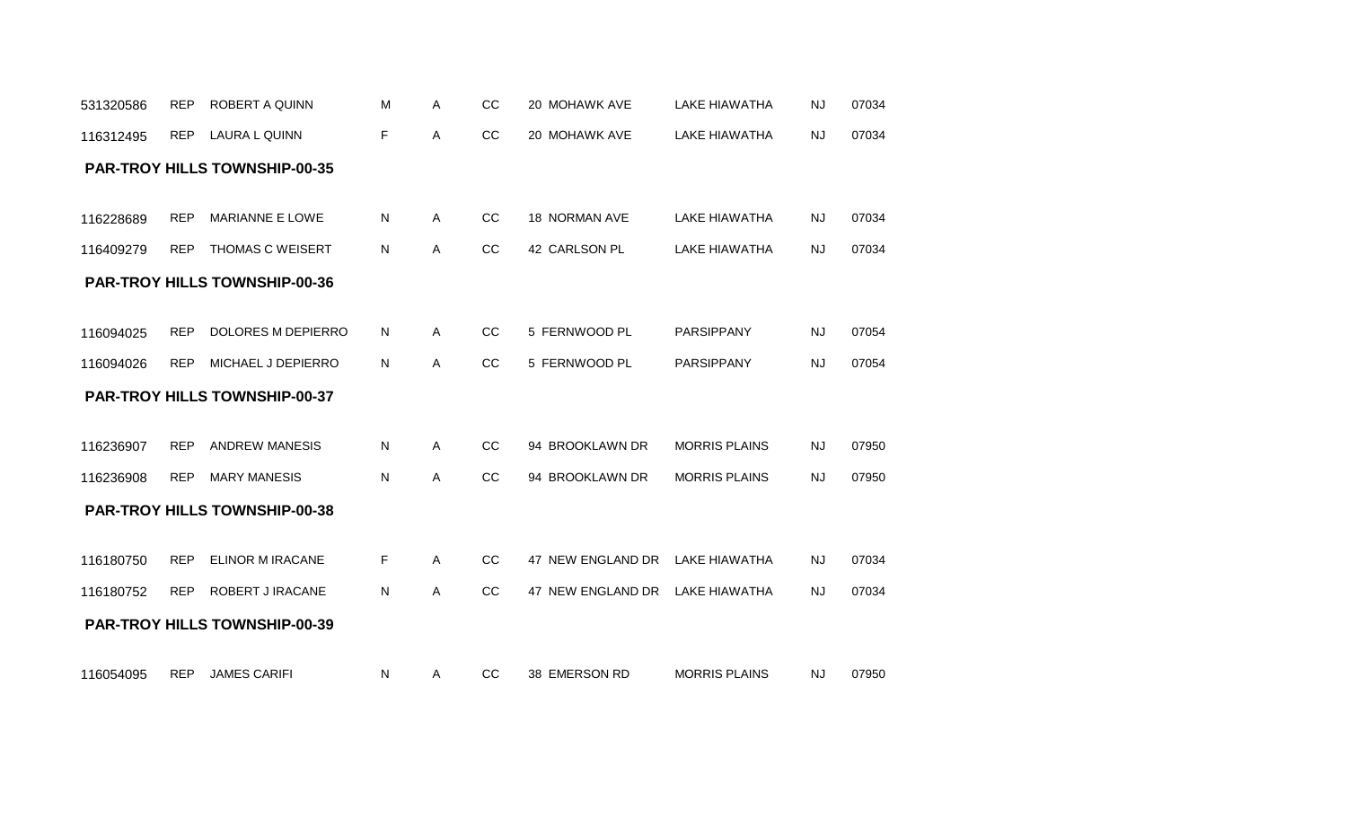| 116312495 | <b>REP</b> | LAURA L QUINN                        | F  | Α | CC        | 20 MOHAWK AVE     | <b>LAKE HIAWATHA</b> | <b>NJ</b> | 07034 |
|-----------|------------|--------------------------------------|----|---|-----------|-------------------|----------------------|-----------|-------|
|           |            | <b>PAR-TROY HILLS TOWNSHIP-00-35</b> |    |   |           |                   |                      |           |       |
|           |            |                                      |    |   |           |                   |                      |           |       |
| 116228689 | <b>REP</b> | MARIANNE E LOWE                      | N  | A | CC        | 18 NORMAN AVE     | <b>LAKE HIAWATHA</b> | <b>NJ</b> | 07034 |
| 116409279 | <b>REP</b> | THOMAS C WEISERT                     | N  | Α | CC        | 42 CARLSON PL     | <b>LAKE HIAWATHA</b> | <b>NJ</b> | 07034 |
|           |            | <b>PAR-TROY HILLS TOWNSHIP-00-36</b> |    |   |           |                   |                      |           |       |
|           |            |                                      |    |   |           |                   |                      |           |       |
| 116094025 | <b>REP</b> | DOLORES M DEPIERRO                   | N. | Α | CC        | 5 FERNWOOD PL     | PARSIPPANY           | <b>NJ</b> | 07054 |
| 116094026 | <b>REP</b> | MICHAEL J DEPIERRO                   | N  | Α | <b>CC</b> | 5 FERNWOOD PL     | <b>PARSIPPANY</b>    | <b>NJ</b> | 07054 |
|           |            | <b>PAR-TROY HILLS TOWNSHIP-00-37</b> |    |   |           |                   |                      |           |       |
|           |            |                                      |    |   |           |                   |                      |           |       |
| 116236907 | <b>REP</b> | <b>ANDREW MANESIS</b>                | N  | Α | CC        | 94 BROOKLAWN DR   | <b>MORRIS PLAINS</b> | NJ        | 07950 |
| 116236908 | <b>REP</b> | <b>MARY MANESIS</b>                  | N. | Α | CC        | 94 BROOKLAWN DR   | <b>MORRIS PLAINS</b> | <b>NJ</b> | 07950 |
|           |            | <b>PAR-TROY HILLS TOWNSHIP-00-38</b> |    |   |           |                   |                      |           |       |
|           |            |                                      |    |   |           |                   |                      |           |       |
| 116180750 | <b>REP</b> | <b>ELINOR M IRACANE</b>              | F  | A | CC        | 47 NEW ENGLAND DR | LAKE HIAWATHA        | <b>NJ</b> | 07034 |
| 116180752 | <b>REP</b> | ROBERT J IRACANE                     | N  | Α | CC        | 47 NEW ENGLAND DR | LAKE HIAWATHA        | NJ        | 07034 |
|           |            | <b>PAR-TROY HILLS TOWNSHIP-00-39</b> |    |   |           |                   |                      |           |       |
|           |            |                                      |    |   |           |                   |                      |           |       |

531320586 REP ROBERT A QUINN

116054095 REP JAMES CARIFI N A CC 38 EMERSON RD MORRIS PLAINS NJ 07950

M A CC 20 MOHAWK AVE LAKE HIAWATHA NJ 07034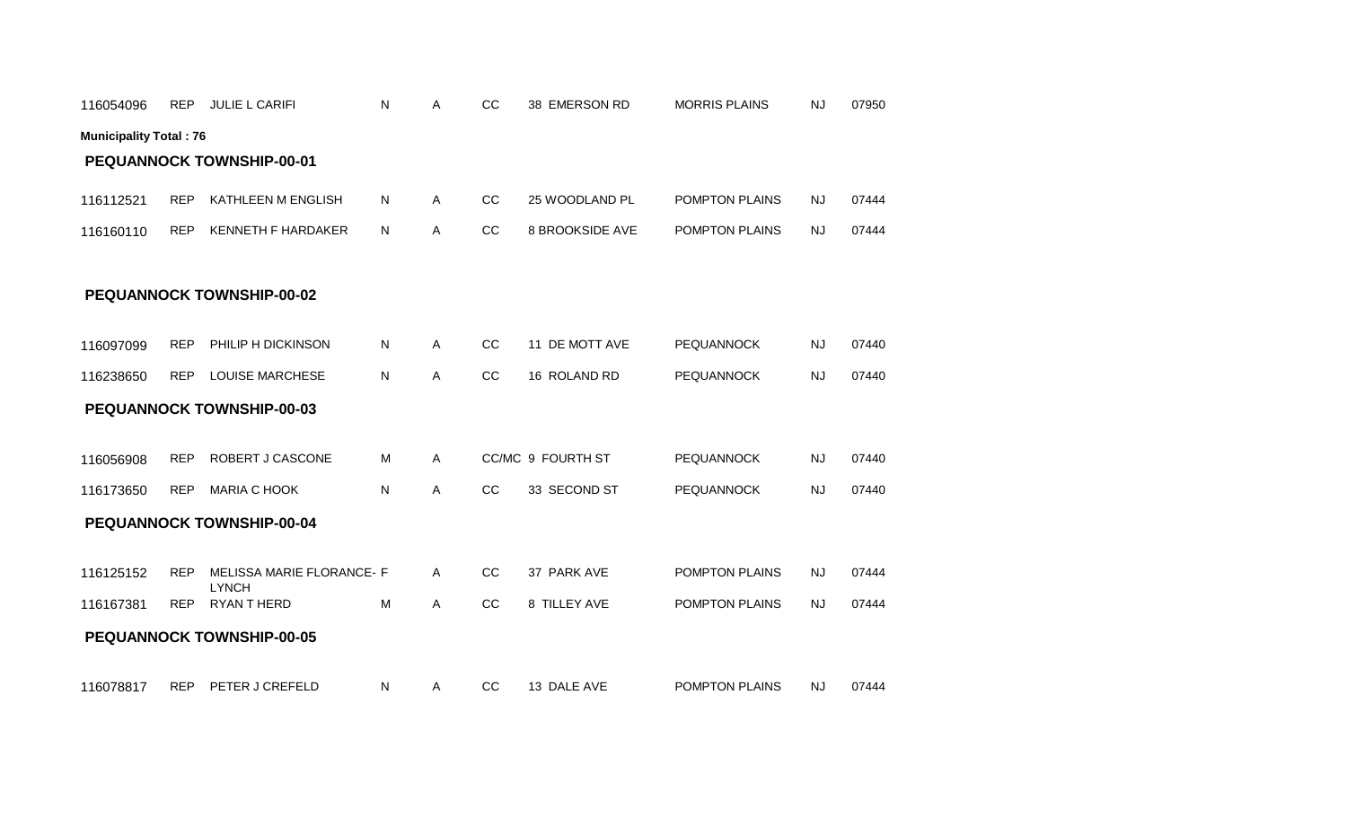| 116054096                     | <b>REP</b> | <b>JULIE L CARIFI</b>                     | N | A | CC | 38 EMERSON RD          | <b>MORRIS PLAINS</b> | <b>NJ</b> | 07950 |
|-------------------------------|------------|-------------------------------------------|---|---|----|------------------------|----------------------|-----------|-------|
| <b>Municipality Total: 76</b> |            |                                           |   |   |    |                        |                      |           |       |
|                               |            | PEQUANNOCK TOWNSHIP-00-01                 |   |   |    |                        |                      |           |       |
| 116112521                     | <b>REP</b> | KATHLEEN M ENGLISH                        | N | A | CC | 25 WOODLAND PL         | POMPTON PLAINS       | <b>NJ</b> | 07444 |
| 116160110                     | <b>REP</b> | <b>KENNETH F HARDAKER</b>                 | N | A | CC | <b>8 BROOKSIDE AVE</b> | POMPTON PLAINS       | <b>NJ</b> | 07444 |
|                               |            |                                           |   |   |    |                        |                      |           |       |
|                               |            | <b>PEQUANNOCK TOWNSHIP-00-02</b>          |   |   |    |                        |                      |           |       |
|                               |            |                                           |   |   |    |                        |                      |           |       |
| 116097099                     | <b>REP</b> | PHILIP H DICKINSON                        | N | Α | CC | 11 DE MOTT AVE         | <b>PEQUANNOCK</b>    | <b>NJ</b> | 07440 |
| 116238650                     | <b>REP</b> | <b>LOUISE MARCHESE</b>                    | N | Α | CC | 16 ROLAND RD           | <b>PEQUANNOCK</b>    | NJ        | 07440 |
|                               |            | <b>PEQUANNOCK TOWNSHIP-00-03</b>          |   |   |    |                        |                      |           |       |
|                               |            |                                           |   |   |    |                        |                      |           |       |
| 116056908                     | <b>REP</b> | ROBERT J CASCONE                          | M | Α |    | CC/MC 9 FOURTH ST      | <b>PEQUANNOCK</b>    | <b>NJ</b> | 07440 |
| 116173650                     | <b>REP</b> | <b>MARIA C HOOK</b>                       | N | Α | CC | 33 SECOND ST           | <b>PEQUANNOCK</b>    | NJ        | 07440 |
|                               |            | PEQUANNOCK TOWNSHIP-00-04                 |   |   |    |                        |                      |           |       |
|                               |            |                                           |   |   |    |                        |                      |           |       |
| 116125152                     | <b>REP</b> | MELISSA MARIE FLORANCE- F<br><b>LYNCH</b> |   | A | CC | 37 PARK AVE            | POMPTON PLAINS       | <b>NJ</b> | 07444 |
| 116167381                     | <b>REP</b> | RYAN THERD                                | M | A | cc | 8 TILLEY AVE           | POMPTON PLAINS       | <b>NJ</b> | 07444 |
|                               |            | <b>PEQUANNOCK TOWNSHIP-00-05</b>          |   |   |    |                        |                      |           |       |
|                               |            |                                           |   |   |    |                        |                      |           |       |
| 116078817                     | <b>REP</b> | PETER J CREFELD                           | N | A | CC | 13 DALE AVE            | POMPTON PLAINS       | NJ        | 07444 |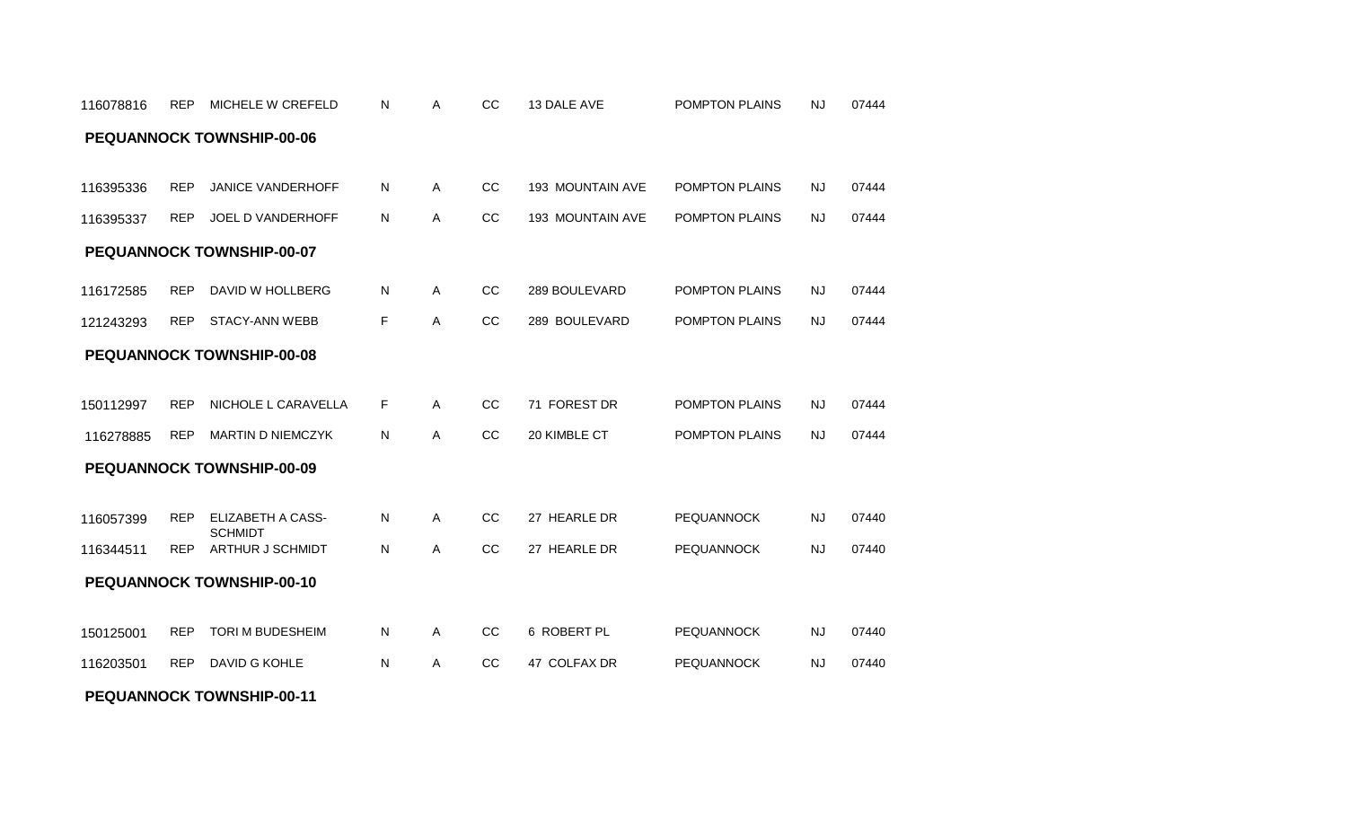# REP JANICE VANDERHOFF A CC 193 MOUNTAIN AVE 07444 116395336 N POMPTON PLAINS NJ 116395337 REP JOEL D VANDERHOFF N A CC 193 MOUNTAIN AVE POMPTON PLAINS NJ 07444 REP DAVID W HOLLBERG A CC 289 BOULEVARD 07444 116172585 N POMPTON PLAINS NJ 121243293 REP STACY-ANN WEBB F A CC 289 BOULEVARD POMPTON PLAINS NJ 07444 150112997 REP NICHOLE L CARAVELLA F A CC 71 FOREST DR POMPTON PLAINS NJ 07444 116278885 REP MARTIN D NIEMCZYK N A CC 20 KIMBLE CT POMPTON PLAINS NJ 07444 REP ELIZABETH A CASS-116057399 N PEQUANNOCK NJ **SCHMIDT** A CC 27 HEARLE DR PEQUANNOCK NJ 07440 REP ARTHUR J SCHMIDT A CC 27 HEARLE DR 07440 116344511 N PEQUANNOCK NJ REP TORI M BUDESHEIM A CC 6 ROBERT PL 07440 150125001 N PEQUANNOCK NJ REP DAVID G KOHLE A CC 47 COLFAX DR 07440 116203501 N PEQUANNOCK NJ **PEQUANNOCK TOWNSHIP-00-10 PEQUANNOCK TOWNSHIP-00-09 PEQUANNOCK TOWNSHIP-00-08 PEQUANNOCK TOWNSHIP-00-07 PEQUANNOCK TOWNSHIP-00-06**

**PEQUANNOCK TOWNSHIP-00-11**

116078816 REP MICHELE W CREFELD N A CC 13 DALE AVE POMPTON PLAINS NJ 07444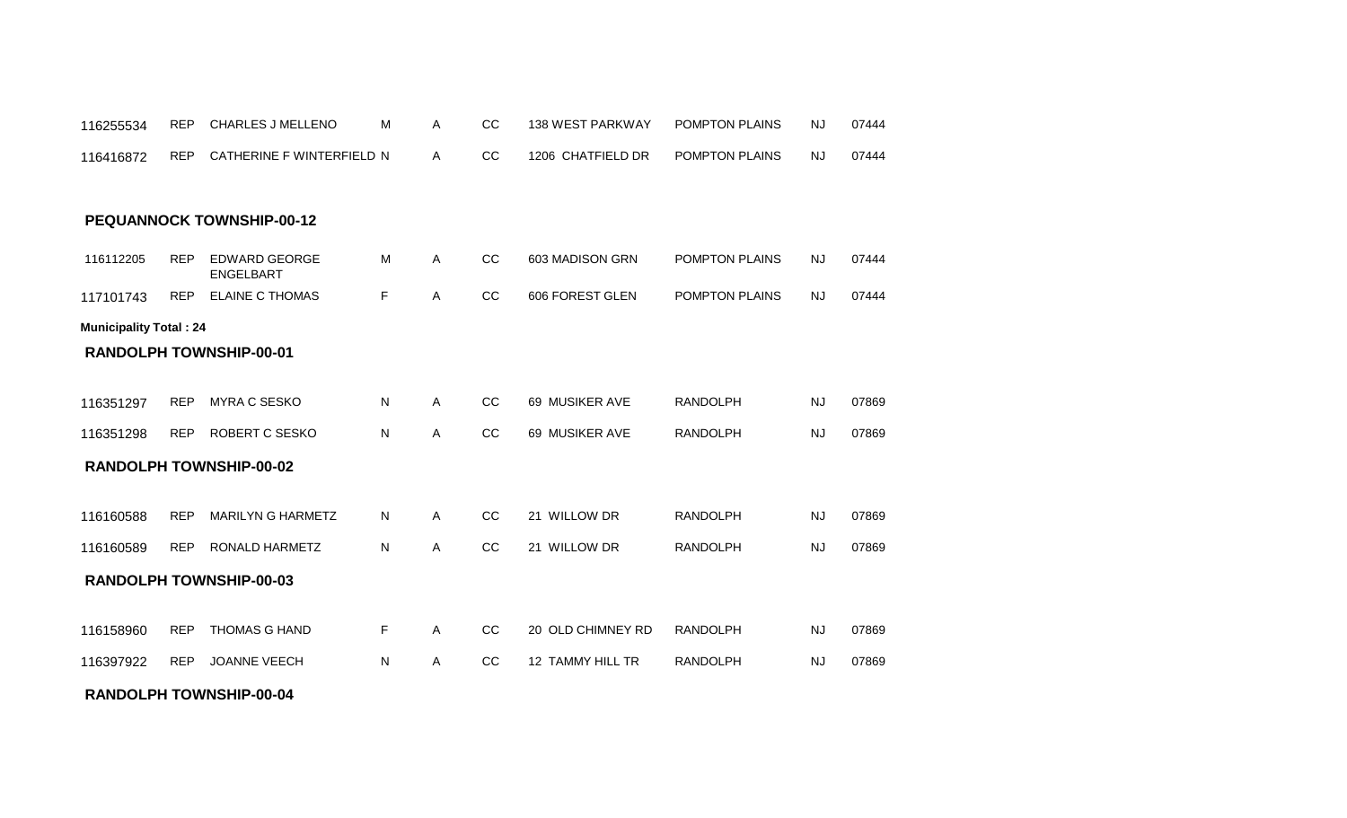#### **RANDOLPH TOWNSHIP-00-04**

116255534 REP CHARLES J MELLENO M

| 116416872                     | <b>REP</b> | CATHERINE F WINTERFIELD N         |    | A            | <sub>CC</sub> | 1206 CHATFIELD DR | <b>POMPTON PLAINS</b> | <b>NJ</b> | 07444 |
|-------------------------------|------------|-----------------------------------|----|--------------|---------------|-------------------|-----------------------|-----------|-------|
|                               |            | <b>PEQUANNOCK TOWNSHIP-00-12</b>  |    |              |               |                   |                       |           |       |
|                               |            |                                   |    |              |               |                   |                       |           |       |
| 116112205                     | <b>REP</b> | <b>EDWARD GEORGE</b><br>ENGELBART | M  | $\mathsf{A}$ | CC            | 603 MADISON GRN   | POMPTON PLAINS        | NJ        | 07444 |
| 117101743                     | <b>REP</b> | <b>ELAINE C THOMAS</b>            | F  | $\mathsf{A}$ | CC            | 606 FOREST GLEN   | POMPTON PLAINS        | <b>NJ</b> | 07444 |
| <b>Municipality Total: 24</b> |            |                                   |    |              |               |                   |                       |           |       |
|                               |            | <b>RANDOLPH TOWNSHIP-00-01</b>    |    |              |               |                   |                       |           |       |
|                               |            |                                   |    |              |               |                   |                       |           |       |
| 116351297                     | <b>REP</b> | <b>MYRA C SESKO</b>               | N  | $\mathsf{A}$ | CC            | 69 MUSIKER AVE    | <b>RANDOLPH</b>       | <b>NJ</b> | 07869 |
| 116351298                     | <b>REP</b> | <b>ROBERT C SESKO</b>             | N  | A            | cc            | 69 MUSIKER AVE    | <b>RANDOLPH</b>       | <b>NJ</b> | 07869 |
|                               |            | <b>RANDOLPH TOWNSHIP-00-02</b>    |    |              |               |                   |                       |           |       |
|                               |            |                                   |    |              |               |                   |                       |           |       |
| 116160588                     | <b>REP</b> | <b>MARILYN G HARMETZ</b>          | N. | $\mathsf{A}$ | CC            | 21 WILLOW DR      | <b>RANDOLPH</b>       | <b>NJ</b> | 07869 |
| 116160589                     | <b>REP</b> | RONALD HARMETZ                    | N  | A            | CC            | 21 WILLOW DR      | <b>RANDOLPH</b>       | <b>NJ</b> | 07869 |
|                               |            | <b>RANDOLPH TOWNSHIP-00-03</b>    |    |              |               |                   |                       |           |       |
|                               |            |                                   |    |              |               |                   |                       |           |       |
| 116158960                     | <b>REP</b> | <b>THOMAS G HAND</b>              | F  | $\mathsf{A}$ | CC            | 20 OLD CHIMNEY RD | <b>RANDOLPH</b>       | <b>NJ</b> | 07869 |
| 116397922                     | <b>REP</b> | <b>JOANNE VEECH</b>               | N  | $\mathsf{A}$ | CC            | 12 TAMMY HILL TR  | <b>RANDOLPH</b>       | <b>NJ</b> | 07869 |
|                               |            |                                   |    |              |               |                   |                       |           |       |

REP CHARLES J MELLENO M A CC 138 WEST PARKWAY POMPTON PLAINS NJ 07444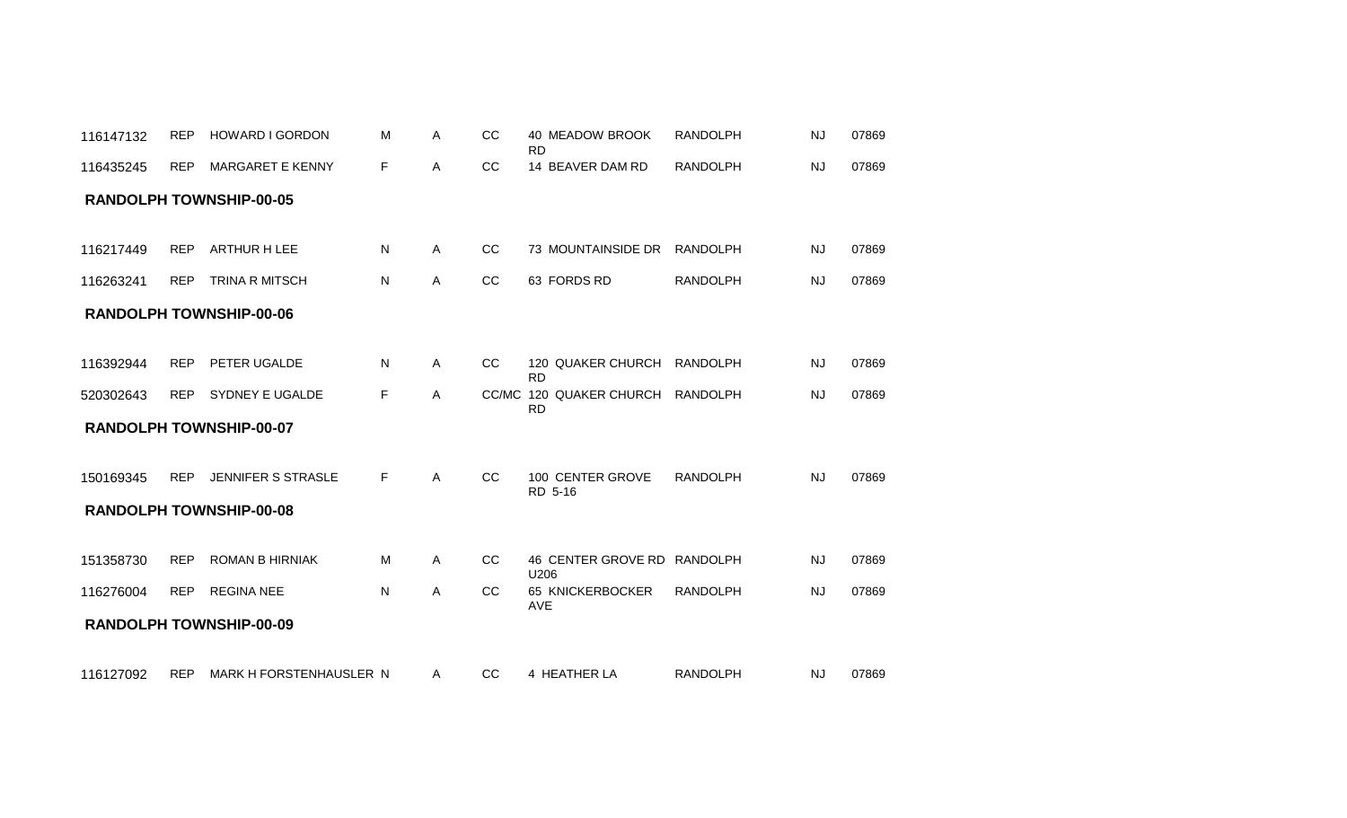|           |            |                                |    |              |               | <b>RD</b>                            |                 |           |       |
|-----------|------------|--------------------------------|----|--------------|---------------|--------------------------------------|-----------------|-----------|-------|
| 116435245 | <b>REP</b> | <b>MARGARET E KENNY</b>        | F  | A            | CC            | 14 BEAVER DAM RD                     | <b>RANDOLPH</b> | <b>NJ</b> | 07869 |
|           |            | <b>RANDOLPH TOWNSHIP-00-05</b> |    |              |               |                                      |                 |           |       |
|           |            |                                |    |              |               |                                      |                 |           |       |
| 116217449 | <b>REP</b> | <b>ARTHUR H LEE</b>            | N. | A            | <sub>CC</sub> | 73 MOUNTAINSIDE DR                   | RANDOLPH        | <b>NJ</b> | 07869 |
| 116263241 | <b>REP</b> | <b>TRINA R MITSCH</b>          | N  | A            | CC            | 63 FORDS RD                          | <b>RANDOLPH</b> | <b>NJ</b> | 07869 |
|           |            | <b>RANDOLPH TOWNSHIP-00-06</b> |    |              |               |                                      |                 |           |       |
|           |            |                                |    |              |               |                                      |                 |           |       |
| 116392944 | <b>REP</b> | <b>PETER UGALDE</b>            | N. | A            | <sub>CC</sub> | 120 QUAKER CHURCH<br><b>RD</b>       | RANDOLPH        | <b>NJ</b> | 07869 |
| 520302643 | <b>REP</b> | SYDNEY E UGALDE                | F. | $\mathsf{A}$ |               | CC/MC 120 QUAKER CHURCH<br><b>RD</b> | RANDOLPH        | <b>NJ</b> | 07869 |
|           |            | RANDOLPH TOWNSHIP-00-07        |    |              |               |                                      |                 |           |       |
|           |            |                                |    |              |               |                                      |                 |           |       |
| 150169345 | <b>REP</b> | JENNIFER S STRASLE             | F. | A            | <sub>CC</sub> | 100 CENTER GROVE<br>RD 5-16          | <b>RANDOLPH</b> | <b>NJ</b> | 07869 |
|           |            | <b>RANDOLPH TOWNSHIP-00-08</b> |    |              |               |                                      |                 |           |       |
|           |            |                                |    |              |               |                                      |                 |           |       |
| 151358730 | <b>REP</b> | <b>ROMAN B HIRNIAK</b>         | м  | A            | CC            | 46 CENTER GROVE RD RANDOLPH<br>U206  |                 | <b>NJ</b> | 07869 |
| 116276004 | <b>REP</b> | <b>REGINA NEE</b>              | N  | $\mathsf{A}$ | CC            | 65 KNICKERBOCKER<br><b>AVE</b>       | <b>RANDOLPH</b> | <b>NJ</b> | 07869 |
|           |            | <b>RANDOLPH TOWNSHIP-00-09</b> |    |              |               |                                      |                 |           |       |
| 116127092 |            | REP MARK H FORSTENHAUSLER N    |    | A            | CC            | 4 HEATHER LA                         | <b>RANDOLPH</b> | NJ        | 07869 |
|           |            |                                |    |              |               |                                      |                 |           |       |

116147132 REP HOWARD I GORDON M A CC 40 MEADOW BROOK RANDOLPH NJ 07869

REP HOWARD I GORDON MARIA CC 40 MEADOW BROOK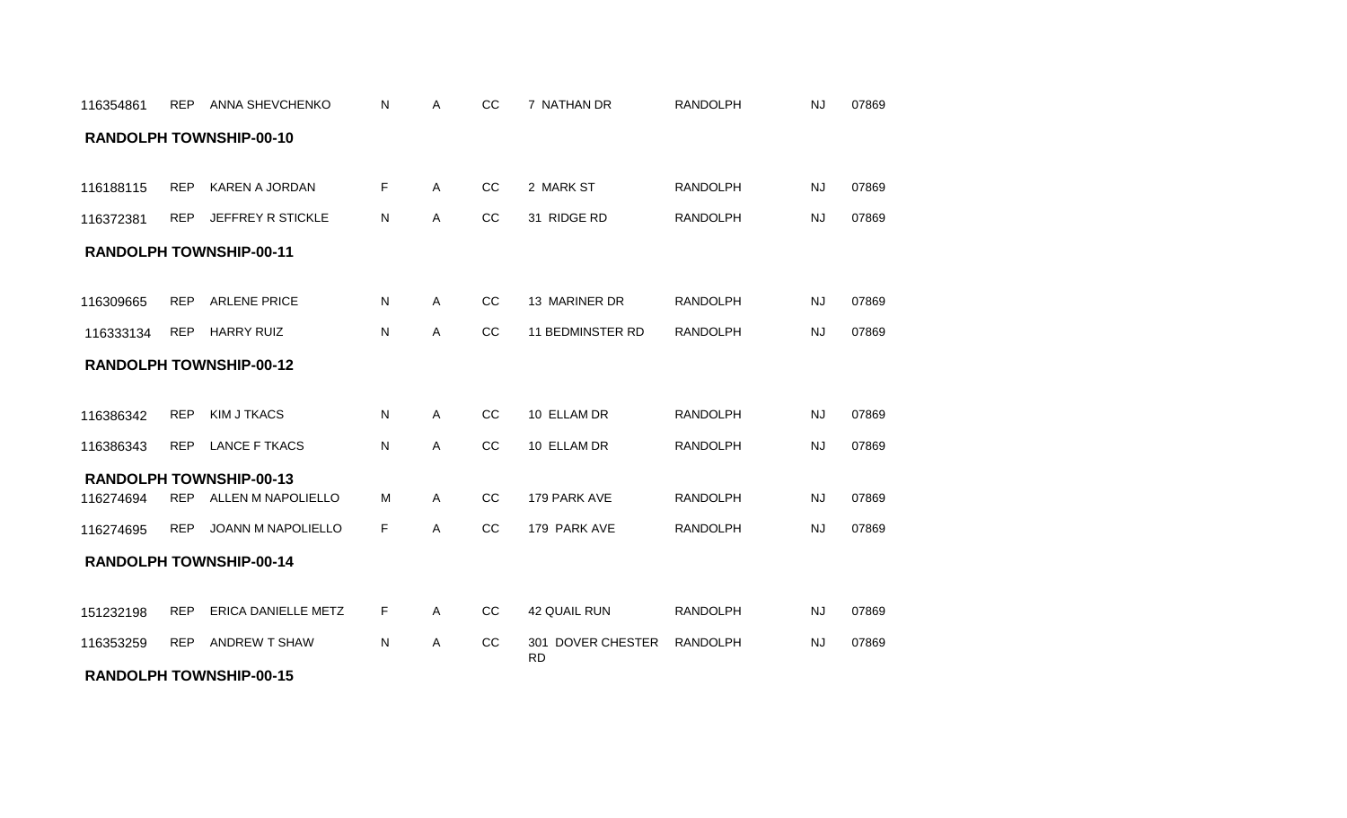| 116354861 | <b>REP</b> | <b>ANNA SHEVCHENKO</b>         | Ν  | Α            | CC            | 7 NATHAN DR                    | <b>RANDOLPH</b> | <b>NJ</b> | 07869 |
|-----------|------------|--------------------------------|----|--------------|---------------|--------------------------------|-----------------|-----------|-------|
|           |            | <b>RANDOLPH TOWNSHIP-00-10</b> |    |              |               |                                |                 |           |       |
|           | <b>REP</b> |                                |    | $\mathsf{A}$ | CC            | 2 MARK ST                      | <b>RANDOLPH</b> | <b>NJ</b> | 07869 |
| 116188115 |            | KAREN A JORDAN                 | F. |              |               |                                |                 |           |       |
| 116372381 | <b>REP</b> | JEFFREY R STICKLE              | N  | A            | cc            | 31 RIDGE RD                    | <b>RANDOLPH</b> | <b>NJ</b> | 07869 |
|           |            | <b>RANDOLPH TOWNSHIP-00-11</b> |    |              |               |                                |                 |           |       |
| 116309665 | <b>REP</b> | <b>ARLENE PRICE</b>            | N  | $\mathsf{A}$ | CC            | 13 MARINER DR                  | <b>RANDOLPH</b> | <b>NJ</b> | 07869 |
| 116333134 | <b>REP</b> | <b>HARRY RUIZ</b>              | N  | Α            | CC            | <b>11 BEDMINSTER RD</b>        | <b>RANDOLPH</b> | <b>NJ</b> | 07869 |
|           |            | <b>RANDOLPH TOWNSHIP-00-12</b> |    |              |               |                                |                 |           |       |
| 116386342 | <b>REP</b> | <b>KIM J TKACS</b>             | N  | $\mathsf{A}$ | cc            | 10 ELLAM DR                    | <b>RANDOLPH</b> | <b>NJ</b> | 07869 |
| 116386343 | <b>REP</b> | <b>LANCE F TKACS</b>           | N  | Α            | CC            | 10 ELLAM DR                    | <b>RANDOLPH</b> | <b>NJ</b> | 07869 |
|           |            | <b>RANDOLPH TOWNSHIP-00-13</b> |    |              |               |                                |                 |           |       |
| 116274694 | <b>REP</b> | ALLEN M NAPOLIELLO             | м  | $\mathsf{A}$ | CC            | 179 PARK AVE                   | <b>RANDOLPH</b> | <b>NJ</b> | 07869 |
| 116274695 | <b>REP</b> | <b>JOANN M NAPOLIELLO</b>      | F  | A            | <sub>CC</sub> | 179 PARK AVE                   | <b>RANDOLPH</b> | <b>NJ</b> | 07869 |
|           |            | <b>RANDOLPH TOWNSHIP-00-14</b> |    |              |               |                                |                 |           |       |
| 151232198 | <b>REP</b> | <b>ERICA DANIELLE METZ</b>     | F. | $\mathsf{A}$ | CC            | <b>42 QUAIL RUN</b>            | <b>RANDOLPH</b> | <b>NJ</b> | 07869 |
| 116353259 | <b>REP</b> | <b>ANDREW T SHAW</b>           | N  | $\mathsf{A}$ | CC            | 301 DOVER CHESTER<br><b>RD</b> | <b>RANDOLPH</b> | <b>NJ</b> | 07869 |
|           |            | <b>RANDOLPH TOWNSHIP-00-15</b> |    |              |               |                                |                 |           |       |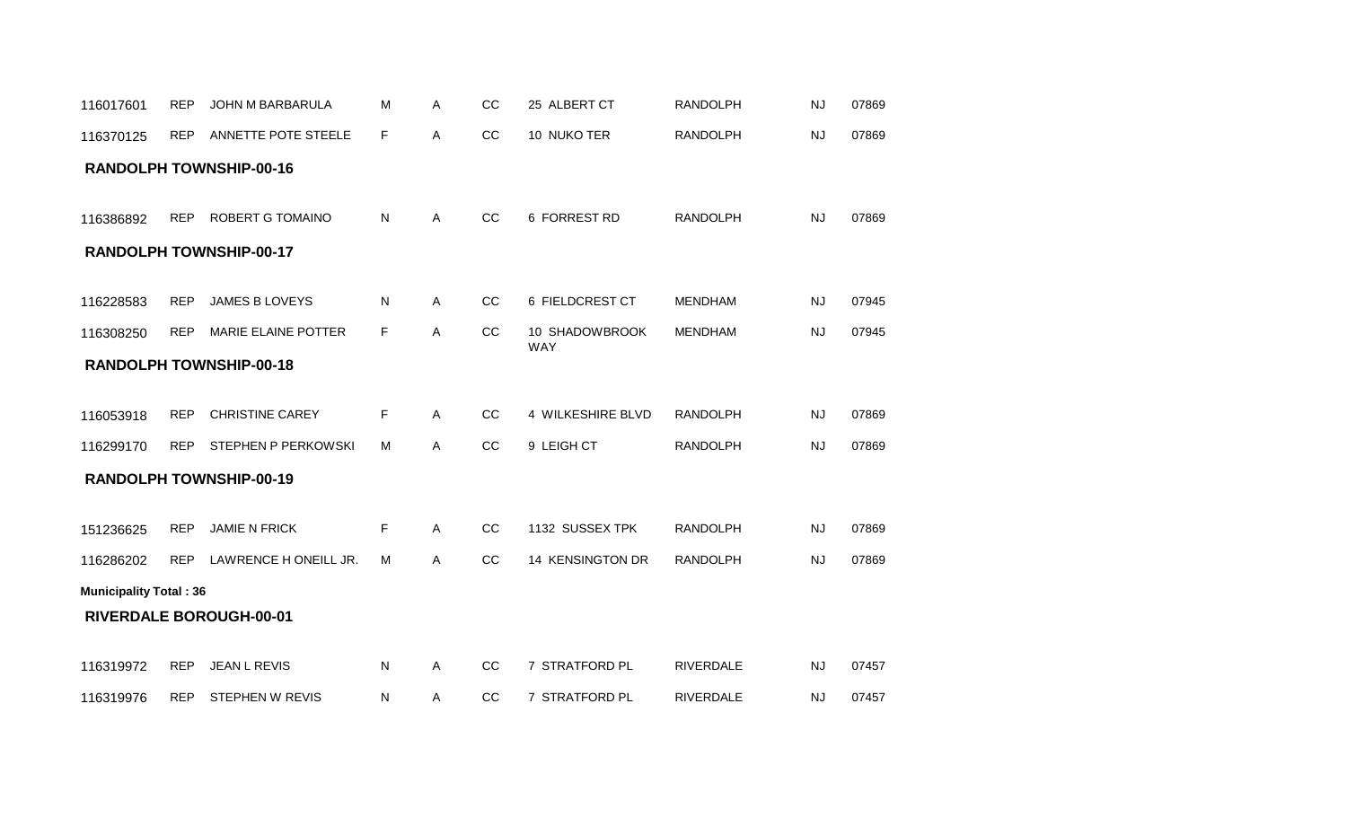| 116017601                     | <b>REP</b> | JOHN M BARBARULA               | М  | Α | CC | 25 ALBERT CT                 | <b>RANDOLPH</b>  | <b>NJ</b> | 07869 |
|-------------------------------|------------|--------------------------------|----|---|----|------------------------------|------------------|-----------|-------|
| 116370125                     | <b>REP</b> | ANNETTE POTE STEELE            | F. | A | CC | 10 NUKO TER                  | <b>RANDOLPH</b>  | <b>NJ</b> | 07869 |
|                               |            | <b>RANDOLPH TOWNSHIP-00-16</b> |    |   |    |                              |                  |           |       |
| 116386892                     | <b>REP</b> | ROBERT G TOMAINO               | N  | A | cc | 6 FORREST RD                 | <b>RANDOLPH</b>  | <b>NJ</b> | 07869 |
|                               |            | <b>RANDOLPH TOWNSHIP-00-17</b> |    |   |    |                              |                  |           |       |
| 116228583                     | <b>REP</b> | JAMES B LOVEYS                 | Ν  | A | CC | 6 FIELDCREST CT              | <b>MENDHAM</b>   | <b>NJ</b> | 07945 |
| 116308250                     | <b>REP</b> | MARIE ELAINE POTTER            | F. | Α | CC | 10 SHADOWBROOK<br><b>WAY</b> | <b>MENDHAM</b>   | <b>NJ</b> | 07945 |
|                               |            | <b>RANDOLPH TOWNSHIP-00-18</b> |    |   |    |                              |                  |           |       |
|                               |            |                                |    |   |    |                              |                  |           |       |
| 116053918                     | <b>REP</b> | <b>CHRISTINE CAREY</b>         | F  | A | CC | 4 WILKESHIRE BLVD            | <b>RANDOLPH</b>  | <b>NJ</b> | 07869 |
| 116299170                     | <b>REP</b> | STEPHEN P PERKOWSKI            | м  | Α | CC | 9 LEIGH CT                   | <b>RANDOLPH</b>  | <b>NJ</b> | 07869 |
|                               |            | <b>RANDOLPH TOWNSHIP-00-19</b> |    |   |    |                              |                  |           |       |
|                               |            |                                |    |   |    |                              |                  |           |       |
| 151236625                     | <b>REP</b> | <b>JAMIE N FRICK</b>           | F. | Α | CC | 1132 SUSSEX TPK              | <b>RANDOLPH</b>  | <b>NJ</b> | 07869 |
| 116286202                     | <b>REP</b> | LAWRENCE HONEILL JR.           | M  | A | cc | 14 KENSINGTON DR             | <b>RANDOLPH</b>  | <b>NJ</b> | 07869 |
| <b>Municipality Total: 36</b> |            |                                |    |   |    |                              |                  |           |       |
|                               |            | <b>RIVERDALE BOROUGH-00-01</b> |    |   |    |                              |                  |           |       |
|                               |            |                                |    |   |    |                              |                  |           |       |
| 116319972                     | <b>REP</b> | <b>JEAN L REVIS</b>            | N  | Α | CC | 7 STRATFORD PL               | <b>RIVERDALE</b> | <b>NJ</b> | 07457 |
| 116319976                     | <b>REP</b> | <b>STEPHEN W REVIS</b>         | N  | Α | cc | 7 STRATFORD PL               | <b>RIVERDALE</b> | <b>NJ</b> | 07457 |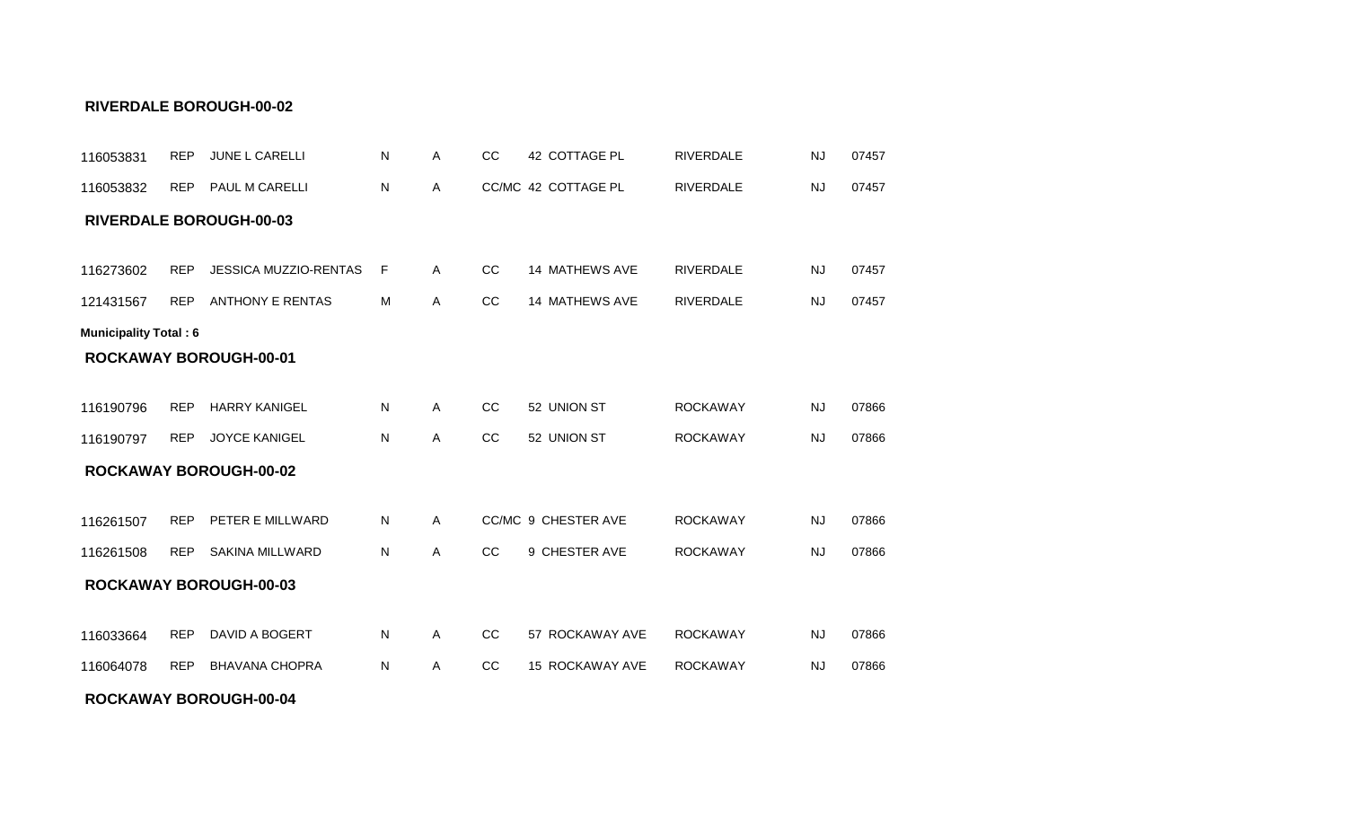#### **ROCKAWAY BOROUGH-00-04**

| 116053831                    | <b>REP</b> | JUNE L CARELLI                 | N         | Α            | CC | 42 COTTAGE PL       | <b>RIVERDALE</b> | <b>NJ</b> | 07457 |
|------------------------------|------------|--------------------------------|-----------|--------------|----|---------------------|------------------|-----------|-------|
| 116053832                    | <b>REP</b> | PAUL M CARELLI                 | N         | A            |    | CC/MC 42 COTTAGE PL | <b>RIVERDALE</b> | <b>NJ</b> | 07457 |
|                              |            | <b>RIVERDALE BOROUGH-00-03</b> |           |              |    |                     |                  |           |       |
|                              |            |                                |           |              |    |                     |                  |           |       |
| 116273602                    | <b>REP</b> | <b>JESSICA MUZZIO-RENTAS</b>   | F         | A            | CC | 14 MATHEWS AVE      | <b>RIVERDALE</b> | <b>NJ</b> | 07457 |
| 121431567                    | <b>REP</b> | <b>ANTHONY E RENTAS</b>        | M         | A            | CC | 14 MATHEWS AVE      | <b>RIVERDALE</b> | <b>NJ</b> | 07457 |
| <b>Municipality Total: 6</b> |            |                                |           |              |    |                     |                  |           |       |
|                              |            | <b>ROCKAWAY BOROUGH-00-01</b>  |           |              |    |                     |                  |           |       |
|                              |            |                                |           |              |    |                     |                  |           |       |
| 116190796                    | <b>REP</b> | <b>HARRY KANIGEL</b>           | ${\sf N}$ | $\mathsf{A}$ | CC | 52 UNION ST         | <b>ROCKAWAY</b>  | <b>NJ</b> | 07866 |
| 116190797                    | <b>REP</b> | <b>JOYCE KANIGEL</b>           | N         | Α            | CC | 52 UNION ST         | <b>ROCKAWAY</b>  | <b>NJ</b> | 07866 |
|                              |            | <b>ROCKAWAY BOROUGH-00-02</b>  |           |              |    |                     |                  |           |       |
|                              |            |                                |           |              |    |                     |                  |           |       |
| 116261507                    | <b>REP</b> | PETER E MILLWARD               | N         | A            |    | CC/MC 9 CHESTER AVE | <b>ROCKAWAY</b>  | <b>NJ</b> | 07866 |
| 116261508                    | <b>REP</b> | <b>SAKINA MILLWARD</b>         | N         | A            | CC | 9 CHESTER AVE       | <b>ROCKAWAY</b>  | <b>NJ</b> | 07866 |
|                              |            | <b>ROCKAWAY BOROUGH-00-03</b>  |           |              |    |                     |                  |           |       |
|                              |            |                                |           |              |    |                     |                  |           |       |
| 116033664                    | <b>REP</b> | DAVID A BOGERT                 | N         | A            | CC | 57 ROCKAWAY AVE     | <b>ROCKAWAY</b>  | <b>NJ</b> | 07866 |
| 116064078                    | <b>REP</b> | <b>BHAVANA CHOPRA</b>          | N         | Α            | cc | 15 ROCKAWAY AVE     | <b>ROCKAWAY</b>  | <b>NJ</b> | 07866 |
|                              |            |                                |           |              |    |                     |                  |           |       |

#### **RIVERDALE BOROUGH-00-02**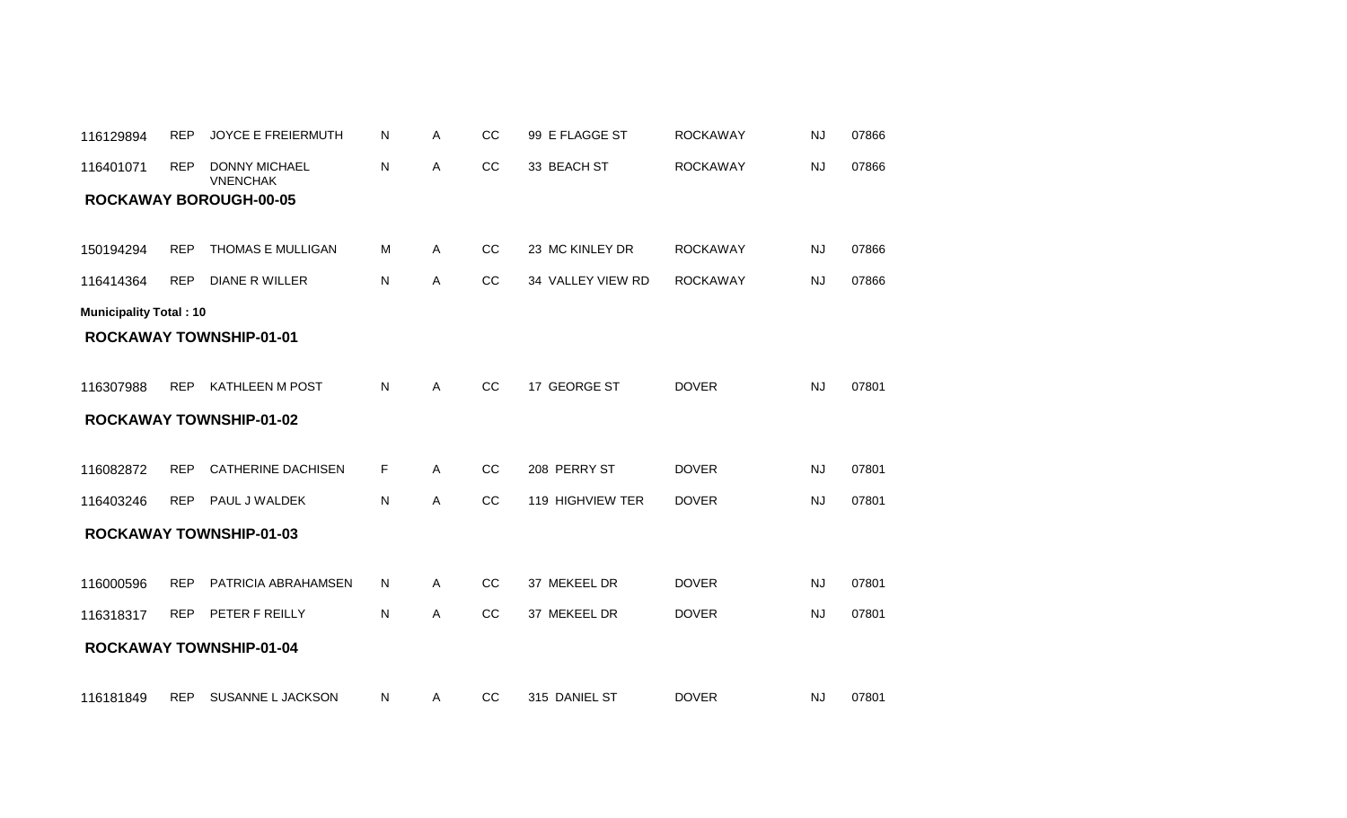| 116129894                     | <b>REP</b> | <b>JOYCE E FREIERMUTH</b>               | N  | Α | CC | 99 E FLAGGE ST    | <b>ROCKAWAY</b> | NJ        | 07866 |
|-------------------------------|------------|-----------------------------------------|----|---|----|-------------------|-----------------|-----------|-------|
| 116401071                     | <b>REP</b> | <b>DONNY MICHAEL</b><br><b>VNENCHAK</b> | Ν  | Α | CC | 33 BEACH ST       | <b>ROCKAWAY</b> | <b>NJ</b> | 07866 |
|                               |            | <b>ROCKAWAY BOROUGH-00-05</b>           |    |   |    |                   |                 |           |       |
|                               |            |                                         |    |   |    |                   |                 |           |       |
| 150194294                     | <b>REP</b> | THOMAS E MULLIGAN                       | м  | Α | CC | 23 MC KINLEY DR   | <b>ROCKAWAY</b> | <b>NJ</b> | 07866 |
| 116414364                     | <b>REP</b> | <b>DIANE R WILLER</b>                   | Ν  | Α | CC | 34 VALLEY VIEW RD | <b>ROCKAWAY</b> | <b>NJ</b> | 07866 |
| <b>Municipality Total: 10</b> |            |                                         |    |   |    |                   |                 |           |       |
|                               |            | <b>ROCKAWAY TOWNSHIP-01-01</b>          |    |   |    |                   |                 |           |       |
|                               |            |                                         |    |   |    |                   |                 |           |       |
| 116307988                     | <b>REP</b> | <b>KATHLEEN M POST</b>                  | Ν  | Α | CC | 17 GEORGE ST      | <b>DOVER</b>    | <b>NJ</b> | 07801 |
|                               |            | <b>ROCKAWAY TOWNSHIP-01-02</b>          |    |   |    |                   |                 |           |       |
|                               |            |                                         |    |   |    |                   |                 |           |       |
| 116082872                     | <b>REP</b> | <b>CATHERINE DACHISEN</b>               | F. | Α | CC | 208 PERRY ST      | <b>DOVER</b>    | <b>NJ</b> | 07801 |
| 116403246                     | <b>REP</b> | PAUL J WALDEK                           | N  | A | CC | 119 HIGHVIEW TER  | <b>DOVER</b>    | <b>NJ</b> | 07801 |
|                               |            | <b>ROCKAWAY TOWNSHIP-01-03</b>          |    |   |    |                   |                 |           |       |
|                               |            |                                         |    |   |    |                   |                 |           |       |
| 116000596                     | <b>REP</b> | PATRICIA ABRAHAMSEN                     | Ν  | Α | CC | 37 MEKEEL DR      | <b>DOVER</b>    | <b>NJ</b> | 07801 |
| 116318317                     | <b>REP</b> | PETER F REILLY                          | Ν  | Α | CC | 37 MEKEEL DR      | <b>DOVER</b>    | <b>NJ</b> | 07801 |
|                               |            | <b>ROCKAWAY TOWNSHIP-01-04</b>          |    |   |    |                   |                 |           |       |
|                               |            |                                         |    |   |    |                   |                 |           |       |
| 116181849                     | REP        | SUSANNE L JACKSON                       | N  | A | CC | 315 DANIEL ST     | <b>DOVER</b>    | <b>NJ</b> | 07801 |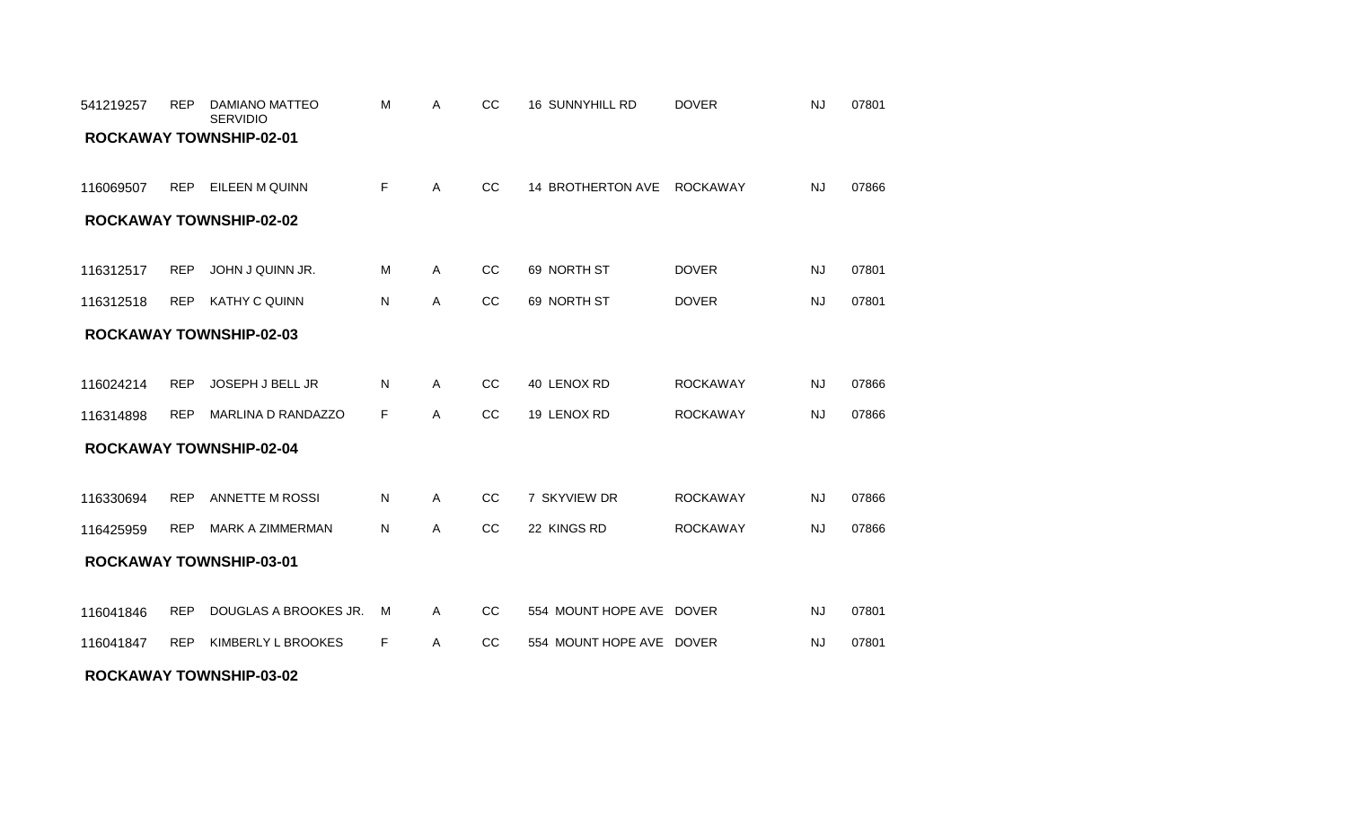#### **ROCKAWAY TOWNSHIP-03-02**

| 541219257 | <b>REP</b> | DAMIANO MATTEO<br><b>SERVIDIO</b> | М  | Α | CC            | 16 SUNNYHILL RD          | <b>DOVER</b>    | <b>NJ</b> | 07801 |
|-----------|------------|-----------------------------------|----|---|---------------|--------------------------|-----------------|-----------|-------|
|           |            | <b>ROCKAWAY TOWNSHIP-02-01</b>    |    |   |               |                          |                 |           |       |
| 116069507 | <b>REP</b> | EILEEN M QUINN                    | F. | Α | CC            | 14 BROTHERTON AVE        | <b>ROCKAWAY</b> | <b>NJ</b> | 07866 |
|           |            | <b>ROCKAWAY TOWNSHIP-02-02</b>    |    |   |               |                          |                 |           |       |
| 116312517 | <b>REP</b> | JOHN J QUINN JR.                  | M  | Α | CC            | 69 NORTH ST              | <b>DOVER</b>    | <b>NJ</b> | 07801 |
| 116312518 | <b>REP</b> | <b>KATHY C QUINN</b>              | Ν  | Α | CC            | 69 NORTH ST              | <b>DOVER</b>    | <b>NJ</b> | 07801 |
|           |            | <b>ROCKAWAY TOWNSHIP-02-03</b>    |    |   |               |                          |                 |           |       |
|           |            |                                   |    |   |               |                          |                 |           |       |
| 116024214 | <b>REP</b> | JOSEPH J BELL JR                  | N  | A | CC            | 40 LENOX RD              | <b>ROCKAWAY</b> | <b>NJ</b> | 07866 |
| 116314898 | <b>REP</b> | <b>MARLINA D RANDAZZO</b>         | F. | A | <sub>CC</sub> | 19 LENOX RD              | <b>ROCKAWAY</b> | <b>NJ</b> | 07866 |
|           |            | <b>ROCKAWAY TOWNSHIP-02-04</b>    |    |   |               |                          |                 |           |       |
|           |            |                                   |    |   |               |                          |                 |           |       |
| 116330694 | <b>REP</b> | ANNETTE M ROSSI                   | N  | A | <sub>CC</sub> | 7 SKYVIEW DR             | <b>ROCKAWAY</b> | <b>NJ</b> | 07866 |
| 116425959 | <b>REP</b> | <b>MARK A ZIMMERMAN</b>           | Ν  | Α | CC            | 22 KINGS RD              | <b>ROCKAWAY</b> | <b>NJ</b> | 07866 |
|           |            | <b>ROCKAWAY TOWNSHIP-03-01</b>    |    |   |               |                          |                 |           |       |
|           |            |                                   |    |   |               |                          |                 |           |       |
| 116041846 | <b>REP</b> | DOUGLAS A BROOKES JR.             | м  | Α | <sub>CC</sub> | 554 MOUNT HOPE AVE DOVER |                 | <b>NJ</b> | 07801 |
| 116041847 | <b>REP</b> | KIMBERLY L BROOKES                | F  | Α | CC            | 554 MOUNT HOPE AVE DOVER |                 | <b>NJ</b> | 07801 |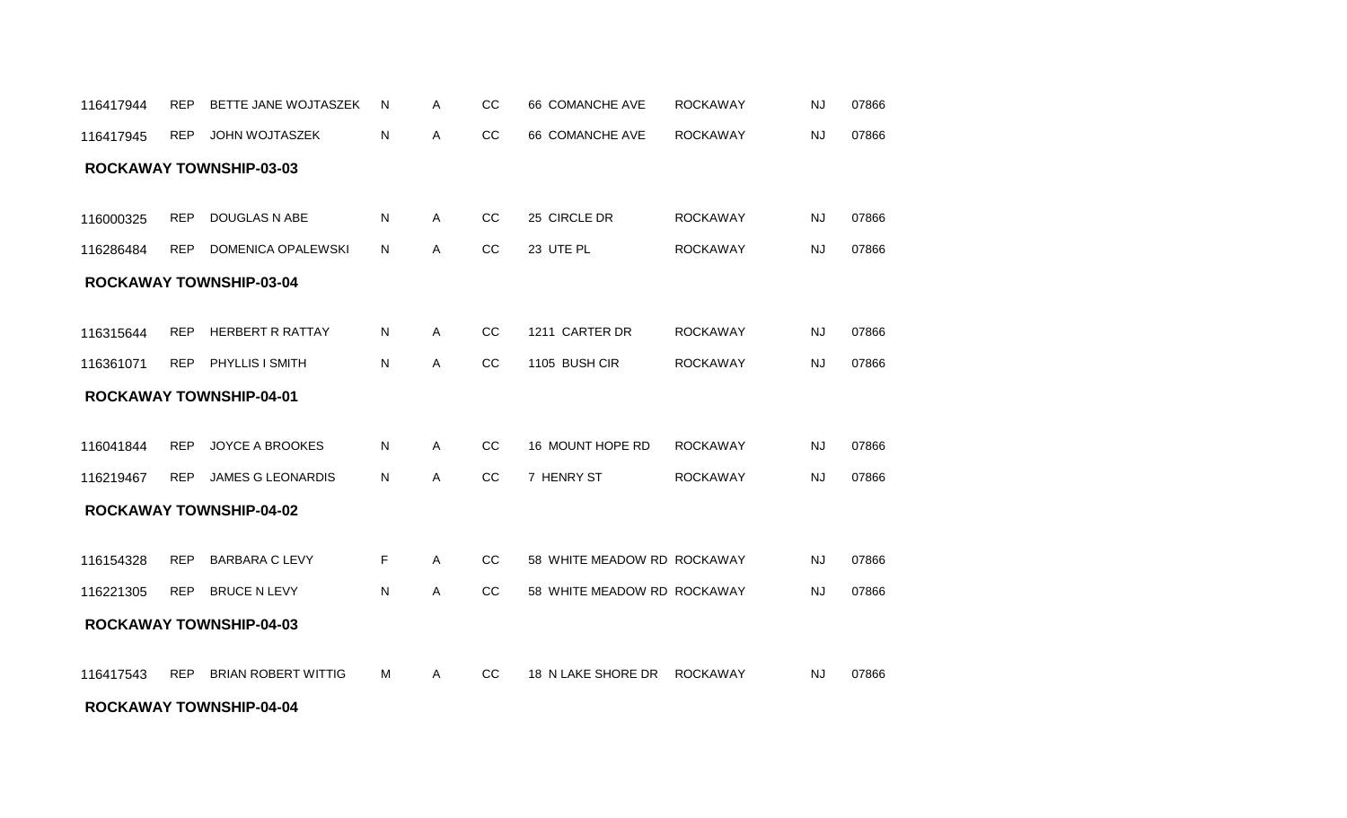#### **ROCKAWAY TOWNSHIP-04-04**

| 116417945 | <b>REP</b> | <b>JOHN WOJTASZEK</b>          | N | Α | CC            | 66 COMANCHE AVE             | <b>ROCKAWAY</b> | <b>NJ</b> | 07866 |
|-----------|------------|--------------------------------|---|---|---------------|-----------------------------|-----------------|-----------|-------|
|           |            | <b>ROCKAWAY TOWNSHIP-03-03</b> |   |   |               |                             |                 |           |       |
|           |            |                                |   |   |               |                             |                 |           |       |
| 116000325 | <b>REP</b> | DOUGLAS N ABE                  | N | Α | CC            | 25 CIRCLE DR                | <b>ROCKAWAY</b> | <b>NJ</b> | 07866 |
| 116286484 | <b>REP</b> | <b>DOMENICA OPALEWSKI</b>      | N | Α | CC            | 23 UTE PL                   | <b>ROCKAWAY</b> | <b>NJ</b> | 07866 |
|           |            | <b>ROCKAWAY TOWNSHIP-03-04</b> |   |   |               |                             |                 |           |       |
|           |            |                                |   |   |               |                             |                 |           |       |
| 116315644 | <b>REP</b> | HERBERT R RATTAY               | N | Α | CC            | 1211 CARTER DR              | <b>ROCKAWAY</b> | <b>NJ</b> | 07866 |
| 116361071 | REP        | PHYLLIS I SMITH                | N | Α | CC            | 1105 BUSH CIR               | <b>ROCKAWAY</b> | <b>NJ</b> | 07866 |
|           |            | <b>ROCKAWAY TOWNSHIP-04-01</b> |   |   |               |                             |                 |           |       |
|           |            |                                |   |   |               |                             |                 |           |       |
| 116041844 | <b>REP</b> | <b>JOYCE A BROOKES</b>         | N | A | <sub>CC</sub> | 16 MOUNT HOPE RD            | <b>ROCKAWAY</b> | <b>NJ</b> | 07866 |
| 116219467 | <b>REP</b> | <b>JAMES G LEONARDIS</b>       | N | Α | CC            | 7 HENRY ST                  | <b>ROCKAWAY</b> | <b>NJ</b> | 07866 |
|           |            | <b>ROCKAWAY TOWNSHIP-04-02</b> |   |   |               |                             |                 |           |       |
|           |            |                                |   |   |               |                             |                 |           |       |
| 116154328 | <b>REP</b> | <b>BARBARA C LEVY</b>          | F | A | CC            | 58 WHITE MEADOW RD ROCKAWAY |                 | <b>NJ</b> | 07866 |
| 116221305 | <b>REP</b> | <b>BRUCE N LEVY</b>            | N | A | <b>CC</b>     | 58 WHITE MEADOW RD ROCKAWAY |                 | NJ        | 07866 |
|           |            | <b>ROCKAWAY TOWNSHIP-04-03</b> |   |   |               |                             |                 |           |       |
| 116417543 | <b>REP</b> | <b>BRIAN ROBERT WITTIG</b>     | M | A | CC            | 18 N LAKE SHORE DR          | <b>ROCKAWAY</b> | <b>NJ</b> | 07866 |

116417944 REP BETTE JANE WOJTASZEK N A CC 66 COMANCHE AVE ROCKAWAY NJ 07866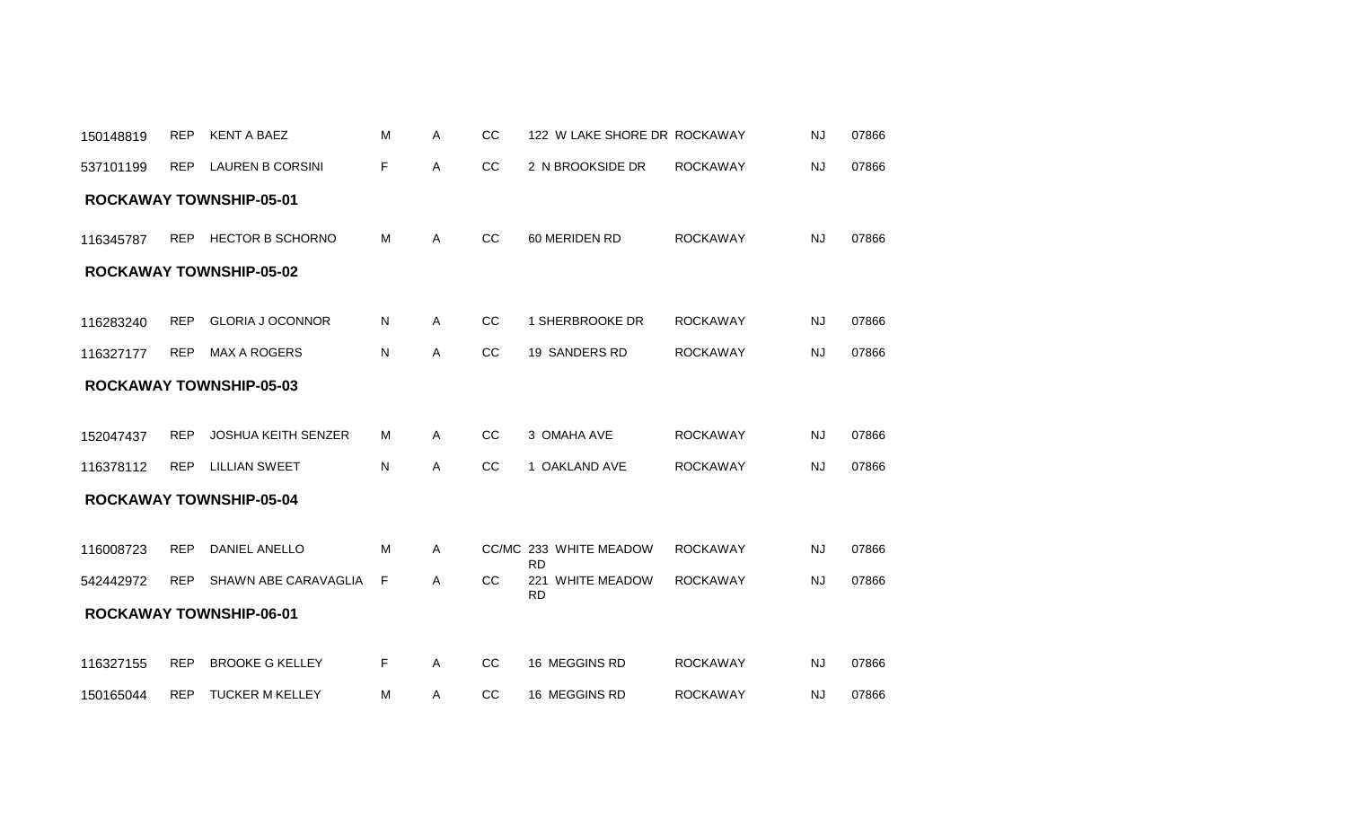| 150148819 | <b>REP</b> | <b>KENT A BAEZ</b>             | м | A            | <sub>CC</sub> | 122 W LAKE SHORE DR ROCKAWAY        |                 | <b>NJ</b> | 07866 |
|-----------|------------|--------------------------------|---|--------------|---------------|-------------------------------------|-----------------|-----------|-------|
| 537101199 | <b>REP</b> | <b>LAUREN B CORSINI</b>        | F | A            | CC            | 2 N BROOKSIDE DR                    | <b>ROCKAWAY</b> | <b>NJ</b> | 07866 |
|           |            | <b>ROCKAWAY TOWNSHIP-05-01</b> |   |              |               |                                     |                 |           |       |
| 116345787 | <b>REP</b> | <b>HECTOR B SCHORNO</b>        | M | A            | cc            | 60 MERIDEN RD                       | <b>ROCKAWAY</b> | <b>NJ</b> | 07866 |
|           |            | <b>ROCKAWAY TOWNSHIP-05-02</b> |   |              |               |                                     |                 |           |       |
|           |            |                                |   |              |               |                                     |                 |           |       |
| 116283240 | <b>REP</b> | <b>GLORIA J OCONNOR</b>        | N | A            | CC            | 1 SHERBROOKE DR                     | <b>ROCKAWAY</b> | <b>NJ</b> | 07866 |
| 116327177 | <b>REP</b> | <b>MAX A ROGERS</b>            | N | $\mathsf{A}$ | CC            | 19 SANDERS RD                       | <b>ROCKAWAY</b> | <b>NJ</b> | 07866 |
|           |            | <b>ROCKAWAY TOWNSHIP-05-03</b> |   |              |               |                                     |                 |           |       |
|           |            |                                |   |              |               |                                     |                 |           |       |
| 152047437 | <b>REP</b> | JOSHUA KEITH SENZER            | м | $\mathsf{A}$ | CC            | 3 OMAHA AVE                         | <b>ROCKAWAY</b> | <b>NJ</b> | 07866 |
| 116378112 | <b>REP</b> | <b>LILLIAN SWEET</b>           | N | Α            | cc            | 1 OAKLAND AVE                       | <b>ROCKAWAY</b> | <b>NJ</b> | 07866 |
|           |            | <b>ROCKAWAY TOWNSHIP-05-04</b> |   |              |               |                                     |                 |           |       |
|           |            |                                |   |              |               |                                     |                 |           |       |
| 116008723 | <b>REP</b> | DANIEL ANELLO                  | M | A            |               | CC/MC 233 WHITE MEADOW<br><b>RD</b> | <b>ROCKAWAY</b> | <b>NJ</b> | 07866 |
| 542442972 | <b>REP</b> | SHAWN ABE CARAVAGLIA           | F | A            | CC            | 221 WHITE MEADOW<br><b>RD</b>       | <b>ROCKAWAY</b> | NJ        | 07866 |
|           |            | <b>ROCKAWAY TOWNSHIP-06-01</b> |   |              |               |                                     |                 |           |       |
|           |            |                                |   |              |               |                                     |                 |           |       |
| 116327155 | <b>REP</b> | <b>BROOKE G KELLEY</b>         | F | Α            | cc            | 16 MEGGINS RD                       | <b>ROCKAWAY</b> | <b>NJ</b> | 07866 |
| 150165044 | <b>REP</b> | <b>TUCKER M KELLEY</b>         | м | Α            | CC            | 16 MEGGINS RD                       | <b>ROCKAWAY</b> | <b>NJ</b> | 07866 |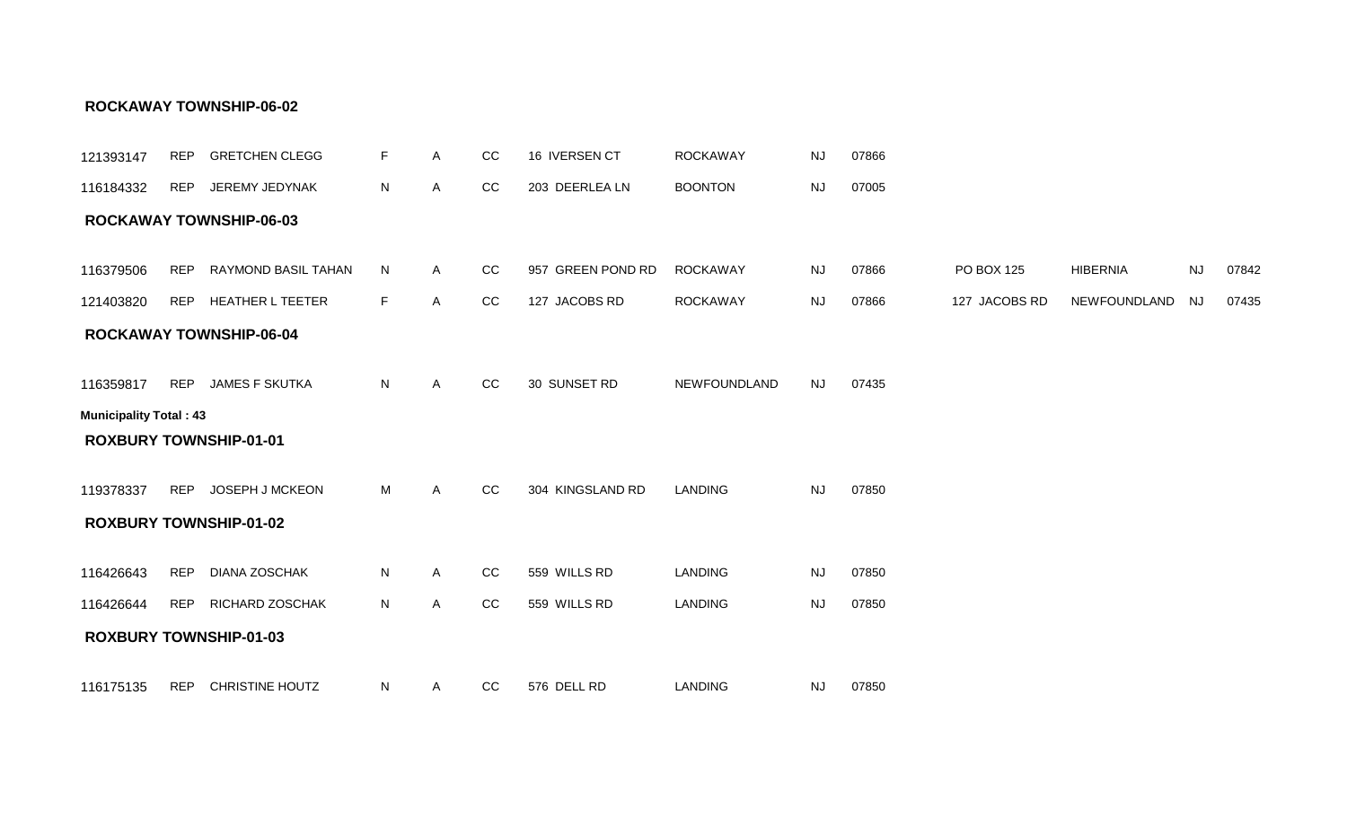| 121393147                     | <b>REP</b> | <b>GRETCHEN CLEGG</b>          | F. | A | CC | 16 IVERSEN CT     | <b>ROCKAWAY</b> | <b>NJ</b> | 07866 |               |                 |                        |       |
|-------------------------------|------------|--------------------------------|----|---|----|-------------------|-----------------|-----------|-------|---------------|-----------------|------------------------|-------|
| 116184332                     | <b>REP</b> | JEREMY JEDYNAK                 | N  | A | CC | 203 DEERLEA LN    | <b>BOONTON</b>  | <b>NJ</b> | 07005 |               |                 |                        |       |
|                               |            | <b>ROCKAWAY TOWNSHIP-06-03</b> |    |   |    |                   |                 |           |       |               |                 |                        |       |
|                               |            |                                |    |   |    |                   |                 |           |       |               |                 |                        |       |
| 116379506                     | <b>REP</b> | RAYMOND BASIL TAHAN            | N  | A | CC | 957 GREEN POND RD | <b>ROCKAWAY</b> | <b>NJ</b> | 07866 | PO BOX 125    | <b>HIBERNIA</b> | $\mathsf{N}\mathsf{J}$ | 07842 |
| 121403820                     | REP        | <b>HEATHER L TEETER</b>        | F  | A | CC | 127 JACOBS RD     | <b>ROCKAWAY</b> | <b>NJ</b> | 07866 | 127 JACOBS RD | NEWFOUNDLAND    | <b>NJ</b>              | 07435 |
|                               |            | <b>ROCKAWAY TOWNSHIP-06-04</b> |    |   |    |                   |                 |           |       |               |                 |                        |       |
|                               |            |                                |    |   |    |                   |                 |           |       |               |                 |                        |       |
| 116359817                     | <b>REP</b> | <b>JAMES F SKUTKA</b>          | N  | A | CC | 30 SUNSET RD      | NEWFOUNDLAND    | <b>NJ</b> | 07435 |               |                 |                        |       |
| <b>Municipality Total: 43</b> |            |                                |    |   |    |                   |                 |           |       |               |                 |                        |       |
|                               |            | <b>ROXBURY TOWNSHIP-01-01</b>  |    |   |    |                   |                 |           |       |               |                 |                        |       |
|                               |            |                                |    |   |    |                   |                 |           |       |               |                 |                        |       |
| 119378337                     | <b>REP</b> | JOSEPH J MCKEON                | М  | Α | CC | 304 KINGSLAND RD  | <b>LANDING</b>  | <b>NJ</b> | 07850 |               |                 |                        |       |
|                               |            | <b>ROXBURY TOWNSHIP-01-02</b>  |    |   |    |                   |                 |           |       |               |                 |                        |       |
|                               |            |                                |    |   |    |                   |                 |           |       |               |                 |                        |       |
| 116426643                     | <b>REP</b> | <b>DIANA ZOSCHAK</b>           | N  | Α | CC | 559 WILLS RD      | <b>LANDING</b>  | <b>NJ</b> | 07850 |               |                 |                        |       |
| 116426644                     | <b>REP</b> | RICHARD ZOSCHAK                | N  | A | cc | 559 WILLS RD      | <b>LANDING</b>  | <b>NJ</b> | 07850 |               |                 |                        |       |
|                               |            | <b>ROXBURY TOWNSHIP-01-03</b>  |    |   |    |                   |                 |           |       |               |                 |                        |       |
|                               |            |                                |    |   |    |                   |                 |           |       |               |                 |                        |       |
| 116175135                     | <b>REP</b> | <b>CHRISTINE HOUTZ</b>         | N  | A | CC | 576 DELL RD       | <b>LANDING</b>  | NJ        | 07850 |               |                 |                        |       |

#### **ROCKAWAY TOWNSHIP-06-02**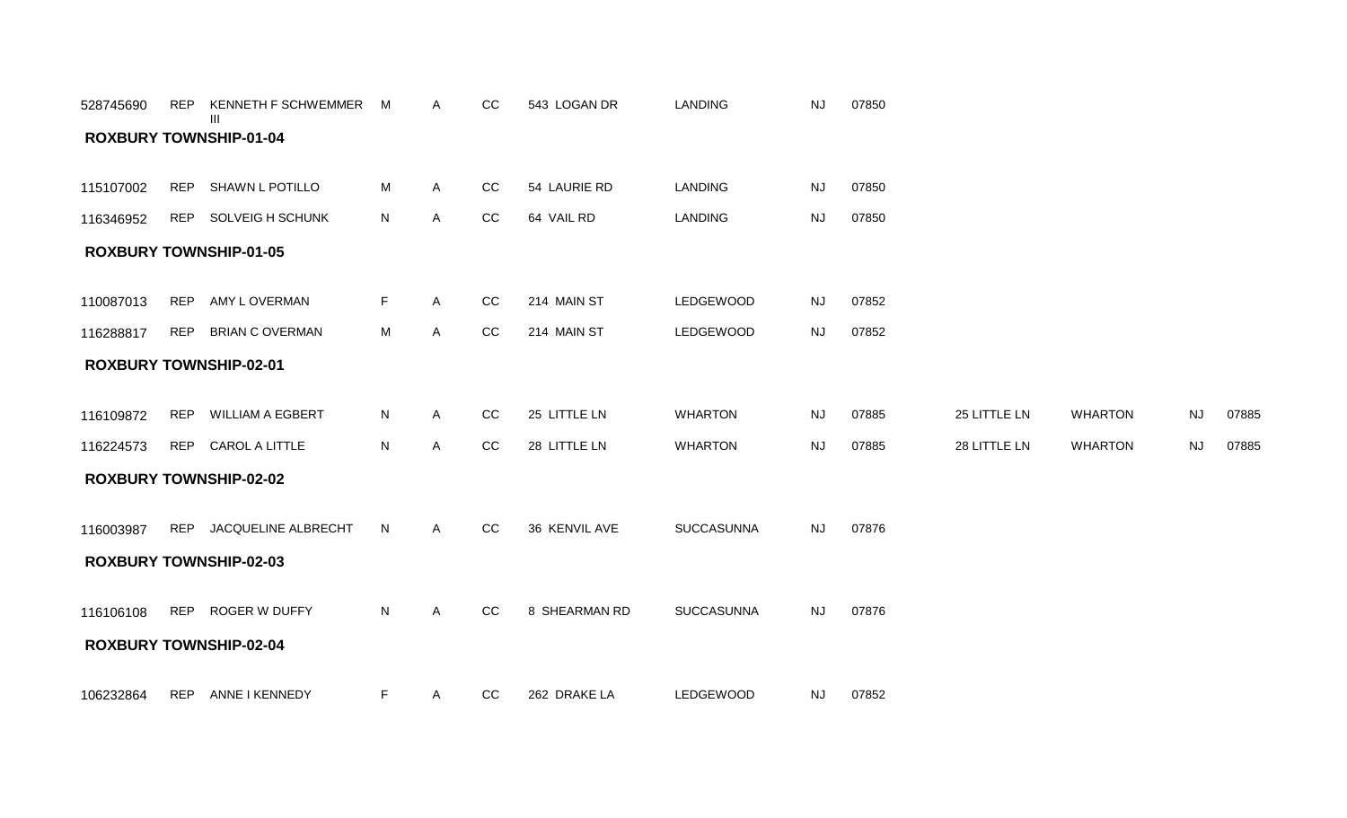| 528745690 | REP        | KENNETH F SCHWEMMER<br>Ш      | M            | Α            | CC | 543 LOGAN DR  | <b>LANDING</b>   | <b>NJ</b> | 07850 |              |                |           |       |
|-----------|------------|-------------------------------|--------------|--------------|----|---------------|------------------|-----------|-------|--------------|----------------|-----------|-------|
|           |            | <b>ROXBURY TOWNSHIP-01-04</b> |              |              |    |               |                  |           |       |              |                |           |       |
|           |            |                               |              |              |    |               |                  |           |       |              |                |           |       |
| 115107002 | <b>REP</b> | SHAWN L POTILLO               | M            | A            | CC | 54 LAURIE RD  | <b>LANDING</b>   | <b>NJ</b> | 07850 |              |                |           |       |
| 116346952 |            | REP SOLVEIG H SCHUNK          | $\mathsf{N}$ | $\mathsf{A}$ | CC | 64 VAIL RD    | <b>LANDING</b>   | <b>NJ</b> | 07850 |              |                |           |       |
|           |            | <b>ROXBURY TOWNSHIP-01-05</b> |              |              |    |               |                  |           |       |              |                |           |       |
|           |            |                               |              |              |    |               |                  |           |       |              |                |           |       |
| 110087013 | <b>REP</b> | AMY L OVERMAN                 | F            | A            | CC | 214 MAIN ST   | LEDGEWOOD        | <b>NJ</b> | 07852 |              |                |           |       |
| 116288817 | <b>REP</b> | <b>BRIAN C OVERMAN</b>        | M            | A            | CC | 214 MAIN ST   | <b>LEDGEWOOD</b> | <b>NJ</b> | 07852 |              |                |           |       |
|           |            | <b>ROXBURY TOWNSHIP-02-01</b> |              |              |    |               |                  |           |       |              |                |           |       |
|           |            |                               |              |              |    |               |                  |           |       |              |                |           |       |
| 116109872 | REP        | <b>WILLIAM A EGBERT</b>       | N            | $\mathsf{A}$ | CC | 25 LITTLE LN  | <b>WHARTON</b>   | <b>NJ</b> | 07885 | 25 LITTLE LN | <b>WHARTON</b> | <b>NJ</b> | 07885 |
| 116224573 |            | REP CAROL A LITTLE            | N            | $\mathsf{A}$ | CC | 28 LITTLE LN  | <b>WHARTON</b>   | <b>NJ</b> | 07885 | 28 LITTLE LN | <b>WHARTON</b> | <b>NJ</b> | 07885 |
|           |            | <b>ROXBURY TOWNSHIP-02-02</b> |              |              |    |               |                  |           |       |              |                |           |       |
|           |            |                               |              |              |    |               |                  |           |       |              |                |           |       |
| 116003987 | REP        | JACQUELINE ALBRECHT           | N            | A            | CC | 36 KENVIL AVE | SUCCASUNNA       | <b>NJ</b> | 07876 |              |                |           |       |
|           |            | <b>ROXBURY TOWNSHIP-02-03</b> |              |              |    |               |                  |           |       |              |                |           |       |
|           |            |                               |              |              |    |               |                  |           |       |              |                |           |       |
| 116106108 |            | REP ROGER W DUFFY             | $\mathsf{N}$ | A            | CC | 8 SHEARMAN RD | SUCCASUNNA       | <b>NJ</b> | 07876 |              |                |           |       |
|           |            | <b>ROXBURY TOWNSHIP-02-04</b> |              |              |    |               |                  |           |       |              |                |           |       |
|           |            |                               |              |              |    |               |                  |           |       |              |                |           |       |
| 106232864 | REP        | ANNE I KENNEDY                | F            | A            | CC | 262 DRAKE LA  | <b>LEDGEWOOD</b> | <b>NJ</b> | 07852 |              |                |           |       |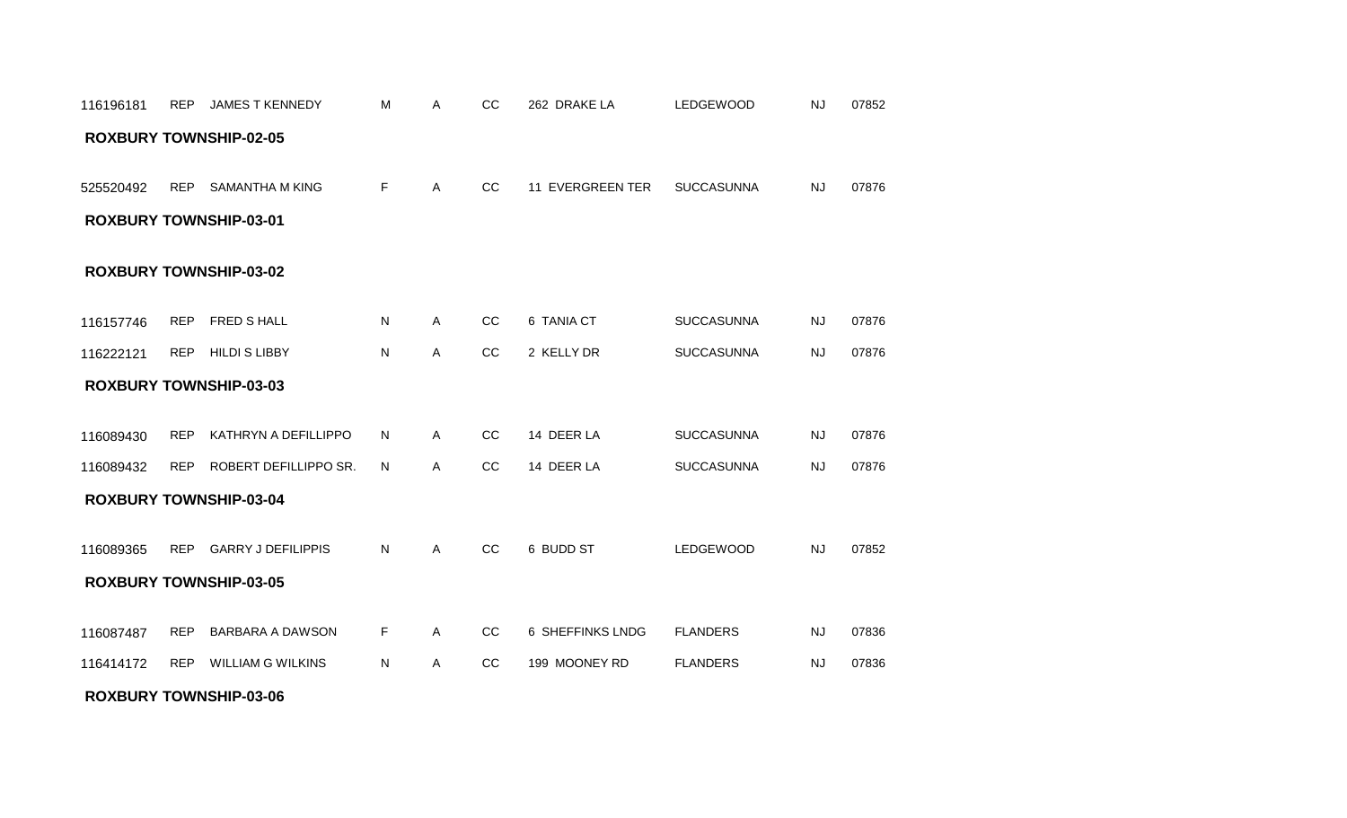#### **ROXBURY TOWNSHIP-03-06**

| <b>ROXBURY TOWNSHIP-03-01</b> |            |                               |    |              |               |                  |                   |           |       |  |  |  |  |
|-------------------------------|------------|-------------------------------|----|--------------|---------------|------------------|-------------------|-----------|-------|--|--|--|--|
| <b>ROXBURY TOWNSHIP-03-02</b> |            |                               |    |              |               |                  |                   |           |       |  |  |  |  |
| 116157746                     | REP        | FRED S HALL                   | N  | A            | CC            | 6 TANIA CT       | <b>SUCCASUNNA</b> | NJ        | 07876 |  |  |  |  |
| 116222121                     | <b>REP</b> | <b>HILDI S LIBBY</b>          | N  | A            | cc            | 2 KELLY DR       | <b>SUCCASUNNA</b> | <b>NJ</b> | 07876 |  |  |  |  |
|                               |            | <b>ROXBURY TOWNSHIP-03-03</b> |    |              |               |                  |                   |           |       |  |  |  |  |
| 116089430                     | <b>REP</b> | KATHRYN A DEFILLIPPO          | N. | A            | <sub>CC</sub> | 14 DEER LA       | <b>SUCCASUNNA</b> | NJ        | 07876 |  |  |  |  |
| 116089432                     | <b>REP</b> | ROBERT DEFILLIPPO SR.         | N. | A            | <sub>CC</sub> | 14 DEER LA       | <b>SUCCASUNNA</b> | <b>NJ</b> | 07876 |  |  |  |  |
|                               |            | <b>ROXBURY TOWNSHIP-03-04</b> |    |              |               |                  |                   |           |       |  |  |  |  |
| 116089365                     |            | REP GARRY J DEFILIPPIS        | N  | $\mathsf{A}$ | cc            | 6 BUDD ST        | LEDGEWOOD         | <b>NJ</b> | 07852 |  |  |  |  |
|                               |            | <b>ROXBURY TOWNSHIP-03-05</b> |    |              |               |                  |                   |           |       |  |  |  |  |
| 116087487                     | <b>REP</b> | <b>BARBARA A DAWSON</b>       | F. | $\mathsf{A}$ | cc            | 6 SHEFFINKS LNDG | <b>FLANDERS</b>   | <b>NJ</b> | 07836 |  |  |  |  |
| 116414172                     | <b>REP</b> | <b>WILLIAM G WILKINS</b>      | N  | A            | CC            | 199 MOONEY RD    | <b>FLANDERS</b>   | <b>NJ</b> | 07836 |  |  |  |  |

#### **ROXBURY TOWNSHIP-02-05**

525520492 REP SAMANTHA M KING

116196181 REP JAMESTKENNEDY M A CC 262 DRAKE LA LEDGEWOOD NJ 07852

F A CC 11 EVERGREEN TER SUCCASUNNA NJ 07876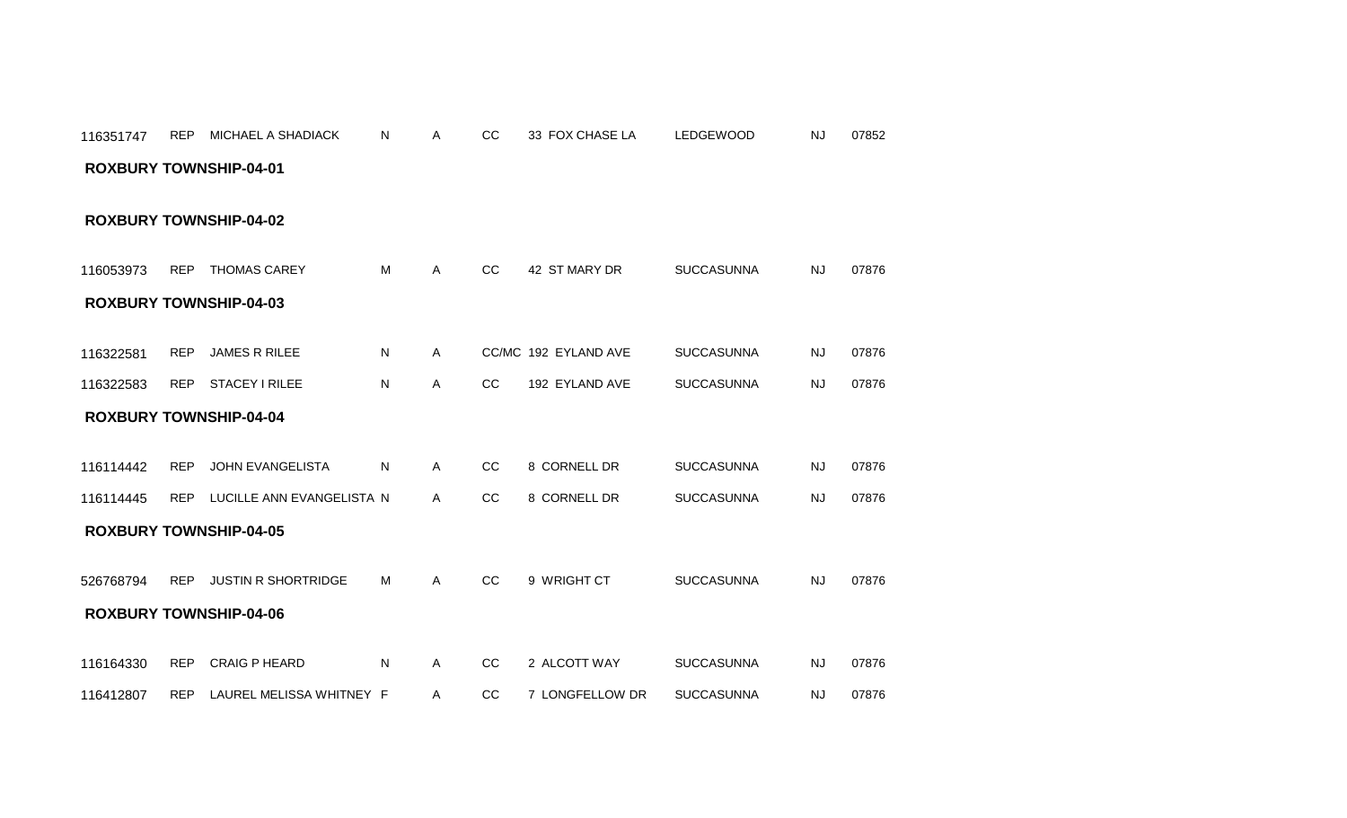| 116053973                     | <b>REP</b> | <b>THOMAS CAREY</b>        | M | A | <sub>CC</sub> | 42 ST MARY DR        | <b>SUCCASUNNA</b> | <b>NJ</b> | 07876 |
|-------------------------------|------------|----------------------------|---|---|---------------|----------------------|-------------------|-----------|-------|
| <b>ROXBURY TOWNSHIP-04-03</b> |            |                            |   |   |               |                      |                   |           |       |
|                               |            |                            |   |   |               |                      |                   |           |       |
| 116322581                     | <b>REP</b> | <b>JAMES R RILEE</b>       | N | A |               | CC/MC 192 EYLAND AVE | <b>SUCCASUNNA</b> | <b>NJ</b> | 07876 |
| 116322583                     | <b>REP</b> | <b>STACEY I RILEE</b>      | N | A | CC            | 192 EYLAND AVE       | <b>SUCCASUNNA</b> | NJ        | 07876 |
| <b>ROXBURY TOWNSHIP-04-04</b> |            |                            |   |   |               |                      |                   |           |       |
|                               |            |                            |   |   |               |                      |                   |           |       |
| 116114442                     | <b>REP</b> | <b>JOHN EVANGELISTA</b>    | N | Α | CC            | 8 CORNELL DR         | <b>SUCCASUNNA</b> | <b>NJ</b> | 07876 |
| 116114445                     | <b>REP</b> | LUCILLE ANN EVANGELISTA N  |   | A | <sub>CC</sub> | 8 CORNELL DR         | <b>SUCCASUNNA</b> | <b>NJ</b> | 07876 |
| <b>ROXBURY TOWNSHIP-04-05</b> |            |                            |   |   |               |                      |                   |           |       |
|                               |            |                            |   |   |               |                      |                   |           |       |
| 526768794                     | <b>REP</b> | <b>JUSTIN R SHORTRIDGE</b> | M | A | <sub>CC</sub> | 9 WRIGHT CT          | <b>SUCCASUNNA</b> | <b>NJ</b> | 07876 |
| <b>ROXBURY TOWNSHIP-04-06</b> |            |                            |   |   |               |                      |                   |           |       |
|                               |            |                            |   |   |               |                      |                   |           |       |
| 116164330                     | <b>REP</b> | <b>CRAIG P HEARD</b>       | N | A | CC            | 2 ALCOTT WAY         | <b>SUCCASUNNA</b> | <b>NJ</b> | 07876 |
| 116412807                     | <b>REP</b> | LAUREL MELISSA WHITNEY F   |   | Α | CC            | 7 LONGFELLOW DR      | <b>SUCCASUNNA</b> | <b>NJ</b> | 07876 |

# **ROXBURY TOWNSHIP-04-01**

**ROXBURY TOWNSHIP-04-02**

116351747 REP MICHAEL A SHADIACK N A CC 33 FOX CHASE LA LEDGEWOOD NJ 07852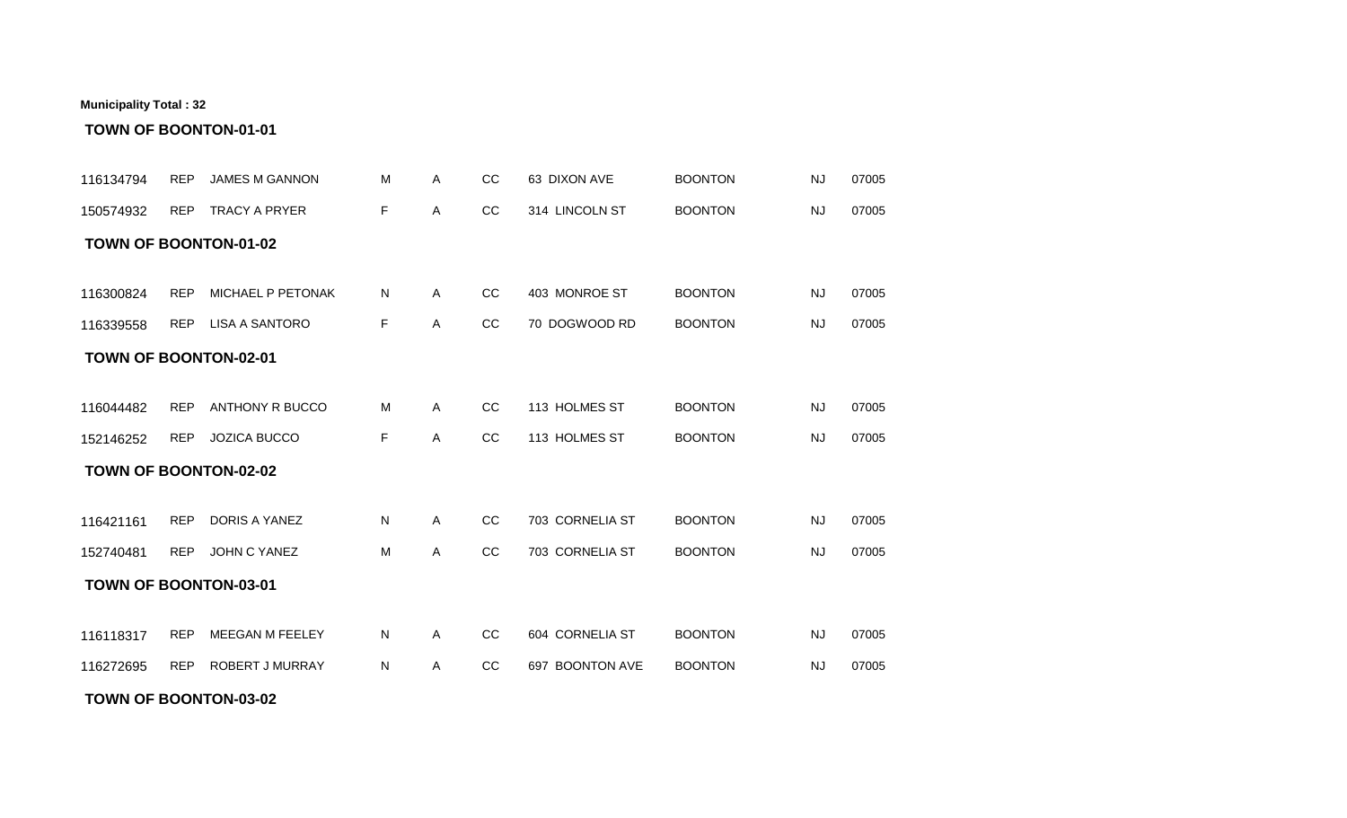#### **TOWN OF BOONTON-03-02**

| 116134794                    | <b>REP</b> | <b>JAMES M GANNON</b> | м  | A            | CC            | 63 DIXON AVE    | <b>BOONTON</b> | <b>NJ</b> | 07005 |
|------------------------------|------------|-----------------------|----|--------------|---------------|-----------------|----------------|-----------|-------|
| 150574932                    | <b>REP</b> | <b>TRACY A PRYER</b>  | F  | $\mathsf{A}$ | CC            | 314 LINCOLN ST  | <b>BOONTON</b> | <b>NJ</b> | 07005 |
| <b>TOWN OF BOONTON-01-02</b> |            |                       |    |              |               |                 |                |           |       |
|                              |            |                       |    |              |               |                 |                |           |       |
| 116300824                    | <b>REP</b> | MICHAEL P PETONAK     | N  | $\mathsf{A}$ | cc            | 403 MONROE ST   | <b>BOONTON</b> | <b>NJ</b> | 07005 |
| 116339558                    |            | REP LISA A SANTORO    | F. | A            | cc            | 70 DOGWOOD RD   | <b>BOONTON</b> | <b>NJ</b> | 07005 |
| <b>TOWN OF BOONTON-02-01</b> |            |                       |    |              |               |                 |                |           |       |
|                              |            |                       |    |              |               |                 |                |           |       |
| 116044482                    | <b>REP</b> | ANTHONY R BUCCO       | м  | A            | <sub>CC</sub> | 113 HOLMES ST   | <b>BOONTON</b> | NJ        | 07005 |
| 152146252                    | <b>REP</b> | JOZICA BUCCO          | F  | $\mathsf{A}$ | cc            | 113 HOLMES ST   | <b>BOONTON</b> | NJ        | 07005 |
| <b>TOWN OF BOONTON-02-02</b> |            |                       |    |              |               |                 |                |           |       |
|                              |            |                       |    |              |               |                 |                |           |       |
| 116421161                    | <b>REP</b> | DORIS A YANEZ         | N  | $\mathsf{A}$ | cc            | 703 CORNELIA ST | <b>BOONTON</b> | <b>NJ</b> | 07005 |
| 152740481                    | <b>REP</b> | JOHN C YANEZ          | M  | A            | <sub>CC</sub> | 703 CORNELIA ST | <b>BOONTON</b> | <b>NJ</b> | 07005 |
| <b>TOWN OF BOONTON-03-01</b> |            |                       |    |              |               |                 |                |           |       |
|                              |            |                       |    |              |               |                 |                |           |       |
| 116118317                    | <b>REP</b> | MEEGAN M FEELEY       | N  | $\mathsf{A}$ | cc            | 604 CORNELIA ST | <b>BOONTON</b> | <b>NJ</b> | 07005 |
| 116272695                    | <b>REP</b> | ROBERT J MURRAY       | N  | A            | CC            | 697 BOONTON AVE | <b>BOONTON</b> | <b>NJ</b> | 07005 |

# **TOWN OF BOONTON-01-01**

**Municipality Total : 32**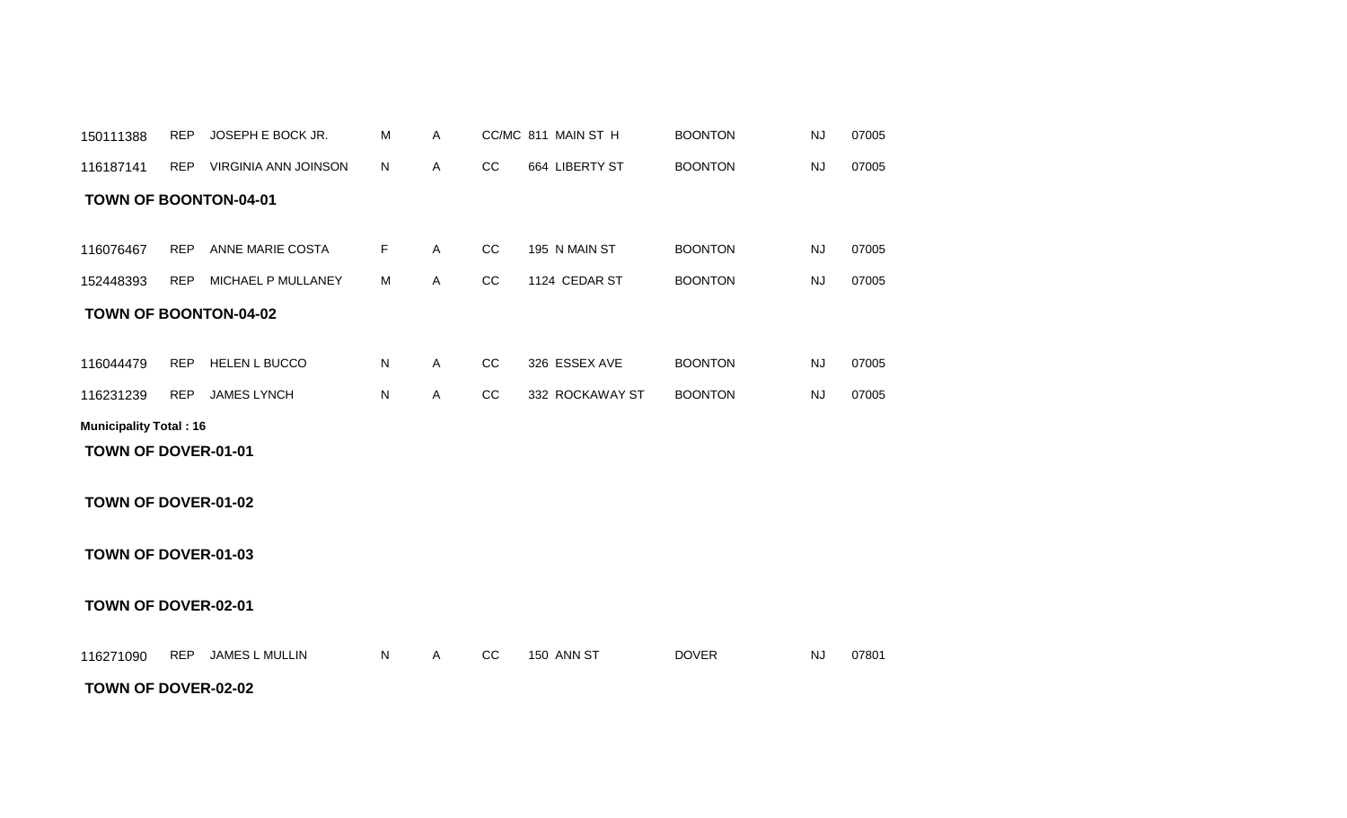#### **TOWN OF DOVER-02-02**

# **TOWN OF DOVER-02-01**

### **TOWN OF DOVER-01-03**

### **TOWN OF DOVER-01-02**

#### **TOWN OF DOVER-01-01**

#### **Municipality Total : 16**

| 152448393 | <b>REP</b> | MICHAEL P MULLANEY           | м  | A | CС  | 1124 CEDAR ST   | <b>BOONTON</b> | NJ | 07005 |  |
|-----------|------------|------------------------------|----|---|-----|-----------------|----------------|----|-------|--|
|           |            | <b>TOWN OF BOONTON-04-02</b> |    |   |     |                 |                |    |       |  |
| 116044479 | <b>REP</b> | <b>HELEN L BUCCO</b>         | N. | Α | CC. | 326 ESSEX AVE   | <b>BOONTON</b> | NJ | 07005 |  |
| 116231239 | <b>REP</b> | <b>JAMES LYNCH</b>           | N  | A | CС  | 332 ROCKAWAY ST | <b>BOONTON</b> | N. | 07005 |  |

116076467 REP ANNE MARIE COSTA F A CC 195 N MAIN ST BOONTON NJ 07005

116271090 REP JAMES L MULLIN N A CC 150 ANN ST DOVER NJ 07801

#### **TOWN OF BOONTON-04-01**

| 150111388 | REP        | <b>UOSEPH E BOCK JR.</b> |    |  | CC/MC 811 MAIN ST H | <b>BOONTON</b> | NJ  | 07005 |
|-----------|------------|--------------------------|----|--|---------------------|----------------|-----|-------|
| 116187141 | <b>REP</b> | VIRGINIA ANN JOINSON     | N. |  | 664 LIBERTY ST      | <b>BOONTON</b> | NJ. | 07005 |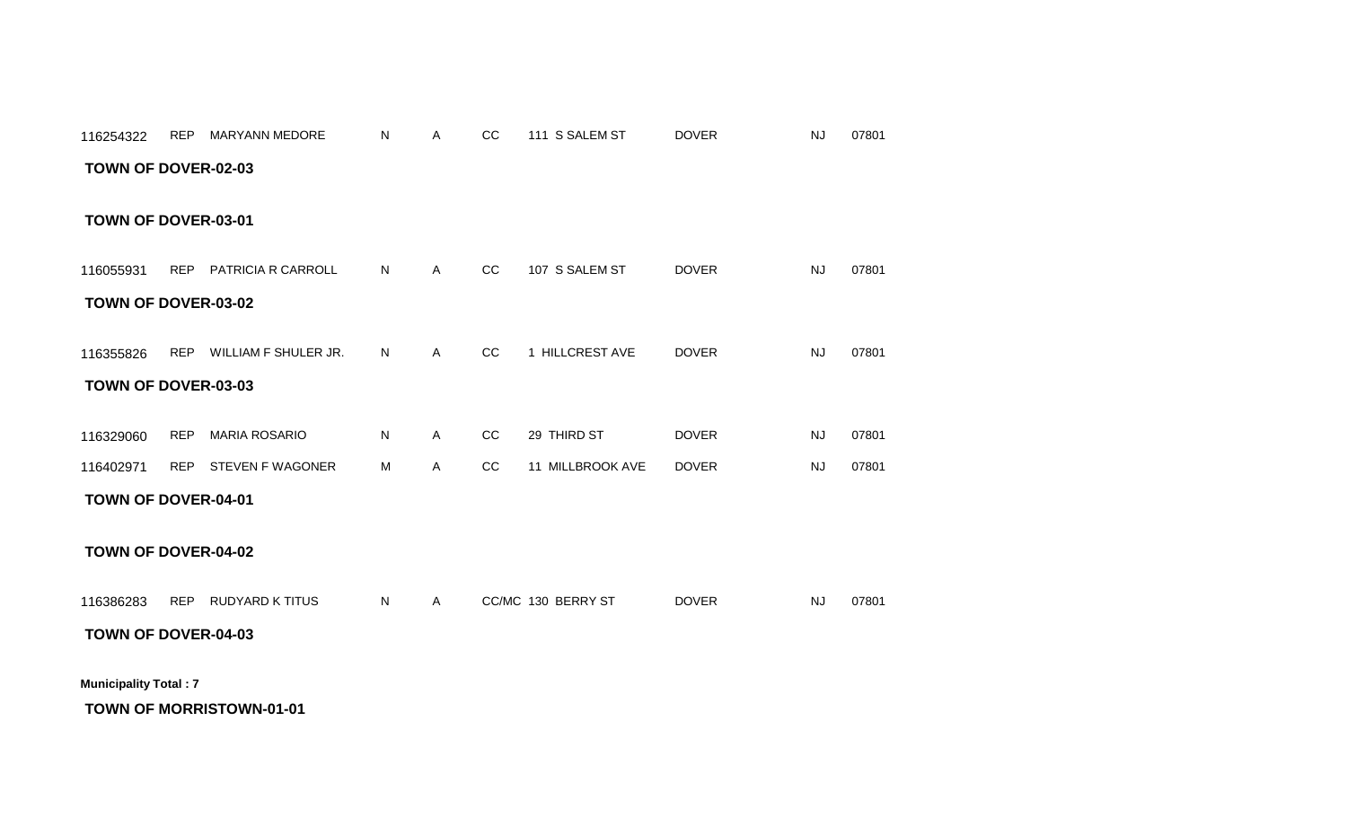# **TOWN OF MORRISTOWN-01-01**

# **TOWN OF DOVER-04-03**

**Municipality Total : 7**

116386283 REP RUDYARD K TITUS N A CC/MC\_130\_BERRY ST DOVER NJ 07801

# **TOWN OF DOVER-04-02**

#### **TOWN OF DOVER-04-01**

| 116329060 | REP MARIA ROSARIO    | N. | CC | 29 THIRD ST         | <b>DOVER</b> | 07801 |
|-----------|----------------------|----|----|---------------------|--------------|-------|
| 116402971 | REP STEVEN F WAGONER | M  |    | CC 11 MILLBROOK AVE | <b>DOVER</b> | 07801 |

#### **TOWN OF DOVER-03-03**

| 116355826 | <b>REP</b> | WILLIAM F SHULER JR. | N |  | $\sim$<br>UL | <b>HILLCREST AVE</b> | <b>DOVER</b> | 07801<br>NJ. |  |
|-----------|------------|----------------------|---|--|--------------|----------------------|--------------|--------------|--|
|-----------|------------|----------------------|---|--|--------------|----------------------|--------------|--------------|--|

#### **TOWN OF DOVER-03-02**

REP PATRICIA R CARROLL A CC 107 S SALEM ST 07801 116055931 N DOVER NJ

#### **TOWN OF DOVER-03-01**

#### **TOWN OF DOVER-02-03**

| 116254322 | <b>REP</b> | MARYANN MEDORE | NL |  | $\sim$<br>w | S SALEM ST<br>444 | DOVER | <b>NJ</b><br>07801 |  |
|-----------|------------|----------------|----|--|-------------|-------------------|-------|--------------------|--|
|-----------|------------|----------------|----|--|-------------|-------------------|-------|--------------------|--|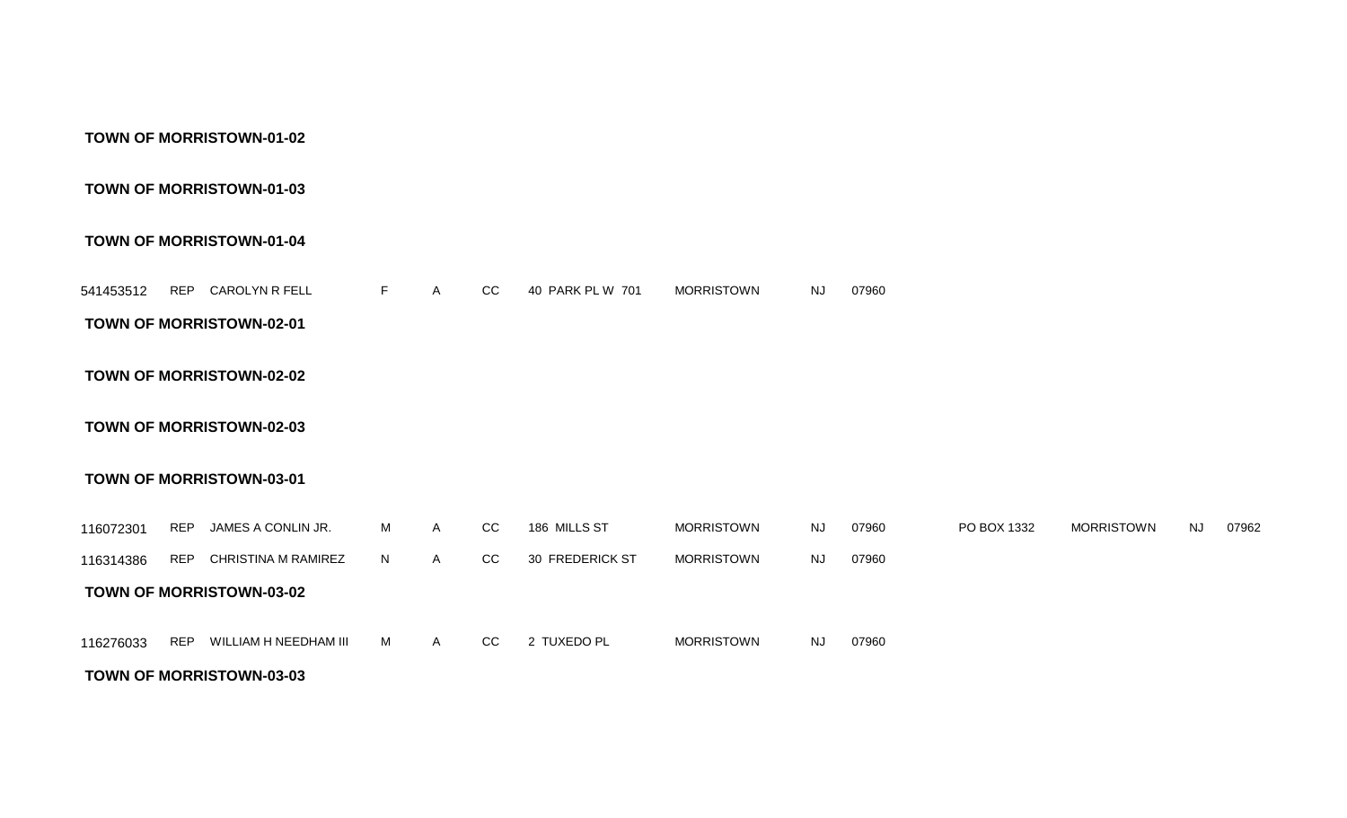#### **TOWN OF MORRISTOWN-03-03**

|           |            | <b>TOWN OF MORRISTOWN-03-01</b> |    |   |               |                        |            |           |       |             |                   |    |
|-----------|------------|---------------------------------|----|---|---------------|------------------------|------------|-----------|-------|-------------|-------------------|----|
| 116072301 | <b>REP</b> | JAMES A CONLIN JR.              | M  | A | CC.           | 186 MILLS ST           | MORRISTOWN | <b>NJ</b> | 07960 | PO BOX 1332 | <b>MORRISTOWN</b> | NJ |
| 116314386 | <b>REP</b> | CHRISTINA M RAMIREZ             | N. | A | <sub>CC</sub> | <b>30 FREDERICK ST</b> | MORRISTOWN | <b>NJ</b> | 07960 |             |                   |    |
|           |            | <b>TOWN OF MORRISTOWN-03-02</b> |    |   |               |                        |            |           |       |             |                   |    |
| 116276033 | <b>REP</b> | WILLIAM H NEEDHAM III           | M  | A | CC.           | 2 TUXEDO PL            | MORRISTOWN | <b>NJ</b> | 07960 |             |                   |    |

07962

**TOWN OF MORRISTOWN-02-03**

#### **TOWN OF MORRISTOWN-02-02**

#### **TOWN OF MORRISTOWN-02-01**

REP CAROLYN R FELL A CC 40 PARK PL W 701 07960 541453512 F MORRISTOWN NJ

#### **TOWN OF MORRISTOWN-01-04**

#### **TOWN OF MORRISTOWN-01-03**

#### **TOWN OF MORRISTOWN-01-02**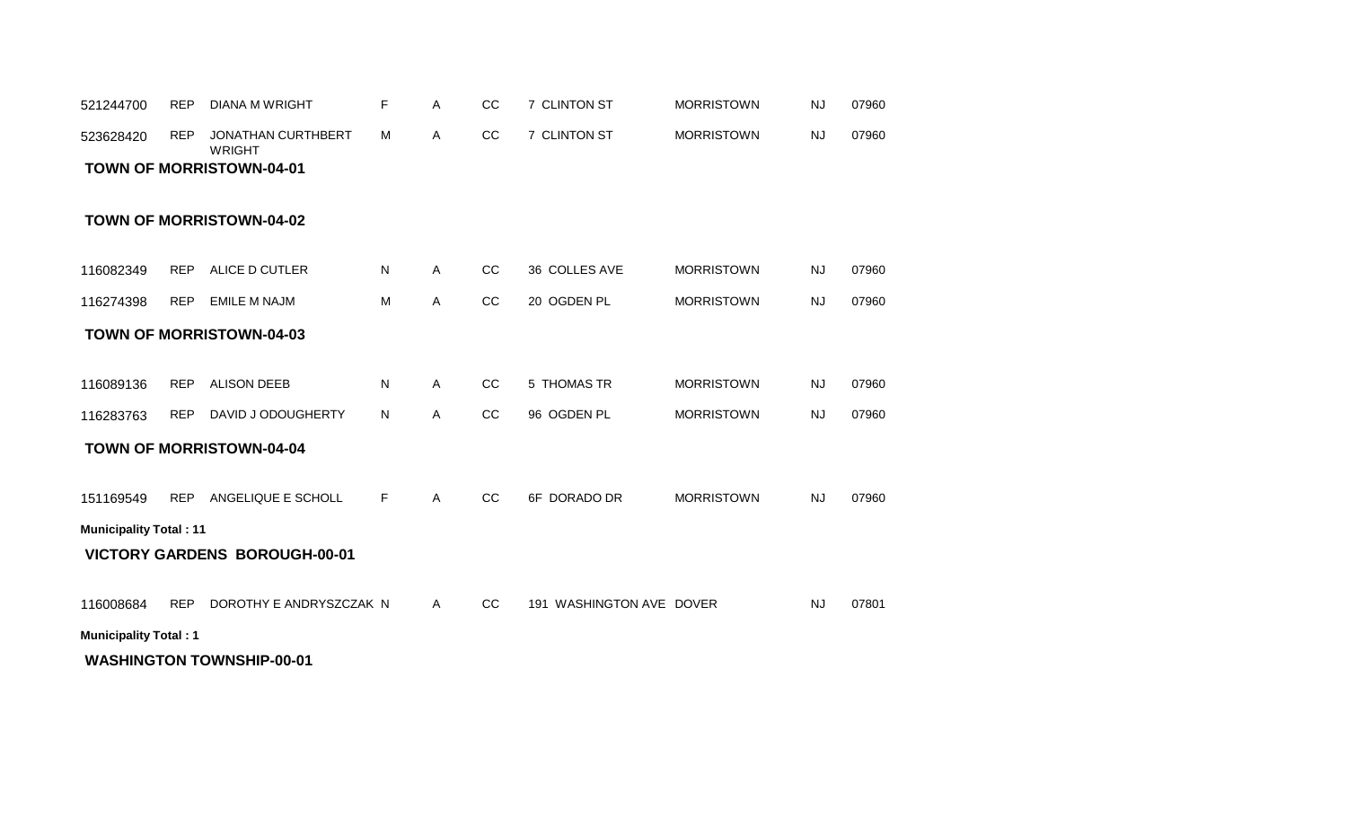#### **WASHINGTON TOWNSHIP-00-01**

**Municipality Total : 1**

116008684 REP DOROTHY E ANDRYSZCZAK N A CC 191 WASHINGTON AVE DOVER NJ 07801

#### **VICTORY GARDENS BOROUGH-00-01**

**Municipality Total : 11**

|  |  | 151169549 REP ANGELIQUE E SCHOLL |  |  | CC. | 6F DORADO DR | <b>MORRISTOWN</b> | <b>NJ</b> | 07960 |  |
|--|--|----------------------------------|--|--|-----|--------------|-------------------|-----------|-------|--|
|--|--|----------------------------------|--|--|-----|--------------|-------------------|-----------|-------|--|

#### **TOWN OF MORRISTOWN-04-04**

| 116283763 | ر REP DAVID J ODOUGHERTY | N. | CC. | 96 OGDEN PL | <b>MORRISTOWN</b> | NJ | 07960 |
|-----------|--------------------------|----|-----|-------------|-------------------|----|-------|

#### **TOWN OF MORRISTOWN-04-03**

| 116274398 | <b>REP</b> | <b>EMILE M NAJM</b> | М | $\sim$<br>◡◡ | OGDEN PL<br>20. | <b>MORRISTOWN</b> | 'N | 07960 |
|-----------|------------|---------------------|---|--------------|-----------------|-------------------|----|-------|
|           |            |                     |   |              |                 |                   |    |       |

REP ALICE D CUTLER A CC 36 COLLES AVE 07960 116082349 N MORRISTOWN NJ

REP ALISON DEEB A CC 5 THOMAS TR 07960 116089136 N MORRISTOWN NJ

#### **TOWN OF MORRISTOWN-04-02**

### **TOWN OF MORRISTOWN-04-01**

| 521244700 | REP        | DIANA M WRIGHT               |     | CC. | 7 CLINTON ST        | <b>MORRISTOWN</b> | N. | 07960 |
|-----------|------------|------------------------------|-----|-----|---------------------|-------------------|----|-------|
| 523628420 | <b>REP</b> | JONATHAN CURTHBERT<br>WRIGHT | - M | CC. | <b>7 CLINTON ST</b> | <b>MORRISTOWN</b> | NJ | 07960 |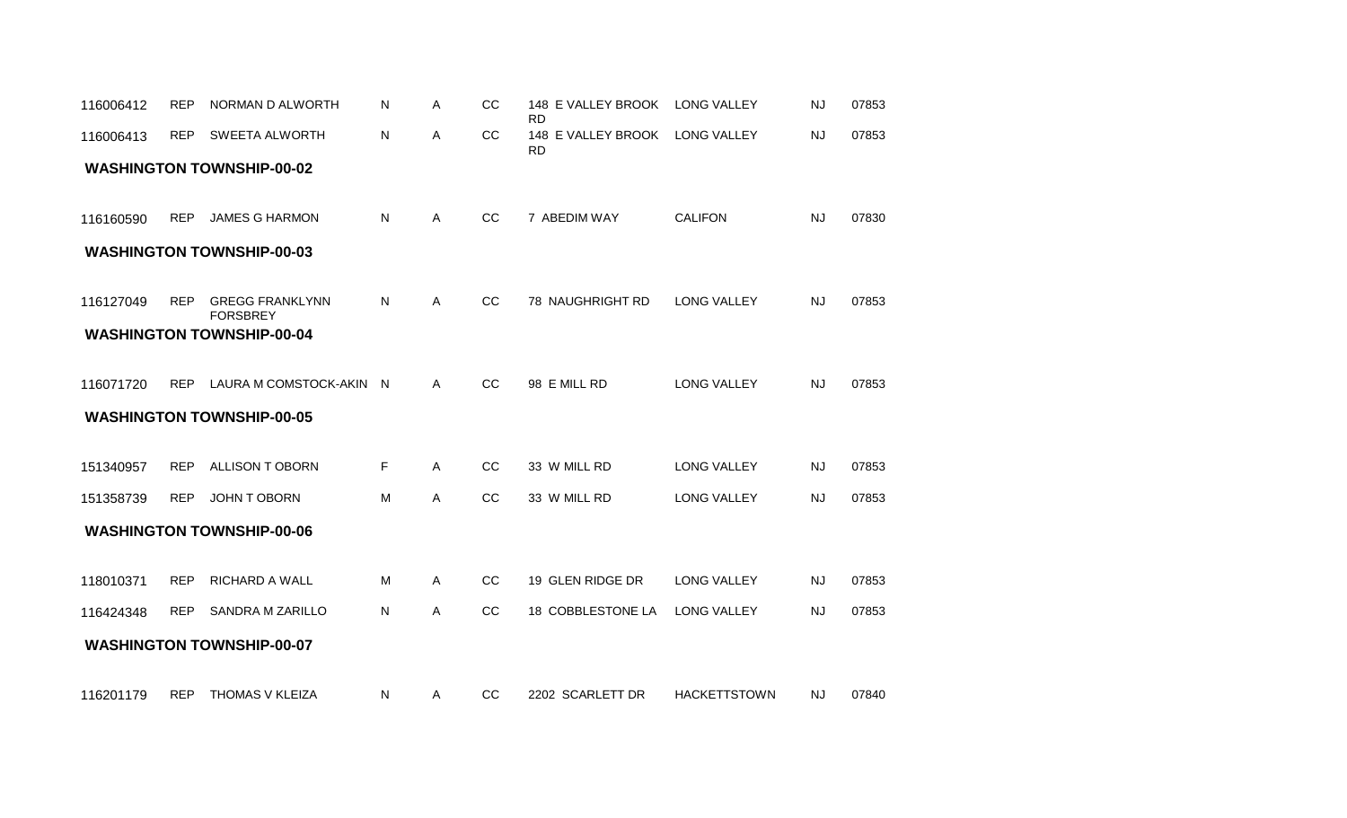| 116006412 | <b>REP</b> | NORMAN D ALWORTH                          | Ν  | Α | CC            | 148 E VALLEY BROOK<br><b>RD</b> | <b>LONG VALLEY</b>  | <b>NJ</b> | 07853 |
|-----------|------------|-------------------------------------------|----|---|---------------|---------------------------------|---------------------|-----------|-------|
| 116006413 | <b>REP</b> | SWEETA ALWORTH                            | N  | Α | CC            | 148 E VALLEY BROOK<br><b>RD</b> | <b>LONG VALLEY</b>  | <b>NJ</b> | 07853 |
|           |            | <b>WASHINGTON TOWNSHIP-00-02</b>          |    |   |               |                                 |                     |           |       |
| 116160590 | <b>REP</b> | JAMES G HARMON                            | N  | Α | CC            | 7 ABEDIM WAY                    | <b>CALIFON</b>      | <b>NJ</b> | 07830 |
|           |            | <b>WASHINGTON TOWNSHIP-00-03</b>          |    |   |               |                                 |                     |           |       |
| 116127049 | <b>REP</b> | <b>GREGG FRANKLYNN</b><br><b>FORSBREY</b> | N  | A | CC            | 78 NAUGHRIGHT RD                | <b>LONG VALLEY</b>  | <b>NJ</b> | 07853 |
|           |            | <b>WASHINGTON TOWNSHIP-00-04</b>          |    |   |               |                                 |                     |           |       |
| 116071720 | <b>REP</b> | LAURA M COMSTOCK-AKIN N                   |    | A | CC            | 98 E MILL RD                    | <b>LONG VALLEY</b>  | <b>NJ</b> | 07853 |
|           |            | <b>WASHINGTON TOWNSHIP-00-05</b>          |    |   |               |                                 |                     |           |       |
| 151340957 | <b>REP</b> | ALLISON TOBORN                            | F. | A | CC            | 33 W MILL RD                    | <b>LONG VALLEY</b>  | <b>NJ</b> | 07853 |
| 151358739 | <b>REP</b> | <b>JOHN T OBORN</b>                       | м  | A | <sub>CC</sub> | 33 W MILL RD                    | <b>LONG VALLEY</b>  | <b>NJ</b> | 07853 |
|           |            | <b>WASHINGTON TOWNSHIP-00-06</b>          |    |   |               |                                 |                     |           |       |
|           |            | <b>RICHARD A WALL</b>                     | м  |   | CC            | 19 GLEN RIDGE DR                | <b>LONG VALLEY</b>  | <b>NJ</b> |       |
| 118010371 | <b>REP</b> |                                           |    | A |               |                                 |                     |           | 07853 |
| 116424348 | <b>REP</b> | <b>SANDRA M ZARILLO</b>                   | N  | Α | CC            | 18 COBBLESTONE LA               | <b>LONG VALLEY</b>  | <b>NJ</b> | 07853 |
|           |            | <b>WASHINGTON TOWNSHIP-00-07</b>          |    |   |               |                                 |                     |           |       |
| 116201179 | <b>REP</b> | THOMAS V KLEIZA                           | N  | Α | CC            | 2202 SCARLETT DR                | <b>HACKETTSTOWN</b> | <b>NJ</b> | 07840 |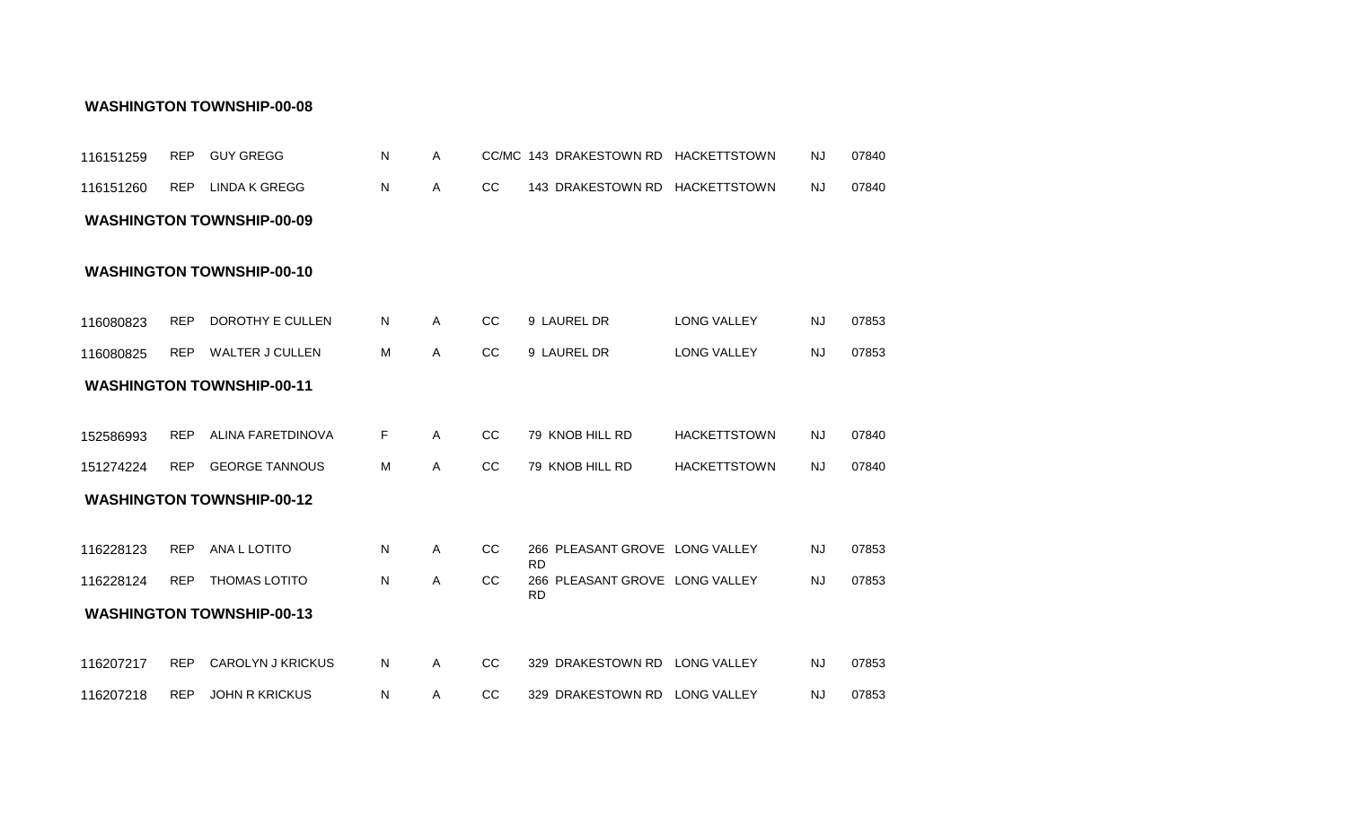| 116151259              | <b>REP</b>               | <b>GUY GREGG</b>                           | N      | A            |               | CC/MC 143 DRAKESTOWN RD HACKETTSTOWN                                                       |                                            | <b>NJ</b>              | 07840          |
|------------------------|--------------------------|--------------------------------------------|--------|--------------|---------------|--------------------------------------------------------------------------------------------|--------------------------------------------|------------------------|----------------|
| 116151260              | <b>REP</b>               | <b>LINDA K GREGG</b>                       | N      | Α            | cc            | 143 DRAKESTOWN RD HACKETTSTOWN                                                             |                                            | <b>NJ</b>              | 07840          |
|                        |                          | <b>WASHINGTON TOWNSHIP-00-09</b>           |        |              |               |                                                                                            |                                            |                        |                |
|                        |                          | <b>WASHINGTON TOWNSHIP-00-10</b>           |        |              |               |                                                                                            |                                            |                        |                |
| 116080823              | <b>REP</b>               | DOROTHY E CULLEN                           | N      | Α            | <sub>CC</sub> | 9 LAUREL DR                                                                                | <b>LONG VALLEY</b>                         | <b>NJ</b>              | 07853          |
| 116080825              | <b>REP</b>               | WALTER J CULLEN                            | M      | Α            | CC            | 9 LAUREL DR                                                                                | LONG VALLEY                                | <b>NJ</b>              | 07853          |
|                        |                          | <b>WASHINGTON TOWNSHIP-00-11</b>           |        |              |               |                                                                                            |                                            |                        |                |
| 152586993<br>151274224 | <b>REP</b><br><b>REP</b> | ALINA FARETDINOVA<br><b>GEORGE TANNOUS</b> | F<br>M | Α<br>A       | CC<br>cc      | 79 KNOB HILL RD<br>79 KNOB HILL RD                                                         | <b>HACKETTSTOWN</b><br><b>HACKETTSTOWN</b> | NJ.<br><b>NJ</b>       | 07840<br>07840 |
|                        |                          | <b>WASHINGTON TOWNSHIP-00-12</b>           |        |              |               |                                                                                            |                                            |                        |                |
| 116228123<br>116228124 | <b>REP</b><br><b>REP</b> | ANA L LOTITO<br><b>THOMAS LOTITO</b>       | N<br>N | Α<br>Α       | CC<br>CC      | 266 PLEASANT GROVE LONG VALLEY<br><b>RD</b><br>266 PLEASANT GROVE LONG VALLEY<br><b>RD</b> |                                            | <b>NJ</b><br><b>NJ</b> | 07853<br>07853 |
|                        |                          | <b>WASHINGTON TOWNSHIP-00-13</b>           |        |              |               |                                                                                            |                                            |                        |                |
| 116207217              | <b>REP</b>               | <b>CAROLYN J KRICKUS</b>                   | N      | A            | CC            | 329 DRAKESTOWN RD LONG VALLEY                                                              |                                            | NJ.                    | 07853          |
| 116207218              | <b>REP</b>               | <b>JOHN R KRICKUS</b>                      | N      | $\mathsf{A}$ | CC            | 329 DRAKESTOWN RD LONG VALLEY                                                              |                                            | NJ.                    | 07853          |

#### **WASHINGTON TOWNSHIP-00-08**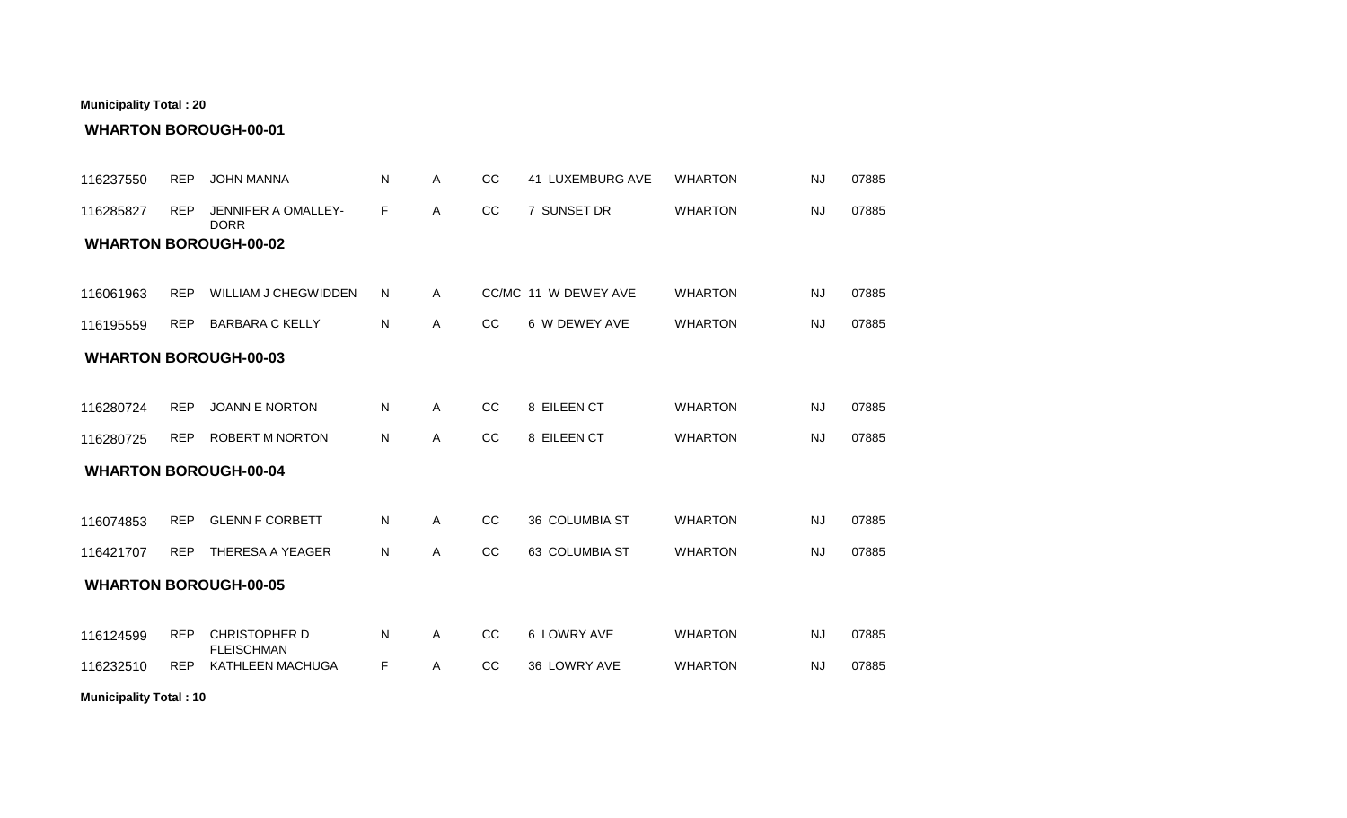| <b>WHARTON BOROUGH-00-02</b> |            |                                           |    |              |               |                      |                |           |       |
|------------------------------|------------|-------------------------------------------|----|--------------|---------------|----------------------|----------------|-----------|-------|
| 116061963                    | <b>REP</b> | <b>WILLIAM J CHEGWIDDEN</b>               | N  | $\mathsf{A}$ |               | CC/MC 11 W DEWEY AVE | <b>WHARTON</b> | <b>NJ</b> | 07885 |
| 116195559                    | <b>REP</b> | <b>BARBARA C KELLY</b>                    | N  | A            | <sub>CC</sub> | 6 W DEWEY AVE        | <b>WHARTON</b> | <b>NJ</b> | 07885 |
| <b>WHARTON BOROUGH-00-03</b> |            |                                           |    |              |               |                      |                |           |       |
| 116280724                    | <b>REP</b> | <b>JOANN E NORTON</b>                     | N  | A            | <sub>CC</sub> | 8 EILEEN CT          | <b>WHARTON</b> | <b>NJ</b> | 07885 |
| 116280725                    | <b>REP</b> | <b>ROBERT M NORTON</b>                    | N  | $\mathsf{A}$ | CC            | 8 EILEEN CT          | <b>WHARTON</b> | <b>NJ</b> | 07885 |
| <b>WHARTON BOROUGH-00-04</b> |            |                                           |    |              |               |                      |                |           |       |
| 116074853                    | <b>REP</b> | <b>GLENN F CORBETT</b>                    | N  | $\mathsf{A}$ | CC            | 36 COLUMBIA ST       | <b>WHARTON</b> | <b>NJ</b> | 07885 |
| 116421707                    | <b>REP</b> | THERESA A YEAGER                          | N  | A            | CC            | 63 COLUMBIA ST       | <b>WHARTON</b> | <b>NJ</b> | 07885 |
| <b>WHARTON BOROUGH-00-05</b> |            |                                           |    |              |               |                      |                |           |       |
| 116124599                    | <b>REP</b> | <b>CHRISTOPHER D</b><br><b>FLEISCHMAN</b> | N  | $\mathsf{A}$ | CC            | 6 LOWRY AVE          | <b>WHARTON</b> | <b>NJ</b> | 07885 |
| 116232510                    | <b>REP</b> | KATHLEEN MACHUGA                          | F. | A            | CC            | 36 LOWRY AVE         | <b>WHARTON</b> | <b>NJ</b> | 07885 |

REP JOHN MANNA A CC 41 LUXEMBURG AVE 07885 116237550 N WHARTON NJ

116285827 REP JENNIFER A OMALLEY- F A CC 7 SUNSET DR WHARTON NJ 07885

A CC 7 SUNSET DR WHARTON NJ 07885

### **WHARTON BOROUGH-00-01**

DORR

**Municipality Total : 20**

**Municipality Total : 10**